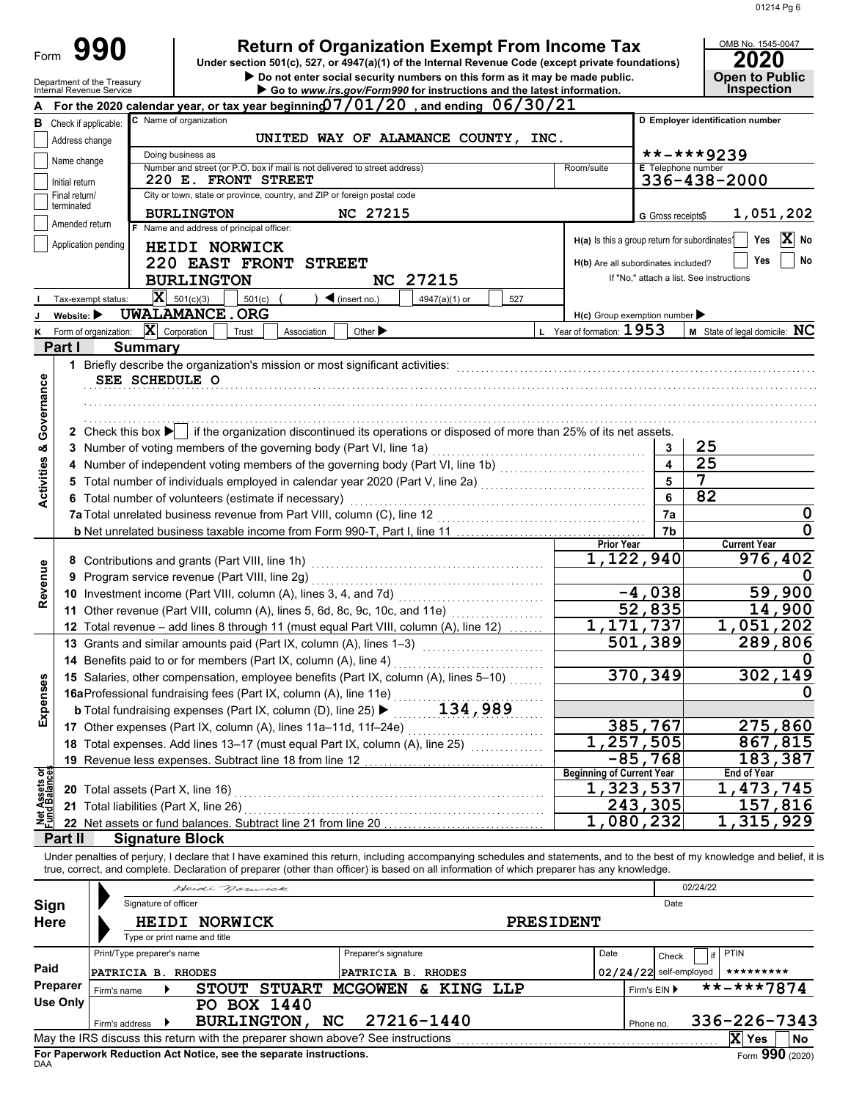| Form                          |                                | 990                                                                                                                                                                                                                                                                                                                      |                                          |             |                              |                                                                            | <b>Return of Organization Exempt From Income Tax</b><br>Under section 501(c), 527, or 4947(a)(1) of the Internal Revenue Code (except private foundations) |           |                                               |                                          |                       | OMB No. 1545-0047<br>2020                  |                      |
|-------------------------------|--------------------------------|--------------------------------------------------------------------------------------------------------------------------------------------------------------------------------------------------------------------------------------------------------------------------------------------------------------------------|------------------------------------------|-------------|------------------------------|----------------------------------------------------------------------------|------------------------------------------------------------------------------------------------------------------------------------------------------------|-----------|-----------------------------------------------|------------------------------------------|-----------------------|--------------------------------------------|----------------------|
|                               |                                | Department of the Treasury<br>Internal Revenue Service                                                                                                                                                                                                                                                                   |                                          |             |                              |                                                                            | Do not enter social security numbers on this form as it may be made public.<br>Go to www.irs.gov/Form990 for instructions and the latest information.      |           |                                               |                                          |                       | <b>Open to Public</b><br><b>Inspection</b> |                      |
|                               |                                | For the 2020 calendar year, or tax year beginning $07/01/20$ , and ending $06/30/21$                                                                                                                                                                                                                                     |                                          |             |                              |                                                                            |                                                                                                                                                            |           |                                               |                                          |                       |                                            |                      |
|                               |                                | C Name of organization<br><b>B</b> Check if applicable:<br>UNITED WAY OF ALAMANCE COUNTY, INC.                                                                                                                                                                                                                           |                                          |             |                              |                                                                            |                                                                                                                                                            |           | D Employer identification number              |                                          |                       |                                            |                      |
|                               | Address change                 |                                                                                                                                                                                                                                                                                                                          |                                          |             |                              |                                                                            |                                                                                                                                                            |           |                                               |                                          |                       |                                            |                      |
|                               | Name change                    |                                                                                                                                                                                                                                                                                                                          | Doing business as                        |             |                              | Number and street (or P.O. box if mail is not delivered to street address) |                                                                                                                                                            |           | Room/suite                                    | E Telephone number                       | **-***9239            |                                            |                      |
|                               | Initial return                 |                                                                                                                                                                                                                                                                                                                          | 220 E. FRONT STREET                      |             |                              |                                                                            |                                                                                                                                                            |           |                                               |                                          |                       | 336-438-2000                               |                      |
|                               | Final return/<br>terminated    |                                                                                                                                                                                                                                                                                                                          |                                          |             |                              | City or town, state or province, country, and ZIP or foreign postal code   |                                                                                                                                                            |           |                                               |                                          |                       |                                            |                      |
|                               | Amended return                 |                                                                                                                                                                                                                                                                                                                          | <b>BURLINGTON</b>                        |             |                              | <b>NC 27215</b>                                                            |                                                                                                                                                            |           |                                               | G Gross receipts\$                       |                       | 1,051,202                                  |                      |
|                               |                                | Application pending                                                                                                                                                                                                                                                                                                      | F Name and address of principal officer: |             |                              |                                                                            |                                                                                                                                                            |           | H(a) Is this a group return for subordinates? |                                          |                       | Yes                                        | $ \mathbf{x} $<br>No |
|                               |                                |                                                                                                                                                                                                                                                                                                                          | HEIDI NORWICK                            |             |                              |                                                                            |                                                                                                                                                            |           | H(b) Are all subordinates included?           |                                          |                       | Yes                                        | No                   |
|                               |                                |                                                                                                                                                                                                                                                                                                                          | <b>BURLINGTON</b>                        |             | <b>220 EAST FRONT STREET</b> |                                                                            | <b>NC 27215</b>                                                                                                                                            |           |                                               | If "No," attach a list. See instructions |                       |                                            |                      |
|                               |                                | Tax-exempt status:                                                                                                                                                                                                                                                                                                       | $\mathbf{X}$ 501(c)(3)                   | 501(c)      |                              | $\blacktriangleleft$ (insert no.)                                          | 4947(a)(1) or                                                                                                                                              | 527       |                                               |                                          |                       |                                            |                      |
|                               | Website: $\blacktriangleright$ |                                                                                                                                                                                                                                                                                                                          | <b>UWALAMANCE.ORG</b>                    |             |                              |                                                                            |                                                                                                                                                            |           | $H(c)$ Group exemption number                 |                                          |                       |                                            |                      |
|                               |                                | K Form of organization:                                                                                                                                                                                                                                                                                                  | $ \mathbf{X} $ Corporation               | Trust       | Association                  | Other $\blacktriangleright$                                                |                                                                                                                                                            |           | L Year of formation: $1953$                   |                                          |                       | M State of legal domicile: NC              |                      |
|                               | Part I                         | <b>Summary</b>                                                                                                                                                                                                                                                                                                           |                                          |             |                              |                                                                            |                                                                                                                                                            |           |                                               |                                          |                       |                                            |                      |
|                               |                                | 1 Briefly describe the organization's mission or most significant activities:                                                                                                                                                                                                                                            |                                          |             |                              |                                                                            |                                                                                                                                                            |           |                                               |                                          |                       |                                            |                      |
|                               |                                | SEE SCHEDULE O                                                                                                                                                                                                                                                                                                           |                                          |             |                              |                                                                            |                                                                                                                                                            |           |                                               |                                          |                       |                                            |                      |
| Governance                    |                                |                                                                                                                                                                                                                                                                                                                          |                                          |             |                              |                                                                            |                                                                                                                                                            |           |                                               |                                          |                       |                                            |                      |
|                               |                                |                                                                                                                                                                                                                                                                                                                          |                                          |             |                              |                                                                            |                                                                                                                                                            |           |                                               |                                          |                       |                                            |                      |
|                               |                                | 2 Check this box $\blacktriangleright$ if the organization discontinued its operations or disposed of more than 25% of its net assets.                                                                                                                                                                                   |                                          |             |                              |                                                                            |                                                                                                                                                            |           |                                               |                                          |                       |                                            |                      |
|                               |                                | 3 Number of voting members of the governing body (Part VI, line 1a)                                                                                                                                                                                                                                                      |                                          |             |                              |                                                                            |                                                                                                                                                            |           |                                               | 3<br>$\overline{\mathbf{4}}$             | 25<br>$\overline{25}$ |                                            |                      |
|                               |                                |                                                                                                                                                                                                                                                                                                                          |                                          |             |                              |                                                                            |                                                                                                                                                            |           |                                               | 5                                        | 7                     |                                            |                      |
| <b>Activities &amp;</b>       |                                | 6 Total number of volunteers (estimate if necessary)                                                                                                                                                                                                                                                                     |                                          |             |                              |                                                                            |                                                                                                                                                            |           |                                               | 6                                        | 82                    |                                            |                      |
|                               |                                | 7a Total unrelated business revenue from Part VIII, column (C), line 12                                                                                                                                                                                                                                                  |                                          |             |                              |                                                                            |                                                                                                                                                            |           |                                               | 7a                                       |                       |                                            | 0                    |
|                               |                                |                                                                                                                                                                                                                                                                                                                          |                                          |             |                              |                                                                            |                                                                                                                                                            |           |                                               | 7b                                       |                       |                                            | 0                    |
|                               |                                |                                                                                                                                                                                                                                                                                                                          |                                          |             |                              |                                                                            |                                                                                                                                                            |           | <b>Prior Year</b>                             |                                          |                       | <b>Current Year</b>                        |                      |
|                               |                                |                                                                                                                                                                                                                                                                                                                          |                                          |             |                              |                                                                            |                                                                                                                                                            |           |                                               | 1,122,940                                |                       | 976,402                                    |                      |
| Revenue                       |                                | 9 Program service revenue (Part VIII, line 2g)                                                                                                                                                                                                                                                                           |                                          |             |                              |                                                                            |                                                                                                                                                            |           |                                               |                                          |                       |                                            |                      |
|                               |                                |                                                                                                                                                                                                                                                                                                                          |                                          |             |                              |                                                                            |                                                                                                                                                            |           |                                               | $-4,038$<br>52,835                       |                       |                                            | 59,900<br>14,900     |
|                               |                                | 11 Other revenue (Part VIII, column (A), lines 5, 6d, 8c, 9c, 10c, and 11e)<br><u>.</u><br>1980 - Paul Barbara, papa pada ang panganang panganang pangangang panganggapang panganggapang panggapang pang<br>12 Total revenue - add lines 8 through 11 (must equal Part VIII, column (A), line 12)                        |                                          |             |                              |                                                                            |                                                                                                                                                            |           | $\overline{1,171,737}$                        |                                          | 1,051,202             |                                            |                      |
|                               |                                | 13 Grants and similar amounts paid (Part IX, column (A), lines 1-3)                                                                                                                                                                                                                                                      |                                          |             |                              |                                                                            |                                                                                                                                                            |           |                                               | 501,389                                  |                       | 289,806                                    |                      |
|                               |                                | 14 Benefits paid to or for members (Part IX, column (A), line 4)                                                                                                                                                                                                                                                         |                                          |             |                              |                                                                            |                                                                                                                                                            |           |                                               |                                          |                       |                                            | Û                    |
|                               |                                | 15 Salaries, other compensation, employee benefits (Part IX, column (A), lines 5-10)                                                                                                                                                                                                                                     |                                          |             |                              |                                                                            |                                                                                                                                                            |           |                                               | 370,349                                  |                       | 302,149                                    |                      |
| Expenses                      |                                | 16aProfessional fundraising fees (Part IX, column (A), line 11e)                                                                                                                                                                                                                                                         |                                          |             |                              |                                                                            |                                                                                                                                                            |           |                                               |                                          |                       |                                            | 0                    |
|                               |                                | <b>b</b> Total fundraising expenses (Part IX, column (D), line 25) ▶                                                                                                                                                                                                                                                     |                                          |             |                              |                                                                            | 134,989                                                                                                                                                    |           |                                               |                                          |                       |                                            |                      |
|                               |                                | 17 Other expenses (Part IX, column (A), lines 11a-11d, 11f-24e)                                                                                                                                                                                                                                                          |                                          |             |                              |                                                                            |                                                                                                                                                            |           |                                               | 385,767                                  |                       | 275,860                                    |                      |
|                               |                                | 18 Total expenses. Add lines 13-17 (must equal Part IX, column (A), line 25)                                                                                                                                                                                                                                             |                                          |             |                              |                                                                            |                                                                                                                                                            |           |                                               | $\overline{1,257,505}$                   |                       | 867,815                                    |                      |
|                               |                                | 19 Revenue less expenses. Subtract line 18 from line 12                                                                                                                                                                                                                                                                  |                                          |             |                              |                                                                            |                                                                                                                                                            |           | <b>Beginning of Current Year</b>              | $-85,768$                                |                       | 183,387<br><b>End of Year</b>              |                      |
| let Assets or<br>und Balances |                                | 20 Total assets (Part X, line 16)                                                                                                                                                                                                                                                                                        |                                          |             |                              |                                                                            |                                                                                                                                                            |           |                                               | 1,323,537                                |                       | 1,473,745                                  |                      |
|                               |                                | 21 Total liabilities (Part X, line 26)                                                                                                                                                                                                                                                                                   |                                          |             |                              |                                                                            |                                                                                                                                                            |           |                                               | 243,305                                  |                       | 157,816                                    |                      |
|                               |                                | 22 Net assets or fund balances. Subtract line 21 from line 20                                                                                                                                                                                                                                                            |                                          |             |                              |                                                                            |                                                                                                                                                            |           |                                               | 1,080,232                                |                       | 1,315,929                                  |                      |
|                               | Part II                        | <b>Signature Block</b>                                                                                                                                                                                                                                                                                                   |                                          |             |                              |                                                                            |                                                                                                                                                            |           |                                               |                                          |                       |                                            |                      |
|                               |                                | Under penalties of perjury, I declare that I have examined this return, including accompanying schedules and statements, and to the best of my knowledge and belief, it is<br>true, correct, and complete. Declaration of preparer (other than officer) is based on all information of which preparer has any knowledge. |                                          |             |                              |                                                                            |                                                                                                                                                            |           |                                               |                                          |                       |                                            |                      |
|                               |                                |                                                                                                                                                                                                                                                                                                                          | Heidi normick                            |             |                              |                                                                            |                                                                                                                                                            |           |                                               |                                          | 02/24/22              |                                            |                      |
| Sign                          |                                | Signature of officer                                                                                                                                                                                                                                                                                                     |                                          |             |                              |                                                                            |                                                                                                                                                            |           |                                               | Date                                     |                       |                                            |                      |
| <b>Here</b>                   |                                |                                                                                                                                                                                                                                                                                                                          | HEIDI NORWICK                            |             |                              |                                                                            |                                                                                                                                                            | PRESIDENT |                                               |                                          |                       |                                            |                      |
|                               |                                |                                                                                                                                                                                                                                                                                                                          | Type or print name and title             |             |                              |                                                                            |                                                                                                                                                            |           |                                               |                                          |                       |                                            |                      |
|                               |                                | Print/Type preparer's name                                                                                                                                                                                                                                                                                               |                                          |             |                              | Preparer's signature                                                       |                                                                                                                                                            |           | Date                                          | Check                                    | if                    | PTIN                                       |                      |
| Paid                          |                                | PATRICIA B. RHODES                                                                                                                                                                                                                                                                                                       |                                          |             |                              | PATRICIA B. RHODES                                                         |                                                                                                                                                            |           |                                               | 02/24/22 self-employed                   |                       | *********                                  |                      |
|                               | Preparer<br><b>Use Only</b>    | Firm's name                                                                                                                                                                                                                                                                                                              |                                          |             | STOUT STUART                 |                                                                            | MCGOWEN & KING LLP                                                                                                                                         |           |                                               | Firm's EIN ▶                             |                       | $\overline{\star}\star$ -***7874           |                      |
|                               |                                |                                                                                                                                                                                                                                                                                                                          |                                          | PO BOX 1440 | BURLINGTON, NC               |                                                                            | 27216-1440                                                                                                                                                 |           |                                               |                                          |                       | 336-226-7343                               |                      |
|                               |                                | Firm's address<br>May the IRS discuss this return with the preparer shown above? See instructions                                                                                                                                                                                                                        |                                          |             |                              |                                                                            |                                                                                                                                                            |           |                                               | Phone no.                                |                       | X Yes                                      | <b>No</b>            |

|             |                |                              | Heidi normick |                                                                          |                                                                                 |                  |  |      |              | 02/24/22                 |                    |                             |
|-------------|----------------|------------------------------|---------------|--------------------------------------------------------------------------|---------------------------------------------------------------------------------|------------------|--|------|--------------|--------------------------|--------------------|-----------------------------|
| Sign        |                | Signature of officer         |               |                                                                          |                                                                                 |                  |  |      |              | Date                     |                    |                             |
| <b>Here</b> | HEIDI NORWICK  |                              |               |                                                                          |                                                                                 | <b>PRESIDENT</b> |  |      |              |                          |                    |                             |
|             |                | Type or print name and title |               |                                                                          |                                                                                 |                  |  |      |              |                          |                    |                             |
|             |                | Print/Type preparer's name   |               |                                                                          | Preparer's signature                                                            |                  |  | Date |              | Check                    | $ _{if}$ PTIN      |                             |
| Paid        |                | PATRICIA B. RHODES           |               |                                                                          | PATRICIA B. RHODES                                                              |                  |  |      |              | $02/24/22$ self-employed | *********          |                             |
| Preparer    | Firm's name    |                              | <b>STOUT</b>  | <b>STUART</b>                                                            | <b>MCGOWEN</b>                                                                  | & KING LLP       |  |      | Firm's $EIN$ |                          | $***$ - * * * 7874 |                             |
| Use Only    |                |                              | PO.           | <b>BOX 1440</b>                                                          |                                                                                 |                  |  |      |              |                          |                    |                             |
|             | Firm's address |                              |               | <b>BURLINGTON,</b>                                                       | NC                                                                              | 27216-1440       |  |      | Phone no.    |                          | 336-226-7343       |                             |
|             |                |                              |               |                                                                          | May the IRS discuss this return with the preparer shown above? See instructions |                  |  |      |              |                          | X Yes              | <b>No</b>                   |
|             |                |                              |               | <b>For Panerwork Reduction Act Notice, see the senarate instructions</b> |                                                                                 |                  |  |      |              |                          |                    | $F_{\text{arm}}$ 990 (2020) |

**For Paperwork Reduction Act Notice, see the separate instructions.**<br><sub>DAA</sub>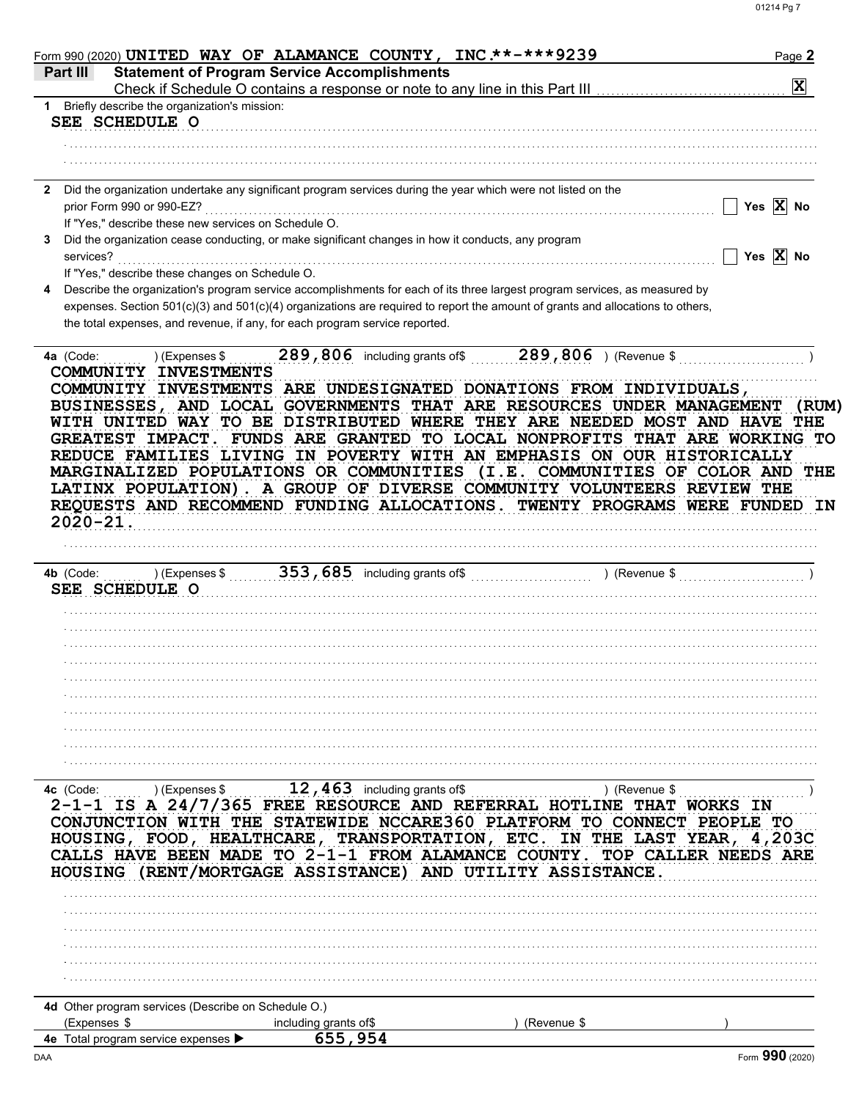| Form 990 (2020) UNITED WAY OF ALAMANCE COUNTY, INC.**-***9239                                                                                                   |                                                                             |                                                                                                                                                                                                                                                                                                                                                                                                                                                                                                                                                                                                                    | Page 2                                      |
|-----------------------------------------------------------------------------------------------------------------------------------------------------------------|-----------------------------------------------------------------------------|--------------------------------------------------------------------------------------------------------------------------------------------------------------------------------------------------------------------------------------------------------------------------------------------------------------------------------------------------------------------------------------------------------------------------------------------------------------------------------------------------------------------------------------------------------------------------------------------------------------------|---------------------------------------------|
| Part III                                                                                                                                                        | <b>Statement of Program Service Accomplishments</b>                         | Check if Schedule O contains a response or note to any line in this Part III [11] [11] [11] [11] [11] [11] [1                                                                                                                                                                                                                                                                                                                                                                                                                                                                                                      | $ \mathbf{x} $                              |
| 1 Briefly describe the organization's mission:                                                                                                                  |                                                                             |                                                                                                                                                                                                                                                                                                                                                                                                                                                                                                                                                                                                                    |                                             |
| SEE SCHEDULE O                                                                                                                                                  |                                                                             |                                                                                                                                                                                                                                                                                                                                                                                                                                                                                                                                                                                                                    |                                             |
|                                                                                                                                                                 |                                                                             |                                                                                                                                                                                                                                                                                                                                                                                                                                                                                                                                                                                                                    |                                             |
|                                                                                                                                                                 |                                                                             |                                                                                                                                                                                                                                                                                                                                                                                                                                                                                                                                                                                                                    |                                             |
| Did the organization undertake any significant program services during the year which were not listed on the<br>$\mathbf{2}$<br>prior Form 990 or 990-EZ?       |                                                                             |                                                                                                                                                                                                                                                                                                                                                                                                                                                                                                                                                                                                                    | Yes $X$ No                                  |
| If "Yes," describe these new services on Schedule O.<br>Did the organization cease conducting, or make significant changes in how it conducts, any program<br>3 |                                                                             |                                                                                                                                                                                                                                                                                                                                                                                                                                                                                                                                                                                                                    |                                             |
| services?<br>If "Yes," describe these changes on Schedule O.                                                                                                    |                                                                             |                                                                                                                                                                                                                                                                                                                                                                                                                                                                                                                                                                                                                    | Yes $\overline{X}$ No                       |
| 4                                                                                                                                                               |                                                                             | Describe the organization's program service accomplishments for each of its three largest program services, as measured by                                                                                                                                                                                                                                                                                                                                                                                                                                                                                         |                                             |
|                                                                                                                                                                 | the total expenses, and revenue, if any, for each program service reported. | expenses. Section 501(c)(3) and 501(c)(4) organizations are required to report the amount of grants and allocations to others,                                                                                                                                                                                                                                                                                                                                                                                                                                                                                     |                                             |
| 4a (Code:<br>) (Expenses \$                                                                                                                                     |                                                                             | 289,806 including grants of \$289,806 ) (Revenue \$                                                                                                                                                                                                                                                                                                                                                                                                                                                                                                                                                                |                                             |
| $2020 - 21.$                                                                                                                                                    |                                                                             | COMMUNITY INVESTMENTS ARE UNDESIGNATED DONATIONS FROM INDIVIDUALS,<br>BUSINESSES, AND LOCAL GOVERNMENTS THAT ARE RESOURCES UNDER MANAGEMENT<br>WITH UNITED WAY TO BE DISTRIBUTED WHERE THEY ARE NEEDED MOST AND HAVE THE<br>GREATEST IMPACT. FUNDS ARE GRANTED TO LOCAL NONPROFITS THAT ARE WORKING TO<br>REDUCE FAMILIES LIVING IN POVERTY WITH AN EMPHASIS ON OUR HISTORICALLY<br>MARGINALIZED POPULATIONS OR COMMUNITIES (I.E. COMMUNITIES OF COLOR AND<br>LATINX POPULATION). A GROUP OF DIVERSE COMMUNITY VOLUNTEERS REVIEW THE<br>REQUESTS AND RECOMMEND FUNDING ALLOCATIONS. TWENTY PROGRAMS WERE FUNDED IN | (RUM)<br>THE                                |
| ) (Expenses \$<br>4b (Code:<br>SEE SCHEDULE O                                                                                                                   | 353, 685 including grants of \$                                             | ) (Revenue \$                                                                                                                                                                                                                                                                                                                                                                                                                                                                                                                                                                                                      |                                             |
|                                                                                                                                                                 |                                                                             |                                                                                                                                                                                                                                                                                                                                                                                                                                                                                                                                                                                                                    |                                             |
|                                                                                                                                                                 |                                                                             |                                                                                                                                                                                                                                                                                                                                                                                                                                                                                                                                                                                                                    |                                             |
|                                                                                                                                                                 |                                                                             |                                                                                                                                                                                                                                                                                                                                                                                                                                                                                                                                                                                                                    |                                             |
|                                                                                                                                                                 |                                                                             |                                                                                                                                                                                                                                                                                                                                                                                                                                                                                                                                                                                                                    |                                             |
|                                                                                                                                                                 |                                                                             |                                                                                                                                                                                                                                                                                                                                                                                                                                                                                                                                                                                                                    |                                             |
|                                                                                                                                                                 |                                                                             |                                                                                                                                                                                                                                                                                                                                                                                                                                                                                                                                                                                                                    |                                             |
|                                                                                                                                                                 |                                                                             |                                                                                                                                                                                                                                                                                                                                                                                                                                                                                                                                                                                                                    |                                             |
|                                                                                                                                                                 |                                                                             |                                                                                                                                                                                                                                                                                                                                                                                                                                                                                                                                                                                                                    |                                             |
| 4c (Code:<br>) (Expenses \$                                                                                                                                     | 12, $463$ including grants of \$                                            | ) (Revenue \$                                                                                                                                                                                                                                                                                                                                                                                                                                                                                                                                                                                                      |                                             |
| 2-1-1 IS A 24/7/365 FREE RESOURCE AND REFERRAL HOTLINE                                                                                                          |                                                                             | <b>THAT</b>                                                                                                                                                                                                                                                                                                                                                                                                                                                                                                                                                                                                        | <b>WORKS IN</b>                             |
| CALLS HAVE BEEN MADE TO 2-1-1 FROM ALAMANCE COUNTY.                                                                                                             |                                                                             | CONJUNCTION WITH THE STATEWIDE NCCARE360 PLATFORM TO CONNECT<br>HOUSING, FOOD, HEALTHCARE, TRANSPORTATION, ETC. IN THE LAST YEAR, 4,203C                                                                                                                                                                                                                                                                                                                                                                                                                                                                           | <b>PEOPLE</b><br>TО<br>TOP CALLER NEEDS ARE |
| <b>HOUSING</b>                                                                                                                                                  |                                                                             | (RENT/MORTGAGE ASSISTANCE) AND UTILITY ASSISTANCE.                                                                                                                                                                                                                                                                                                                                                                                                                                                                                                                                                                 |                                             |
|                                                                                                                                                                 |                                                                             |                                                                                                                                                                                                                                                                                                                                                                                                                                                                                                                                                                                                                    |                                             |
|                                                                                                                                                                 |                                                                             |                                                                                                                                                                                                                                                                                                                                                                                                                                                                                                                                                                                                                    |                                             |
|                                                                                                                                                                 |                                                                             |                                                                                                                                                                                                                                                                                                                                                                                                                                                                                                                                                                                                                    |                                             |
|                                                                                                                                                                 |                                                                             |                                                                                                                                                                                                                                                                                                                                                                                                                                                                                                                                                                                                                    |                                             |
|                                                                                                                                                                 |                                                                             |                                                                                                                                                                                                                                                                                                                                                                                                                                                                                                                                                                                                                    |                                             |
| 4d Other program services (Describe on Schedule O.)                                                                                                             |                                                                             |                                                                                                                                                                                                                                                                                                                                                                                                                                                                                                                                                                                                                    |                                             |
| (Expenses \$                                                                                                                                                    | including grants of\$                                                       | (Revenue \$                                                                                                                                                                                                                                                                                                                                                                                                                                                                                                                                                                                                        |                                             |
| 4e Total program service expenses                                                                                                                               | 655,954                                                                     |                                                                                                                                                                                                                                                                                                                                                                                                                                                                                                                                                                                                                    | nnr                                         |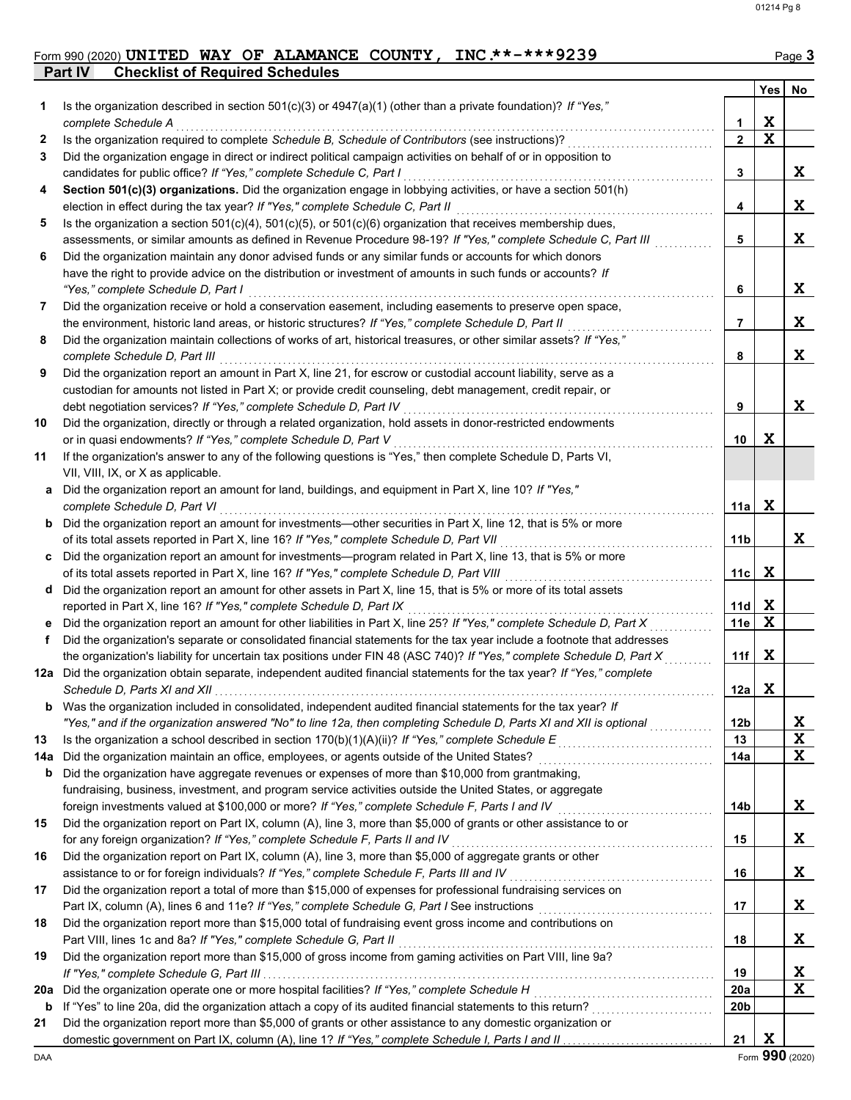## Form 990 (2020) Page **3 UNITED WAY OF ALAMANCE COUNTY, INC.\*\*-\*\*\*9239**

|     | Part IV<br><b>Checklist of Required Schedules</b>                                                                                                     |                |             |    |
|-----|-------------------------------------------------------------------------------------------------------------------------------------------------------|----------------|-------------|----|
|     |                                                                                                                                                       |                | Yes         | No |
| 1.  | Is the organization described in section 501(c)(3) or $4947(a)(1)$ (other than a private foundation)? If "Yes,"                                       |                |             |    |
|     | complete Schedule A                                                                                                                                   | 1              | X           |    |
| 2   | Is the organization required to complete Schedule B, Schedule of Contributors (see instructions)?                                                     | $\overline{2}$ | $\mathbf x$ |    |
| 3   | Did the organization engage in direct or indirect political campaign activities on behalf of or in opposition to                                      |                |             |    |
|     | candidates for public office? If "Yes," complete Schedule C, Part I                                                                                   | 3              |             | X  |
|     |                                                                                                                                                       |                |             |    |
| 4   | Section 501(c)(3) organizations. Did the organization engage in lobbying activities, or have a section 501(h)                                         |                |             |    |
|     | election in effect during the tax year? If "Yes," complete Schedule C, Part II                                                                        | 4              |             | X  |
| 5   | Is the organization a section $501(c)(4)$ , $501(c)(5)$ , or $501(c)(6)$ organization that receives membership dues,                                  |                |             |    |
|     | assessments, or similar amounts as defined in Revenue Procedure 98-19? If "Yes," complete Schedule C, Part III                                        | 5              |             | X  |
| 6   | Did the organization maintain any donor advised funds or any similar funds or accounts for which donors                                               |                |             |    |
|     | have the right to provide advice on the distribution or investment of amounts in such funds or accounts? If                                           |                |             |    |
|     | "Yes," complete Schedule D, Part I                                                                                                                    | 6              |             | X  |
| 7   | Did the organization receive or hold a conservation easement, including easements to preserve open space,                                             |                |             |    |
|     | the environment, historic land areas, or historic structures? If "Yes," complete Schedule D, Part II                                                  | 7              |             | X  |
| 8   | Did the organization maintain collections of works of art, historical treasures, or other similar assets? If "Yes,"                                   |                |             |    |
|     |                                                                                                                                                       |                |             | X  |
|     | complete Schedule D, Part III                                                                                                                         | 8              |             |    |
| 9   | Did the organization report an amount in Part X, line 21, for escrow or custodial account liability, serve as a                                       |                |             |    |
|     | custodian for amounts not listed in Part X; or provide credit counseling, debt management, credit repair, or                                          |                |             |    |
|     | debt negotiation services? If "Yes," complete Schedule D, Part IV                                                                                     | 9              |             | X  |
| 10  | Did the organization, directly or through a related organization, hold assets in donor-restricted endowments                                          |                |             |    |
|     | or in quasi endowments? If "Yes," complete Schedule D, Part V                                                                                         | 10             | X           |    |
| 11  | If the organization's answer to any of the following questions is "Yes," then complete Schedule D, Parts VI,                                          |                |             |    |
|     | VII, VIII, IX, or X as applicable.                                                                                                                    |                |             |    |
| a   | Did the organization report an amount for land, buildings, and equipment in Part X, line 10? If "Yes,"                                                |                |             |    |
|     | complete Schedule D, Part VI                                                                                                                          | 11a l          | X           |    |
|     |                                                                                                                                                       |                |             |    |
| b   | Did the organization report an amount for investments—other securities in Part X, line 12, that is 5% or more                                         |                |             |    |
|     | of its total assets reported in Part X, line 16? If "Yes," complete Schedule D, Part VII                                                              | 11b            |             | X  |
|     | Did the organization report an amount for investments—program related in Part X, line 13, that is 5% or more                                          |                |             |    |
|     | of its total assets reported in Part X, line 16? If "Yes," complete Schedule D, Part VIII                                                             | 11c            | X           |    |
| d   | Did the organization report an amount for other assets in Part X, line 15, that is 5% or more of its total assets                                     |                |             |    |
|     | reported in Part X, line 16? If "Yes," complete Schedule D, Part IX                                                                                   | 11d            | X           |    |
|     | Did the organization report an amount for other liabilities in Part X, line 25? If "Yes," complete Schedule D, Part X                                 | 11e            | X           |    |
| f   | Did the organization's separate or consolidated financial statements for the tax year include a footnote that addresses                               |                |             |    |
|     | the organization's liability for uncertain tax positions under FIN 48 (ASC 740)? If "Yes," complete Schedule D, Part X                                | 11f            | X           |    |
|     | 12a Did the organization obtain separate, independent audited financial statements for the tax year? If "Yes," complete                               |                |             |    |
|     | Schedule D, Parts XI and XII                                                                                                                          | 12a            | X           |    |
|     |                                                                                                                                                       |                |             |    |
| b   | Was the organization included in consolidated, independent audited financial statements for the tax year? If                                          |                |             |    |
|     | "Yes," and if the organization answered "No" to line 12a, then completing Schedule D, Parts XI and XII is optional                                    | 12b            |             | X  |
| 13  | Is the organization a school described in section $170(b)(1)(A)(ii)?$ If "Yes," complete Schedule E                                                   | 13             |             | X  |
| 14a | Did the organization maintain an office, employees, or agents outside of the United States?                                                           | 14a            |             | X  |
| b   | Did the organization have aggregate revenues or expenses of more than \$10,000 from grantmaking,                                                      |                |             |    |
|     | fundraising, business, investment, and program service activities outside the United States, or aggregate                                             |                |             |    |
|     | foreign investments valued at \$100,000 or more? If "Yes," complete Schedule F, Parts I and IV                                                        | 14b            |             | X  |
| 15  | Did the organization report on Part IX, column (A), line 3, more than \$5,000 of grants or other assistance to or                                     |                |             |    |
|     | for any foreign organization? If "Yes," complete Schedule F, Parts II and IV                                                                          | 15             |             | X  |
| 16  | Did the organization report on Part IX, column (A), line 3, more than \$5,000 of aggregate grants or other                                            |                |             |    |
|     | assistance to or for foreign individuals? If "Yes," complete Schedule F, Parts III and IV                                                             | 16             |             | X  |
|     |                                                                                                                                                       |                |             |    |
| 17  | Did the organization report a total of more than \$15,000 of expenses for professional fundraising services on                                        |                |             |    |
|     | Part IX, column (A), lines 6 and 11e? If "Yes," complete Schedule G, Part I See instructions                                                          | 17             |             | X  |
| 18  | Did the organization report more than \$15,000 total of fundraising event gross income and contributions on                                           |                |             |    |
|     | Part VIII, lines 1c and 8a? If "Yes," complete Schedule G, Part II                                                                                    | 18             |             | X  |
| 19  | Did the organization report more than \$15,000 of gross income from gaming activities on Part VIII, line 9a?                                          |                |             |    |
|     |                                                                                                                                                       | 19             |             | X  |
| 20a | Did the organization operate one or more hospital facilities? If "Yes," complete Schedule H                                                           | 20a            |             | X  |
| b   | If "Yes" to line 20a, did the organization attach a copy of its audited financial statements to this return?<br><u> 1999 - Johann Stoff, martin a</u> | 20b            |             |    |
| 21  | Did the organization report more than \$5,000 of grants or other assistance to any domestic organization or                                           |                |             |    |
|     |                                                                                                                                                       | 21             | X           |    |
|     |                                                                                                                                                       |                |             |    |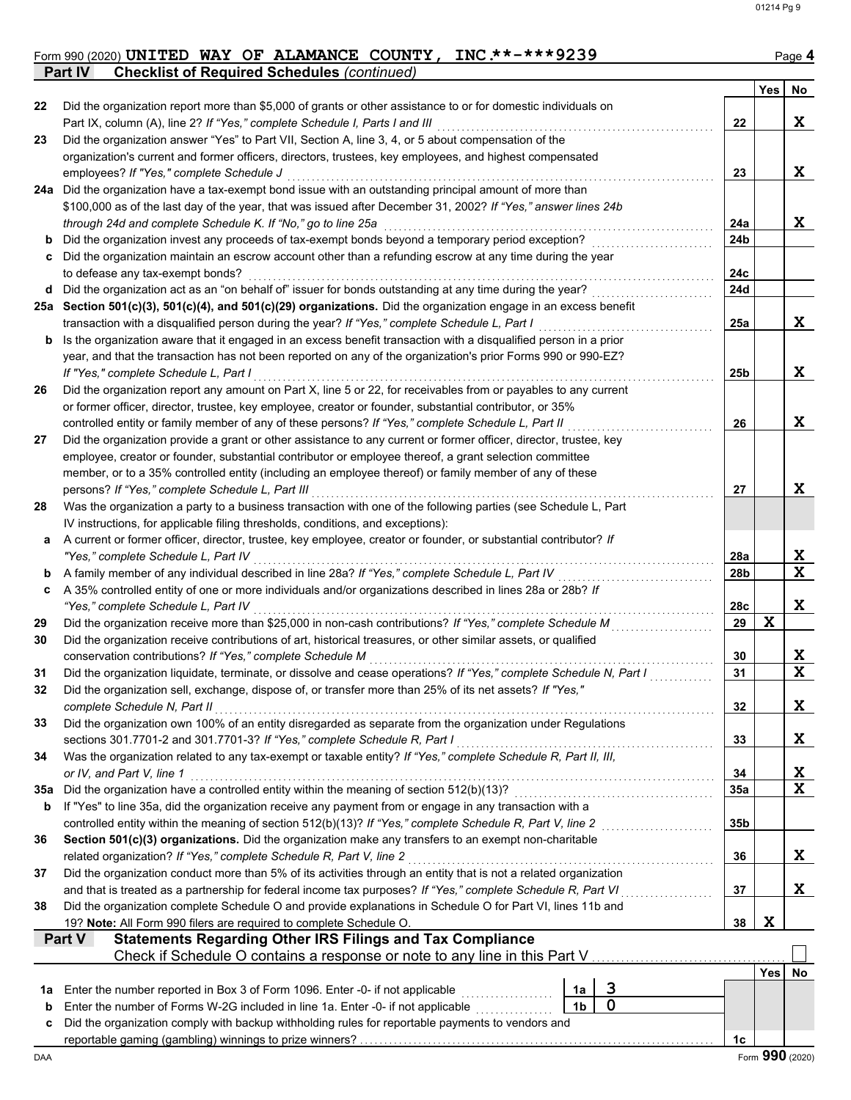#### Form 990 (2020) **UNITED WAY OF ALAMANCE COUNTY, INC \*\*-\*\*\*9239** Page 4 **UNITED WAY OF ALAMANCE COUNTY, INC.\*\*-\*\*\*9239**

|     | <b>Checklist of Required Schedules (continued)</b><br>Part IV                                                                                                                                                            |            |             |                 |  |  |  |  |
|-----|--------------------------------------------------------------------------------------------------------------------------------------------------------------------------------------------------------------------------|------------|-------------|-----------------|--|--|--|--|
|     |                                                                                                                                                                                                                          |            | Yes         | No              |  |  |  |  |
| 22  | Did the organization report more than \$5,000 of grants or other assistance to or for domestic individuals on                                                                                                            |            |             |                 |  |  |  |  |
|     | Part IX, column (A), line 2? If "Yes," complete Schedule I, Parts I and III                                                                                                                                              | 22         |             | X               |  |  |  |  |
| 23  | Did the organization answer "Yes" to Part VII, Section A, line 3, 4, or 5 about compensation of the                                                                                                                      |            |             |                 |  |  |  |  |
|     | organization's current and former officers, directors, trustees, key employees, and highest compensated                                                                                                                  |            |             |                 |  |  |  |  |
|     | employees? If "Yes," complete Schedule J                                                                                                                                                                                 | 23         |             | X               |  |  |  |  |
|     | 24a Did the organization have a tax-exempt bond issue with an outstanding principal amount of more than<br>\$100,000 as of the last day of the year, that was issued after December 31, 2002? If "Yes," answer lines 24b |            |             |                 |  |  |  |  |
|     | through 24d and complete Schedule K. If "No," go to line 25a                                                                                                                                                             |            |             |                 |  |  |  |  |
| b   | Did the organization invest any proceeds of tax-exempt bonds beyond a temporary period exception?                                                                                                                        | 24a<br>24b |             | X               |  |  |  |  |
|     | Did the organization maintain an escrow account other than a refunding escrow at any time during the year                                                                                                                |            |             |                 |  |  |  |  |
|     | to defease any tax-exempt bonds?                                                                                                                                                                                         | 24c        |             |                 |  |  |  |  |
| d   | Did the organization act as an "on behalf of" issuer for bonds outstanding at any time during the year?                                                                                                                  | 24d        |             |                 |  |  |  |  |
|     | 25a Section 501(c)(3), 501(c)(4), and 501(c)(29) organizations. Did the organization engage in an excess benefit                                                                                                         |            |             |                 |  |  |  |  |
|     | transaction with a disqualified person during the year? If "Yes," complete Schedule L, Part I                                                                                                                            | 25a        |             | X               |  |  |  |  |
| b   | Is the organization aware that it engaged in an excess benefit transaction with a disqualified person in a prior                                                                                                         |            |             |                 |  |  |  |  |
|     | year, and that the transaction has not been reported on any of the organization's prior Forms 990 or 990-EZ?                                                                                                             |            |             |                 |  |  |  |  |
|     | If "Yes," complete Schedule L, Part I                                                                                                                                                                                    | 25b        |             | X               |  |  |  |  |
| 26  | Did the organization report any amount on Part X, line 5 or 22, for receivables from or payables to any current                                                                                                          |            |             |                 |  |  |  |  |
|     | or former officer, director, trustee, key employee, creator or founder, substantial contributor, or 35%                                                                                                                  |            |             |                 |  |  |  |  |
|     | controlled entity or family member of any of these persons? If "Yes," complete Schedule L, Part II                                                                                                                       | 26         |             | X               |  |  |  |  |
| 27  | Did the organization provide a grant or other assistance to any current or former officer, director, trustee, key                                                                                                        |            |             |                 |  |  |  |  |
|     | employee, creator or founder, substantial contributor or employee thereof, a grant selection committee                                                                                                                   |            |             |                 |  |  |  |  |
|     | member, or to a 35% controlled entity (including an employee thereof) or family member of any of these                                                                                                                   |            |             |                 |  |  |  |  |
|     | persons? If "Yes," complete Schedule L, Part III                                                                                                                                                                         | 27         |             | X               |  |  |  |  |
| 28  | Was the organization a party to a business transaction with one of the following parties (see Schedule L, Part                                                                                                           |            |             |                 |  |  |  |  |
|     | IV instructions, for applicable filing thresholds, conditions, and exceptions):                                                                                                                                          |            |             |                 |  |  |  |  |
| а   | A current or former officer, director, trustee, key employee, creator or founder, or substantial contributor? If                                                                                                         |            |             |                 |  |  |  |  |
|     | "Yes," complete Schedule L, Part IV                                                                                                                                                                                      | 28a        |             | X               |  |  |  |  |
| b   | A family member of any individual described in line 28a? If "Yes," complete Schedule L, Part IV                                                                                                                          | 28b        |             | X               |  |  |  |  |
| c   | A 35% controlled entity of one or more individuals and/or organizations described in lines 28a or 28b? If                                                                                                                |            |             |                 |  |  |  |  |
|     | "Yes," complete Schedule L, Part IV                                                                                                                                                                                      | 28c        | $\mathbf x$ | Χ               |  |  |  |  |
| 29  | Did the organization receive more than \$25,000 in non-cash contributions? If "Yes," complete Schedule M                                                                                                                 | 29         |             |                 |  |  |  |  |
| 30  | Did the organization receive contributions of art, historical treasures, or other similar assets, or qualified<br>conservation contributions? If "Yes," complete Schedule M                                              | 30         |             | X               |  |  |  |  |
| 31  | Did the organization liquidate, terminate, or dissolve and cease operations? If "Yes," complete Schedule N, Part I                                                                                                       | 31         |             | X               |  |  |  |  |
| 32  | Did the organization sell, exchange, dispose of, or transfer more than 25% of its net assets? If "Yes,"                                                                                                                  |            |             |                 |  |  |  |  |
|     | complete Schedule N, Part II                                                                                                                                                                                             | 32         |             | X               |  |  |  |  |
| 33  | Did the organization own 100% of an entity disregarded as separate from the organization under Regulations                                                                                                               |            |             |                 |  |  |  |  |
|     | sections 301.7701-2 and 301.7701-3? If "Yes," complete Schedule R, Part I                                                                                                                                                | 33         |             | X               |  |  |  |  |
| 34  | Was the organization related to any tax-exempt or taxable entity? If "Yes," complete Schedule R, Part II, III,                                                                                                           |            |             |                 |  |  |  |  |
|     | or IV, and Part V, line 1                                                                                                                                                                                                | 34         |             | X               |  |  |  |  |
| 35а | Did the organization have a controlled entity within the meaning of section 512(b)(13)?                                                                                                                                  | 35a        |             | X               |  |  |  |  |
| b   | If "Yes" to line 35a, did the organization receive any payment from or engage in any transaction with a                                                                                                                  |            |             |                 |  |  |  |  |
|     | controlled entity within the meaning of section 512(b)(13)? If "Yes," complete Schedule R, Part V, line 2                                                                                                                | 35b        |             |                 |  |  |  |  |
| 36  | Section 501(c)(3) organizations. Did the organization make any transfers to an exempt non-charitable                                                                                                                     |            |             |                 |  |  |  |  |
|     | related organization? If "Yes," complete Schedule R, Part V, line 2                                                                                                                                                      | 36         |             | X               |  |  |  |  |
| 37  | Did the organization conduct more than 5% of its activities through an entity that is not a related organization                                                                                                         |            |             |                 |  |  |  |  |
|     | and that is treated as a partnership for federal income tax purposes? If "Yes," complete Schedule R, Part VI                                                                                                             | 37         |             | X               |  |  |  |  |
| 38  | Did the organization complete Schedule O and provide explanations in Schedule O for Part VI, lines 11b and                                                                                                               |            |             |                 |  |  |  |  |
|     | 19? Note: All Form 990 filers are required to complete Schedule O.                                                                                                                                                       | 38         | X           |                 |  |  |  |  |
|     | <b>Statements Regarding Other IRS Filings and Tax Compliance</b><br>Part V                                                                                                                                               |            |             |                 |  |  |  |  |
|     | Check if Schedule O contains a response or note to any line in this Part V                                                                                                                                               |            |             |                 |  |  |  |  |
|     |                                                                                                                                                                                                                          |            | <b>Yes</b>  | No.             |  |  |  |  |
| 1a  | 3<br>Enter the number reported in Box 3 of Form 1096. Enter -0- if not applicable<br>1a                                                                                                                                  |            |             |                 |  |  |  |  |
| b   | 0<br>1 <sub>b</sub><br>Enter the number of Forms W-2G included in line 1a. Enter -0- if not applicable                                                                                                                   |            |             |                 |  |  |  |  |
| c   | Did the organization comply with backup withholding rules for reportable payments to vendors and                                                                                                                         |            |             |                 |  |  |  |  |
|     |                                                                                                                                                                                                                          | 1c         |             | Form 990 (2020) |  |  |  |  |
| DAA |                                                                                                                                                                                                                          |            |             |                 |  |  |  |  |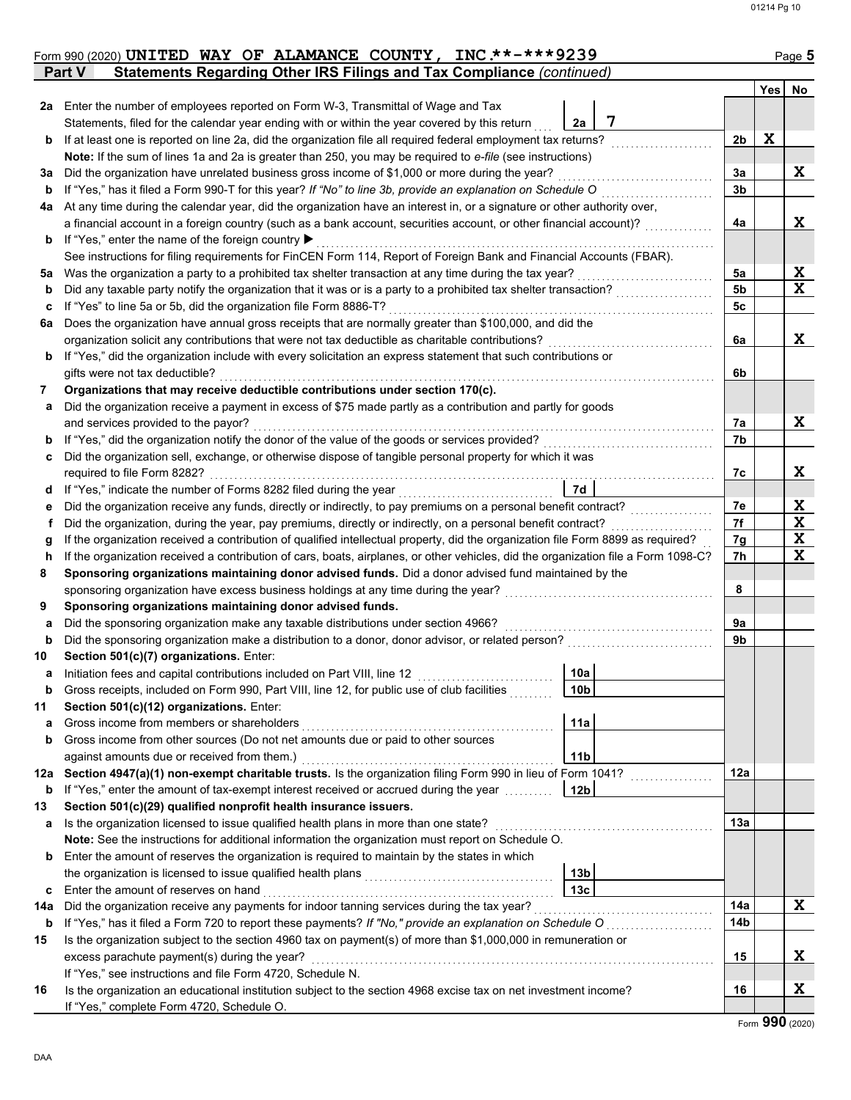|     | Form 990 (2020) UNITED WAY OF ALAMANCE COUNTY, INC.**-***9239<br>Statements Regarding Other IRS Filings and Tax Compliance (continued)<br>Part V                                          |                 |                |     | Page 5                  |  |  |  |
|-----|-------------------------------------------------------------------------------------------------------------------------------------------------------------------------------------------|-----------------|----------------|-----|-------------------------|--|--|--|
|     |                                                                                                                                                                                           |                 |                | Yes | No                      |  |  |  |
|     | 2a Enter the number of employees reported on Form W-3, Transmittal of Wage and Tax                                                                                                        |                 |                |     |                         |  |  |  |
|     | Statements, filed for the calendar year ending with or within the year covered by this return                                                                                             | 7<br>2a         |                |     |                         |  |  |  |
| b   | If at least one is reported on line 2a, did the organization file all required federal employment tax returns?                                                                            |                 |                |     |                         |  |  |  |
|     | Note: If the sum of lines 1a and 2a is greater than 250, you may be required to e-file (see instructions)                                                                                 |                 |                |     |                         |  |  |  |
| За  | Did the organization have unrelated business gross income of \$1,000 or more during the year?                                                                                             |                 | За             |     | X                       |  |  |  |
| b   | If "Yes," has it filed a Form 990-T for this year? If "No" to line 3b, provide an explanation on Schedule O                                                                               |                 | 3b             |     |                         |  |  |  |
| 4a  | At any time during the calendar year, did the organization have an interest in, or a signature or other authority over,                                                                   |                 |                |     |                         |  |  |  |
|     | a financial account in a foreign country (such as a bank account, securities account, or other financial account)?                                                                        |                 | 4a             |     | X                       |  |  |  |
| b   | If "Yes," enter the name of the foreign country ▶                                                                                                                                         |                 |                |     |                         |  |  |  |
|     | See instructions for filing requirements for FinCEN Form 114, Report of Foreign Bank and Financial Accounts (FBAR).                                                                       |                 |                |     |                         |  |  |  |
| 5a  | Was the organization a party to a prohibited tax shelter transaction at any time during the tax year?                                                                                     |                 | 5a             |     | X                       |  |  |  |
| b   | Did any taxable party notify the organization that it was or is a party to a prohibited tax shelter transaction?                                                                          |                 | 5 <sub>b</sub> |     | $\overline{\mathbf{x}}$ |  |  |  |
| c   | If "Yes" to line 5a or 5b, did the organization file Form 8886-T?                                                                                                                         |                 | 5c             |     |                         |  |  |  |
| 6a  | Does the organization have annual gross receipts that are normally greater than \$100,000, and did the                                                                                    |                 |                |     |                         |  |  |  |
|     | organization solicit any contributions that were not tax deductible as charitable contributions?                                                                                          |                 | 6a             |     | X                       |  |  |  |
| b   | If "Yes," did the organization include with every solicitation an express statement that such contributions or                                                                            |                 |                |     |                         |  |  |  |
|     | qifts were not tax deductible?                                                                                                                                                            |                 | 6b             |     |                         |  |  |  |
| 7   | Organizations that may receive deductible contributions under section 170(c).                                                                                                             |                 |                |     |                         |  |  |  |
| a   | Did the organization receive a payment in excess of \$75 made partly as a contribution and partly for goods                                                                               |                 |                |     |                         |  |  |  |
|     | and services provided to the payor?                                                                                                                                                       |                 | 7а             |     | X                       |  |  |  |
| b   | If "Yes," did the organization notify the donor of the value of the goods or services provided?                                                                                           |                 | 7b             |     |                         |  |  |  |
| c   | Did the organization sell, exchange, or otherwise dispose of tangible personal property for which it was                                                                                  |                 |                |     |                         |  |  |  |
|     | required to file Form 8282?                                                                                                                                                               |                 | 7c             |     | X                       |  |  |  |
| d   | If "Yes," indicate the number of Forms 8282 filed during the year                                                                                                                         | 7d              |                |     |                         |  |  |  |
| е   | Did the organization receive any funds, directly or indirectly, to pay premiums on a personal benefit contract?                                                                           |                 | 7е             |     | X                       |  |  |  |
| f   | Did the organization, during the year, pay premiums, directly or indirectly, on a personal benefit contract?                                                                              |                 | 7f             |     | $\mathbf x$             |  |  |  |
| g   | If the organization received a contribution of qualified intellectual property, did the organization file Form 8899 as required?                                                          |                 | 7g             |     | X                       |  |  |  |
| h   | If the organization received a contribution of cars, boats, airplanes, or other vehicles, did the organization file a Form 1098-C?                                                        |                 | 7h             |     | X                       |  |  |  |
| 8   | Sponsoring organizations maintaining donor advised funds. Did a donor advised fund maintained by the                                                                                      |                 |                |     |                         |  |  |  |
|     | sponsoring organization have excess business holdings at any time during the year?                                                                                                        |                 | 8              |     |                         |  |  |  |
| 9   | Sponsoring organizations maintaining donor advised funds.                                                                                                                                 |                 |                |     |                         |  |  |  |
| a   | Did the sponsoring organization make any taxable distributions under section 4966?                                                                                                        |                 | 9а             |     |                         |  |  |  |
| b   | Did the sponsoring organization make a distribution to a donor, donor advisor, or related person?                                                                                         |                 | 9b             |     |                         |  |  |  |
| 10  | Section 501(c)(7) organizations. Enter:                                                                                                                                                   |                 |                |     |                         |  |  |  |
| а   | Initiation fees and capital contributions included on Part VIII, line 12                                                                                                                  | 10a             |                |     |                         |  |  |  |
| b   | Gross receipts, included on Form 990, Part VIII, line 12, for public use of club facilities                                                                                               | 10 <sub>b</sub> |                |     |                         |  |  |  |
| 11  | Section 501(c)(12) organizations. Enter:                                                                                                                                                  |                 |                |     |                         |  |  |  |
| a   | Gross income from members or shareholders                                                                                                                                                 | 11a             |                |     |                         |  |  |  |
| b   | Gross income from other sources (Do not net amounts due or paid to other sources                                                                                                          |                 |                |     |                         |  |  |  |
|     | against amounts due or received from them.)                                                                                                                                               | 11 <sub>b</sub> |                |     |                         |  |  |  |
| 12a | Section 4947(a)(1) non-exempt charitable trusts. Is the organization filing Form 990 in lieu of Form 1041?                                                                                |                 | 12a            |     |                         |  |  |  |
| b   | If "Yes," enter the amount of tax-exempt interest received or accrued during the year                                                                                                     | 12 <sub>b</sub> |                |     |                         |  |  |  |
| 13  | Section 501(c)(29) qualified nonprofit health insurance issuers.                                                                                                                          |                 |                |     |                         |  |  |  |
| а   | Is the organization licensed to issue qualified health plans in more than one state?<br>Note: See the instructions for additional information the organization must report on Schedule O. |                 | 13a            |     |                         |  |  |  |
|     |                                                                                                                                                                                           |                 |                |     |                         |  |  |  |
| b   | Enter the amount of reserves the organization is required to maintain by the states in which                                                                                              | 13 <sub>b</sub> |                |     |                         |  |  |  |
| c   | Enter the amount of reserves on hand                                                                                                                                                      | 13с             |                |     |                         |  |  |  |
| 14a | Did the organization receive any payments for indoor tanning services during the tax year?                                                                                                |                 | 14a            |     | X                       |  |  |  |
| b   | If "Yes," has it filed a Form 720 to report these payments? If "No," provide an explanation on Schedule O                                                                                 |                 | 14b            |     |                         |  |  |  |
| 15  | Is the organization subject to the section 4960 tax on payment(s) of more than \$1,000,000 in remuneration or                                                                             |                 |                |     |                         |  |  |  |
|     | excess parachute payment(s) during the year?                                                                                                                                              |                 | 15             |     | X.                      |  |  |  |
|     | If "Yes," see instructions and file Form 4720, Schedule N.                                                                                                                                |                 |                |     |                         |  |  |  |
| 16  | Is the organization an educational institution subject to the section 4968 excise tax on net investment income?                                                                           |                 | 16             |     | X                       |  |  |  |
|     | If "Yes," complete Form 4720, Schedule O.                                                                                                                                                 |                 |                |     |                         |  |  |  |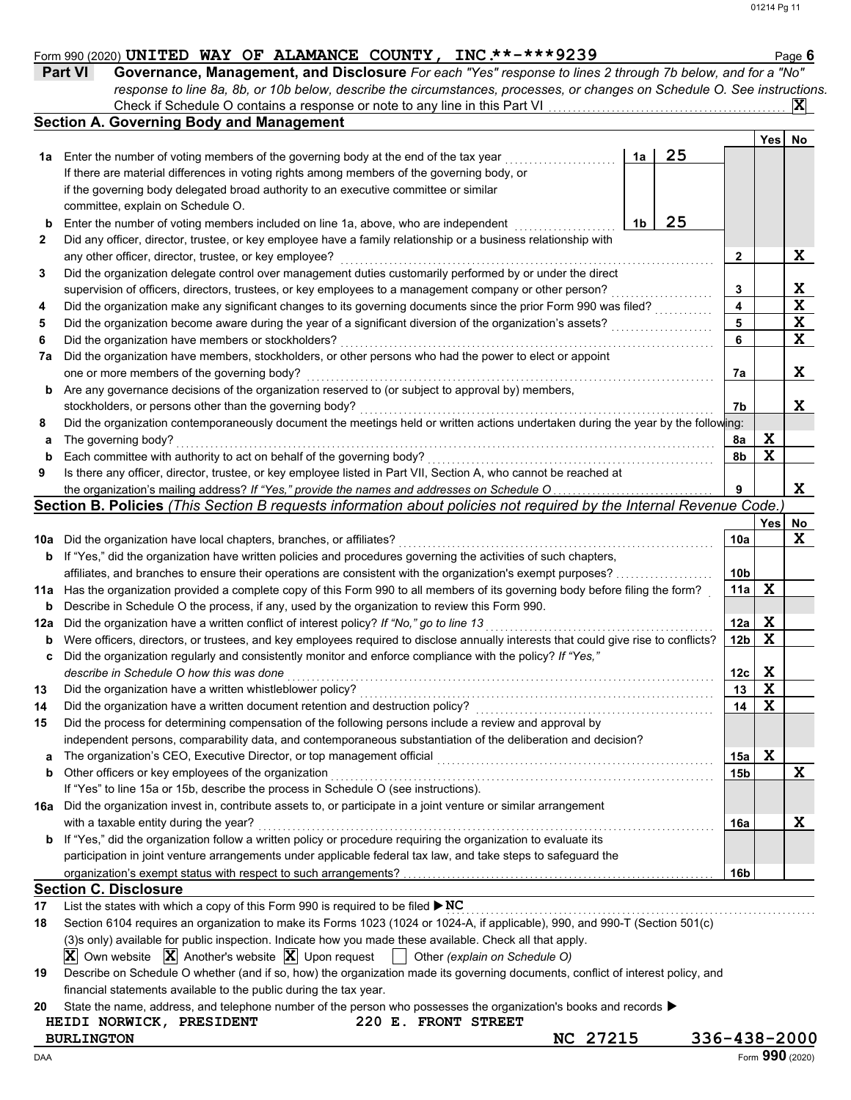#### Form 990 (2020) Page **6 UNITED WAY OF ALAMANCE COUNTY, INC.\*\*-\*\*\*9239**

| <b>Part VI</b> | Governance, Management, and Disclosure For each "Yes" response to lines 2 through 7b below, and for a "No"                |  |
|----------------|---------------------------------------------------------------------------------------------------------------------------|--|
|                | response to line 8a, 8b, or 10b below, describe the circumstances, processes, or changes on Schedule O. See instructions. |  |
|                | Check if Schedule O contains a response or note to any line in this Part VI                                               |  |

|              | <b>Section A. Governing Body and Management</b>                                                                                     |    |    |                 | Yes         | No          |
|--------------|-------------------------------------------------------------------------------------------------------------------------------------|----|----|-----------------|-------------|-------------|
| 1a           | Enter the number of voting members of the governing body at the end of the tax year                                                 | 1a | 25 |                 |             |             |
|              | If there are material differences in voting rights among members of the governing body, or                                          |    |    |                 |             |             |
|              | if the governing body delegated broad authority to an executive committee or similar                                                |    |    |                 |             |             |
|              | committee, explain on Schedule O.                                                                                                   |    |    |                 |             |             |
| b            | Enter the number of voting members included on line 1a, above, who are independent                                                  | 1b | 25 |                 |             |             |
| $\mathbf{2}$ | Did any officer, director, trustee, or key employee have a family relationship or a business relationship with                      |    |    |                 |             |             |
|              | any other officer, director, trustee, or key employee?                                                                              |    |    | 2               |             | X           |
| 3            | Did the organization delegate control over management duties customarily performed by or under the direct                           |    |    |                 |             |             |
|              | supervision of officers, directors, trustees, or key employees to a management company or other person?                             |    |    | 3               |             | X           |
| 4            | Did the organization make any significant changes to its governing documents since the prior Form 990 was filed?                    |    |    | 4               |             | $\mathbf x$ |
| 5            | Did the organization become aware during the year of a significant diversion of the organization's assets?                          |    |    | 5               |             | X           |
|              |                                                                                                                                     |    |    | 6               |             | X           |
| 6            | Did the organization have members or stockholders?                                                                                  |    |    |                 |             |             |
| 7а           | Did the organization have members, stockholders, or other persons who had the power to elect or appoint                             |    |    |                 |             |             |
|              | one or more members of the governing body?                                                                                          |    |    | 7a              |             | X           |
| b            | Are any governance decisions of the organization reserved to (or subject to approval by) members,                                   |    |    |                 |             |             |
|              | stockholders, or persons other than the governing body?                                                                             |    |    | 7b              |             | X           |
| 8            | Did the organization contemporaneously document the meetings held or written actions undertaken during the year by the following:   |    |    |                 |             |             |
| а            | The governing body?                                                                                                                 |    |    | 8a              | X           |             |
| b            | Each committee with authority to act on behalf of the governing body?                                                               |    |    | 8b              | $\mathbf x$ |             |
| 9            | Is there any officer, director, trustee, or key employee listed in Part VII, Section A, who cannot be reached at                    |    |    |                 |             |             |
|              | the organization's mailing address? If "Yes," provide the names and addresses on Schedule O                                         |    |    | 9               |             | X           |
|              | Section B. Policies (This Section B requests information about policies not required by the Internal Revenue Code.                  |    |    |                 |             |             |
|              |                                                                                                                                     |    |    |                 | Yes         | No.         |
| 10a          | Did the organization have local chapters, branches, or affiliates?                                                                  |    |    | 10a             |             | X           |
| b            | If "Yes," did the organization have written policies and procedures governing the activities of such chapters,                      |    |    |                 |             |             |
|              | affiliates, and branches to ensure their operations are consistent with the organization's exempt purposes?                         |    |    | 10 <sub>b</sub> |             |             |
| 11a          | Has the organization provided a complete copy of this Form 990 to all members of its governing body before filing the form?         |    |    | 11a             | X           |             |
| b            | Describe in Schedule O the process, if any, used by the organization to review this Form 990.                                       |    |    |                 |             |             |
| 12a          | Did the organization have a written conflict of interest policy? If "No," go to line 13                                             |    |    | 12a             | X           |             |
| b            | Were officers, directors, or trustees, and key employees required to disclose annually interests that could give rise to conflicts? |    |    | 12 <sub>b</sub> | X           |             |
| c            | Did the organization regularly and consistently monitor and enforce compliance with the policy? If "Yes,"                           |    |    |                 |             |             |
|              | describe in Schedule O how this was done                                                                                            |    |    | 12c             | X           |             |
| 13           | Did the organization have a written whistleblower policy?                                                                           |    |    | 13              | X           |             |
| 14           | Did the organization have a written document retention and destruction policy?                                                      |    |    | 14              | $\mathbf x$ |             |
| 15           | Did the process for determining compensation of the following persons include a review and approval by                              |    |    |                 |             |             |
|              | independent persons, comparability data, and contemporaneous substantiation of the deliberation and decision?                       |    |    |                 |             |             |
| a            | The organization's CEO, Executive Director, or top management official                                                              |    |    | 15a             | X           |             |
| b            | Other officers or key employees of the organization                                                                                 |    |    | 15b             |             | X           |
|              | If "Yes" to line 15a or 15b, describe the process in Schedule O (see instructions).                                                 |    |    |                 |             |             |
| 16a          | Did the organization invest in, contribute assets to, or participate in a joint venture or similar arrangement                      |    |    |                 |             |             |
|              | with a taxable entity during the year?                                                                                              |    |    | 16a             |             | X           |
| b            | If "Yes," did the organization follow a written policy or procedure requiring the organization to evaluate its                      |    |    |                 |             |             |
|              | participation in joint venture arrangements under applicable federal tax law, and take steps to safeguard the                       |    |    |                 |             |             |
|              |                                                                                                                                     |    |    | 16 <sub>b</sub> |             |             |
|              | <b>Section C. Disclosure</b>                                                                                                        |    |    |                 |             |             |
| 17           | List the states with which a copy of this Form 990 is required to be filed $\triangleright$ NC                                      |    |    |                 |             |             |
|              |                                                                                                                                     |    |    |                 |             |             |

| 18 | Section 6104 requires an organization to make its Forms 1023 (1024 or 1024-A, if applicable), 990, and 990-T (Section 501(c)                                           |
|----|------------------------------------------------------------------------------------------------------------------------------------------------------------------------|
|    | (3) only) available for public inspection. Indicate how you made these available. Check all that apply.                                                                |
|    | $\boxed{\mathbf{X}}$ Own website $\boxed{\mathbf{X}}$ Another's website $\boxed{\mathbf{X}}$ Upon request $\boxed{\phantom{\mathbf{X}}}$ Other (explain on Schedule O) |
| 19 | Describe on Schedule O whether (and if so, how) the organization made its governing documents, conflict of interest policy, and                                        |
|    | financial statements available to the public during the tax year.                                                                                                      |
|    |                                                                                                                                                                        |

|  |  |  |  | 20 State the name, address, and telephone number of the person who possesses the organization's books and records $\blacktriangleright$ |  |
|--|--|--|--|-----------------------------------------------------------------------------------------------------------------------------------------|--|
|--|--|--|--|-----------------------------------------------------------------------------------------------------------------------------------------|--|

## **HEIDI NORWICK, PRESIDENT 220 E. FRONT STREET BURLINGTON**<br>AA **DO 27215** 336-438-2000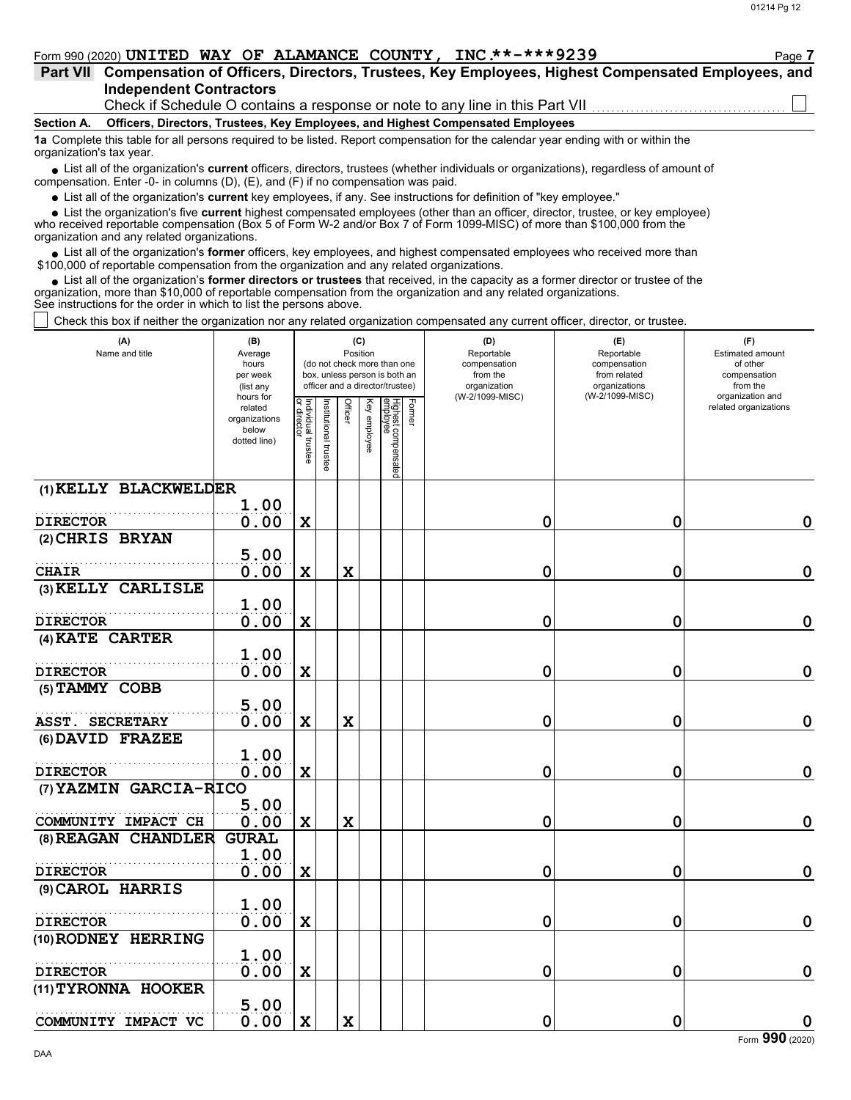| Form 990 (2020) UNITED WAY OF ALAMANCE COUNTY, INC.**-***9239 |                                                                              |  |  | Page 7                                                                                                    |
|---------------------------------------------------------------|------------------------------------------------------------------------------|--|--|-----------------------------------------------------------------------------------------------------------|
|                                                               |                                                                              |  |  | Part VII Compensation of Officers, Directors, Trustees, Key Employees, Highest Compensated Employees, and |
| Independent Contractors                                       |                                                                              |  |  |                                                                                                           |
|                                                               | Check if Schedule O contains a response or note to any line in this Part VII |  |  |                                                                                                           |
|                                                               |                                                                              |  |  |                                                                                                           |

**Section A. Officers, Directors, Trustees, Key Employees, and Highest Compensated Employees**

**1a** Complete this table for all persons required to be listed. Report compensation for the calendar year ending with or within the organization's tax year.

■ List all of the organization's **current** officers, directors, trustees (whether individuals or organizations), regardless of amount of compensation. Enter -0- in columns (D), (E), and (F) if no compensation was paid.

List all of the organization's **current** key employees, if any. See instructions for definition of "key employee."

■ List all of the organization's **current** key employees, if any. See instructions for definition of "key employee."<br>■ List the organization's five **current** highest compensated employees (other than an officer, director,

who received reportable compensation (Box 5 of Form W-2 and/or Box 7 of Form 1099-MISC) of more than \$100,000 from the organization and any related organizations.

• List all of the organization's **former** officers, key employees, and highest compensated employees who received more than<br>00,000 of reportable compensation from the organization and any related erganizations. \$100,000 of reportable compensation from the organization and any related organizations.

• List all of the organization's **former directors or trustees** that received, in the capacity as a former director or trustee of the anization more than \$10,000 of reportable compensation from the organization and any rel organization, more than \$10,000 of reportable compensation from the organization and any related organizations. See instructions for the order in which to list the persons above.

 $\Box$  Check this box if neither the organization nor any related organization compensated any current officer, director, or trustee.

| (A)                             | (B)                  | (C)<br>Position                   |                       |             |              |                                 |        | (D)                        | (E)                        | (F)                                       |
|---------------------------------|----------------------|-----------------------------------|-----------------------|-------------|--------------|---------------------------------|--------|----------------------------|----------------------------|-------------------------------------------|
| Name and title                  | Average<br>hours     |                                   |                       |             |              | (do not check more than one     |        | Reportable<br>compensation | Reportable<br>compensation | Estimated amount<br>of other              |
|                                 | per week             |                                   |                       |             |              | box, unless person is both an   |        | from the                   | from related               | compensation                              |
|                                 | (list any            |                                   |                       |             |              | officer and a director/trustee) |        | organization               | organizations              | from the                                  |
|                                 | hours for<br>related |                                   |                       |             |              |                                 |        | (W-2/1099-MISC)            | (W-2/1099-MISC)            | organization and<br>related organizations |
|                                 | organizations        |                                   |                       | Officer     |              |                                 | Former |                            |                            |                                           |
|                                 | below                |                                   |                       |             |              |                                 |        |                            |                            |                                           |
|                                 | dotted line)         | Individual trustee<br>or director |                       |             | Key employee |                                 |        |                            |                            |                                           |
|                                 |                      |                                   | Institutional trustee |             |              | Highest compensated<br>employee |        |                            |                            |                                           |
|                                 |                      |                                   |                       |             |              |                                 |        |                            |                            |                                           |
| (1) KELLY BLACKWELDER           |                      |                                   |                       |             |              |                                 |        |                            |                            |                                           |
|                                 | 1.00                 |                                   |                       |             |              |                                 |        |                            |                            |                                           |
| <b>DIRECTOR</b>                 | 0.00                 | $\mathbf x$                       |                       |             |              |                                 |        | $\mathbf 0$                | $\mathbf 0$                | $\mathbf 0$                               |
| (2) CHRIS BRYAN                 |                      |                                   |                       |             |              |                                 |        |                            |                            |                                           |
|                                 | 5.00                 |                                   |                       |             |              |                                 |        |                            |                            |                                           |
| <b>CHAIR</b>                    | 0.00                 | $\mathbf X$                       |                       | X           |              |                                 |        | 0                          | $\mathbf 0$                | $\mathbf 0$                               |
| (3) KELLY CARLISLE              |                      |                                   |                       |             |              |                                 |        |                            |                            |                                           |
|                                 | 1.00                 |                                   |                       |             |              |                                 |        |                            |                            |                                           |
|                                 |                      |                                   |                       |             |              |                                 |        |                            |                            | $\mathbf 0$                               |
| <b>DIRECTOR</b>                 | 0.00                 | $\mathbf x$                       |                       |             |              |                                 |        | $\mathbf 0$                | 0                          |                                           |
| (4) KATE CARTER                 |                      |                                   |                       |             |              |                                 |        |                            |                            |                                           |
|                                 | 1.00                 |                                   |                       |             |              |                                 |        |                            |                            |                                           |
| <b>DIRECTOR</b>                 | 0.00                 | X                                 |                       |             |              |                                 |        | 0                          | $\mathbf 0$                | $\mathbf 0$                               |
| (5) TAMMY COBB                  |                      |                                   |                       |             |              |                                 |        |                            |                            |                                           |
|                                 | 5.00                 |                                   |                       |             |              |                                 |        |                            |                            |                                           |
| <b>ASST. SECRETARY</b>          | 0.00                 | $\mathbf x$                       |                       | $\mathbf X$ |              |                                 |        | $\mathbf 0$                | $\mathbf 0$                | $\mathbf 0$                               |
| (6) DAVID FRAZEE                |                      |                                   |                       |             |              |                                 |        |                            |                            |                                           |
|                                 | 1.00                 |                                   |                       |             |              |                                 |        |                            |                            |                                           |
| <b>DIRECTOR</b>                 | 0.00                 | $\mathbf x$                       |                       |             |              |                                 |        | $\mathbf 0$                | $\mathbf 0$                | $\mathbf 0$                               |
| (7) YAZMIN GARCIA-RICO          |                      |                                   |                       |             |              |                                 |        |                            |                            |                                           |
|                                 | 5.00                 |                                   |                       |             |              |                                 |        |                            |                            |                                           |
| COMMUNITY IMPACT CH             | 0.00                 | X                                 |                       | X           |              |                                 |        | 0                          | 0                          | $\mathbf 0$                               |
| <b>CHANDLER</b><br>$(8)$ REAGAN | <b>GURAL</b>         |                                   |                       |             |              |                                 |        |                            |                            |                                           |
|                                 | 1.00                 |                                   |                       |             |              |                                 |        |                            |                            |                                           |
| <b>DIRECTOR</b>                 | 0.00                 | $\mathbf x$                       |                       |             |              |                                 |        | 0                          | 0                          | $\boldsymbol{0}$                          |
|                                 |                      |                                   |                       |             |              |                                 |        |                            |                            |                                           |
| (9) CAROL HARRIS                |                      |                                   |                       |             |              |                                 |        |                            |                            |                                           |
|                                 | 1.00                 |                                   |                       |             |              |                                 |        |                            |                            |                                           |
| <b>DIRECTOR</b>                 | 0.00                 | X                                 |                       |             |              |                                 |        | 0                          | $\mathbf 0$                | $\mathbf 0$                               |
| (10) RODNEY HERRING             |                      |                                   |                       |             |              |                                 |        |                            |                            |                                           |
|                                 | 1.00                 |                                   |                       |             |              |                                 |        |                            |                            |                                           |
| <b>DIRECTOR</b>                 | 0.00                 | $\mathbf x$                       |                       |             |              |                                 |        | $\mathbf 0$                | $\mathbf 0$                | $\mathbf 0$                               |
| (11) TYRONNA HOOKER             |                      |                                   |                       |             |              |                                 |        |                            |                            |                                           |
|                                 | 5.00                 |                                   |                       |             |              |                                 |        |                            |                            |                                           |
| COMMUNITY IMPACT VC             | 0.00                 | $\mathbf X$                       |                       | $\mathbf X$ |              |                                 |        | 0                          | $\mathbf 0$                | $\mathbf 0$                               |
|                                 |                      |                                   |                       |             |              |                                 |        |                            |                            |                                           |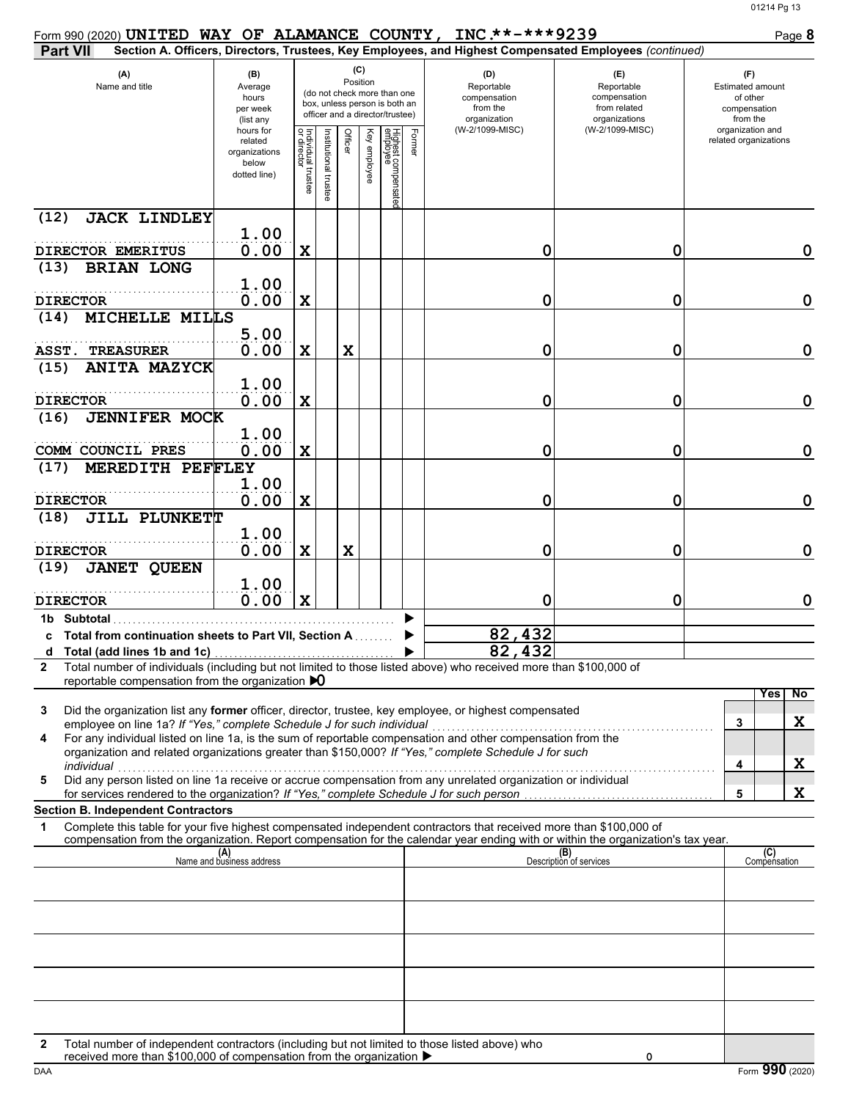| Form 990 (2020) UNITED WAY OF ALAMANCE COUNTY, INC.**-***9239                                                                                                                                                                                               |                                                                |                                   |                      |                 |              |                                                                                                 |        |                                                               |                                                                                                        | Page 8                                                                 |
|-------------------------------------------------------------------------------------------------------------------------------------------------------------------------------------------------------------------------------------------------------------|----------------------------------------------------------------|-----------------------------------|----------------------|-----------------|--------------|-------------------------------------------------------------------------------------------------|--------|---------------------------------------------------------------|--------------------------------------------------------------------------------------------------------|------------------------------------------------------------------------|
| <b>Part VII</b>                                                                                                                                                                                                                                             |                                                                |                                   |                      |                 |              |                                                                                                 |        |                                                               | Section A. Officers, Directors, Trustees, Key Employees, and Highest Compensated Employees (continued) |                                                                        |
| (A)<br>Name and title                                                                                                                                                                                                                                       | (B)<br>Average<br>hours<br>per week<br>(list any               |                                   |                      | (C)<br>Position |              | (do not check more than one<br>box, unless person is both an<br>officer and a director/trustee) |        | (D)<br>Reportable<br>compensation<br>from the<br>organization | (E)<br>Reportable<br>compensation<br>from related<br>organizations                                     | (F)<br><b>Estimated amount</b><br>of other<br>compensation<br>from the |
|                                                                                                                                                                                                                                                             | hours for<br>related<br>organizations<br>below<br>dotted line) | Individual trustee<br>or director | nstitutional trustee | Officer         | Key employee | Highest compensate<br>employee                                                                  | Former | (W-2/1099-MISC)                                               | (W-2/1099-MISC)                                                                                        | organization and<br>related organizations                              |
| (12)<br><b>JACK LINDLEY</b>                                                                                                                                                                                                                                 | 1.00                                                           |                                   |                      |                 |              |                                                                                                 |        |                                                               |                                                                                                        |                                                                        |
| DIRECTOR EMERITUS<br><b>BRIAN LONG</b><br>(13)                                                                                                                                                                                                              | 0.00                                                           | X                                 |                      |                 |              |                                                                                                 |        | 0                                                             | 0                                                                                                      | 0                                                                      |
|                                                                                                                                                                                                                                                             | 1.00                                                           |                                   |                      |                 |              |                                                                                                 |        |                                                               |                                                                                                        |                                                                        |
| <b>DIRECTOR</b><br>MICHELLE MILLS<br>(14)                                                                                                                                                                                                                   | 0.00                                                           | X                                 |                      |                 |              |                                                                                                 |        | 0                                                             | 0                                                                                                      | $\mathbf 0$                                                            |
| ASST.<br><b>TREASURER</b>                                                                                                                                                                                                                                   | 5.00<br>0.00                                                   | X                                 |                      | X               |              |                                                                                                 |        | 0                                                             | 0                                                                                                      | $\mathbf 0$                                                            |
| <b>ANITA MAZYCK</b><br>(15)                                                                                                                                                                                                                                 |                                                                |                                   |                      |                 |              |                                                                                                 |        |                                                               |                                                                                                        |                                                                        |
| <b>DIRECTOR</b>                                                                                                                                                                                                                                             | 1.00<br>0.00                                                   | X                                 |                      |                 |              |                                                                                                 |        | 0                                                             | 0                                                                                                      | $\mathbf 0$                                                            |
| <b>JENNIFER MOCK</b><br>(16)                                                                                                                                                                                                                                |                                                                |                                   |                      |                 |              |                                                                                                 |        |                                                               |                                                                                                        |                                                                        |
| COMM COUNCIL PRES                                                                                                                                                                                                                                           | 1.00<br>0.00                                                   | $\mathbf x$                       |                      |                 |              |                                                                                                 |        | 0                                                             | 0                                                                                                      | $\mathbf 0$                                                            |
| MEREDITH PEFFLEY<br>(17)                                                                                                                                                                                                                                    | 1.00                                                           |                                   |                      |                 |              |                                                                                                 |        |                                                               |                                                                                                        |                                                                        |
| <b>DIRECTOR</b>                                                                                                                                                                                                                                             | 0.00                                                           | X                                 |                      |                 |              |                                                                                                 |        | 0                                                             | 0                                                                                                      | $\mathbf 0$                                                            |
| JILL PLUNKETT<br>(18)                                                                                                                                                                                                                                       | 1.00                                                           |                                   |                      |                 |              |                                                                                                 |        |                                                               |                                                                                                        |                                                                        |
| <b>DIRECTOR</b><br><b>JANET QUEEN</b><br>(19)                                                                                                                                                                                                               | 0.00                                                           | X                                 |                      | X               |              |                                                                                                 |        | 0                                                             | 0                                                                                                      | $\mathbf 0$                                                            |
|                                                                                                                                                                                                                                                             | 1.00                                                           |                                   |                      |                 |              |                                                                                                 |        |                                                               |                                                                                                        |                                                                        |
| <b>DIRECTOR</b>                                                                                                                                                                                                                                             | 0.00                                                           | $\mathbf x$                       |                      |                 |              |                                                                                                 |        | 0                                                             | 0                                                                                                      | 0                                                                      |
| 1b Subtotal<br>Total from continuation sheets to Part VII, Section A                                                                                                                                                                                        |                                                                |                                   |                      |                 |              |                                                                                                 |        | 82,432                                                        |                                                                                                        |                                                                        |
| Total (add lines 1b and 1c)<br>d                                                                                                                                                                                                                            |                                                                |                                   |                      |                 |              |                                                                                                 |        | 82,432                                                        |                                                                                                        |                                                                        |
| Total number of individuals (including but not limited to those listed above) who received more than \$100,000 of<br>$\mathbf{2}$<br>reportable compensation from the organization $\bigtriangledown$                                                       |                                                                |                                   |                      |                 |              |                                                                                                 |        |                                                               |                                                                                                        |                                                                        |
| Did the organization list any former officer, director, trustee, key employee, or highest compensated<br>3<br>employee on line 1a? If "Yes," complete Schedule J for such individual                                                                        |                                                                |                                   |                      |                 |              |                                                                                                 |        |                                                               |                                                                                                        | No<br>Yes<br>X<br>3                                                    |
| For any individual listed on line 1a, is the sum of reportable compensation and other compensation from the<br>4<br>organization and related organizations greater than \$150,000? If "Yes," complete Schedule J for such                                   |                                                                |                                   |                      |                 |              |                                                                                                 |        |                                                               |                                                                                                        |                                                                        |
| individual<br>Did any person listed on line 1a receive or accrue compensation from any unrelated organization or individual<br>5                                                                                                                            |                                                                |                                   |                      |                 |              |                                                                                                 |        |                                                               |                                                                                                        | X<br>4                                                                 |
| <b>Section B. Independent Contractors</b>                                                                                                                                                                                                                   |                                                                |                                   |                      |                 |              |                                                                                                 |        |                                                               |                                                                                                        | X<br>5                                                                 |
| Complete this table for your five highest compensated independent contractors that received more than \$100,000 of<br>1<br>compensation from the organization. Report compensation for the calendar year ending with or within the organization's tax year. |                                                                |                                   |                      |                 |              |                                                                                                 |        |                                                               |                                                                                                        |                                                                        |
|                                                                                                                                                                                                                                                             | (A)<br>Name and business address                               |                                   |                      |                 |              |                                                                                                 |        |                                                               | (B)<br>Description of services                                                                         | (C)<br>Compensation                                                    |
|                                                                                                                                                                                                                                                             |                                                                |                                   |                      |                 |              |                                                                                                 |        |                                                               |                                                                                                        |                                                                        |
|                                                                                                                                                                                                                                                             |                                                                |                                   |                      |                 |              |                                                                                                 |        |                                                               |                                                                                                        |                                                                        |
|                                                                                                                                                                                                                                                             |                                                                |                                   |                      |                 |              |                                                                                                 |        |                                                               |                                                                                                        |                                                                        |
|                                                                                                                                                                                                                                                             |                                                                |                                   |                      |                 |              |                                                                                                 |        |                                                               |                                                                                                        |                                                                        |
|                                                                                                                                                                                                                                                             |                                                                |                                   |                      |                 |              |                                                                                                 |        |                                                               |                                                                                                        |                                                                        |
| Total number of independent contractors (including but not limited to those listed above) who<br>2<br>received more than \$100,000 of compensation from the organization ▶                                                                                  |                                                                |                                   |                      |                 |              |                                                                                                 |        |                                                               | 0                                                                                                      |                                                                        |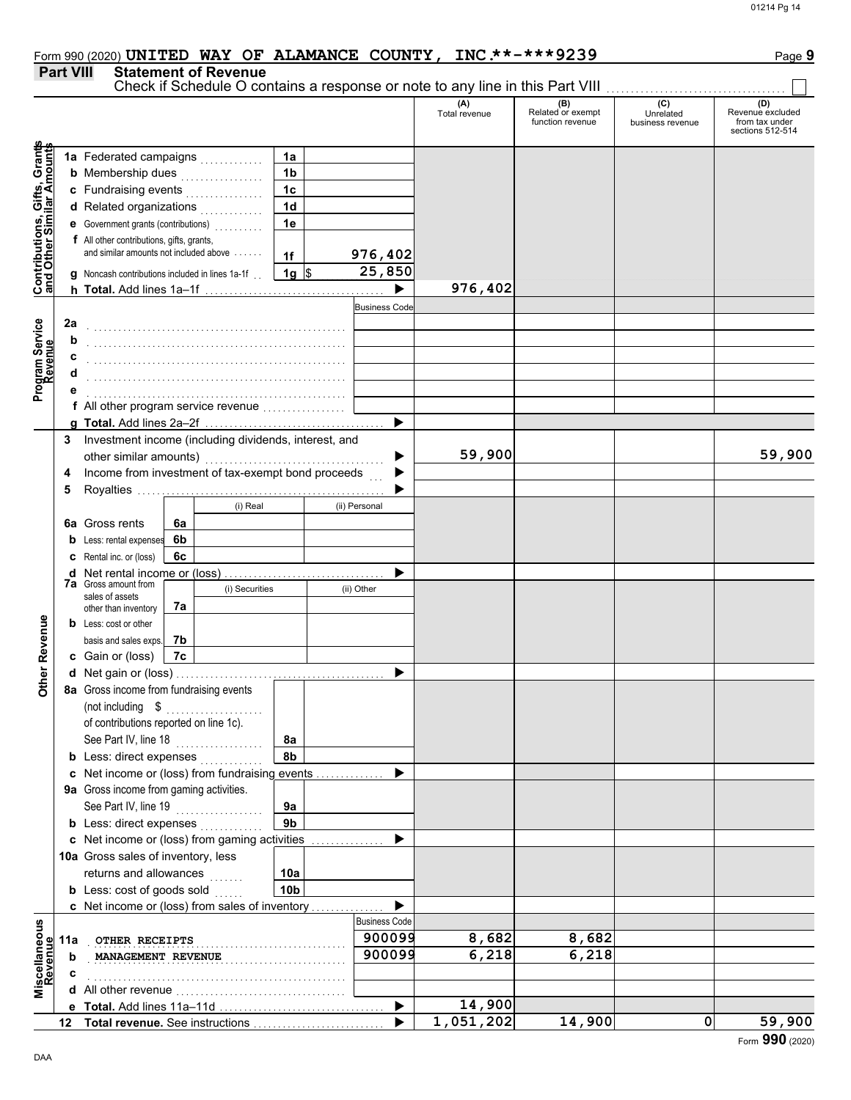#### **Part VIII Statement of Revenue** Check if Schedule O contains a response or note to any line in this Part VIII (A) (B) (C) (C) (D)<br>Total revenue Related or exempt Unrelated Revenue e: Total revenue Related or exempt Unrelated Revenue excluded function revenue business revenue from tax under sections 512-514 **Contributions, Gifts, Grants** Grants **and Other Similar Amounts 1a 1a** Federated campaigns . . . . . . . . . . . , Gifts, Gra<br>nilar Amou **1b b** Membership dues  $\ldots$  . . . . . . . . . . . . **1c c** Fundraising events . . . . . . . . . . . . . . . . **1d d** Related organizations <sub>.</sub> . . . . . . . . . . **Contributions,<br>and Other Simi e** Government grants (contributions) . . . . . . . . . . **1e f** All other contributions, gifts, grants, and similar amounts not included above  $\dots$ . **976,402 1f 1g** \$ . . . . . . . . . . . . . . . . . . . . **25,850 g** Noncash contributions included in lines 1a-1f . . **976,402**  $\blacktriangleright$ **h Total.** Add lines 1a–1f . . . . . . . . . . . . . . . . . . . . . . . . . . . . . . . . . . . . . **Business Code** Program Service<br>Revenue **2a Program Service** . . . . . . . . . . . . . . . . . . . . . . . . . . . . . . . . . . . . . . . . . . . . . . . . . . . . . **b c** . . . . . . . . . . . . . . . . . . . . . . . . . . . . . . . . . . . . . . . . . . . . . . . . . . . . . **d** . . . . . . . . . . . . . . . . . . . . . . . . . . . . . . . . . . . . . . . . . . . . . . . . . . . . . **e** . . . . . . . . . . . . . . . . . . . . . . . . . . . . . . . . . . . . . . . . . . . . . . . . . . . . . **f** All other program service revenue . . . . . . . . . . . . . . . . . **g Total.** Add lines 2a–2f . . . . . . . . . . . . . . . . . . . . . . . . . . . . . . . . . . . . . **3** Investment income (including dividends, interest, and other similar amounts) ь **59,900 59,900** Income from investment of tax-exempt bond proceeds **4**  $\blacktriangleright$ **5** Royalties .... ▶ (i) Real (ii) Personal **6a** Gross rents **6a 6b b** Less: rental expenses **c** Rental inc. or (loss) **6c** ь **d** Net rental income or (loss) . . . . . . . . . . . . . . . . . . . . . . . . . . . . . . . . . **7a** Gross amount from (i) Securities (ii) Other sales of assets **7a** other than inventory **Other Revenue Other Revenue b** Less: cost or other basis and sales exps. **7b 7c c** Gain or (loss) **d** Net gain or (loss) . . . . . . . . . . . . . . . . . . . . . . . . . . . . . . . . . . . . . . . . . . . **8a** Gross income from fundraising events (not including . . . . . . . . . . . . . . . of contributions reported on line 1c). See Part IV, line 18 . . . . . . . . . . . . . . . . . . **8a 8b b** Less: direct expenses <sub>.</sub> . . . . . . . . . . **c** Net income or (loss) from fundraising events . . . . . . . . . . . . . . ▶ **9a** Gross income from gaming activities. See Part IV, line 19 . . . . . . . . . . . . . . . . . . **9a 9b b** Less: direct expenses  $\ldots$ ь Net income or (loss) from gaming activities . . . . . . . . . . . . . . . **c** 10a Gross sales of inventory, less returns and allowances **10a 10b b** Less:  $\cosh$  of goods  $\sinh$ ▶ Net income or (loss) from sales of inventory . . . . . . . . . . . . . . . **c** scellaneous<br>Revenue Business Code **Miscellaneous OTHER RECEIPTS 1900099 8,682** 8,682 **11a Revenue MANAGEMENT REVENUE 900099 6,218** 6,218 **b c** . . . . . . . . . . . . . . . . . . . . . . . . . . . . . . . . . . . . . . . . . . . . . . . . . . . . . isα<br>Σ **d** All other revenue . . . . . . . . . . . . . . . . . . . . . . . . . . . . . . . . . . .  $\blacktriangleright$ **14,900 e Total.** Add lines 11a–11d . . . . . . . . . . . . . . . . . . . . . . . . . . . . . . . . . . **1,051,202 14,900 0 59,900 Total revenue.** See instructions  $\blacktriangleright$ **12**

Form 990 (2020) Page **9 UNITED WAY OF ALAMANCE COUNTY, INC.\*\*-\*\*\*9239**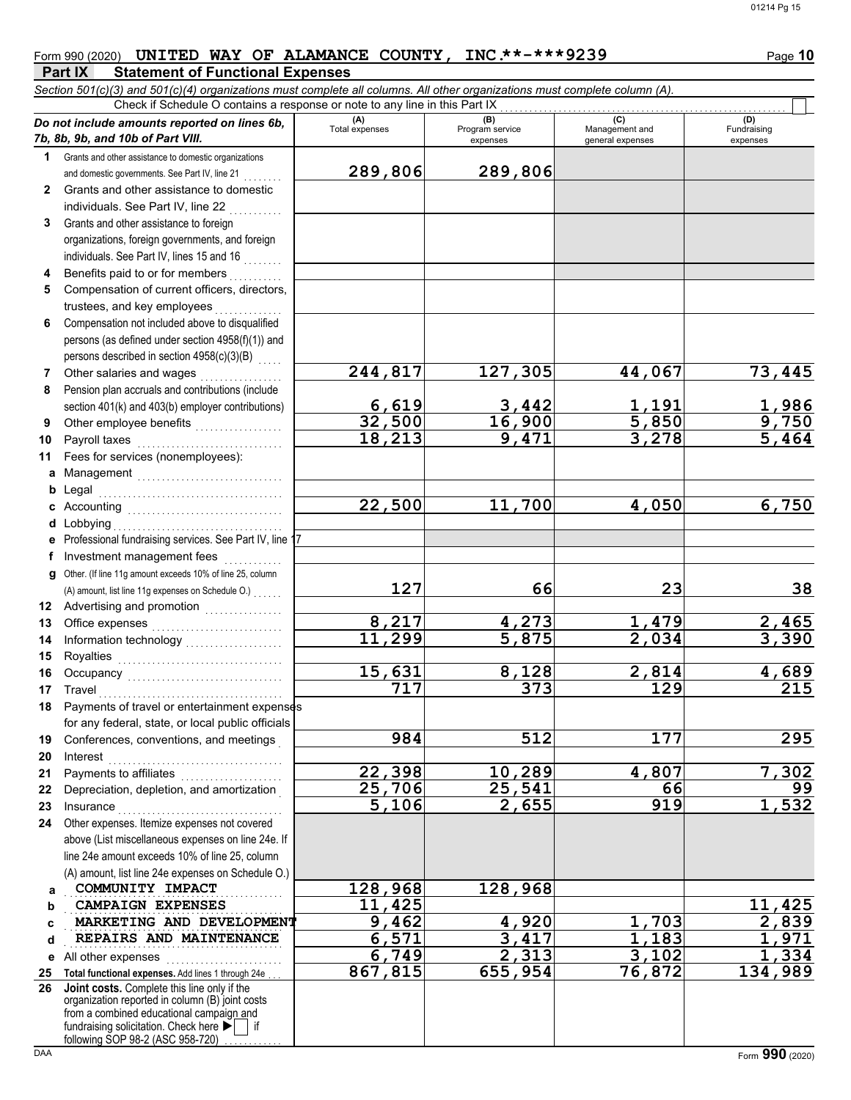$\Box$ 

## Form 990 (2020) **UNITED WAY OF ALAMANCE COUNTY, INC.\*\*-\*\*\*9239** Page 10

#### **Part IX Statement of Functional Expenses**

*Section 501(c)(3) and 501(c)(4) organizations must complete all columns. All other organizations must complete column (A).* Check if Schedule O contains a response or note to any line in this Part IX

|              | Do not include amounts reported on lines 6b,                                                | (A)<br>Total expenses | (B)<br>Program service | (C)<br>Management and | (D)<br>Fundraising    |
|--------------|---------------------------------------------------------------------------------------------|-----------------------|------------------------|-----------------------|-----------------------|
|              | 7b, 8b, 9b, and 10b of Part VIII.                                                           |                       | expenses               | general expenses      | expenses              |
| 1            | Grants and other assistance to domestic organizations                                       | 289,806               | 289,806                |                       |                       |
| $\mathbf{2}$ | and domestic governments. See Part IV, line 21<br>Grants and other assistance to domestic   |                       |                        |                       |                       |
|              | individuals. See Part IV, line 22                                                           |                       |                        |                       |                       |
| 3            | Grants and other assistance to foreign                                                      |                       |                        |                       |                       |
|              | organizations, foreign governments, and foreign                                             |                       |                        |                       |                       |
|              | individuals. See Part IV, lines 15 and 16                                                   |                       |                        |                       |                       |
| 4            | Benefits paid to or for members                                                             |                       |                        |                       |                       |
| 5            | Compensation of current officers, directors,                                                |                       |                        |                       |                       |
|              | trustees, and key employees                                                                 |                       |                        |                       |                       |
| 6            | Compensation not included above to disqualified                                             |                       |                        |                       |                       |
|              | persons (as defined under section 4958(f)(1)) and                                           |                       |                        |                       |                       |
|              | persons described in section 4958(c)(3)(B)                                                  |                       |                        |                       |                       |
| 7            | Other salaries and wages                                                                    | 244,817               | 127,305                | 44,067                | 73,445                |
| 8            | Pension plan accruals and contributions (include                                            |                       |                        |                       |                       |
|              | section 401(k) and 403(b) employer contributions)                                           | 6,619                 | 3,442                  | <u>1,191</u>          | $\frac{1,986}{9,750}$ |
| 9            |                                                                                             | 32,500                | 16,900                 | 5,850                 |                       |
| 10           | Payroll taxes                                                                               | 18,213                | 9,471                  | 3,278                 | 5,464                 |
| 11           | Fees for services (nonemployees):                                                           |                       |                        |                       |                       |
|              | a Management                                                                                |                       |                        |                       |                       |
| b            | Legal                                                                                       |                       |                        |                       |                       |
| C            |                                                                                             | 22,500                | 11,700                 | 4,050                 | 6,750                 |
|              | <b>d</b> Lobbying<br>e Professional fundraising services. See Part IV, line 17              |                       |                        |                       |                       |
|              | Investment management fees                                                                  |                       |                        |                       |                       |
| g            | in de la partida<br>Other. (If line 11g amount exceeds 10% of line 25, column               |                       |                        |                       |                       |
|              | (A) amount, list line 11g expenses on Schedule O.)                                          | 127                   | 66                     | 23                    | 38                    |
| 12           | Advertising and promotion<br>                                                               |                       |                        |                       |                       |
| 13           |                                                                                             | 8,217                 |                        | 1,479                 |                       |
| 14           |                                                                                             | 11,299                | $\frac{4,273}{5,875}$  | $\overline{2,034}$    | $\frac{2,465}{3,390}$ |
| 15           |                                                                                             |                       |                        |                       |                       |
| 16           | Occupancy                                                                                   | 15,631                | 8,128                  | 2,814                 | 4,689                 |
| 17           | Travel                                                                                      | 717                   | $\overline{373}$       | 129                   | $\overline{215}$      |
| 18           | Payments of travel or entertainment expenses                                                |                       |                        |                       |                       |
|              | for any federal, state, or local public officials                                           |                       |                        |                       |                       |
| 19           | Conferences, conventions, and meetings                                                      | 984                   | 512                    | 177                   | 295                   |
| 20           | Interest                                                                                    |                       |                        |                       |                       |
| 21           | Payments to affiliates<br>.                                                                 | 22,398                | 10,289                 | 4,807                 | 7,302                 |
| 22           | Depreciation, depletion, and amortization                                                   | 25,706<br>5,106       | 25,541<br>2,655        | 66<br>919             | 99                    |
| 23<br>24     | Insurance<br>Other expenses. Itemize expenses not covered                                   |                       |                        |                       | 1,532                 |
|              | above (List miscellaneous expenses on line 24e. If                                          |                       |                        |                       |                       |
|              | line 24e amount exceeds 10% of line 25, column                                              |                       |                        |                       |                       |
|              | (A) amount, list line 24e expenses on Schedule O.)                                          |                       |                        |                       |                       |
| a            | COMMUNITY IMPACT                                                                            | 128,968               | 128,968                |                       |                       |
| b            | <b>CAMPAIGN EXPENSES</b>                                                                    | 11,425                |                        |                       | 11,425                |
| c            | MARKETING AND DEVELOPMENT                                                                   | $\overline{9}$ , 462  | 4,920                  | ,703                  | 2,839                 |
| d            | REPAIRS AND MAINTENANCE                                                                     | 6,571                 | 3,417                  | ,183                  | 1,971                 |
| е            | All other expenses                                                                          | 6,749                 | 2,313                  | 3,102                 | 1,334                 |
| 25           | Total functional expenses. Add lines 1 through 24e                                          | 867,815               | 655,954                | 76,872                | 134,989               |
| 26           | Joint costs. Complete this line only if the                                                 |                       |                        |                       |                       |
|              | organization reported in column (B) joint costs<br>from a combined educational campaign and |                       |                        |                       |                       |
|              | fundraising solicitation. Check here ▶                                                      |                       |                        |                       |                       |
| <b>DAA</b>   | following SOP 98-2 (ASC 958-720)                                                            |                       |                        |                       | Form 990 (2020)       |
|              |                                                                                             |                       |                        |                       |                       |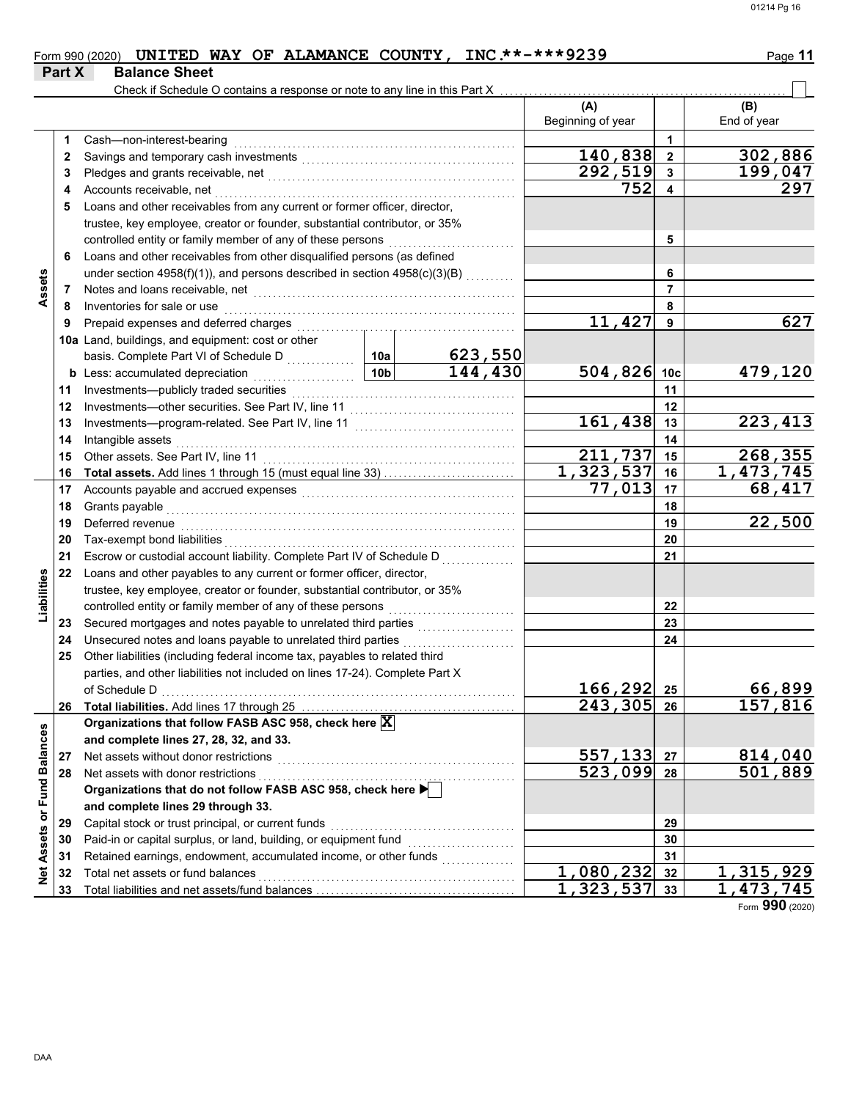#### Form 990 (2020) **UNITED WAY OF ALAMANCE COUNTY, INC.\*\*-\*\*\*9239** Page 11 **Part X** Balance Sheet

|                             |    | Check if Schedule O contains a response or note to any line in this Part X              |                 |         |                          |                         |                        |
|-----------------------------|----|-----------------------------------------------------------------------------------------|-----------------|---------|--------------------------|-------------------------|------------------------|
|                             |    |                                                                                         |                 |         | (A)<br>Beginning of year |                         | (B)<br>End of year     |
|                             | 1  | Cash-non-interest-bearing                                                               |                 |         |                          | 1                       |                        |
|                             | 2  |                                                                                         |                 |         | 140,838                  | $\overline{\mathbf{2}}$ | 302,886                |
|                             | 3  |                                                                                         |                 |         | $\overline{292,519}$     | $\mathbf{3}$            | 199,047                |
|                             | 4  | Accounts receivable, net                                                                |                 |         | 752                      | $\overline{\mathbf{4}}$ | 297                    |
|                             | 5  | Loans and other receivables from any current or former officer, director,               |                 |         |                          |                         |                        |
|                             |    | trustee, key employee, creator or founder, substantial contributor, or 35%              |                 |         |                          |                         |                        |
|                             |    | controlled entity or family member of any of these persons                              |                 |         |                          | 5                       |                        |
|                             | 6  | Loans and other receivables from other disqualified persons (as defined                 |                 |         |                          |                         |                        |
|                             |    | under section 4958(f)(1)), and persons described in section 4958(c)(3)(B)               |                 |         |                          | 6                       |                        |
| Assets                      | 7  | Notes and loans receivable, net                                                         |                 |         | $\overline{7}$           |                         |                        |
|                             | 8  | Inventories for sale or use                                                             |                 |         |                          | 8                       |                        |
|                             | 9  | Prepaid expenses and deferred charges                                                   |                 | 11,427  | 9                        | 627                     |                        |
|                             |    | 10a Land, buildings, and equipment: cost or other                                       |                 |         |                          |                         |                        |
|                             |    | basis. Complete Part VI of Schedule D                                                   | 10a             | 623,550 |                          |                         |                        |
|                             |    | <b>b</b> Less: accumulated depreciation<br><u> 1999 - Jan Barat, politik</u>            | 10 <sub>b</sub> | 144,430 | 504,826 10c              |                         | 479,120                |
|                             | 11 | Investments-publicly traded securities                                                  |                 |         | 11                       |                         |                        |
|                             | 12 | Investments-other securities. See Part IV, line 11                                      |                 |         | 12                       |                         |                        |
|                             | 13 |                                                                                         |                 | 161,438 | 13                       | 223,413                 |                        |
|                             | 14 | Intangible assets                                                                       |                 | 14      |                          |                         |                        |
|                             | 15 | Other assets. See Part IV, line 11                                                      |                 |         | 211,737                  | 15                      | 268,355                |
|                             | 16 | Total assets. Add lines 1 through 15 (must equal line 33)                               |                 |         | 1,323,537                | 16                      | 1,473,745              |
|                             | 17 |                                                                                         |                 |         | 77,013                   | 17                      | 68,417                 |
|                             | 18 | Grants payable                                                                          |                 |         |                          | 18                      |                        |
|                             | 19 | Deferred revenue                                                                        |                 |         | 19                       | 22,500                  |                        |
|                             | 20 | Tax-exempt bond liabilities                                                             |                 |         |                          | 20                      |                        |
|                             | 21 | Escrow or custodial account liability. Complete Part IV of Schedule D                   |                 |         |                          | 21                      |                        |
|                             | 22 | Loans and other payables to any current or former officer, director,                    |                 |         |                          |                         |                        |
| Liabilities                 |    | trustee, key employee, creator or founder, substantial contributor, or 35%              |                 |         |                          |                         |                        |
|                             |    | controlled entity or family member of any of these persons                              |                 |         |                          | 22                      |                        |
|                             | 23 | Secured mortgages and notes payable to unrelated third parties                          |                 |         |                          | 23                      |                        |
|                             | 24 | Unsecured notes and loans payable to unrelated third parties                            |                 |         |                          | 24                      |                        |
|                             | 25 | Other liabilities (including federal income tax, payables to related third              |                 |         |                          |                         |                        |
|                             |    | parties, and other liabilities not included on lines 17-24). Complete Part X            |                 |         |                          |                         |                        |
|                             |    | of Schedule D<br>$\begin{array}{ccc}\n0 & 0 & 0 \\ 0 & 0 & 0 \\ 0 & 0 & 0\n\end{array}$ |                 |         | 166, 292                 | 25                      | 66,899                 |
|                             |    |                                                                                         |                 |         | $\overline{243,305}$     | 26                      | 157,816                |
|                             |    | Organizations that follow FASB ASC 958, check here $\vert \overline{\textbf{X}} \vert$  |                 |         |                          |                         |                        |
|                             |    | and complete lines 27, 28, 32, and 33.                                                  |                 |         |                          |                         |                        |
|                             | 27 | Net assets without donor restrictions                                                   |                 |         | 557,133                  | 27                      | 814,040                |
|                             | 28 | Net assets with donor restrictions                                                      |                 |         | 523,099 28               |                         | 501,889                |
|                             |    | Organizations that do not follow FASB ASC 958, check here                               |                 |         |                          |                         |                        |
|                             |    | and complete lines 29 through 33.                                                       |                 |         |                          |                         |                        |
|                             | 29 | Capital stock or trust principal, or current funds                                      |                 |         | 29                       |                         |                        |
| Net Assets or Fund Balances | 30 | Paid-in or capital surplus, or land, building, or equipment fund                        |                 |         |                          | 30                      |                        |
|                             | 31 | Retained earnings, endowment, accumulated income, or other funds                        |                 |         |                          | 31                      |                        |
|                             | 32 | Total net assets or fund balances                                                       |                 |         | 1,080,232<br>1,323,537   | 32                      | 1,315,929<br>1,473,745 |
|                             | 33 |                                                                                         |                 |         |                          | 33                      |                        |

Form **990** (2020)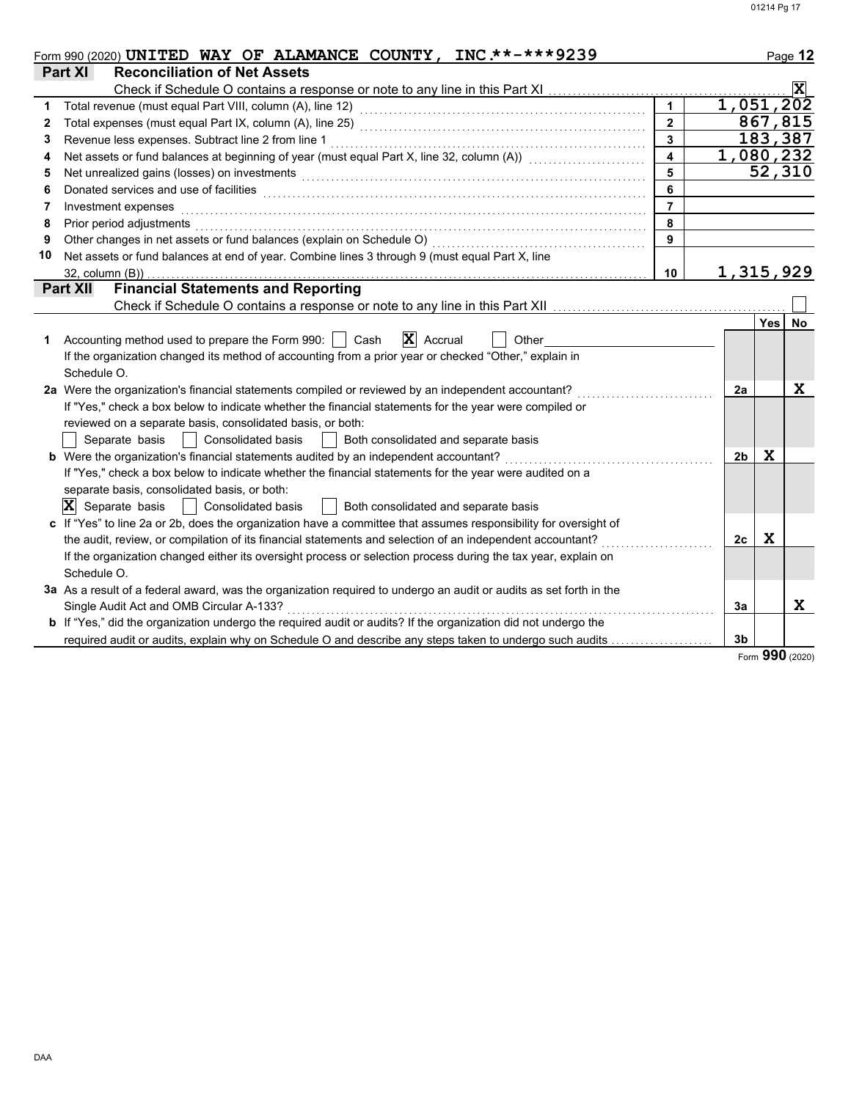|    | Form 990 (2020) UNITED WAY OF ALAMANCE COUNTY, INC.**-***9239                                                         |                         |                |                 | Page 12               |  |  |  |
|----|-----------------------------------------------------------------------------------------------------------------------|-------------------------|----------------|-----------------|-----------------------|--|--|--|
|    | Part XI<br><b>Reconciliation of Net Assets</b>                                                                        |                         |                |                 |                       |  |  |  |
|    | Check if Schedule O contains a response or note to any line in this Part XI                                           |                         |                |                 | $ \mathbf{x} $        |  |  |  |
| 1  |                                                                                                                       |                         | 1,051,202      |                 |                       |  |  |  |
| 2  |                                                                                                                       | $\overline{2}$          |                |                 | 867,815               |  |  |  |
| 3  | Revenue less expenses. Subtract line 2 from line 1                                                                    | $\overline{\mathbf{3}}$ |                |                 | 183,387               |  |  |  |
| 4  | Net assets or fund balances at beginning of year (must equal Part X, line 32, column (A)) [[[[[[[[[[[[[[[[[[[         | $\blacktriangle$        |                | 1,080,232       |                       |  |  |  |
| 5  | 5<br>Net unrealized gains (losses) on investments                                                                     |                         |                |                 |                       |  |  |  |
| 6  |                                                                                                                       | 6                       |                |                 | $\overline{52}$ , 310 |  |  |  |
| 7  | Investment expenses                                                                                                   | $\overline{7}$          |                |                 |                       |  |  |  |
| 8  | Prior period adjustments with the contract of the contract of the contract of the contract of the contract of         | 8                       |                |                 |                       |  |  |  |
| 9  | Other changes in net assets or fund balances (explain on Schedule O)                                                  | 9                       |                |                 |                       |  |  |  |
| 10 | Net assets or fund balances at end of year. Combine lines 3 through 9 (must equal Part X, line                        |                         |                |                 |                       |  |  |  |
|    | $32$ , column $(B)$ )                                                                                                 | 10                      | 1,315,929      |                 |                       |  |  |  |
|    | <b>Financial Statements and Reporting</b><br><b>Part XII</b>                                                          |                         |                |                 |                       |  |  |  |
|    |                                                                                                                       |                         |                |                 |                       |  |  |  |
|    |                                                                                                                       |                         |                | Yes <sup></sup> | No                    |  |  |  |
| 1  | Accounting method used to prepare the Form 990:     Cash<br>$ \mathbf{X} $ Accrual<br>Other                           |                         |                |                 |                       |  |  |  |
|    | If the organization changed its method of accounting from a prior year or checked "Other," explain in                 |                         |                |                 |                       |  |  |  |
|    | Schedule O.                                                                                                           |                         |                |                 |                       |  |  |  |
|    | 2a Were the organization's financial statements compiled or reviewed by an independent accountant?                    |                         | 2a             |                 | $\mathbf x$           |  |  |  |
|    | If "Yes," check a box below to indicate whether the financial statements for the year were compiled or                |                         |                |                 |                       |  |  |  |
|    | reviewed on a separate basis, consolidated basis, or both:                                                            |                         |                |                 |                       |  |  |  |
|    | Separate basis<br>  Consolidated basis<br>Both consolidated and separate basis                                        |                         |                |                 |                       |  |  |  |
|    | b Were the organization's financial statements audited by an independent accountant?                                  |                         | 2 <sub>b</sub> | X               |                       |  |  |  |
|    | If "Yes," check a box below to indicate whether the financial statements for the year were audited on a               |                         |                |                 |                       |  |  |  |
|    | separate basis, consolidated basis, or both:                                                                          |                         |                |                 |                       |  |  |  |
|    | $ X $ Separate basis<br><b>Consolidated basis</b><br>Both consolidated and separate basis                             |                         |                |                 |                       |  |  |  |
|    | c If "Yes" to line 2a or 2b, does the organization have a committee that assumes responsibility for oversight of      |                         |                |                 |                       |  |  |  |
|    | the audit, review, or compilation of its financial statements and selection of an independent accountant?             |                         | 2c             | X               |                       |  |  |  |
|    | If the organization changed either its oversight process or selection process during the tax year, explain on         |                         |                |                 |                       |  |  |  |
|    | Schedule O.                                                                                                           |                         |                |                 |                       |  |  |  |
|    | 3a As a result of a federal award, was the organization required to undergo an audit or audits as set forth in the    |                         |                |                 |                       |  |  |  |
|    | Single Audit Act and OMB Circular A-133?                                                                              |                         | 3a             |                 | x                     |  |  |  |
|    | <b>b</b> If "Yes," did the organization undergo the required audit or audits? If the organization did not undergo the |                         |                |                 |                       |  |  |  |
|    | required audit or audits, explain why on Schedule O and describe any steps taken to undergo such audits               |                         | 3 <sub>b</sub> |                 |                       |  |  |  |

Form **990** (2020)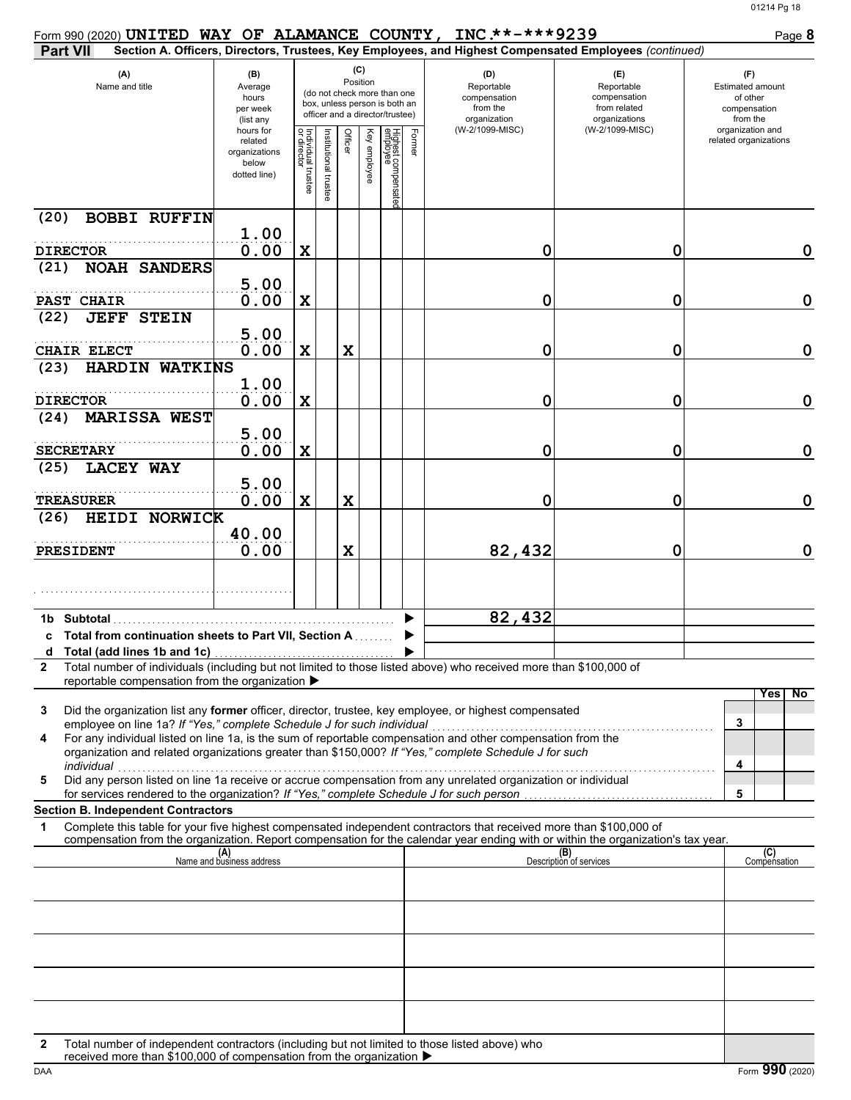|                   | Form 990 (2020) UNITED WAY OF ALAMANCE COUNTY, INC. **-*** 9239                                                                                                                                                                                                                                              |                                                                |                                   |                    |         |                 |                                                                                                 |        |                                                               |                                                                                                        | Page 8                                                                 |
|-------------------|--------------------------------------------------------------------------------------------------------------------------------------------------------------------------------------------------------------------------------------------------------------------------------------------------------------|----------------------------------------------------------------|-----------------------------------|--------------------|---------|-----------------|-------------------------------------------------------------------------------------------------|--------|---------------------------------------------------------------|--------------------------------------------------------------------------------------------------------|------------------------------------------------------------------------|
| <b>Part VII</b>   |                                                                                                                                                                                                                                                                                                              |                                                                |                                   |                    |         |                 |                                                                                                 |        |                                                               | Section A. Officers, Directors, Trustees, Key Employees, and Highest Compensated Employees (continued) |                                                                        |
|                   | (A)<br>Name and title                                                                                                                                                                                                                                                                                        | (B)<br>Average<br>hours<br>per week<br>(list any               |                                   |                    |         | (C)<br>Position | (do not check more than one<br>box, unless person is both an<br>officer and a director/trustee) |        | (D)<br>Reportable<br>compensation<br>from the<br>organization | (E)<br>Reportable<br>compensation<br>from related<br>organizations                                     | (F)<br><b>Estimated amount</b><br>of other<br>compensation<br>from the |
|                   |                                                                                                                                                                                                                                                                                                              | hours for<br>related<br>organizations<br>below<br>dotted line) | Individual trustee<br>or director | nstitutional trust | Officer | Key employee    | Highest compensate<br>employee                                                                  | Former | (W-2/1099-MISC)                                               | (W-2/1099-MISC)                                                                                        | organization and<br>related organizations                              |
| (20)              | <b>BOBBI RUFFIN</b>                                                                                                                                                                                                                                                                                          |                                                                |                                   |                    |         |                 |                                                                                                 |        |                                                               |                                                                                                        |                                                                        |
| <b>DIRECTOR</b>   |                                                                                                                                                                                                                                                                                                              | 1.00<br>0.00                                                   | X                                 |                    |         |                 |                                                                                                 |        | 0                                                             | 0                                                                                                      | $\mathbf 0$                                                            |
| (21)              | <b>NOAH SANDERS</b>                                                                                                                                                                                                                                                                                          |                                                                |                                   |                    |         |                 |                                                                                                 |        |                                                               |                                                                                                        |                                                                        |
| PAST CHAIR        |                                                                                                                                                                                                                                                                                                              | 5.00<br>0.00                                                   | X                                 |                    |         |                 |                                                                                                 |        | 0                                                             | 0                                                                                                      | $\mathbf 0$                                                            |
| (22)              | <b>JEFF STEIN</b>                                                                                                                                                                                                                                                                                            |                                                                |                                   |                    |         |                 |                                                                                                 |        |                                                               |                                                                                                        |                                                                        |
|                   | <b>CHAIR ELECT</b>                                                                                                                                                                                                                                                                                           | 5.00<br>0.00                                                   | X                                 |                    | X       |                 |                                                                                                 |        | 0                                                             | 0                                                                                                      | $\mathbf 0$                                                            |
| (23)              | HARDIN WATKINS                                                                                                                                                                                                                                                                                               | 1.00                                                           |                                   |                    |         |                 |                                                                                                 |        |                                                               |                                                                                                        |                                                                        |
| <b>DIRECTOR</b>   |                                                                                                                                                                                                                                                                                                              | 0.00                                                           | X                                 |                    |         |                 |                                                                                                 |        | 0                                                             | 0                                                                                                      | $\mathbf 0$                                                            |
| (24)              | MARISSA WEST                                                                                                                                                                                                                                                                                                 | 5.00                                                           |                                   |                    |         |                 |                                                                                                 |        |                                                               |                                                                                                        |                                                                        |
| <b>SECRETARY</b>  |                                                                                                                                                                                                                                                                                                              | 0.00                                                           | X                                 |                    |         |                 |                                                                                                 |        | 0                                                             | 0                                                                                                      | $\mathbf 0$                                                            |
| (25)              | <b>LACEY WAY</b>                                                                                                                                                                                                                                                                                             | 5.00                                                           |                                   |                    |         |                 |                                                                                                 |        |                                                               |                                                                                                        |                                                                        |
| <b>TREASURER</b>  |                                                                                                                                                                                                                                                                                                              | 0.00                                                           | X                                 |                    | X       |                 |                                                                                                 |        | 0                                                             | 0                                                                                                      | $\mathbf 0$                                                            |
| (26)              | HEIDI NORWICK                                                                                                                                                                                                                                                                                                |                                                                |                                   |                    |         |                 |                                                                                                 |        |                                                               |                                                                                                        |                                                                        |
| <b>PRESIDENT</b>  |                                                                                                                                                                                                                                                                                                              | 40.00<br>0.00                                                  |                                   |                    | X       |                 |                                                                                                 |        | 82,432                                                        | 0                                                                                                      | $\mathbf 0$                                                            |
|                   |                                                                                                                                                                                                                                                                                                              |                                                                |                                   |                    |         |                 |                                                                                                 |        |                                                               |                                                                                                        |                                                                        |
| 1b.               | Subtotal                                                                                                                                                                                                                                                                                                     |                                                                |                                   |                    |         |                 |                                                                                                 |        | 82,432                                                        |                                                                                                        |                                                                        |
|                   | Total from continuation sheets to Part VII, Section A                                                                                                                                                                                                                                                        |                                                                |                                   |                    |         |                 |                                                                                                 |        |                                                               |                                                                                                        |                                                                        |
| a<br>$\mathbf{2}$ | Total (add lines 1b and 1c)<br>Total number of individuals (including but not limited to those listed above) who received more than \$100,000 of                                                                                                                                                             |                                                                |                                   |                    |         |                 |                                                                                                 |        |                                                               |                                                                                                        |                                                                        |
|                   | reportable compensation from the organization ▶                                                                                                                                                                                                                                                              |                                                                |                                   |                    |         |                 |                                                                                                 |        |                                                               |                                                                                                        |                                                                        |
| 3                 | Did the organization list any former officer, director, trustee, key employee, or highest compensated                                                                                                                                                                                                        |                                                                |                                   |                    |         |                 |                                                                                                 |        |                                                               |                                                                                                        | No<br>Yes                                                              |
| 4                 | employee on line 1a? If "Yes," complete Schedule J for such individual<br>For any individual listed on line 1a, is the sum of reportable compensation and other compensation from the<br>organization and related organizations greater than \$150,000? If "Yes," complete Schedule J for such<br>individual |                                                                |                                   |                    |         |                 |                                                                                                 |        |                                                               |                                                                                                        | 3<br>4                                                                 |
| 5                 | Did any person listed on line 1a receive or accrue compensation from any unrelated organization or individual                                                                                                                                                                                                |                                                                |                                   |                    |         |                 |                                                                                                 |        |                                                               |                                                                                                        |                                                                        |
|                   | for services rendered to the organization? If "Yes," complete Schedule J for such person<br><b>Section B. Independent Contractors</b>                                                                                                                                                                        |                                                                |                                   |                    |         |                 |                                                                                                 |        |                                                               |                                                                                                        | 5                                                                      |
| 1                 | Complete this table for your five highest compensated independent contractors that received more than \$100,000 of<br>compensation from the organization. Report compensation for the calendar year ending with or within the organization's tax year.                                                       |                                                                |                                   |                    |         |                 |                                                                                                 |        |                                                               |                                                                                                        |                                                                        |
|                   |                                                                                                                                                                                                                                                                                                              | (A)<br>Name and business address                               |                                   |                    |         |                 |                                                                                                 |        |                                                               | (B)<br>Description of services                                                                         | (C)<br>Compensation                                                    |
|                   |                                                                                                                                                                                                                                                                                                              |                                                                |                                   |                    |         |                 |                                                                                                 |        |                                                               |                                                                                                        |                                                                        |
|                   |                                                                                                                                                                                                                                                                                                              |                                                                |                                   |                    |         |                 |                                                                                                 |        |                                                               |                                                                                                        |                                                                        |
|                   |                                                                                                                                                                                                                                                                                                              |                                                                |                                   |                    |         |                 |                                                                                                 |        |                                                               |                                                                                                        |                                                                        |
|                   |                                                                                                                                                                                                                                                                                                              |                                                                |                                   |                    |         |                 |                                                                                                 |        |                                                               |                                                                                                        |                                                                        |
|                   |                                                                                                                                                                                                                                                                                                              |                                                                |                                   |                    |         |                 |                                                                                                 |        |                                                               |                                                                                                        |                                                                        |
| 2                 | Total number of independent contractors (including but not limited to those listed above) who                                                                                                                                                                                                                |                                                                |                                   |                    |         |                 |                                                                                                 |        |                                                               |                                                                                                        |                                                                        |

DAA Form **990** (2020) received more than \$100,000 of compensation from the organization  $\blacktriangleright$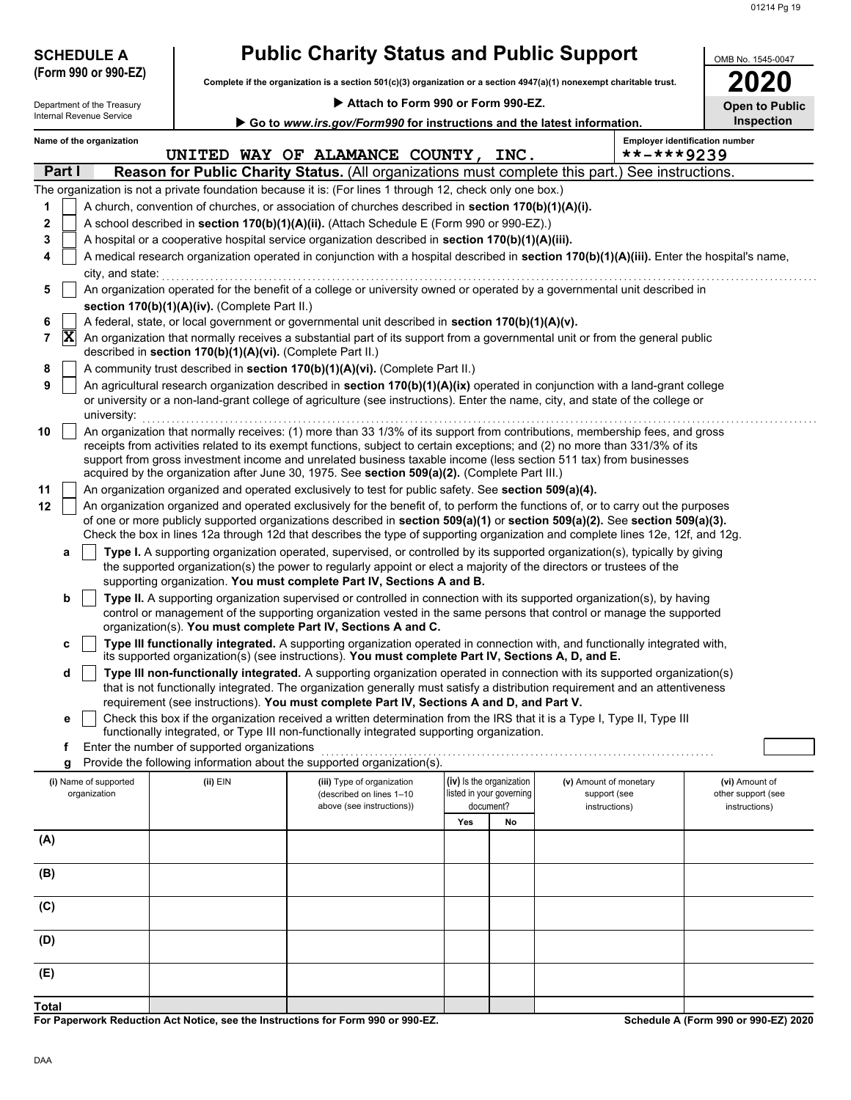| <b>SCHEDULE A</b>                                                                                                                                                   |                                                                                                                                                                                                                                                                                                                                                                                 | <b>Public Charity Status and Public Support</b>                                                                                                                                                                                                                                                                              |                                                                   |    |                                                         |            | OMB No. 1545-0047                                     |  |  |  |
|---------------------------------------------------------------------------------------------------------------------------------------------------------------------|---------------------------------------------------------------------------------------------------------------------------------------------------------------------------------------------------------------------------------------------------------------------------------------------------------------------------------------------------------------------------------|------------------------------------------------------------------------------------------------------------------------------------------------------------------------------------------------------------------------------------------------------------------------------------------------------------------------------|-------------------------------------------------------------------|----|---------------------------------------------------------|------------|-------------------------------------------------------|--|--|--|
| (Form 990 or 990-EZ)                                                                                                                                                |                                                                                                                                                                                                                                                                                                                                                                                 | Complete if the organization is a section 501(c)(3) organization or a section 4947(a)(1) nonexempt charitable trust.                                                                                                                                                                                                         |                                                                   |    |                                                         |            |                                                       |  |  |  |
| Department of the Treasury                                                                                                                                          |                                                                                                                                                                                                                                                                                                                                                                                 | Attach to Form 990 or Form 990-EZ.                                                                                                                                                                                                                                                                                           |                                                                   |    |                                                         |            | <b>Open to Public</b>                                 |  |  |  |
| Internal Revenue Service                                                                                                                                            |                                                                                                                                                                                                                                                                                                                                                                                 | Go to www.irs.gov/Form990 for instructions and the latest information.                                                                                                                                                                                                                                                       |                                                                   |    |                                                         |            | <b>Inspection</b>                                     |  |  |  |
| Name of the organization                                                                                                                                            |                                                                                                                                                                                                                                                                                                                                                                                 | UNITED WAY OF ALAMANCE COUNTY, INC.                                                                                                                                                                                                                                                                                          |                                                                   |    |                                                         | **-***9239 | <b>Employer identification number</b>                 |  |  |  |
| Part I                                                                                                                                                              |                                                                                                                                                                                                                                                                                                                                                                                 | <b>Reason for Public Charity Status.</b> (All organizations must complete this part.) See instructions.                                                                                                                                                                                                                      |                                                                   |    |                                                         |            |                                                       |  |  |  |
|                                                                                                                                                                     |                                                                                                                                                                                                                                                                                                                                                                                 | The organization is not a private foundation because it is: (For lines 1 through 12, check only one box.)                                                                                                                                                                                                                    |                                                                   |    |                                                         |            |                                                       |  |  |  |
| 1                                                                                                                                                                   |                                                                                                                                                                                                                                                                                                                                                                                 | A church, convention of churches, or association of churches described in section 170(b)(1)(A)(i).                                                                                                                                                                                                                           |                                                                   |    |                                                         |            |                                                       |  |  |  |
| $\mathbf 2$                                                                                                                                                         |                                                                                                                                                                                                                                                                                                                                                                                 | A school described in section 170(b)(1)(A)(ii). (Attach Schedule E (Form 990 or 990-EZ).)                                                                                                                                                                                                                                    |                                                                   |    |                                                         |            |                                                       |  |  |  |
| 3                                                                                                                                                                   |                                                                                                                                                                                                                                                                                                                                                                                 | A hospital or a cooperative hospital service organization described in section 170(b)(1)(A)(iii).                                                                                                                                                                                                                            |                                                                   |    |                                                         |            |                                                       |  |  |  |
| A medical research organization operated in conjunction with a hospital described in section 170(b)(1)(A)(iii). Enter the hospital's name,<br>4<br>city, and state: |                                                                                                                                                                                                                                                                                                                                                                                 |                                                                                                                                                                                                                                                                                                                              |                                                                   |    |                                                         |            |                                                       |  |  |  |
| 5                                                                                                                                                                   |                                                                                                                                                                                                                                                                                                                                                                                 | An organization operated for the benefit of a college or university owned or operated by a governmental unit described in                                                                                                                                                                                                    |                                                                   |    |                                                         |            |                                                       |  |  |  |
|                                                                                                                                                                     | section 170(b)(1)(A)(iv). (Complete Part II.)                                                                                                                                                                                                                                                                                                                                   |                                                                                                                                                                                                                                                                                                                              |                                                                   |    |                                                         |            |                                                       |  |  |  |
| 6                                                                                                                                                                   |                                                                                                                                                                                                                                                                                                                                                                                 | A federal, state, or local government or governmental unit described in section 170(b)(1)(A)(v).                                                                                                                                                                                                                             |                                                                   |    |                                                         |            |                                                       |  |  |  |
| $ \mathbf{x} $<br>7                                                                                                                                                 | described in section 170(b)(1)(A)(vi). (Complete Part II.)                                                                                                                                                                                                                                                                                                                      | An organization that normally receives a substantial part of its support from a governmental unit or from the general public                                                                                                                                                                                                 |                                                                   |    |                                                         |            |                                                       |  |  |  |
| 8                                                                                                                                                                   |                                                                                                                                                                                                                                                                                                                                                                                 | A community trust described in section 170(b)(1)(A)(vi). (Complete Part II.)                                                                                                                                                                                                                                                 |                                                                   |    |                                                         |            |                                                       |  |  |  |
| 9<br>university:                                                                                                                                                    |                                                                                                                                                                                                                                                                                                                                                                                 | An agricultural research organization described in section 170(b)(1)(A)(ix) operated in conjunction with a land-grant college<br>or university or a non-land-grant college of agriculture (see instructions). Enter the name, city, and state of the college or                                                              |                                                                   |    |                                                         |            |                                                       |  |  |  |
| 10                                                                                                                                                                  | An organization that normally receives: (1) more than 33 1/3% of its support from contributions, membership fees, and gross<br>receipts from activities related to its exempt functions, subject to certain exceptions; and (2) no more than 331/3% of its<br>support from gross investment income and unrelated business taxable income (less section 511 tax) from businesses |                                                                                                                                                                                                                                                                                                                              |                                                                   |    |                                                         |            |                                                       |  |  |  |
|                                                                                                                                                                     |                                                                                                                                                                                                                                                                                                                                                                                 | acquired by the organization after June 30, 1975. See section 509(a)(2). (Complete Part III.)                                                                                                                                                                                                                                |                                                                   |    |                                                         |            |                                                       |  |  |  |
| 11<br>12                                                                                                                                                            |                                                                                                                                                                                                                                                                                                                                                                                 | An organization organized and operated exclusively to test for public safety. See section 509(a)(4).<br>An organization organized and operated exclusively for the benefit of, to perform the functions of, or to carry out the purposes                                                                                     |                                                                   |    |                                                         |            |                                                       |  |  |  |
|                                                                                                                                                                     |                                                                                                                                                                                                                                                                                                                                                                                 | of one or more publicly supported organizations described in section 509(a)(1) or section 509(a)(2). See section 509(a)(3).<br>Check the box in lines 12a through 12d that describes the type of supporting organization and complete lines 12e, 12f, and 12g.                                                               |                                                                   |    |                                                         |            |                                                       |  |  |  |
| a                                                                                                                                                                   |                                                                                                                                                                                                                                                                                                                                                                                 | Type I. A supporting organization operated, supervised, or controlled by its supported organization(s), typically by giving<br>the supported organization(s) the power to regularly appoint or elect a majority of the directors or trustees of the<br>supporting organization. You must complete Part IV, Sections A and B. |                                                                   |    |                                                         |            |                                                       |  |  |  |
| b                                                                                                                                                                   |                                                                                                                                                                                                                                                                                                                                                                                 | Type II. A supporting organization supervised or controlled in connection with its supported organization(s), by having                                                                                                                                                                                                      |                                                                   |    |                                                         |            |                                                       |  |  |  |
|                                                                                                                                                                     |                                                                                                                                                                                                                                                                                                                                                                                 | control or management of the supporting organization vested in the same persons that control or manage the supported<br>organization(s). You must complete Part IV, Sections A and C.                                                                                                                                        |                                                                   |    |                                                         |            |                                                       |  |  |  |
| c                                                                                                                                                                   |                                                                                                                                                                                                                                                                                                                                                                                 | Type III functionally integrated. A supporting organization operated in connection with, and functionally integrated with,<br>its supported organization(s) (see instructions). You must complete Part IV, Sections A, D, and E.                                                                                             |                                                                   |    |                                                         |            |                                                       |  |  |  |
| d                                                                                                                                                                   |                                                                                                                                                                                                                                                                                                                                                                                 | Type III non-functionally integrated. A supporting organization operated in connection with its supported organization(s)<br>that is not functionally integrated. The organization generally must satisfy a distribution requirement and an attentiveness                                                                    |                                                                   |    |                                                         |            |                                                       |  |  |  |
|                                                                                                                                                                     |                                                                                                                                                                                                                                                                                                                                                                                 | requirement (see instructions). You must complete Part IV, Sections A and D, and Part V.                                                                                                                                                                                                                                     |                                                                   |    |                                                         |            |                                                       |  |  |  |
| е                                                                                                                                                                   |                                                                                                                                                                                                                                                                                                                                                                                 | Check this box if the organization received a written determination from the IRS that it is a Type I, Type II, Type III<br>functionally integrated, or Type III non-functionally integrated supporting organization.                                                                                                         |                                                                   |    |                                                         |            |                                                       |  |  |  |
| f.                                                                                                                                                                  | Enter the number of supported organizations                                                                                                                                                                                                                                                                                                                                     |                                                                                                                                                                                                                                                                                                                              |                                                                   |    |                                                         |            |                                                       |  |  |  |
| g                                                                                                                                                                   |                                                                                                                                                                                                                                                                                                                                                                                 | Provide the following information about the supported organization(s).                                                                                                                                                                                                                                                       |                                                                   |    |                                                         |            |                                                       |  |  |  |
| (i) Name of supported<br>organization                                                                                                                               | (ii) EIN                                                                                                                                                                                                                                                                                                                                                                        | (iii) Type of organization<br>(described on lines 1-10<br>above (see instructions))                                                                                                                                                                                                                                          | (iv) Is the organization<br>listed in your governing<br>document? |    | (v) Amount of monetary<br>support (see<br>instructions) |            | (vi) Amount of<br>other support (see<br>instructions) |  |  |  |
|                                                                                                                                                                     |                                                                                                                                                                                                                                                                                                                                                                                 |                                                                                                                                                                                                                                                                                                                              | Yes                                                               | No |                                                         |            |                                                       |  |  |  |
| (A)                                                                                                                                                                 |                                                                                                                                                                                                                                                                                                                                                                                 |                                                                                                                                                                                                                                                                                                                              |                                                                   |    |                                                         |            |                                                       |  |  |  |
| (B)                                                                                                                                                                 |                                                                                                                                                                                                                                                                                                                                                                                 |                                                                                                                                                                                                                                                                                                                              |                                                                   |    |                                                         |            |                                                       |  |  |  |
| (C)                                                                                                                                                                 |                                                                                                                                                                                                                                                                                                                                                                                 |                                                                                                                                                                                                                                                                                                                              |                                                                   |    |                                                         |            |                                                       |  |  |  |
| (D)                                                                                                                                                                 |                                                                                                                                                                                                                                                                                                                                                                                 |                                                                                                                                                                                                                                                                                                                              |                                                                   |    |                                                         |            |                                                       |  |  |  |
| (E)                                                                                                                                                                 |                                                                                                                                                                                                                                                                                                                                                                                 |                                                                                                                                                                                                                                                                                                                              |                                                                   |    |                                                         |            |                                                       |  |  |  |
| <b>Total</b>                                                                                                                                                        |                                                                                                                                                                                                                                                                                                                                                                                 |                                                                                                                                                                                                                                                                                                                              |                                                                   |    |                                                         |            |                                                       |  |  |  |
|                                                                                                                                                                     |                                                                                                                                                                                                                                                                                                                                                                                 |                                                                                                                                                                                                                                                                                                                              |                                                                   |    |                                                         |            |                                                       |  |  |  |

**For Paperwork Reduction Act Notice, see the Instructions for Form 990 or 990-EZ.**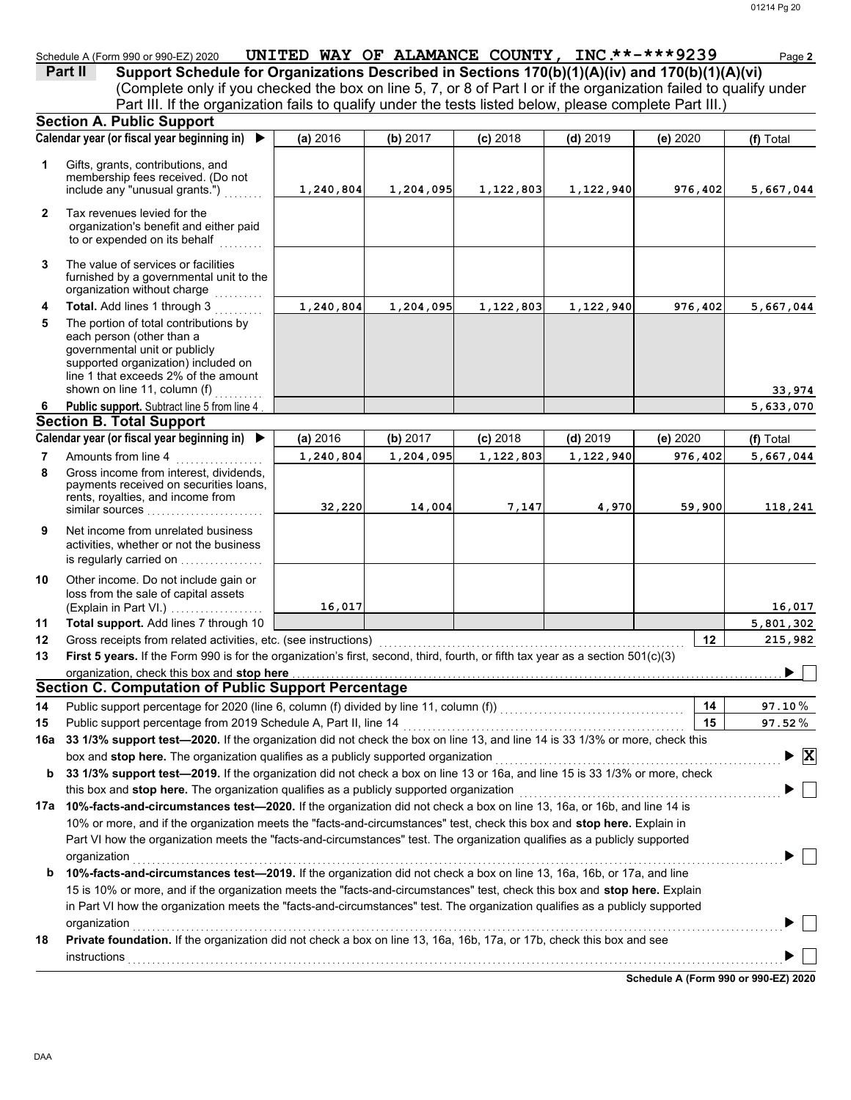Schedule A (Form 990 or 990-EZ) 2020 **UNITED WAY OF ALAMANCE COUNTY, INC.\*\*-\*\*\*9239** Page 2

(Complete only if you checked the box on line 5, 7, or 8 of Part I or if the organization failed to qualify under **Part II** Support Schedule for Organizations Described in Sections 170(b)(1)(A)(iv) and 170(b)(1)(A)(vi) Part III. If the organization fails to qualify under the tests listed below, please complete Part III.)

|    | <b>Section A. Public Support</b>                                                                                                                                                                                   |           |           |            |            |          |                                               |
|----|--------------------------------------------------------------------------------------------------------------------------------------------------------------------------------------------------------------------|-----------|-----------|------------|------------|----------|-----------------------------------------------|
|    | Calendar year (or fiscal year beginning in)                                                                                                                                                                        | (a) 2016  | (b) 2017  | $(c)$ 2018 | $(d)$ 2019 | (e) 2020 | (f) Total                                     |
| 1  | Gifts, grants, contributions, and<br>membership fees received. (Do not<br>include any "unusual grants.")                                                                                                           | 1,240,804 | 1,204,095 | 1,122,803  | 1,122,940  | 976,402  | 5,667,044                                     |
| 2  | Tax revenues levied for the<br>organization's benefit and either paid<br>to or expended on its behalf<br>.                                                                                                         |           |           |            |            |          |                                               |
| 3  | The value of services or facilities<br>furnished by a governmental unit to the<br>organization without charge                                                                                                      |           |           |            |            |          |                                               |
| 4  | Total. Add lines 1 through 3                                                                                                                                                                                       | 1,240,804 | 1,204,095 | 1,122,803  | 1,122,940  | 976,402  | 5,667,044                                     |
| 5  | The portion of total contributions by<br>each person (other than a<br>governmental unit or publicly<br>supported organization) included on<br>line 1 that exceeds 2% of the amount<br>shown on line 11, column (f) |           |           |            |            |          |                                               |
| 6  | Public support. Subtract line 5 from line 4                                                                                                                                                                        |           |           |            |            |          | 33,974<br>5,633,070                           |
|    | <b>Section B. Total Support</b>                                                                                                                                                                                    |           |           |            |            |          |                                               |
|    | Calendar year (or fiscal year beginning in) ▶                                                                                                                                                                      | (a) 2016  | (b) 2017  | $(c)$ 2018 | $(d)$ 2019 | (e) 2020 | (f) Total                                     |
| 7  | Amounts from line 4                                                                                                                                                                                                | 1,240,804 | 1,204,095 | 1,122,803  | 1,122,940  | 976,402  | 5,667,044                                     |
| 8  | Gross income from interest, dividends,<br>payments received on securities loans,<br>rents, royalties, and income from<br>similar sources                                                                           | 32,220    | 14,004    | 7,147      | 4,970      | 59,900   | 118,241                                       |
| 9  | Net income from unrelated business<br>activities, whether or not the business<br>is regularly carried on                                                                                                           |           |           |            |            |          |                                               |
| 10 | Other income. Do not include gain or<br>loss from the sale of capital assets<br>(Explain in Part VI.)                                                                                                              | 16,017    |           |            |            |          | 16,017                                        |
| 11 | Total support. Add lines 7 through 10                                                                                                                                                                              |           |           |            |            |          | 5,801,302                                     |
| 12 | Gross receipts from related activities, etc. (see instructions)                                                                                                                                                    |           |           |            |            | 12       | 215,982                                       |
| 13 | First 5 years. If the Form 990 is for the organization's first, second, third, fourth, or fifth tax year as a section 501(c)(3)                                                                                    |           |           |            |            |          |                                               |
|    | organization, check this box and stop here                                                                                                                                                                         |           |           |            |            |          |                                               |
|    | <b>Section C. Computation of Public Support Percentage</b>                                                                                                                                                         |           |           |            |            |          |                                               |
| 14 |                                                                                                                                                                                                                    |           |           |            |            | 14       | $97.10\,\%$                                   |
| 15 | Public support percentage from 2019 Schedule A, Part II, line 14                                                                                                                                                   |           |           |            |            | 15       | 97.52%                                        |
|    | 16a 33 1/3% support test-2020. If the organization did not check the box on line 13, and line 14 is 33 1/3% or more, check this                                                                                    |           |           |            |            |          |                                               |
|    | box and stop here. The organization qualifies as a publicly supported organization                                                                                                                                 |           |           |            |            |          | $\blacktriangleright$ $\overline{\mathbf{X}}$ |
| b  | 33 1/3% support test-2019. If the organization did not check a box on line 13 or 16a, and line 15 is 33 1/3% or more, check                                                                                        |           |           |            |            |          |                                               |
|    | this box and stop here. The organization qualifies as a publicly supported organization                                                                                                                            |           |           |            |            |          |                                               |
|    | 17a 10%-facts-and-circumstances test-2020. If the organization did not check a box on line 13, 16a, or 16b, and line 14 is                                                                                         |           |           |            |            |          |                                               |
|    | 10% or more, and if the organization meets the "facts-and-circumstances" test, check this box and stop here. Explain in                                                                                            |           |           |            |            |          |                                               |
|    | Part VI how the organization meets the "facts-and-circumstances" test. The organization qualifies as a publicly supported                                                                                          |           |           |            |            |          |                                               |
|    | organization                                                                                                                                                                                                       |           |           |            |            |          |                                               |
| b  | 10%-facts-and-circumstances test-2019. If the organization did not check a box on line 13, 16a, 16b, or 17a, and line                                                                                              |           |           |            |            |          |                                               |
|    | 15 is 10% or more, and if the organization meets the "facts-and-circumstances" test, check this box and stop here. Explain                                                                                         |           |           |            |            |          |                                               |
|    | in Part VI how the organization meets the "facts-and-circumstances" test. The organization qualifies as a publicly supported                                                                                       |           |           |            |            |          |                                               |
|    | organization                                                                                                                                                                                                       |           |           |            |            |          |                                               |
| 18 | Private foundation. If the organization did not check a box on line 13, 16a, 16b, 17a, or 17b, check this box and see                                                                                              |           |           |            |            |          |                                               |
|    | instructions                                                                                                                                                                                                       |           |           |            |            |          |                                               |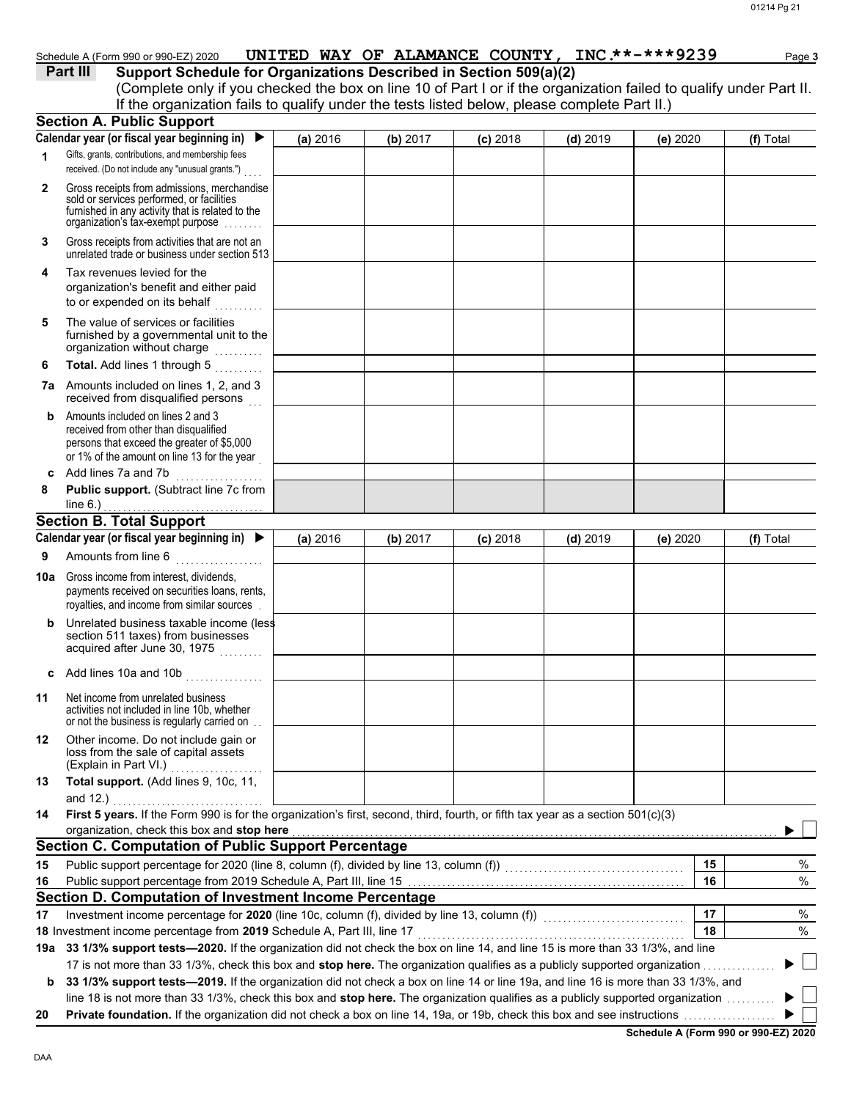|              | Schedule A (Form 990 or 990-EZ) 2020                                                                                                                                                                                                                                                                |          |          | UNITED WAY OF ALAMANCE COUNTY, INC **-***9239 |            |          | Page 3    |
|--------------|-----------------------------------------------------------------------------------------------------------------------------------------------------------------------------------------------------------------------------------------------------------------------------------------------------|----------|----------|-----------------------------------------------|------------|----------|-----------|
|              | Part III<br>Support Schedule for Organizations Described in Section 509(a)(2)<br>(Complete only if you checked the box on line 10 of Part I or if the organization failed to qualify under Part II.<br>If the organization fails to qualify under the tests listed below, please complete Part II.) |          |          |                                               |            |          |           |
|              | <b>Section A. Public Support</b>                                                                                                                                                                                                                                                                    |          |          |                                               |            |          |           |
|              | Calendar year (or fiscal year beginning in) $\blacktriangleright$                                                                                                                                                                                                                                   | (a) 2016 | (b) 2017 | $(c)$ 2018                                    | $(d)$ 2019 | (e) 2020 | (f) Total |
| $\mathbf{1}$ | Gifts, grants, contributions, and membership fees<br>received. (Do not include any "unusual grants.")                                                                                                                                                                                               |          |          |                                               |            |          |           |
| $\mathbf{2}$ | Gross receipts from admissions, merchandise<br>sold or services performed, or facilities<br>furnished in any activity that is related to the<br>organization's tax-exempt purpose                                                                                                                   |          |          |                                               |            |          |           |
| 3            | Gross receipts from activities that are not an<br>unrelated trade or business under section 513                                                                                                                                                                                                     |          |          |                                               |            |          |           |
| 4            | Tax revenues levied for the<br>organization's benefit and either paid<br>to or expended on its behalf                                                                                                                                                                                               |          |          |                                               |            |          |           |
| 5            | The value of services or facilities<br>furnished by a governmental unit to the<br>organization without charge                                                                                                                                                                                       |          |          |                                               |            |          |           |
| 6            | Total. Add lines 1 through 5                                                                                                                                                                                                                                                                        |          |          |                                               |            |          |           |
|              | <b>7a</b> Amounts included on lines 1, 2, and 3<br>received from disqualified persons                                                                                                                                                                                                               |          |          |                                               |            |          |           |
| b            | Amounts included on lines 2 and 3<br>received from other than disqualified<br>persons that exceed the greater of \$5,000<br>or 1% of the amount on line 13 for the year                                                                                                                             |          |          |                                               |            |          |           |
| c            | Add lines 7a and 7b<br>.                                                                                                                                                                                                                                                                            |          |          |                                               |            |          |           |
| 8            | Public support. (Subtract line 7c from<br>line $6.$ )                                                                                                                                                                                                                                               |          |          |                                               |            |          |           |
|              | <b>Section B. Total Support</b>                                                                                                                                                                                                                                                                     |          |          |                                               |            |          |           |
|              | Calendar year (or fiscal year beginning in) ▶                                                                                                                                                                                                                                                       | (a) 2016 | (b) 2017 | $(c)$ 2018                                    | $(d)$ 2019 | (e) 2020 | (f) Total |
| 9            | Amounts from line 6<br>. <b>.</b> .                                                                                                                                                                                                                                                                 |          |          |                                               |            |          |           |
| 10a          | Gross income from interest, dividends,<br>payments received on securities loans, rents,<br>royalties, and income from similar sources.                                                                                                                                                              |          |          |                                               |            |          |           |
| b            | Unrelated business taxable income (less<br>section 511 taxes) from businesses<br>acquired after June 30, 1975<br>.                                                                                                                                                                                  |          |          |                                               |            |          |           |
| c            | Add lines 10a and 10b<br>.                                                                                                                                                                                                                                                                          |          |          |                                               |            |          |           |
| 11           | Net income from unrelated business<br>activities not included in line 10b, whether<br>or not the business is regularly carried on                                                                                                                                                                   |          |          |                                               |            |          |           |
| 12           | Other income. Do not include gain or<br>loss from the sale of capital assets<br>(Explain in Part VI.)                                                                                                                                                                                               |          |          |                                               |            |          |           |

**13 Total support.** (Add lines 9, 10c, 11, and 12.) **14 First 5 years.** If the Form 990 is for the organization's first, second, third, fourth, or fifth tax year as a section 501(c)(3) organization, check this box and stop here and 12.) . . . . . . . . . . . . . . . . . . . . . . . . . . . . . . .

|    | <b>THEIR POWERT IN THE REAL PROPERTY IN A REAL PROPERTY OF A REAL PROPERTY.</b> OF THEIR CAN YOU LOO U SOUTH TO HIS MA            |    |        |
|----|-----------------------------------------------------------------------------------------------------------------------------------|----|--------|
|    | organization, check this box and stop here                                                                                        |    |        |
|    | <b>Section C. Computation of Public Support Percentage</b>                                                                        |    |        |
| 15 | Public support percentage for 2020 (line 8, column (f), divided by line 13, column (f))                                           | 15 |        |
| 16 | Public support percentage from 2019 Schedule A, Part III, line 15                                                                 | 16 | %      |
|    | Section D. Computation of Investment Income Percentage                                                                            |    |        |
| 17 | Investment income percentage for 2020 (line 10c, column (f), divided by line 13, column (f))                                      | 17 | $\%$   |
|    | 18 Investment income percentage from 2019 Schedule A, Part III, line 17                                                           | 18 | %      |
|    | 19a 33 1/3% support tests—2020. If the organization did not check the box on line 14, and line 15 is more than 33 1/3%, and line  |    |        |
|    | 17 is not more than 33 1/3%, check this box and <b>stop here.</b> The organization qualifies as a publicly supported organization |    | $\Box$ |
| b  | 33 1/3% support tests—2019. If the organization did not check a box on line 14 or line 19a, and line 16 is more than 33 1/3%, and |    |        |
|    | line 18 is not more than 33 1/3%, check this box and stop here. The organization qualifies as a publicly supported organization   |    |        |
| 20 | <b>Private foundation.</b> If the organization did not check a box on line 14, 19a, or 19b, check this box and see instructions   |    |        |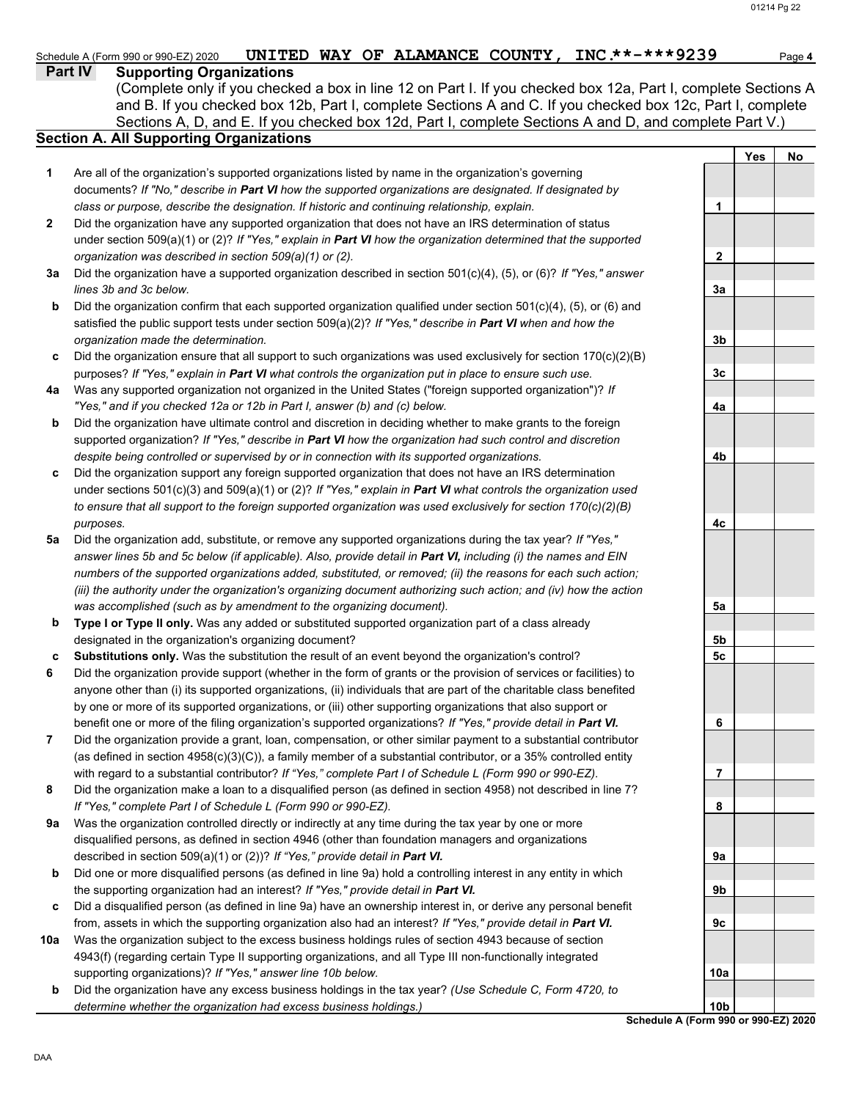#### Schedule A (Form 990 or 990-EZ) 2020 **UNITED WAY OF ALAMANCE COUNTY, INC.\*\*-\*\*\*9239** Page 4

**Part IV Supporting Organizations**

Sections A, D, and E. If you checked box 12d, Part I, complete Sections A and D, and complete Part V.) (Complete only if you checked a box in line 12 on Part I. If you checked box 12a, Part I, complete Sections A and B. If you checked box 12b, Part I, complete Sections A and C. If you checked box 12c, Part I, complete

## **Section A. All Supporting Organizations**

- Are all of the organization's supported organizations listed by name in the organization's governing documents? *If "No," describe in Part VI how the supported organizations are designated. If designated by class or purpose, describe the designation. If historic and continuing relationship, explain.* **1**
- Did the organization have any supported organization that does not have an IRS determination of status under section 509(a)(1) or (2)? *If "Yes," explain in Part VI how the organization determined that the supported organization was described in section 509(a)(1) or (2).* **2**
- **3a** Did the organization have a supported organization described in section 501(c)(4), (5), or (6)? *If "Yes," answer lines 3b and 3c below.*
- **b** Did the organization confirm that each supported organization qualified under section  $501(c)(4)$ , (5), or (6) and satisfied the public support tests under section 509(a)(2)? *If "Yes," describe in Part VI when and how the organization made the determination.*
- **c** Did the organization ensure that all support to such organizations was used exclusively for section 170(c)(2)(B) purposes? *If "Yes," explain in Part VI what controls the organization put in place to ensure such use.*
- **4a** Was any supported organization not organized in the United States ("foreign supported organization")? *If "Yes," and if you checked 12a or 12b in Part I, answer (b) and (c) below.*
- **b** Did the organization have ultimate control and discretion in deciding whether to make grants to the foreign supported organization? *If "Yes," describe in Part VI how the organization had such control and discretion despite being controlled or supervised by or in connection with its supported organizations.*
- **c** Did the organization support any foreign supported organization that does not have an IRS determination under sections 501(c)(3) and 509(a)(1) or (2)? *If "Yes," explain in Part VI what controls the organization used to ensure that all support to the foreign supported organization was used exclusively for section 170(c)(2)(B) purposes.*
- **5a** Did the organization add, substitute, or remove any supported organizations during the tax year? *If "Yes," answer lines 5b and 5c below (if applicable). Also, provide detail in Part VI, including (i) the names and EIN numbers of the supported organizations added, substituted, or removed; (ii) the reasons for each such action; (iii) the authority under the organization's organizing document authorizing such action; and (iv) how the action was accomplished (such as by amendment to the organizing document).*
- **b Type I or Type II only.** Was any added or substituted supported organization part of a class already designated in the organization's organizing document?
- **c Substitutions only.** Was the substitution the result of an event beyond the organization's control?
- **6** Did the organization provide support (whether in the form of grants or the provision of services or facilities) to anyone other than (i) its supported organizations, (ii) individuals that are part of the charitable class benefited by one or more of its supported organizations, or (iii) other supporting organizations that also support or benefit one or more of the filing organization's supported organizations? *If "Yes," provide detail in Part VI.*
- **7** Did the organization provide a grant, loan, compensation, or other similar payment to a substantial contributor (as defined in section 4958(c)(3)(C)), a family member of a substantial contributor, or a 35% controlled entity with regard to a substantial contributor? *If "Yes," complete Part I of Schedule L (Form 990 or 990-EZ).*
- **8** Did the organization make a loan to a disqualified person (as defined in section 4958) not described in line 7? *If "Yes," complete Part I of Schedule L (Form 990 or 990-EZ).*
- **9a** Was the organization controlled directly or indirectly at any time during the tax year by one or more disqualified persons, as defined in section 4946 (other than foundation managers and organizations described in section 509(a)(1) or (2))? *If "Yes," provide detail in Part VI.*
- **b** Did one or more disqualified persons (as defined in line 9a) hold a controlling interest in any entity in which the supporting organization had an interest? *If "Yes," provide detail in Part VI.*
- **c** Did a disqualified person (as defined in line 9a) have an ownership interest in, or derive any personal benefit from, assets in which the supporting organization also had an interest? *If "Yes," provide detail in Part VI.*
- **10a** Was the organization subject to the excess business holdings rules of section 4943 because of section 4943(f) (regarding certain Type II supporting organizations, and all Type III non-functionally integrated supporting organizations)? *If "Yes," answer line 10b below.*
- **b** Did the organization have any excess business holdings in the tax year? *(Use Schedule C, Form 4720, to determine whether the organization had excess business holdings.)*

**Yes No 1 2 3a 3b 3c 4a 4b 4c 5a 5b 5c 6 7 8 9a 9b 9c 10a 10b**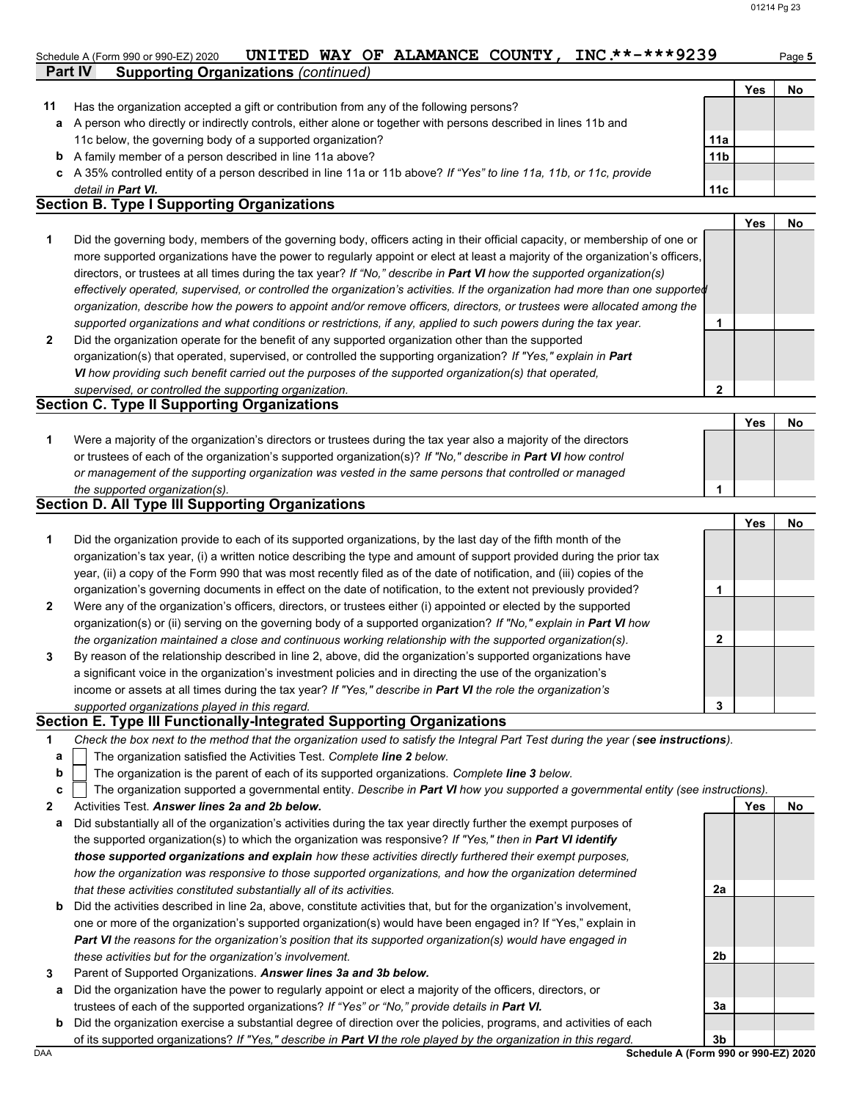**2**

#### Schedule A (Form 990 or 990-EZ) 2020 **UNITED WAY OF ALAMANCE COUNTY, INC.\*\*-\*\*\*9239** Page 5

|    | <b>Part IV</b><br><b>Supporting Organizations (continued)</b>                                                                                                         |                 |     |    |
|----|-----------------------------------------------------------------------------------------------------------------------------------------------------------------------|-----------------|-----|----|
|    |                                                                                                                                                                       |                 | Yes | No |
| 11 | Has the organization accepted a gift or contribution from any of the following persons?                                                                               |                 |     |    |
|    | a A person who directly or indirectly controls, either alone or together with persons described in lines 11b and                                                      |                 |     |    |
|    | 11c below, the governing body of a supported organization?                                                                                                            | 11a             |     |    |
|    | <b>b</b> A family member of a person described in line 11a above?                                                                                                     | 11 <sub>b</sub> |     |    |
|    | c A 35% controlled entity of a person described in line 11a or 11b above? If "Yes" to line 11a, 11b, or 11c, provide                                                  |                 |     |    |
|    | detail in <b>Part VI.</b>                                                                                                                                             | 11 <sub>c</sub> |     |    |
|    | $\mathsf{R}_{\mathsf{c}}$ at an $\mathsf{R}_{\mathsf{c}}$ . Thus a linearly and $\mathsf{R}_{\mathsf{c}}$ and $\mathsf{R}_{\mathsf{c}}$ and $\mathsf{R}_{\mathsf{c}}$ |                 |     |    |

#### **Section B. Type I Supporting Organizations**

**2 1** *supported organizations and what conditions or restrictions, if any, applied to such powers during the tax year. organization, describe how the powers to appoint and/or remove officers, directors, or trustees were allocated among the effectively operated, supervised, or controlled the organization's activities. If the organization had more than one supported* directors, or trustees at all times during the tax year? *If "No," describe in Part VI how the supported organization(s)* more supported organizations have the power to regularly appoint or elect at least a majority of the organization's officers, Did the governing body, members of the governing body, officers acting in their official capacity, or membership of one or Did the organization operate for the benefit of any supported organization other than the supported organization(s) that operated, supervised, or controlled the supporting organization? *If "Yes," explain in Part*  **1 Yes No**

*VI how providing such benefit carried out the purposes of the supported organization(s) that operated, supervised, or controlled the supporting organization.*

## **Section C. Type II Supporting Organizations**

Were a majority of the organization's directors or trustees during the tax year also a majority of the directors or trustees of each of the organization's supported organization(s)? *If "No," describe in Part VI how control* **1** *or management of the supporting organization was vested in the same persons that controlled or managed the supported organization(s).* **Yes No 1**

#### **Section D. All Type III Supporting Organizations**

|                |                                                                                                                        |   | Yes | No |
|----------------|------------------------------------------------------------------------------------------------------------------------|---|-----|----|
| 1              | Did the organization provide to each of its supported organizations, by the last day of the fifth month of the         |   |     |    |
|                | organization's tax year, (i) a written notice describing the type and amount of support provided during the prior tax  |   |     |    |
|                | year, (ii) a copy of the Form 990 that was most recently filed as of the date of notification, and (iii) copies of the |   |     |    |
|                | organization's governing documents in effect on the date of notification, to the extent not previously provided?       |   |     |    |
| $\overline{2}$ | Were any of the organization's officers, directors, or trustees either (i) appointed or elected by the supported       |   |     |    |
|                | organization(s) or (ii) serving on the governing body of a supported organization? If "No," explain in Part VI how     |   |     |    |
|                | the organization maintained a close and continuous working relationship with the supported organization(s).            | າ |     |    |
| 3              | By reason of the relationship described in line 2, above, did the organization's supported organizations have          |   |     |    |
|                | a significant voice in the organization's investment policies and in directing the use of the organization's           |   |     |    |
|                | income or assets at all times during the tax year? If "Yes," describe in Part VI the role the organization's           |   |     |    |
|                | supported organizations played in this regard.                                                                         | 3 |     |    |

#### **Section E. Type III Functionally-Integrated Supporting Organizations**

| Check the box next to the method that the organization used to satisfy the Integral Part Test during the year (see instructions). |  |
|-----------------------------------------------------------------------------------------------------------------------------------|--|
|                                                                                                                                   |  |

- The organization satisfied the Activities Test. *Complete line 2 below.* **a**
- The organization is the parent of each of its supported organizations. *Complete line 3 below.* **b**

|  | c   The organization supported a governmental entity. Describe in Part VI how you supported a governmental entity (see instructions). |  |  |  |
|--|---------------------------------------------------------------------------------------------------------------------------------------|--|--|--|

- **2** Activities Test. *Answer lines 2a and 2b below.*
- **a** Did substantially all of the organization's activities during the tax year directly further the exempt purposes of the supported organization(s) to which the organization was responsive? *If "Yes," then in Part VI identify those supported organizations and explain how these activities directly furthered their exempt purposes,*  how the organization was responsive to those supported organizations, and how the organization determined *that these activities constituted substantially all of its activities.*
- **b** Did the activities described in line 2a, above, constitute activities that, but for the organization's involvement, one or more of the organization's supported organization(s) would have been engaged in? If "Yes," explain in *Part VI the reasons for the organization's position that its supported organization(s) would have engaged in these activities but for the organization's involvement.*
- **3** Parent of Supported Organizations. *Answer lines 3a and 3b below.*
	- **a** Did the organization have the power to regularly appoint or elect a majority of the officers, directors, or trustees of each of the supported organizations? *If "Yes" or "No," provide details in Part VI.*
	- **b** Did the organization exercise a substantial degree of direction over the policies, programs, and activities of each of its supported organizations? *If "Yes," describe in Part VI the role played by the organization in this regard.*

DAA **Schedule A (Form 990 or 990-EZ) 2020 3b**

**2a**

**2b**

**3a**

**Yes No**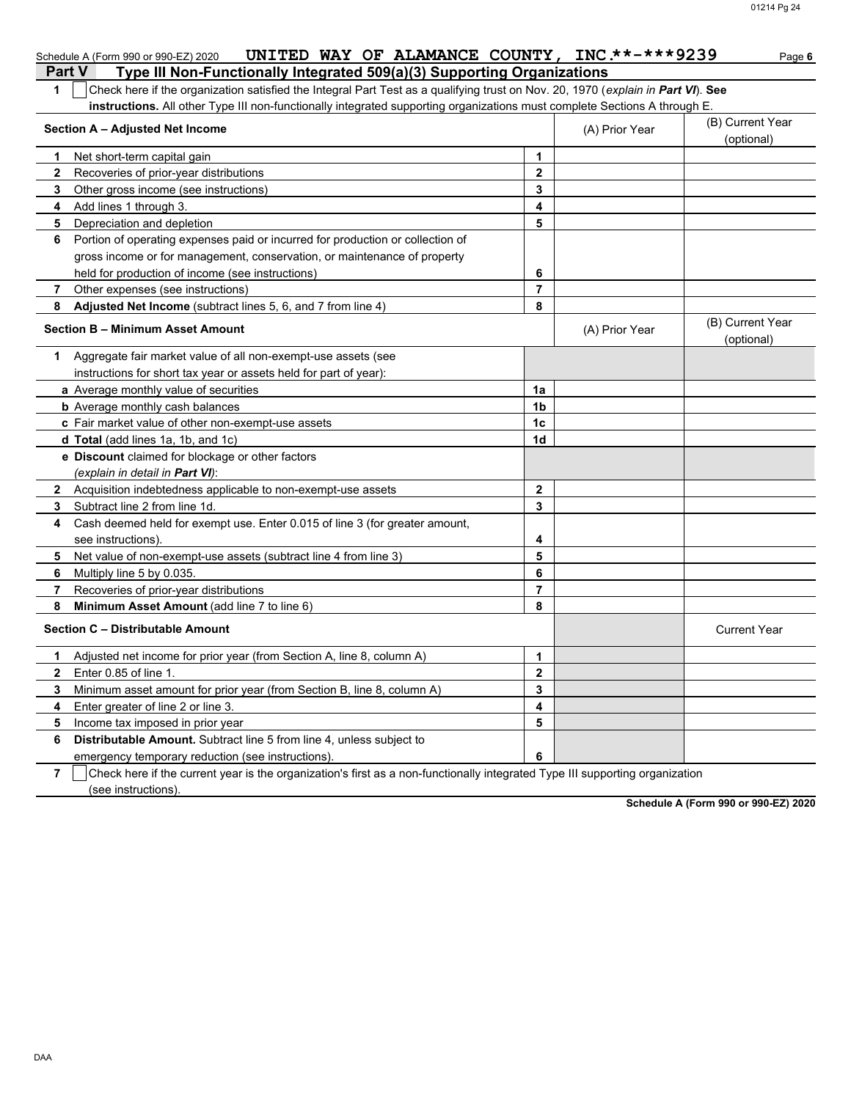|              | UNITED WAY OF ALAMANCE COUNTY, INC **-***9239<br>Schedule A (Form 990 or 990-EZ) 2020                                                                        |                |                | Page 6                         |
|--------------|--------------------------------------------------------------------------------------------------------------------------------------------------------------|----------------|----------------|--------------------------------|
|              | Type III Non-Functionally Integrated 509(a)(3) Supporting Organizations<br><b>Part V</b>                                                                     |                |                |                                |
| 1            | Check here if the organization satisfied the Integral Part Test as a qualifying trust on Nov. 20, 1970 (explain in Part VI). See                             |                |                |                                |
|              | instructions. All other Type III non-functionally integrated supporting organizations must complete Sections A through E.<br>Section A - Adjusted Net Income |                | (A) Prior Year | (B) Current Year<br>(optional) |
| 1            | Net short-term capital gain                                                                                                                                  | 1              |                |                                |
| 2            | Recoveries of prior-year distributions                                                                                                                       | $\mathbf{2}$   |                |                                |
| 3            | Other gross income (see instructions)                                                                                                                        | 3              |                |                                |
| 4            | Add lines 1 through 3.                                                                                                                                       | 4              |                |                                |
| 5            | Depreciation and depletion                                                                                                                                   | 5              |                |                                |
| 6            | Portion of operating expenses paid or incurred for production or collection of                                                                               |                |                |                                |
|              | gross income or for management, conservation, or maintenance of property                                                                                     |                |                |                                |
|              | held for production of income (see instructions)                                                                                                             | 6              |                |                                |
| 7            | Other expenses (see instructions)                                                                                                                            | $\overline{7}$ |                |                                |
| 8            | Adjusted Net Income (subtract lines 5, 6, and 7 from line 4)                                                                                                 | 8              |                |                                |
|              | <b>Section B - Minimum Asset Amount</b>                                                                                                                      |                | (A) Prior Year | (B) Current Year<br>(optional) |
|              | 1 Aggregate fair market value of all non-exempt-use assets (see                                                                                              |                |                |                                |
|              | instructions for short tax year or assets held for part of year):                                                                                            |                |                |                                |
|              | a Average monthly value of securities                                                                                                                        | 1a             |                |                                |
|              | <b>b</b> Average monthly cash balances                                                                                                                       | 1b             |                |                                |
|              | c Fair market value of other non-exempt-use assets                                                                                                           | 1c             |                |                                |
|              | d Total (add lines 1a, 1b, and 1c)                                                                                                                           | 1d             |                |                                |
|              | e Discount claimed for blockage or other factors                                                                                                             |                |                |                                |
|              | (explain in detail in Part VI):                                                                                                                              |                |                |                                |
|              | 2 Acquisition indebtedness applicable to non-exempt-use assets                                                                                               | $\mathbf{2}$   |                |                                |
| 3            | Subtract line 2 from line 1d.                                                                                                                                | 3              |                |                                |
| 4            | Cash deemed held for exempt use. Enter 0.015 of line 3 (for greater amount,                                                                                  |                |                |                                |
|              | see instructions)                                                                                                                                            | 4              |                |                                |
| 5            | Net value of non-exempt-use assets (subtract line 4 from line 3)                                                                                             | 5              |                |                                |
| 6            | Multiply line 5 by 0.035.                                                                                                                                    | 6              |                |                                |
| 7            | Recoveries of prior-year distributions                                                                                                                       | $\overline{7}$ |                |                                |
| 8            | Minimum Asset Amount (add line 7 to line 6)                                                                                                                  | 8              |                |                                |
|              | Section C - Distributable Amount                                                                                                                             |                |                | <b>Current Year</b>            |
| 1.           | Adjusted net income for prior year (from Section A, line 8, column A)                                                                                        | 1              |                |                                |
| $\mathbf{2}$ | Enter 0.85 of line 1.                                                                                                                                        | 2              |                |                                |
| 3            | Minimum asset amount for prior year (from Section B, line 8, column A)                                                                                       | 3              |                |                                |
| 4            | Enter greater of line 2 or line 3.                                                                                                                           | 4              |                |                                |
| 5            | Income tax imposed in prior year                                                                                                                             | 5              |                |                                |
| 6            | Distributable Amount. Subtract line 5 from line 4, unless subject to                                                                                         |                |                |                                |
|              | emergency temporary reduction (see instructions)                                                                                                             | 6              |                |                                |

**7**  $\Box$  Check here if the current year is the organization's first as a non-functionally integrated Type III supporting organization (see instructions).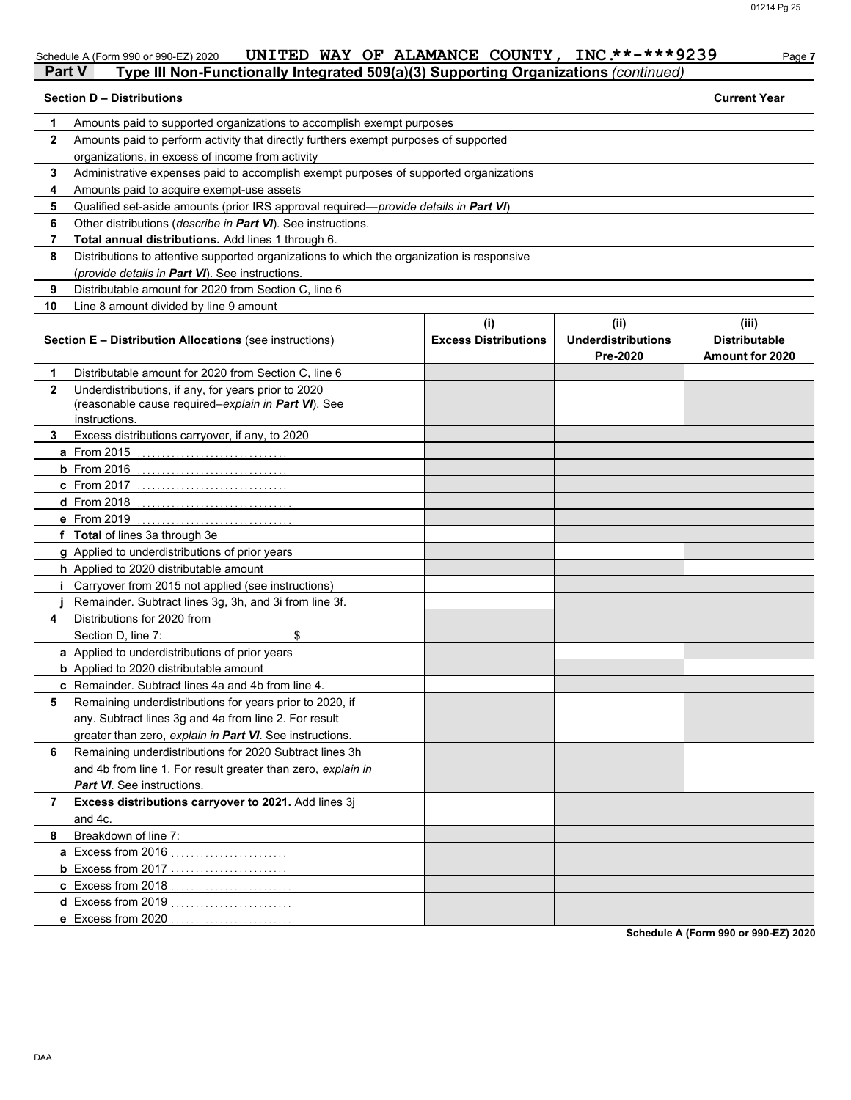|              | UNITED WAY OF ALAMANCE COUNTY,<br>Schedule A (Form 990 or 990-EZ) 2020<br>Type III Non-Functionally Integrated 509(a)(3) Supporting Organizations (continued)<br><b>Part V</b> |                                    | $INC.**-***9239$                       | Page 7                                           |
|--------------|--------------------------------------------------------------------------------------------------------------------------------------------------------------------------------|------------------------------------|----------------------------------------|--------------------------------------------------|
|              | <b>Section D - Distributions</b>                                                                                                                                               |                                    |                                        | <b>Current Year</b>                              |
|              | Amounts paid to supported organizations to accomplish exempt purposes                                                                                                          |                                    |                                        |                                                  |
|              | Amounts paid to perform activity that directly furthers exempt purposes of supported                                                                                           |                                    |                                        |                                                  |
|              | organizations, in excess of income from activity                                                                                                                               |                                    |                                        |                                                  |
|              | Administrative expenses paid to accomplish exempt purposes of supported organizations                                                                                          |                                    |                                        |                                                  |
|              | Amounts paid to acquire exempt-use assets                                                                                                                                      |                                    |                                        |                                                  |
|              | Qualified set-aside amounts (prior IRS approval required— <i>provide details in <b>Part VI</b></i> )                                                                           |                                    |                                        |                                                  |
|              | Other distributions (describe in Part VI). See instructions.                                                                                                                   |                                    |                                        |                                                  |
|              | Total annual distributions. Add lines 1 through 6.                                                                                                                             |                                    |                                        |                                                  |
| 8            | Distributions to attentive supported organizations to which the organization is responsive                                                                                     |                                    |                                        |                                                  |
|              | (provide details in Part VI). See instructions.                                                                                                                                |                                    |                                        |                                                  |
|              | Distributable amount for 2020 from Section C, line 6                                                                                                                           |                                    |                                        |                                                  |
| 10           | Line 8 amount divided by line 9 amount                                                                                                                                         |                                    |                                        |                                                  |
|              | <b>Section E - Distribution Allocations (see instructions)</b>                                                                                                                 | (i)<br><b>Excess Distributions</b> | (ii)<br>Underdistributions<br>Pre-2020 | (iii)<br><b>Distributable</b><br>Amount for 2020 |
|              | Distributable amount for 2020 from Section C, line 6                                                                                                                           |                                    |                                        |                                                  |
| $\mathbf{2}$ | Underdistributions, if any, for years prior to 2020<br>(reasonable cause required–explain in Part VI). See<br>instructions.                                                    |                                    |                                        |                                                  |

**8**

and 4c.

**7 Excess distributions carryover to 2021.** Add lines 3j

**a** Excess from 2016 . . . . . . . . . . . . . . . . . . . . . . . . **b** Excess from 2017 . . . . . . . . . . . . . . . . . . . . . . . . **c** Excess from 2018 . . . . . . . . . . . . . . . . . . . . . . . . . **d** Excess from 2019 . . . . . . . . . . . . . . . . . . . . . . . . . **e** Excess from 2020 . . . . . . . . . . . . . . . . . . . . . . . . .

**6** Remaining underdistributions for 2020 Subtract lines 3h

and 4b from line 1. For result greater than zero, *explain in*

**5** Remaining underdistributions for years prior to 2020, if

any. Subtract lines 3g and 4a from line 2. For result greater than zero, *explain in Part VI*. See instructions.

**c** Remainder. Subtract lines 4a and 4b from line 4.

**3** Excess distributions carryover, if any, to 2020

**a** From 2015 . . . . . . . . . . . . . . . . . . . . . . . . . . . . . . . **b** From 2016 . . . . . . . . . . . . . . . . . . . . . . . . . . . . . . . **c** From 2017 . . . . . . . . . . . . . . . . . . . . . . . . . . . . . . . **d** From 2018 . . . . . . . . . . . . . . . . . . . . . . . . . . . . . . . . **e** From 2019 . . . . . . . . . . . . . . . . . . . . . . . . . . . . . . . .

**g** Applied to underdistributions of prior years **h** Applied to 2020 distributable amount

**a** Applied to underdistributions of prior years **b** Applied to 2020 distributable amount

Section D, line 7: \$

**i** Carryover from 2015 not applied (see instructions) **j** Remainder. Subtract lines 3g, 3h, and 3i from line 3f.

**4** Distributions for 2020 from

*Part VI*. See instructions.

Breakdown of line 7:

**f Total** of lines 3a through 3e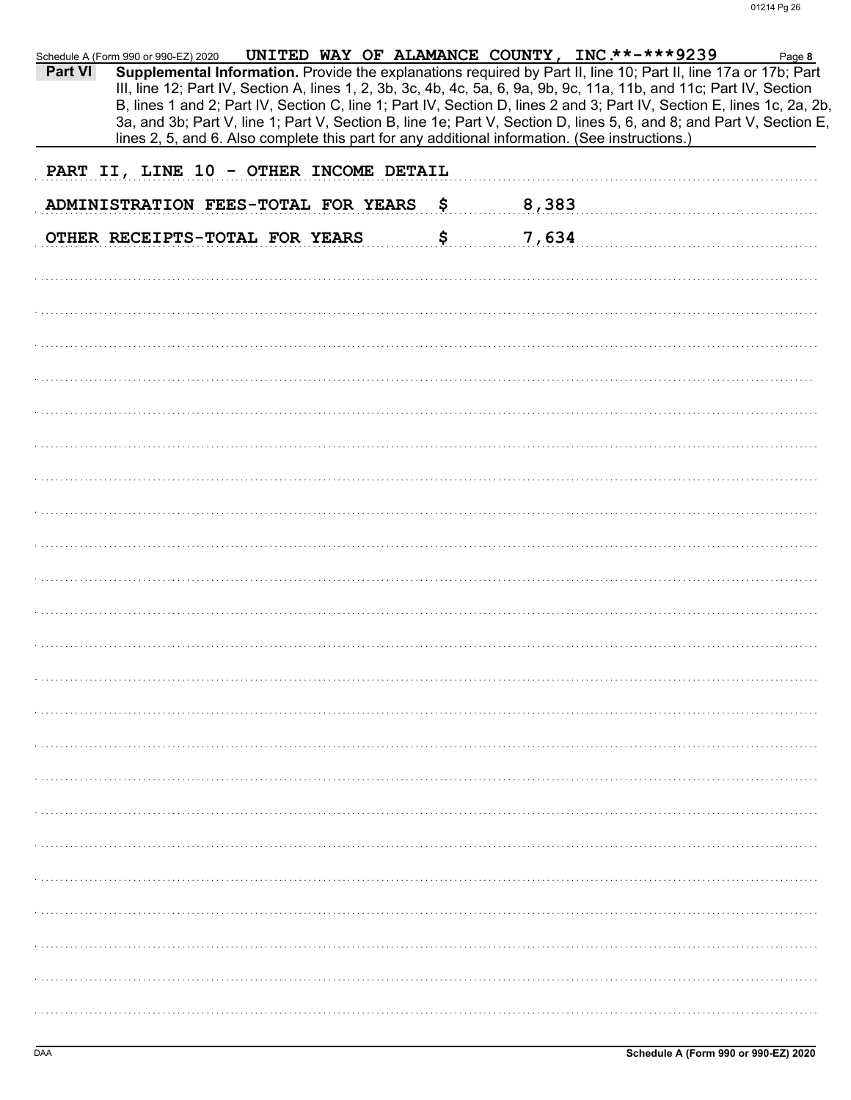| <b>Part VI</b> | UNITED WAY OF ALAMANCE COUNTY, INC **-***9239<br>Schedule A (Form 990 or 990-EZ) 2020<br>Supplemental Information. Provide the explanations required by Part II, line 10; Part II, line 17a or 17b; Part<br>III, line 12; Part IV, Section A, lines 1, 2, 3b, 3c, 4b, 4c, 5a, 6, 9a, 9b, 9c, 11a, 11b, and 11c; Part IV, Section<br>B, lines 1 and 2; Part IV, Section C, line 1; Part IV, Section D, lines 2 and 3; Part IV, Section E, lines 1c, 2a, 2b,<br>3a, and 3b; Part V, line 1; Part V, Section B, line 1e; Part V, Section D, lines 5, 6, and 8; and Part V, Section E, |    |       | Page 8 |
|----------------|------------------------------------------------------------------------------------------------------------------------------------------------------------------------------------------------------------------------------------------------------------------------------------------------------------------------------------------------------------------------------------------------------------------------------------------------------------------------------------------------------------------------------------------------------------------------------------|----|-------|--------|
|                | lines 2, 5, and 6. Also complete this part for any additional information. (See instructions.)<br>PART II, LINE 10 - OTHER INCOME DETAIL                                                                                                                                                                                                                                                                                                                                                                                                                                           |    |       |        |
|                |                                                                                                                                                                                                                                                                                                                                                                                                                                                                                                                                                                                    |    |       |        |
|                | ADMINISTRATION FEES-TOTAL FOR YEARS                                                                                                                                                                                                                                                                                                                                                                                                                                                                                                                                                | -Ş | 8,383 |        |
|                | OTHER RECEIPTS-TOTAL FOR YEARS                                                                                                                                                                                                                                                                                                                                                                                                                                                                                                                                                     | \$ | 7,634 |        |
|                |                                                                                                                                                                                                                                                                                                                                                                                                                                                                                                                                                                                    |    |       |        |
|                |                                                                                                                                                                                                                                                                                                                                                                                                                                                                                                                                                                                    |    |       |        |
|                |                                                                                                                                                                                                                                                                                                                                                                                                                                                                                                                                                                                    |    |       |        |
|                |                                                                                                                                                                                                                                                                                                                                                                                                                                                                                                                                                                                    |    |       |        |
|                |                                                                                                                                                                                                                                                                                                                                                                                                                                                                                                                                                                                    |    |       |        |
|                |                                                                                                                                                                                                                                                                                                                                                                                                                                                                                                                                                                                    |    |       |        |
|                |                                                                                                                                                                                                                                                                                                                                                                                                                                                                                                                                                                                    |    |       |        |
|                |                                                                                                                                                                                                                                                                                                                                                                                                                                                                                                                                                                                    |    |       |        |
|                |                                                                                                                                                                                                                                                                                                                                                                                                                                                                                                                                                                                    |    |       |        |
|                |                                                                                                                                                                                                                                                                                                                                                                                                                                                                                                                                                                                    |    |       |        |
|                |                                                                                                                                                                                                                                                                                                                                                                                                                                                                                                                                                                                    |    |       |        |
|                |                                                                                                                                                                                                                                                                                                                                                                                                                                                                                                                                                                                    |    |       |        |
|                |                                                                                                                                                                                                                                                                                                                                                                                                                                                                                                                                                                                    |    |       |        |
|                |                                                                                                                                                                                                                                                                                                                                                                                                                                                                                                                                                                                    |    |       |        |
|                |                                                                                                                                                                                                                                                                                                                                                                                                                                                                                                                                                                                    |    |       |        |
|                |                                                                                                                                                                                                                                                                                                                                                                                                                                                                                                                                                                                    |    |       |        |
|                |                                                                                                                                                                                                                                                                                                                                                                                                                                                                                                                                                                                    |    |       |        |
|                |                                                                                                                                                                                                                                                                                                                                                                                                                                                                                                                                                                                    |    |       |        |
|                |                                                                                                                                                                                                                                                                                                                                                                                                                                                                                                                                                                                    |    |       |        |
|                |                                                                                                                                                                                                                                                                                                                                                                                                                                                                                                                                                                                    |    |       |        |
|                |                                                                                                                                                                                                                                                                                                                                                                                                                                                                                                                                                                                    |    |       |        |
|                |                                                                                                                                                                                                                                                                                                                                                                                                                                                                                                                                                                                    |    |       |        |
|                |                                                                                                                                                                                                                                                                                                                                                                                                                                                                                                                                                                                    |    |       |        |
|                |                                                                                                                                                                                                                                                                                                                                                                                                                                                                                                                                                                                    |    |       |        |
|                |                                                                                                                                                                                                                                                                                                                                                                                                                                                                                                                                                                                    |    |       |        |
|                |                                                                                                                                                                                                                                                                                                                                                                                                                                                                                                                                                                                    |    |       |        |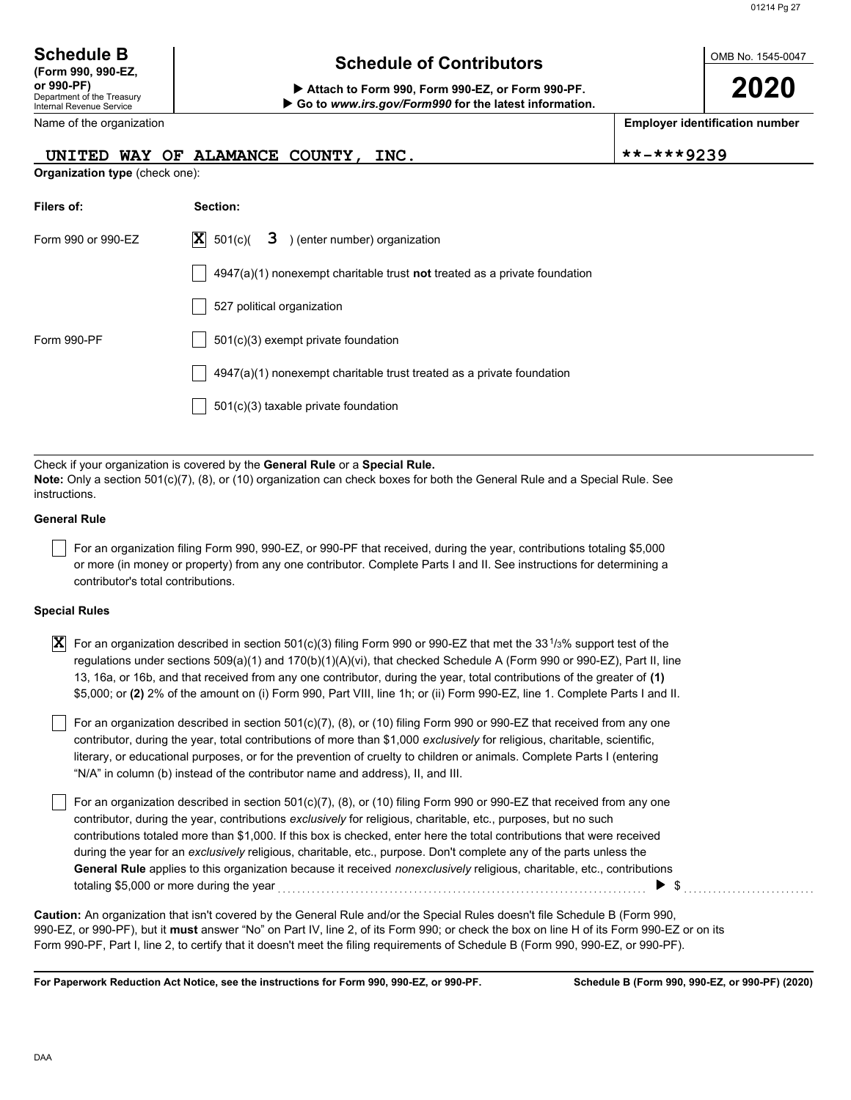| <b>Schedule B</b>  |
|--------------------|
| (Form 990, 990-EZ, |
| or 990-PF)         |

Department of the Treasury Internal Revenue Service

## **Schedule of Contributors**

**or 990-PF) Attach to Form 990, Form 990-EZ, or Form 990-PF. Go to** *www.irs.gov/Form990* **for the latest information.** OMB No. 1545-0047

**2020**

**Employer identification number**

| Name of the organization |  |
|--------------------------|--|
|--------------------------|--|

#### UNITED WAY OF ALAMANCE COUNTY, INC.  $\vert$ \*\*-\*\*\*9239

**Organization type** (check one):

| Filers of:         | Section:                                                                           |
|--------------------|------------------------------------------------------------------------------------|
| Form 990 or 990-EZ | $ \mathbf{X} $ 501(c)( <b>3</b> ) (enter number) organization                      |
|                    | $4947(a)(1)$ nonexempt charitable trust <b>not</b> treated as a private foundation |
|                    | 527 political organization                                                         |
| Form 990-PF        | $501(c)(3)$ exempt private foundation                                              |
|                    | $4947(a)(1)$ nonexempt charitable trust treated as a private foundation            |
|                    | $501(c)(3)$ taxable private foundation                                             |

Check if your organization is covered by the **General Rule** or a **Special Rule. Note:** Only a section 501(c)(7), (8), or (10) organization can check boxes for both the General Rule and a Special Rule. See instructions.

#### **General Rule**

For an organization filing Form 990, 990-EZ, or 990-PF that received, during the year, contributions totaling \$5,000 or more (in money or property) from any one contributor. Complete Parts I and II. See instructions for determining a contributor's total contributions.

#### **Special Rules**

| <b>X</b> For an organization described in section 501(c)(3) filing Form 990 or 990-EZ that met the 33 <sup>1</sup> /3% support test of the |
|--------------------------------------------------------------------------------------------------------------------------------------------|
| regulations under sections 509(a)(1) and 170(b)(1)(A)(vi), that checked Schedule A (Form 990 or 990-EZ), Part II, line                     |
| 13, 16a, or 16b, and that received from any one contributor, during the year, total contributions of the greater of (1)                    |
| \$5,000; or (2) 2% of the amount on (i) Form 990, Part VIII, line 1h; or (ii) Form 990-EZ, line 1. Complete Parts I and II.                |

literary, or educational purposes, or for the prevention of cruelty to children or animals. Complete Parts I (entering For an organization described in section 501(c)(7), (8), or (10) filing Form 990 or 990-EZ that received from any one contributor, during the year, total contributions of more than \$1,000 *exclusively* for religious, charitable, scientific, "N/A" in column (b) instead of the contributor name and address), II, and III.

For an organization described in section 501(c)(7), (8), or (10) filing Form 990 or 990-EZ that received from any one contributor, during the year, contributions *exclusively* for religious, charitable, etc., purposes, but no such contributions totaled more than \$1,000. If this box is checked, enter here the total contributions that were received during the year for an *exclusively* religious, charitable, etc., purpose. Don't complete any of the parts unless the **General Rule** applies to this organization because it received *nonexclusively* religious, charitable, etc., contributions totaling \$5,000 or more during the year . . . . . . . . . . . . . . . . . . . . . . . . . . . . . . . . . . . . . . . . . . . . . . . . . . . . . . . . . . . . . . . . . . . . . . . . . . . . \$ . . . . . . . . . . . . . . . . . . . . . . . . . . .

990-EZ, or 990-PF), but it **must** answer "No" on Part IV, line 2, of its Form 990; or check the box on line H of its Form 990-EZ or on its Form 990-PF, Part I, line 2, to certify that it doesn't meet the filing requirements of Schedule B (Form 990, 990-EZ, or 990-PF). **Caution:** An organization that isn't covered by the General Rule and/or the Special Rules doesn't file Schedule B (Form 990,

**For Paperwork Reduction Act Notice, see the instructions for Form 990, 990-EZ, or 990-PF.**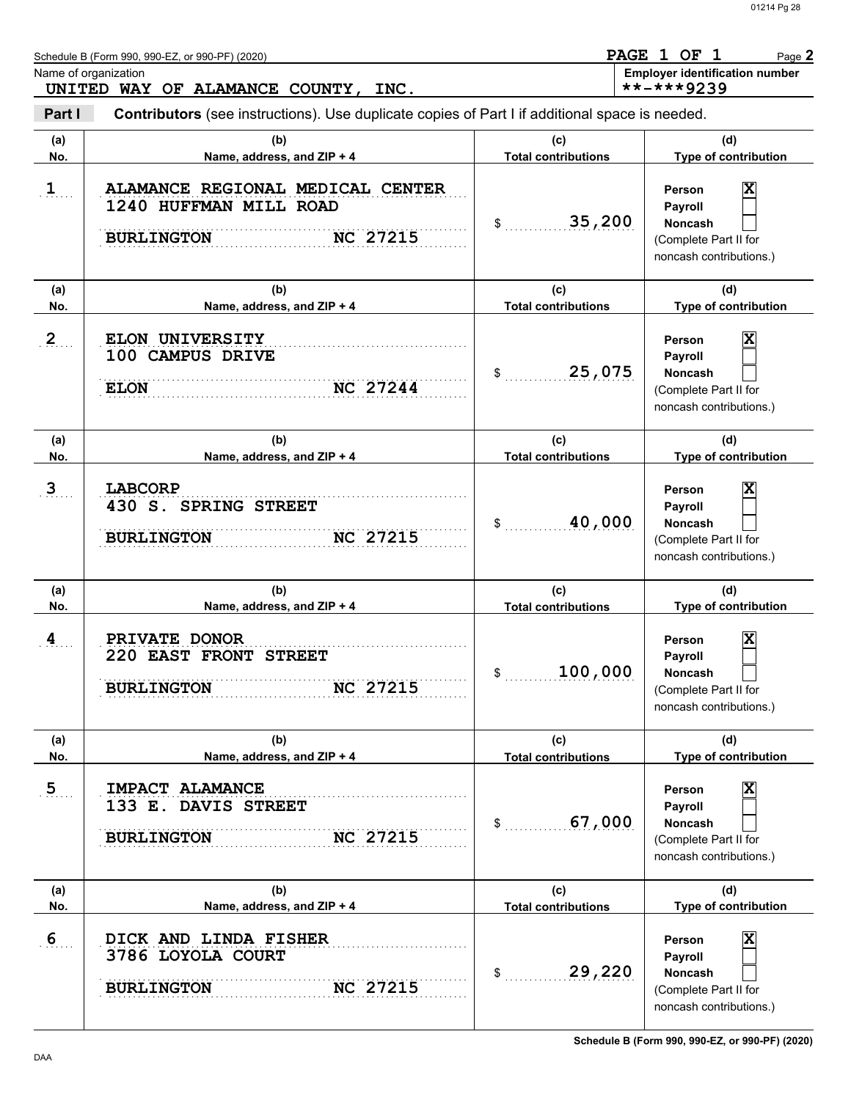Page **2**

Schedule B (Form 990, 990-EZ, or 990-PF) (2020)

Name of organization **Employer identification number Employer identification number UNITED WAY OF ALAMANCE COUNTY, INC. PAGE 1 OF 1 \*\*-\*\*\*9239**

**Part I Contributors** (see instructions). Use duplicate copies of Part I if additional space is needed.

| (a)<br>No.     | (b)<br>Name, address, and ZIP + 4                                                                  | (c)<br><b>Total contributions</b> | (d)<br>Type of contribution                                                                                        |
|----------------|----------------------------------------------------------------------------------------------------|-----------------------------------|--------------------------------------------------------------------------------------------------------------------|
| $\mathbf{1}$   | ALAMANCE REGIONAL MEDICAL CENTER<br>1240 HUFFMAN MILL ROAD<br><b>NC 27215</b><br><b>BURLINGTON</b> | 35,200<br>$\sim$                  | X<br>Person<br>Payroll<br><b>Noncash</b><br>(Complete Part II for<br>noncash contributions.)                       |
| (a)<br>No.     | (b)<br>Name, address, and ZIP + 4                                                                  | (c)<br><b>Total contributions</b> | (d)<br>Type of contribution                                                                                        |
| $\overline{2}$ | ELON UNIVERSITY<br>100 CAMPUS DRIVE<br><b>NC 27244</b><br><b>ELON</b>                              | 25,075<br>\$                      | $\overline{\mathbf{x}}$<br>Person<br>Payroll<br><b>Noncash</b><br>(Complete Part II for<br>noncash contributions.) |
| (a)<br>No.     | (b)<br>Name, address, and ZIP + 4                                                                  | (c)<br><b>Total contributions</b> | (d)<br>Type of contribution                                                                                        |
| $\mathbf{3}$   | <b>LABCORP</b><br>430 S. SPRING STREET<br><b>NC 27215</b><br><b>BURLINGTON</b>                     | 40,000<br>\$                      | $\overline{\textbf{x}}$<br>Person<br>Payroll<br><b>Noncash</b><br>(Complete Part II for<br>noncash contributions.) |
| (a)<br>No.     | (b)<br>Name, address, and ZIP + 4                                                                  | (c)<br><b>Total contributions</b> | (d)<br>Type of contribution                                                                                        |
|                |                                                                                                    |                                   | $\overline{\textbf{x}}$<br>Person                                                                                  |
| 4              | PRIVATE DONOR<br>220 EAST FRONT STREET<br><b>NC 27215</b><br><b>BURLINGTON</b>                     | 100,000<br>\$                     | Payroll<br><b>Noncash</b><br>(Complete Part II for<br>noncash contributions.)                                      |
| (a)<br>No.     | (b)<br>Name, address, and ZIP + 4                                                                  | (c)<br><b>Total contributions</b> | (d)<br>Type of contribution                                                                                        |
| $\overline{5}$ | IMPACT ALAMANCE<br>133 E. DAVIS STREET<br><b>NC 27215</b><br><b>BURLINGTON</b>                     | 67,000<br>\$                      | $\overline{\mathbf{x}}$<br>Person<br>Payroll<br>Noncash<br>(Complete Part II for<br>noncash contributions.)        |
| (a)<br>No.     | (b)<br>Name, address, and ZIP + 4                                                                  | (c)<br><b>Total contributions</b> | (d)<br>Type of contribution                                                                                        |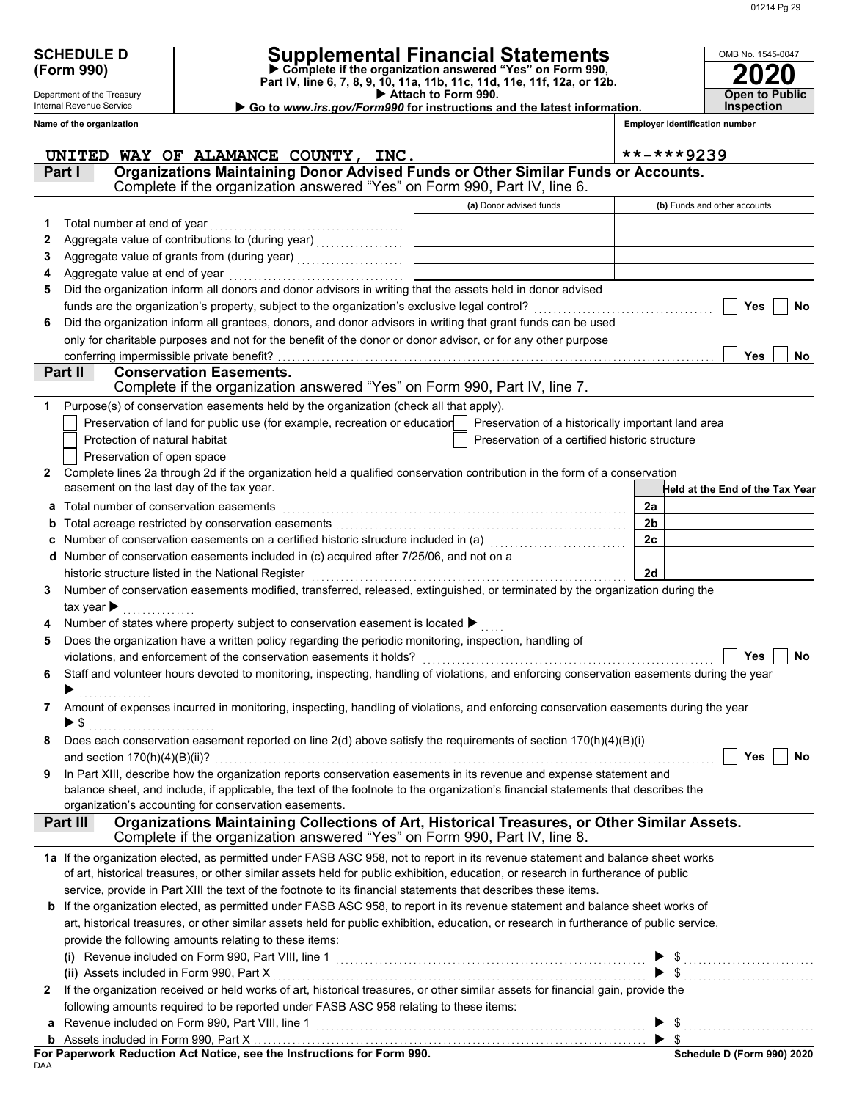| <b>SCHEDULE D</b> |  |
|-------------------|--|
| (Form 990)        |  |

Department of the Treasury Internal Revenue Service **Name of the organization**

## **SCHEDULE D Supplemental Financial Statements**

 **Attach to Form 990. (Form 990) Part IV, line 6, 7, 8, 9, 10, 11a, 11b, 11c, 11d, 11e, 11f, 12a, or 12b. Complete if the organization answered "Yes" on Form 990,**

▶ Go to *www.irs.gov/Form990* for instructions and the latest information.

| OMB No. 1545-0047                  |
|------------------------------------|
| 2020                               |
| <b>Open to Public</b><br>nspection |

**Employer identification number**

|              | UNITED WAY OF ALAMANCE COUNTY, INC.                                                                                                                                                                                            |                                                    | **-***9239                      |
|--------------|--------------------------------------------------------------------------------------------------------------------------------------------------------------------------------------------------------------------------------|----------------------------------------------------|---------------------------------|
|              | Organizations Maintaining Donor Advised Funds or Other Similar Funds or Accounts.<br>Part I                                                                                                                                    |                                                    |                                 |
|              | Complete if the organization answered "Yes" on Form 990, Part IV, line 6.                                                                                                                                                      |                                                    |                                 |
|              |                                                                                                                                                                                                                                | (a) Donor advised funds                            | (b) Funds and other accounts    |
| 1            | Total number at end of year                                                                                                                                                                                                    |                                                    |                                 |
| 2            | Aggregate value of contributions to (during year) [11] Aggregate value of contributions of the state of the state of the state of the state of the state of the state of the state of the state of the state of the state of t |                                                    |                                 |
| 3            |                                                                                                                                                                                                                                |                                                    |                                 |
|              | Aggregate value at end of year                                                                                                                                                                                                 |                                                    |                                 |
| 5            | Did the organization inform all donors and donor advisors in writing that the assets held in donor advised                                                                                                                     |                                                    |                                 |
|              | funds are the organization's property, subject to the organization's exclusive legal control?                                                                                                                                  |                                                    | Yes<br><b>No</b>                |
| 6            | Did the organization inform all grantees, donors, and donor advisors in writing that grant funds can be used                                                                                                                   |                                                    |                                 |
|              | only for charitable purposes and not for the benefit of the donor or donor advisor, or for any other purpose                                                                                                                   |                                                    |                                 |
|              | conferring impermissible private benefit?                                                                                                                                                                                      |                                                    | Yes<br>No                       |
|              | Part II<br><b>Conservation Easements.</b><br>Complete if the organization answered "Yes" on Form 990, Part IV, line 7.                                                                                                         |                                                    |                                 |
| 1            | Purpose(s) of conservation easements held by the organization (check all that apply).                                                                                                                                          |                                                    |                                 |
|              | Preservation of land for public use (for example, recreation or education                                                                                                                                                      | Preservation of a historically important land area |                                 |
|              | Protection of natural habitat                                                                                                                                                                                                  | Preservation of a certified historic structure     |                                 |
|              | Preservation of open space                                                                                                                                                                                                     |                                                    |                                 |
| $\mathbf{2}$ | Complete lines 2a through 2d if the organization held a qualified conservation contribution in the form of a conservation                                                                                                      |                                                    |                                 |
|              | easement on the last day of the tax year.                                                                                                                                                                                      |                                                    | Held at the End of the Tax Year |
| а            | Total number of conservation easements                                                                                                                                                                                         |                                                    | 2a                              |
| b            | Total acreage restricted by conservation easements                                                                                                                                                                             |                                                    | 2 <sub>b</sub>                  |
| c            | Number of conservation easements on a certified historic structure included in (a) [11] Number of conservation                                                                                                                 |                                                    | 2c                              |
| d            | Number of conservation easements included in (c) acquired after 7/25/06, and not on a                                                                                                                                          |                                                    |                                 |
|              | historic structure listed in the National Register                                                                                                                                                                             |                                                    | 2d                              |
| 3            | Number of conservation easements modified, transferred, released, extinguished, or terminated by the organization during the                                                                                                   |                                                    |                                 |
|              | tax year $\blacktriangleright$                                                                                                                                                                                                 |                                                    |                                 |
|              | Number of states where property subject to conservation easement is located ▶                                                                                                                                                  |                                                    |                                 |
| 5            | Does the organization have a written policy regarding the periodic monitoring, inspection, handling of                                                                                                                         |                                                    |                                 |
|              | violations, and enforcement of the conservation easements it holds?                                                                                                                                                            |                                                    | Yes<br>No                       |
| 6            | Staff and volunteer hours devoted to monitoring, inspecting, handling of violations, and enforcing conservation easements during the year                                                                                      |                                                    |                                 |
|              |                                                                                                                                                                                                                                |                                                    |                                 |
| 7            | Amount of expenses incurred in monitoring, inspecting, handling of violations, and enforcing conservation easements during the year                                                                                            |                                                    |                                 |
|              | ▶ \$                                                                                                                                                                                                                           |                                                    |                                 |
|              | Does each conservation easement reported on line $2(d)$ above satisfy the requirements of section $170(h)(4)(B)(i)$<br>and section $170(h)(4)(B)(ii)?$                                                                         |                                                    | Yes<br>No                       |
|              | In Part XIII, describe how the organization reports conservation easements in its revenue and expense statement and                                                                                                            |                                                    |                                 |
|              | balance sheet, and include, if applicable, the text of the footnote to the organization's financial statements that describes the                                                                                              |                                                    |                                 |
|              | organization's accounting for conservation easements.                                                                                                                                                                          |                                                    |                                 |
|              | Organizations Maintaining Collections of Art, Historical Treasures, or Other Similar Assets.<br>Part III                                                                                                                       |                                                    |                                 |
|              | Complete if the organization answered "Yes" on Form 990, Part IV, line 8.                                                                                                                                                      |                                                    |                                 |
|              | 1a If the organization elected, as permitted under FASB ASC 958, not to report in its revenue statement and balance sheet works                                                                                                |                                                    |                                 |
|              | of art, historical treasures, or other similar assets held for public exhibition, education, or research in furtherance of public                                                                                              |                                                    |                                 |
|              | service, provide in Part XIII the text of the footnote to its financial statements that describes these items.                                                                                                                 |                                                    |                                 |
| b            | If the organization elected, as permitted under FASB ASC 958, to report in its revenue statement and balance sheet works of                                                                                                    |                                                    |                                 |
|              | art, historical treasures, or other similar assets held for public exhibition, education, or research in furtherance of public service,                                                                                        |                                                    |                                 |
|              | provide the following amounts relating to these items:                                                                                                                                                                         |                                                    |                                 |
|              |                                                                                                                                                                                                                                |                                                    | $\triangleright$ \$             |
|              | (ii) Assets included in Form 990, Part X                                                                                                                                                                                       |                                                    | $\blacktriangleright$ \$        |
| $\mathbf{2}$ | If the organization received or held works of art, historical treasures, or other similar assets for financial gain, provide the                                                                                               |                                                    |                                 |
|              | following amounts required to be reported under FASB ASC 958 relating to these items:                                                                                                                                          |                                                    |                                 |
|              |                                                                                                                                                                                                                                |                                                    | $\blacktriangleright$ \$        |
|              |                                                                                                                                                                                                                                |                                                    |                                 |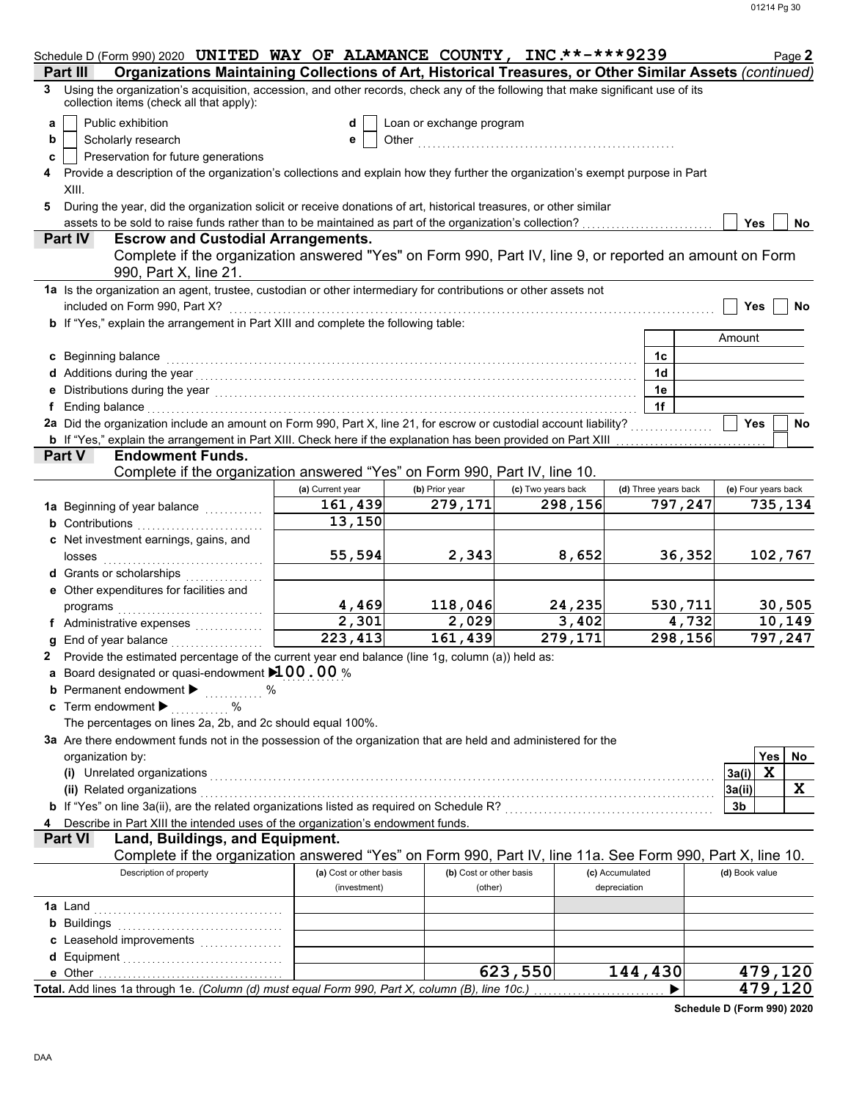|                                                               | Schedule D (Form 990) 2020 UNITED WAY OF ALAMANCE COUNTY, INC **-*** 9239                                                                                                                                                                  |                                         |                                    |                    |                                 |         |                      | Page 2                 |
|---------------------------------------------------------------|--------------------------------------------------------------------------------------------------------------------------------------------------------------------------------------------------------------------------------------------|-----------------------------------------|------------------------------------|--------------------|---------------------------------|---------|----------------------|------------------------|
| Part II<br>3                                                  | Organizations Maintaining Collections of Art, Historical Treasures, or Other Similar Assets (continued)<br>Using the organization's acquisition, accession, and other records, check any of the following that make significant use of its |                                         |                                    |                    |                                 |         |                      |                        |
|                                                               | collection items (check all that apply):                                                                                                                                                                                                   |                                         |                                    |                    |                                 |         |                      |                        |
| Public exhibition<br>a                                        |                                                                                                                                                                                                                                            | d                                       | Loan or exchange program           |                    |                                 |         |                      |                        |
| Scholarly research<br>b                                       |                                                                                                                                                                                                                                            | е                                       | Other                              |                    |                                 |         |                      |                        |
| c                                                             | Preservation for future generations                                                                                                                                                                                                        |                                         |                                    |                    |                                 |         |                      |                        |
| 4                                                             | Provide a description of the organization's collections and explain how they further the organization's exempt purpose in Part                                                                                                             |                                         |                                    |                    |                                 |         |                      |                        |
| XIII.<br>5                                                    | During the year, did the organization solicit or receive donations of art, historical treasures, or other similar                                                                                                                          |                                         |                                    |                    |                                 |         |                      |                        |
|                                                               | assets to be sold to raise funds rather than to be maintained as part of the organization's collection?                                                                                                                                    |                                         |                                    |                    |                                 |         | Yes                  | No                     |
| Part IV                                                       | <b>Escrow and Custodial Arrangements.</b>                                                                                                                                                                                                  |                                         |                                    |                    |                                 |         |                      |                        |
|                                                               | Complete if the organization answered "Yes" on Form 990, Part IV, line 9, or reported an amount on Form                                                                                                                                    |                                         |                                    |                    |                                 |         |                      |                        |
|                                                               | 990, Part X, line 21.                                                                                                                                                                                                                      |                                         |                                    |                    |                                 |         |                      |                        |
|                                                               | 1a Is the organization an agent, trustee, custodian or other intermediary for contributions or other assets not                                                                                                                            |                                         |                                    |                    |                                 |         |                      |                        |
| included on Form 990, Part X?                                 | b If "Yes," explain the arrangement in Part XIII and complete the following table:                                                                                                                                                         |                                         |                                    |                    |                                 |         | Yes                  | No                     |
|                                                               |                                                                                                                                                                                                                                            |                                         |                                    |                    |                                 |         | Amount               |                        |
| c Beginning balance                                           |                                                                                                                                                                                                                                            |                                         |                                    |                    | 1c                              |         |                      |                        |
|                                                               |                                                                                                                                                                                                                                            |                                         |                                    |                    | 1 <sub>d</sub>                  |         |                      |                        |
|                                                               | e Distributions during the year<br>interaction continuous continuous continuous during the year (1990) and the year (1990) and the US and the US and the US and the US and the US and the US and the US and the US and the US an           |                                         |                                    |                    | 1e                              |         |                      |                        |
| f Ending balance                                              |                                                                                                                                                                                                                                            |                                         |                                    |                    | 1f                              |         |                      |                        |
|                                                               | 2a Did the organization include an amount on Form 990, Part X, line 21, for escrow or custodial account liability?                                                                                                                         |                                         |                                    |                    |                                 |         | <b>Yes</b>           | <b>No</b>              |
|                                                               | <b>b</b> If "Yes," explain the arrangement in Part XIII. Check here if the explanation has been provided on Part XIII                                                                                                                      |                                         |                                    |                    |                                 |         |                      |                        |
| Part V                                                        | <b>Endowment Funds.</b>                                                                                                                                                                                                                    |                                         |                                    |                    |                                 |         |                      |                        |
|                                                               | Complete if the organization answered "Yes" on Form 990, Part IV, line 10.                                                                                                                                                                 | (a) Current year                        |                                    | (c) Two years back |                                 |         |                      |                        |
|                                                               |                                                                                                                                                                                                                                            | 161,439                                 | (b) Prior year<br>279,171          | 298,156            | (d) Three years back            | 797,247 | (e) Four years back  | 735,134                |
| <b>b</b> Contributions                                        | 1a Beginning of year balance <i>manusure</i>                                                                                                                                                                                               | 13,150                                  |                                    |                    |                                 |         |                      |                        |
|                                                               | c Net investment earnings, gains, and                                                                                                                                                                                                      |                                         |                                    |                    |                                 |         |                      |                        |
| losses                                                        |                                                                                                                                                                                                                                            | 55,594                                  | 2,343                              | 8,652              |                                 | 36,352  |                      | 102,767                |
| Grants or scholarships                                        | .                                                                                                                                                                                                                                          |                                         |                                    |                    |                                 |         |                      |                        |
| e Other expenditures for facilities and                       |                                                                                                                                                                                                                                            |                                         |                                    |                    |                                 |         |                      |                        |
| programs                                                      |                                                                                                                                                                                                                                            | 4,469                                   | 118,046                            | 24,235             |                                 | 530,711 |                      | 30,505                 |
|                                                               | f Administrative expenses                                                                                                                                                                                                                  | 2,301                                   | 2,029                              | 3,402              |                                 | 4,732   |                      | 10,149                 |
|                                                               | End of year balance                                                                                                                                                                                                                        | 223, 413                                | 161,439                            | 279,171            |                                 | 298,156 |                      | 797,247                |
| 2.                                                            | Provide the estimated percentage of the current year end balance (line 1g, column (a)) held as:                                                                                                                                            |                                         |                                    |                    |                                 |         |                      |                        |
|                                                               | a Board designated or quasi-endowment 100.00 %                                                                                                                                                                                             |                                         |                                    |                    |                                 |         |                      |                        |
| Permanent endowment ▶<br>Term endowment $\blacktriangleright$ | . %<br>℅                                                                                                                                                                                                                                   |                                         |                                    |                    |                                 |         |                      |                        |
|                                                               | The percentages on lines 2a, 2b, and 2c should equal 100%.                                                                                                                                                                                 |                                         |                                    |                    |                                 |         |                      |                        |
|                                                               | 3a Are there endowment funds not in the possession of the organization that are held and administered for the                                                                                                                              |                                         |                                    |                    |                                 |         |                      |                        |
| organization by:                                              |                                                                                                                                                                                                                                            |                                         |                                    |                    |                                 |         | Yes                  | No                     |
| (i) Unrelated organizations                                   |                                                                                                                                                                                                                                            |                                         |                                    |                    |                                 |         | $\mathbf x$<br>3a(i) |                        |
| (ii) Related organizations                                    |                                                                                                                                                                                                                                            |                                         |                                    |                    |                                 |         | 3a(ii)               | X                      |
|                                                               | b If "Yes" on line 3a(ii), are the related organizations listed as required on Schedule R? [[[[[[[[[[[[[[[[[[[                                                                                                                             |                                         |                                    |                    |                                 |         | 3b                   |                        |
|                                                               | Describe in Part XIII the intended uses of the organization's endowment funds.                                                                                                                                                             |                                         |                                    |                    |                                 |         |                      |                        |
| <b>Part VI</b>                                                | Land, Buildings, and Equipment.                                                                                                                                                                                                            |                                         |                                    |                    |                                 |         |                      |                        |
|                                                               | Complete if the organization answered "Yes" on Form 990, Part IV, line 11a. See Form 990, Part X, line 10.                                                                                                                                 |                                         |                                    |                    |                                 |         |                      |                        |
|                                                               | Description of property                                                                                                                                                                                                                    | (a) Cost or other basis<br>(investment) | (b) Cost or other basis<br>(other) |                    | (c) Accumulated<br>depreciation |         | (d) Book value       |                        |
| <b>1a</b> Land                                                |                                                                                                                                                                                                                                            |                                         |                                    |                    |                                 |         |                      |                        |
| <b>b</b> Buildings                                            |                                                                                                                                                                                                                                            |                                         |                                    |                    |                                 |         |                      |                        |
|                                                               | c Leasehold improvements                                                                                                                                                                                                                   |                                         |                                    |                    |                                 |         |                      |                        |
|                                                               |                                                                                                                                                                                                                                            |                                         |                                    |                    |                                 |         |                      |                        |
| e Other                                                       |                                                                                                                                                                                                                                            |                                         |                                    | 623,550            | 144,430                         |         |                      | 479, 120               |
|                                                               | Total. Add lines 1a through 1e. (Column (d) must equal Form 990, Part X, column (B), line 10c.)                                                                                                                                            |                                         |                                    |                    |                                 |         |                      | $\overline{479}$ , 120 |

**Schedule D (Form 990) 2020**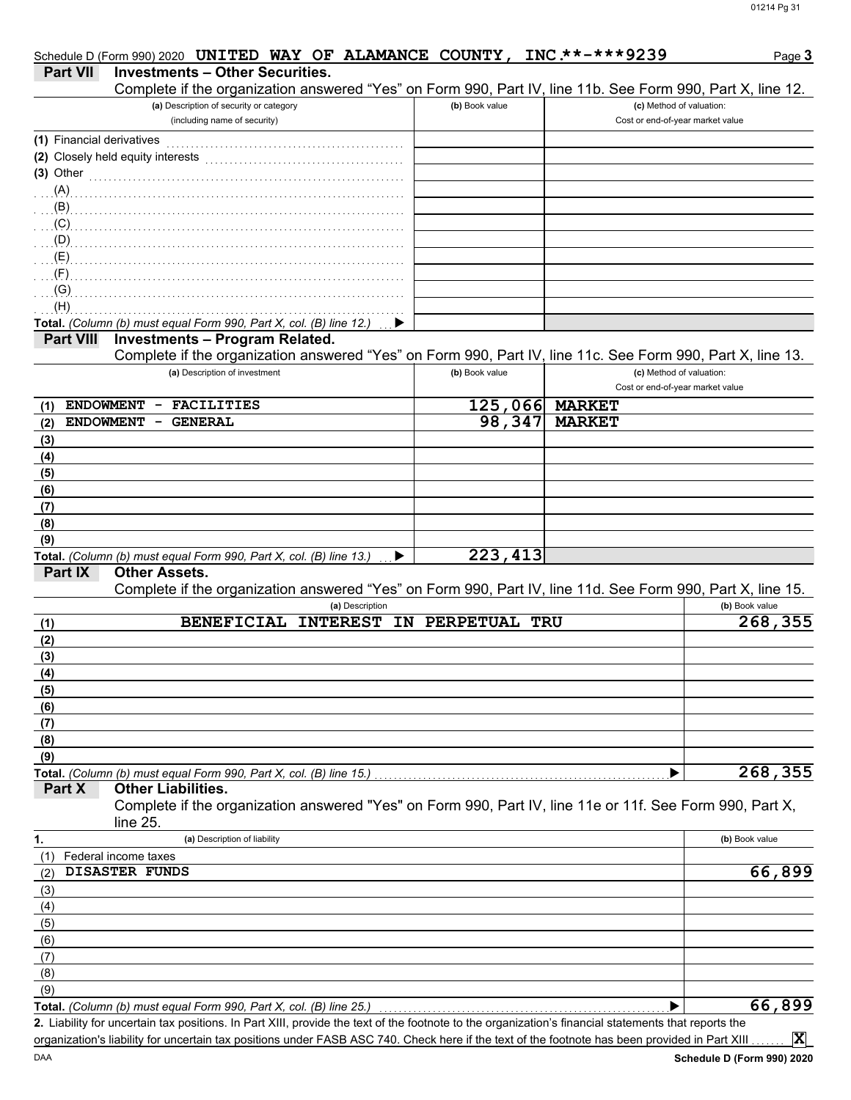|                           | Schedule D (Form 990) 2020 UNITED WAY OF ALAMANCE COUNTY,                                                                                            |                | INC **-***9239                   | Page 3         |
|---------------------------|------------------------------------------------------------------------------------------------------------------------------------------------------|----------------|----------------------------------|----------------|
| <b>Part VII</b>           | <b>Investments - Other Securities.</b>                                                                                                               |                |                                  |                |
|                           | Complete if the organization answered "Yes" on Form 990, Part IV, line 11b. See Form 990, Part X, line 12.                                           |                |                                  |                |
|                           | (a) Description of security or category                                                                                                              | (b) Book value | (c) Method of valuation:         |                |
|                           | (including name of security)                                                                                                                         |                | Cost or end-of-year market value |                |
| (1) Financial derivatives |                                                                                                                                                      |                |                                  |                |
|                           |                                                                                                                                                      |                |                                  |                |
| $(3)$ Other               |                                                                                                                                                      |                |                                  |                |
|                           |                                                                                                                                                      |                |                                  |                |
|                           |                                                                                                                                                      |                |                                  |                |
|                           |                                                                                                                                                      |                |                                  |                |
|                           |                                                                                                                                                      |                |                                  |                |
|                           |                                                                                                                                                      |                |                                  |                |
| (F)                       |                                                                                                                                                      |                |                                  |                |
| (G)<br>(H)                |                                                                                                                                                      |                |                                  |                |
|                           | Total. (Column (b) must equal Form 990, Part X, col. (B) line 12.)                                                                                   |                |                                  |                |
| <b>Part VIII</b>          | <b>Investments - Program Related.</b>                                                                                                                |                |                                  |                |
|                           | Complete if the organization answered "Yes" on Form 990, Part IV, line 11c. See Form 990, Part X, line 13.                                           |                |                                  |                |
|                           | (a) Description of investment                                                                                                                        | (b) Book value | (c) Method of valuation:         |                |
|                           |                                                                                                                                                      |                | Cost or end-of-year market value |                |
| (1)                       | ENDOWMENT - FACILITIES                                                                                                                               |                | 125,066 MARKET                   |                |
| <b>ENDOWMENT</b><br>(2)   | <b>GENERAL</b><br>-                                                                                                                                  | 98,347         | <b>MARKET</b>                    |                |
| (3)                       |                                                                                                                                                      |                |                                  |                |
| (4)                       |                                                                                                                                                      |                |                                  |                |
| (5)                       |                                                                                                                                                      |                |                                  |                |
| (6)                       |                                                                                                                                                      |                |                                  |                |
| (7)                       |                                                                                                                                                      |                |                                  |                |
| (8)                       |                                                                                                                                                      |                |                                  |                |
| (9)                       |                                                                                                                                                      |                |                                  |                |
|                           | Total. (Column (b) must equal Form 990, Part X, col. (B) line 13.)                                                                                   | 223, 413       |                                  |                |
| Part IX                   | <b>Other Assets.</b>                                                                                                                                 |                |                                  |                |
|                           | Complete if the organization answered "Yes" on Form 990, Part IV, line 11d. See Form 990, Part X, line 15.                                           |                |                                  |                |
|                           | (a) Description                                                                                                                                      |                |                                  | (b) Book value |
| (1)                       | BENEFICIAL INTEREST IN PERPETUAL TRU                                                                                                                 |                |                                  | 268,355        |
| (2)                       |                                                                                                                                                      |                |                                  |                |
| (3)                       |                                                                                                                                                      |                |                                  |                |
| (4)                       |                                                                                                                                                      |                |                                  |                |
| (5)                       |                                                                                                                                                      |                |                                  |                |
| (6)                       |                                                                                                                                                      |                |                                  |                |
| (7)                       |                                                                                                                                                      |                |                                  |                |
| (8)                       |                                                                                                                                                      |                |                                  |                |
| (9)                       |                                                                                                                                                      |                |                                  |                |
|                           | Total. (Column (b) must equal Form 990, Part X, col. (B) line 15.)                                                                                   |                |                                  | 268,355        |
| Part X                    | <b>Other Liabilities.</b>                                                                                                                            |                |                                  |                |
|                           | Complete if the organization answered "Yes" on Form 990, Part IV, line 11e or 11f. See Form 990, Part X,                                             |                |                                  |                |
|                           | line 25.                                                                                                                                             |                |                                  |                |
| 1.                        | (a) Description of liability                                                                                                                         |                |                                  | (b) Book value |
| (1)                       | Federal income taxes                                                                                                                                 |                |                                  |                |
| (2)                       | <b>DISASTER FUNDS</b>                                                                                                                                |                |                                  | 66,899         |
| (3)                       |                                                                                                                                                      |                |                                  |                |
| (4)                       |                                                                                                                                                      |                |                                  |                |
| (5)                       |                                                                                                                                                      |                |                                  |                |
| (6)                       |                                                                                                                                                      |                |                                  |                |
| (7)                       |                                                                                                                                                      |                |                                  |                |
| (8)                       |                                                                                                                                                      |                |                                  |                |
| (9)                       |                                                                                                                                                      |                |                                  |                |
|                           | Total. (Column (b) must equal Form 990, Part X, col. (B) line 25.)                                                                                   |                |                                  | 66,899         |
|                           | 2. Liability for uncertain tax positions. In Part XIII, provide the text of the footnote to the organization's financial statements that reports the |                |                                  |                |
|                           | organization's liability for uncertain tax positions under FASB ASC 740. Check here if the text of the footnote has been provided in Part XIII       |                |                                  | $ \mathbf{X} $ |

**Schedule D (Form 990) 2020**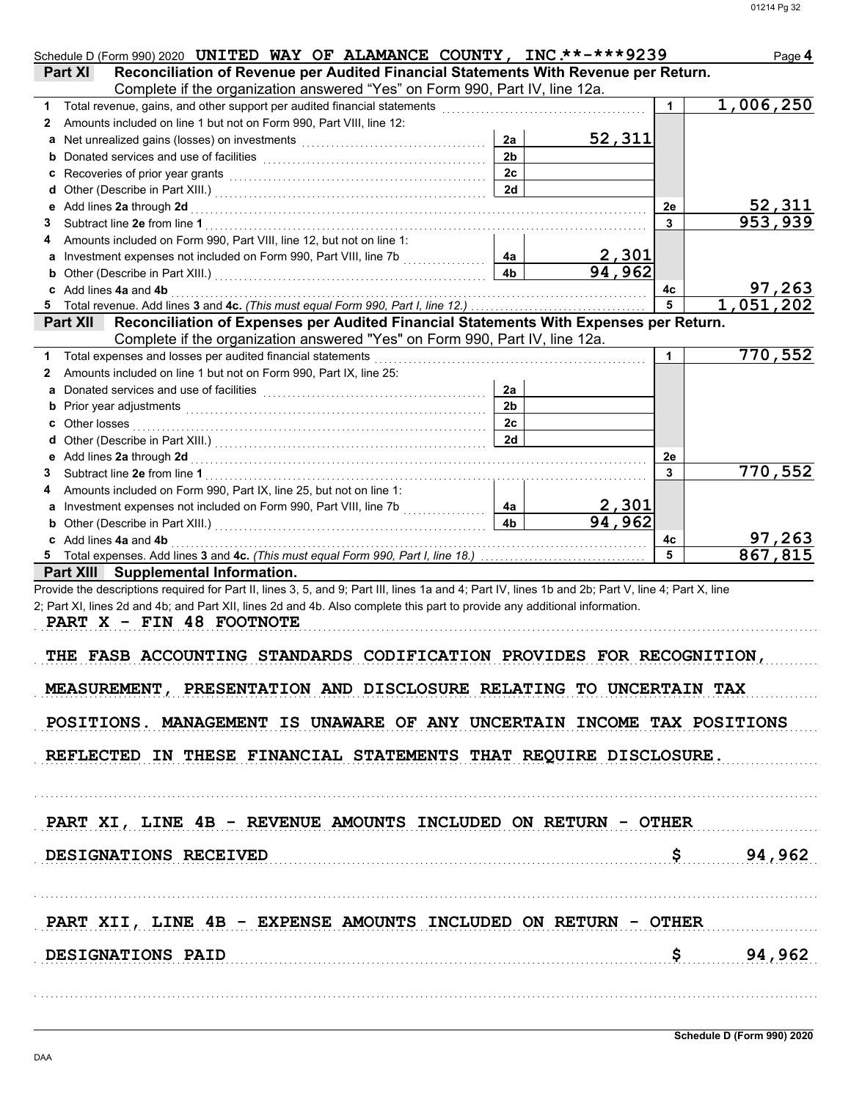| Schedule D (Form 990) 2020 UNITED WAY OF ALAMANCE COUNTY, INC.**-***9239                                                                                                                                                                 |                        |                        |                      | Page 4                     |
|------------------------------------------------------------------------------------------------------------------------------------------------------------------------------------------------------------------------------------------|------------------------|------------------------|----------------------|----------------------------|
| Reconciliation of Revenue per Audited Financial Statements With Revenue per Return.<br>Part XI<br>Complete if the organization answered "Yes" on Form 990, Part IV, line 12a.                                                            |                        |                        |                      |                            |
|                                                                                                                                                                                                                                          |                        |                        |                      | 1,006,250                  |
| Amounts included on line 1 but not on Form 990, Part VIII, line 12:<br>2                                                                                                                                                                 |                        |                        |                      |                            |
| a                                                                                                                                                                                                                                        | 2a                     | 52,311                 |                      |                            |
| <b>b</b> Donated services and use of facilities <b>constants</b> and the service of the service of the service of the service of the service of the service of the service of the service of the service of the service of the service o | 2 <sub>b</sub>         |                        |                      |                            |
|                                                                                                                                                                                                                                          | 2c                     |                        |                      |                            |
|                                                                                                                                                                                                                                          | 2d                     |                        |                      |                            |
|                                                                                                                                                                                                                                          |                        |                        | 2e                   |                            |
| 3                                                                                                                                                                                                                                        |                        |                        | 3                    | <u>52,311</u><br>953,939   |
| Amounts included on Form 990, Part VIII, line 12, but not on line 1:<br>4                                                                                                                                                                |                        |                        |                      |                            |
| <b>a</b> Investment expenses not included on Form 990, Part VIII, line 7b [ <i>[Mexerement</i> ]] <b>4a</b>                                                                                                                              |                        | <u>2,301</u>           |                      |                            |
|                                                                                                                                                                                                                                          | 4 <sub>b</sub>         | 94,962                 |                      |                            |
| c Add lines 4a and 4b <b>contract and 4b</b> and 4b and 4b and 4b and 4c and 4c and 4c and 4c and 4c and 4c and 4c and 4c and 4c and 4c and 4c and 4c and 4c and 4c and 4c and 4c and 4c and 4c and 4c and 4c and 4c and 4c and 4c       |                        |                        | 4с                   | $\frac{97,263}{1,051,202}$ |
|                                                                                                                                                                                                                                          |                        |                        | 5                    |                            |
| Reconciliation of Expenses per Audited Financial Statements With Expenses per Return.<br><b>Part XII</b>                                                                                                                                 |                        |                        |                      |                            |
| Complete if the organization answered "Yes" on Form 990, Part IV, line 12a.                                                                                                                                                              |                        |                        |                      |                            |
|                                                                                                                                                                                                                                          |                        |                        | $\blacktriangleleft$ | 770,552                    |
| Amounts included on line 1 but not on Form 990, Part IX, line 25:<br>2                                                                                                                                                                   |                        |                        |                      |                            |
| Donated services and use of facilities [[11] with the service of the service of the service of the service of the service of the service of the service of the service of the service of the service of the service of the ser<br>a      | 2a                     |                        |                      |                            |
|                                                                                                                                                                                                                                          | 2 <sub>b</sub>         |                        |                      |                            |
|                                                                                                                                                                                                                                          | 2c                     |                        |                      |                            |
|                                                                                                                                                                                                                                          | 2d                     |                        |                      |                            |
| e Add lines 2a through 2d [11] March 2014 [12] March 2014 [12] March 2014 [12] March 2014 [12] March 2014 [12] March 2014 [12] March 2014 [12] March 2014 [12] March 2014 [12] March 2014 [12] March 2014 [12] March 2014 [12]           |                        |                        | 2e                   |                            |
| 3                                                                                                                                                                                                                                        |                        |                        | 3                    | 770,552                    |
| Amounts included on Form 990, Part IX, line 25, but not on line 1:                                                                                                                                                                       |                        |                        |                      |                            |
| a Investment expenses not included on Form 990, Part VIII, line 7b [[[[[[[[[[[[[[[[[[[[[[[[[[[[[[[[[                                                                                                                                     | 4a  <br>4 <sub>b</sub> | $\frac{2,301}{94,962}$ |                      |                            |
|                                                                                                                                                                                                                                          |                        |                        |                      |                            |
| c Add lines 4a and 4b <b>contract and 4b</b> and 4b and 4b and 4c and 4c and 4c and 4c and 4c and 4c and 4c and 4c and 4c and 4c and 4c and 4c and 4c and 4c and 4c and 4c and 4c and 4c and 4c and 4c and 4c and 4c and 4c and 4c       |                        |                        | 4с<br>5              | <u>97,263</u><br>867,815   |
| Part XIII Supplemental Information.                                                                                                                                                                                                      |                        |                        |                      |                            |
| Provide the descriptions required for Part II, lines 3, 5, and 9; Part III, lines 1a and 4; Part IV, lines 1b and 2b; Part V, line 4; Part X, line                                                                                       |                        |                        |                      |                            |
| 2; Part XI, lines 2d and 4b; and Part XII, lines 2d and 4b. Also complete this part to provide any additional information.                                                                                                               |                        |                        |                      |                            |
| PART X - FIN 48 FOOTNOTE                                                                                                                                                                                                                 |                        |                        |                      |                            |
|                                                                                                                                                                                                                                          |                        |                        |                      |                            |
| THE FASB ACCOUNTING STANDARDS CODIFICATION PROVIDES FOR RECOGNITION,                                                                                                                                                                     |                        |                        |                      |                            |
|                                                                                                                                                                                                                                          |                        |                        |                      |                            |
| MEASUREMENT, PRESENTATION AND DISCLOSURE RELATING TO UNCERTAIN TAX                                                                                                                                                                       |                        |                        |                      |                            |
|                                                                                                                                                                                                                                          |                        |                        |                      |                            |
| POSITIONS. MANAGEMENT IS UNAWARE OF ANY UNCERTAIN INCOME TAX POSITIONS                                                                                                                                                                   |                        |                        |                      |                            |
|                                                                                                                                                                                                                                          |                        |                        |                      |                            |
| REFLECTED IN THESE FINANCIAL STATEMENTS THAT REQUIRE DISCLOSURE.                                                                                                                                                                         |                        |                        |                      |                            |
|                                                                                                                                                                                                                                          |                        |                        |                      |                            |
|                                                                                                                                                                                                                                          |                        |                        |                      |                            |
|                                                                                                                                                                                                                                          |                        |                        |                      |                            |
| PART XI, LINE 4B - REVENUE AMOUNTS INCLUDED ON RETURN - OTHER                                                                                                                                                                            |                        |                        |                      |                            |
|                                                                                                                                                                                                                                          |                        |                        |                      |                            |
| DESIGNATIONS RECEIVED                                                                                                                                                                                                                    |                        |                        |                      | \$94,962                   |
|                                                                                                                                                                                                                                          |                        |                        |                      |                            |
|                                                                                                                                                                                                                                          |                        |                        |                      |                            |
|                                                                                                                                                                                                                                          |                        |                        |                      |                            |
| PART XII, LINE 4B - EXPENSE AMOUNTS INCLUDED ON RETURN - OTHER                                                                                                                                                                           |                        |                        |                      |                            |
|                                                                                                                                                                                                                                          |                        |                        |                      |                            |
| DESIGNATIONS PAID                                                                                                                                                                                                                        |                        |                        |                      | \$94,962                   |
|                                                                                                                                                                                                                                          |                        |                        |                      |                            |
|                                                                                                                                                                                                                                          |                        |                        |                      |                            |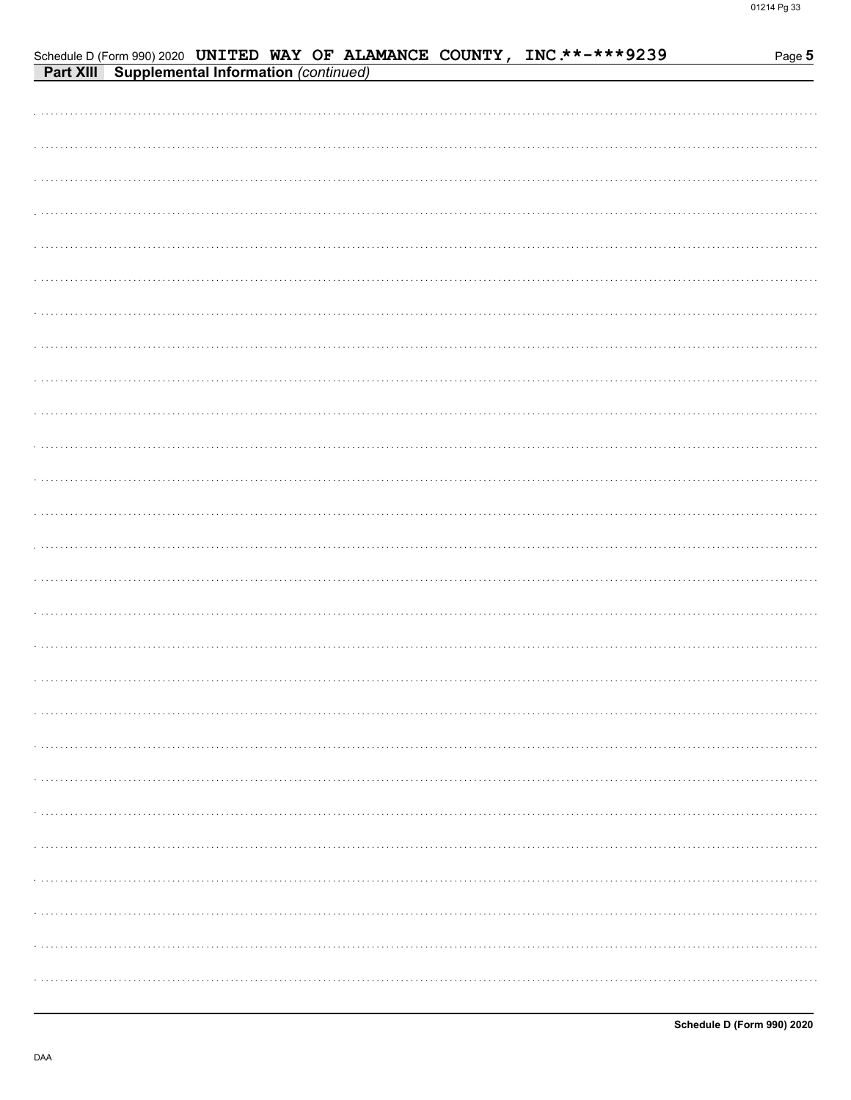|                                                       |  |  | Schedule D (Form 990) 2020 UNITED WAY OF ALAMANCE COUNTY, INC **-*** 9239 | Page 5 |
|-------------------------------------------------------|--|--|---------------------------------------------------------------------------|--------|
| <b>Part XIII</b> Supplemental Information (continued) |  |  |                                                                           |        |
|                                                       |  |  |                                                                           |        |
|                                                       |  |  |                                                                           |        |
|                                                       |  |  |                                                                           |        |
|                                                       |  |  |                                                                           |        |
|                                                       |  |  |                                                                           |        |
|                                                       |  |  |                                                                           |        |
|                                                       |  |  |                                                                           |        |
|                                                       |  |  |                                                                           |        |
|                                                       |  |  |                                                                           |        |
|                                                       |  |  |                                                                           |        |
|                                                       |  |  |                                                                           |        |
|                                                       |  |  |                                                                           |        |
|                                                       |  |  |                                                                           |        |
|                                                       |  |  |                                                                           |        |
|                                                       |  |  |                                                                           |        |
|                                                       |  |  |                                                                           |        |
|                                                       |  |  |                                                                           |        |
|                                                       |  |  |                                                                           |        |
|                                                       |  |  |                                                                           |        |
|                                                       |  |  |                                                                           |        |
|                                                       |  |  |                                                                           |        |
|                                                       |  |  |                                                                           |        |
|                                                       |  |  |                                                                           |        |
|                                                       |  |  |                                                                           |        |
|                                                       |  |  |                                                                           |        |
|                                                       |  |  |                                                                           |        |
|                                                       |  |  |                                                                           |        |
|                                                       |  |  |                                                                           |        |
|                                                       |  |  |                                                                           |        |
|                                                       |  |  |                                                                           |        |
|                                                       |  |  |                                                                           |        |
|                                                       |  |  |                                                                           |        |
|                                                       |  |  |                                                                           |        |
|                                                       |  |  |                                                                           |        |
|                                                       |  |  |                                                                           |        |
|                                                       |  |  |                                                                           |        |
|                                                       |  |  |                                                                           |        |
|                                                       |  |  |                                                                           |        |
|                                                       |  |  |                                                                           |        |
|                                                       |  |  |                                                                           |        |
|                                                       |  |  |                                                                           |        |
|                                                       |  |  |                                                                           |        |
|                                                       |  |  |                                                                           |        |
|                                                       |  |  |                                                                           |        |
|                                                       |  |  |                                                                           |        |
|                                                       |  |  |                                                                           | .      |
|                                                       |  |  |                                                                           |        |
|                                                       |  |  |                                                                           |        |
|                                                       |  |  |                                                                           |        |
|                                                       |  |  |                                                                           | .      |
|                                                       |  |  |                                                                           |        |
|                                                       |  |  |                                                                           |        |
|                                                       |  |  |                                                                           |        |
|                                                       |  |  |                                                                           |        |
|                                                       |  |  |                                                                           | .      |
|                                                       |  |  |                                                                           |        |
|                                                       |  |  |                                                                           |        |
|                                                       |  |  |                                                                           |        |
|                                                       |  |  |                                                                           | .      |
|                                                       |  |  |                                                                           |        |
|                                                       |  |  |                                                                           |        |
|                                                       |  |  |                                                                           |        |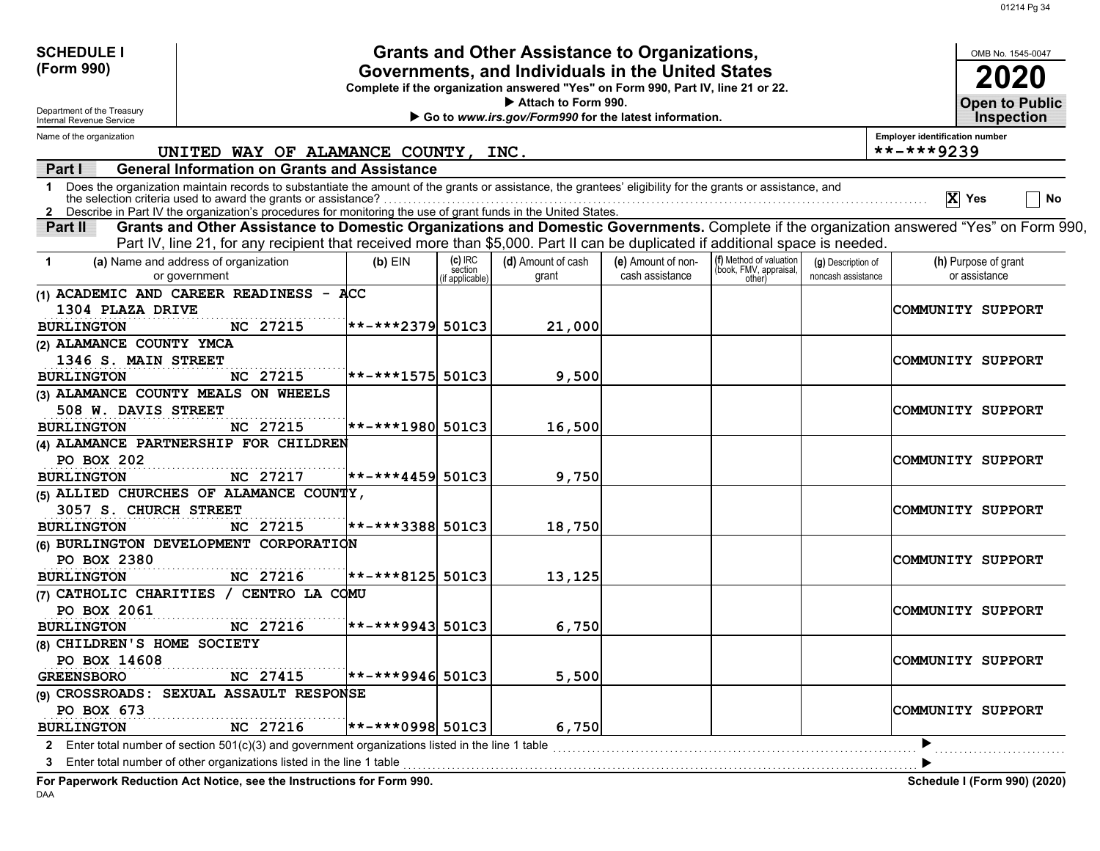| <b>SCHEDULE I</b>                                      |                                                                                                                                                                                                                                                                                                                                                 |                                                                                                                                       |                           | Grants and Other Assistance to Organizations,         |                    |                                  |                    |                                       | OMB No. 1545-0047            |    |
|--------------------------------------------------------|-------------------------------------------------------------------------------------------------------------------------------------------------------------------------------------------------------------------------------------------------------------------------------------------------------------------------------------------------|---------------------------------------------------------------------------------------------------------------------------------------|---------------------------|-------------------------------------------------------|--------------------|----------------------------------|--------------------|---------------------------------------|------------------------------|----|
| (Form 990)                                             |                                                                                                                                                                                                                                                                                                                                                 | Governments, and Individuals in the United States<br>Complete if the organization answered "Yes" on Form 990, Part IV, line 21 or 22. |                           |                                                       |                    |                                  |                    |                                       |                              |    |
| Department of the Treasury<br>Internal Revenue Service |                                                                                                                                                                                                                                                                                                                                                 |                                                                                                                                       |                           | <b>Open to Public</b><br><b>Inspection</b>            |                    |                                  |                    |                                       |                              |    |
| Name of the organization                               |                                                                                                                                                                                                                                                                                                                                                 |                                                                                                                                       |                           | Go to www.irs.gov/Form990 for the latest information. |                    |                                  |                    | <b>Employer identification number</b> |                              |    |
|                                                        | UNITED WAY OF ALAMANCE COUNTY, INC.                                                                                                                                                                                                                                                                                                             |                                                                                                                                       |                           |                                                       |                    |                                  |                    | **-***9239                            |                              |    |
| Part I                                                 | <b>General Information on Grants and Assistance</b>                                                                                                                                                                                                                                                                                             |                                                                                                                                       |                           |                                                       |                    |                                  |                    |                                       |                              |    |
| 1                                                      | Does the organization maintain records to substantiate the amount of the grants or assistance, the grantees' eligibility for the grants or assistance, and<br>the selection criteria used to award the grants or assistance?<br>2 Describe in Part IV the organization's procedures for monitoring the use of grant funds in the United States. |                                                                                                                                       |                           |                                                       |                    |                                  |                    |                                       | $ X $ Yes                    | No |
| Part II                                                | Grants and Other Assistance to Domestic Organizations and Domestic Governments. Complete if the organization answered "Yes" on Form 990,                                                                                                                                                                                                        |                                                                                                                                       |                           |                                                       |                    |                                  |                    |                                       |                              |    |
|                                                        | Part IV, line 21, for any recipient that received more than \$5,000. Part II can be duplicated if additional space is needed.                                                                                                                                                                                                                   |                                                                                                                                       |                           |                                                       |                    |                                  |                    |                                       |                              |    |
| -1                                                     | (a) Name and address of organization                                                                                                                                                                                                                                                                                                            | $(b)$ EIN                                                                                                                             | $(c)$ IRC                 | (d) Amount of cash                                    | (e) Amount of non- | (f) Method of valuation          | (g) Description of |                                       | (h) Purpose of grant         |    |
|                                                        | or government                                                                                                                                                                                                                                                                                                                                   |                                                                                                                                       | section<br>if applicable) | grant                                                 | cash assistance    | (book, FMV, appraisal,<br>other) | noncash assistance |                                       | or assistance                |    |
|                                                        | (1) ACADEMIC AND CAREER READINESS - ACC                                                                                                                                                                                                                                                                                                         |                                                                                                                                       |                           |                                                       |                    |                                  |                    |                                       |                              |    |
| 1304 PLAZA DRIVE                                       |                                                                                                                                                                                                                                                                                                                                                 |                                                                                                                                       |                           |                                                       |                    |                                  |                    |                                       | COMMUNITY SUPPORT            |    |
| <b>BURLINGTON</b>                                      | NC 27215                                                                                                                                                                                                                                                                                                                                        | $ ******2379 501C3$                                                                                                                   |                           | 21,000                                                |                    |                                  |                    |                                       |                              |    |
| (2) ALAMANCE COUNTY YMCA                               |                                                                                                                                                                                                                                                                                                                                                 |                                                                                                                                       |                           |                                                       |                    |                                  |                    |                                       |                              |    |
| 1346 S. MAIN STREET                                    |                                                                                                                                                                                                                                                                                                                                                 |                                                                                                                                       |                           |                                                       |                    |                                  |                    |                                       | COMMUNITY SUPPORT            |    |
| <b>BURLINGTON</b>                                      | NC 27215                                                                                                                                                                                                                                                                                                                                        | $ ***+*1575 $ 501C3                                                                                                                   |                           | 9,500                                                 |                    |                                  |                    |                                       |                              |    |
|                                                        | (3) ALAMANCE COUNTY MEALS ON WHEELS                                                                                                                                                                                                                                                                                                             |                                                                                                                                       |                           |                                                       |                    |                                  |                    |                                       |                              |    |
| 508 W. DAVIS STREET                                    |                                                                                                                                                                                                                                                                                                                                                 |                                                                                                                                       |                           |                                                       |                    |                                  |                    |                                       | COMMUNITY SUPPORT            |    |
| <b>BURLINGTON</b>                                      | NC 27215                                                                                                                                                                                                                                                                                                                                        | $ ***+*1980 $ 501C3                                                                                                                   |                           | 16,500                                                |                    |                                  |                    |                                       |                              |    |
|                                                        | (4) ALAMANCE PARTNERSHIP FOR CHILDREN                                                                                                                                                                                                                                                                                                           |                                                                                                                                       |                           |                                                       |                    |                                  |                    |                                       |                              |    |
| PO BOX 202                                             |                                                                                                                                                                                                                                                                                                                                                 |                                                                                                                                       |                           |                                                       |                    |                                  |                    |                                       | COMMUNITY SUPPORT            |    |
| <b>BURLINGTON</b>                                      | NC 27217                                                                                                                                                                                                                                                                                                                                        | <b>**-***4459 501C3</b>                                                                                                               |                           | 9,750                                                 |                    |                                  |                    |                                       |                              |    |
|                                                        | (5) ALLIED CHURCHES OF ALAMANCE COUNTY,                                                                                                                                                                                                                                                                                                         |                                                                                                                                       |                           |                                                       |                    |                                  |                    |                                       |                              |    |
| 3057 S. CHURCH STREET                                  |                                                                                                                                                                                                                                                                                                                                                 |                                                                                                                                       |                           |                                                       |                    |                                  |                    |                                       | COMMUNITY SUPPORT            |    |
| <b>BURLINGTON</b>                                      | NC 27215                                                                                                                                                                                                                                                                                                                                        | **-***3388 501C3                                                                                                                      |                           | 18,750                                                |                    |                                  |                    |                                       |                              |    |
|                                                        | (6) BURLINGTON DEVELOPMENT CORPORATION                                                                                                                                                                                                                                                                                                          |                                                                                                                                       |                           |                                                       |                    |                                  |                    |                                       |                              |    |
| PO BOX 2380                                            |                                                                                                                                                                                                                                                                                                                                                 |                                                                                                                                       |                           |                                                       |                    |                                  |                    |                                       | COMMUNITY SUPPORT            |    |
| <b>BURLINGTON</b>                                      | NC 27216                                                                                                                                                                                                                                                                                                                                        | $ ****8125 $ 501C3                                                                                                                    |                           | 13,125                                                |                    |                                  |                    |                                       |                              |    |
|                                                        | (7) CATHOLIC CHARITIES / CENTRO LA COMU                                                                                                                                                                                                                                                                                                         |                                                                                                                                       |                           |                                                       |                    |                                  |                    |                                       |                              |    |
| PO BOX 2061                                            |                                                                                                                                                                                                                                                                                                                                                 |                                                                                                                                       |                           |                                                       |                    |                                  |                    |                                       | COMMUNITY SUPPORT            |    |
| <b>BURLINGTON</b>                                      | NC 27216                                                                                                                                                                                                                                                                                                                                        | <b>**-***9943 501C3</b>                                                                                                               |                           | 6,750                                                 |                    |                                  |                    |                                       |                              |    |
| (8) CHILDREN'S HOME SOCIETY<br>PO BOX 14608            |                                                                                                                                                                                                                                                                                                                                                 |                                                                                                                                       |                           |                                                       |                    |                                  |                    |                                       |                              |    |
|                                                        | NC 27415                                                                                                                                                                                                                                                                                                                                        | $ ***$ + * * 9946 501C3                                                                                                               |                           | 5,500                                                 |                    |                                  |                    |                                       | COMMUNITY SUPPORT            |    |
| <b>GREENSBORO</b>                                      | (9) CROSSROADS: SEXUAL ASSAULT RESPONSE                                                                                                                                                                                                                                                                                                         |                                                                                                                                       |                           |                                                       |                    |                                  |                    |                                       |                              |    |
| PO BOX 673                                             |                                                                                                                                                                                                                                                                                                                                                 |                                                                                                                                       |                           |                                                       |                    |                                  |                    |                                       | COMMUNITY SUPPORT            |    |
| <b>BURLINGTON</b>                                      | NC 27216                                                                                                                                                                                                                                                                                                                                        | $ ***$ + * * 0998 501C3                                                                                                               |                           | 6,750                                                 |                    |                                  |                    |                                       |                              |    |
|                                                        | 2 Enter total number of section 501(c)(3) and government organizations listed in the line 1 table                                                                                                                                                                                                                                               |                                                                                                                                       |                           |                                                       |                    |                                  |                    |                                       |                              |    |
| 3                                                      | Enter total number of other organizations listed in the line 1 table                                                                                                                                                                                                                                                                            |                                                                                                                                       |                           |                                                       |                    |                                  |                    |                                       |                              |    |
|                                                        |                                                                                                                                                                                                                                                                                                                                                 |                                                                                                                                       |                           |                                                       |                    |                                  |                    |                                       |                              |    |
|                                                        | For Paperwork Reduction Act Notice, see the Instructions for Form 990.                                                                                                                                                                                                                                                                          |                                                                                                                                       |                           |                                                       |                    |                                  |                    |                                       | Schedule I (Form 990) (2020) |    |

DAA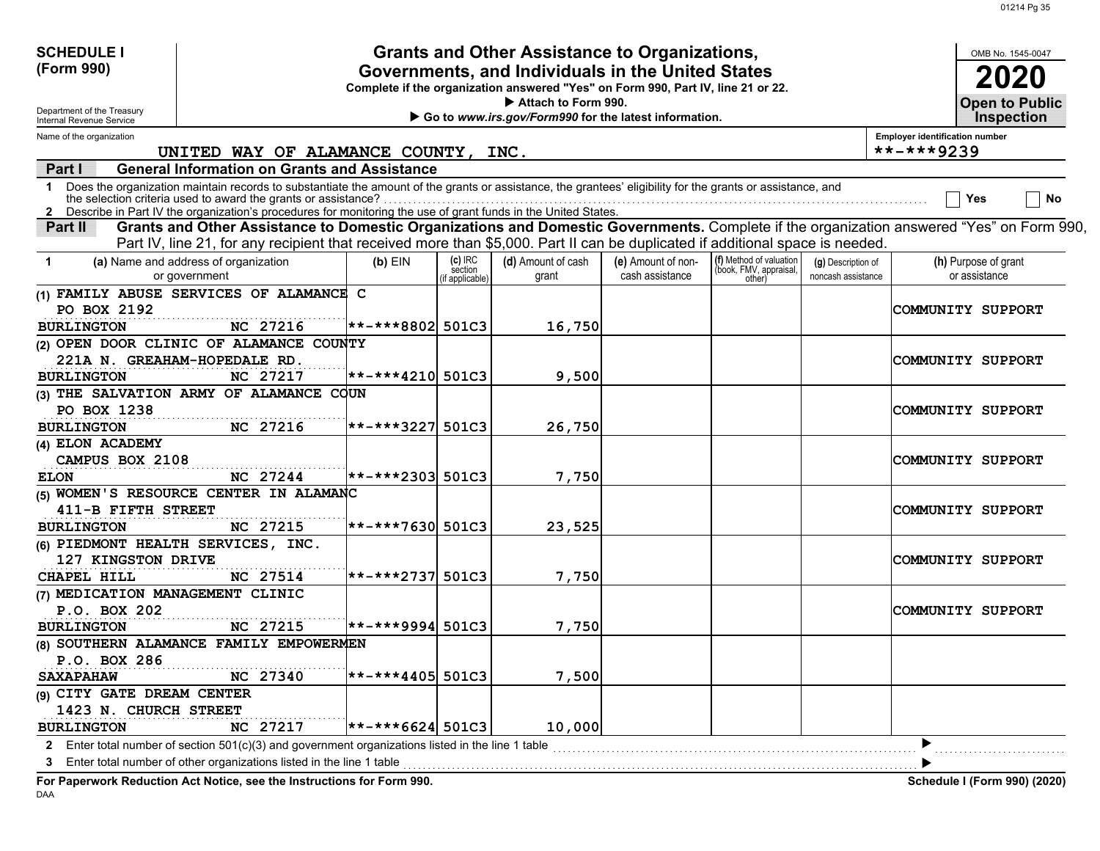| <b>SCHEDULE I</b>                                      |                                                                                                                                                            |                                                                                                                                       |                                            | <b>Grants and Other Assistance to Organizations,</b> |                    |                                                   |                    |                                                         | OMB No. 1545-0047                   |
|--------------------------------------------------------|------------------------------------------------------------------------------------------------------------------------------------------------------------|---------------------------------------------------------------------------------------------------------------------------------------|--------------------------------------------|------------------------------------------------------|--------------------|---------------------------------------------------|--------------------|---------------------------------------------------------|-------------------------------------|
| (Form 990)                                             |                                                                                                                                                            | Governments, and Individuals in the United States<br>Complete if the organization answered "Yes" on Form 990, Part IV, line 21 or 22. |                                            |                                                      |                    |                                                   |                    |                                                         |                                     |
| Department of the Treasury<br>Internal Revenue Service |                                                                                                                                                            | Go to www.irs.gov/Form990 for the latest information.                                                                                 | <b>Open to Public</b><br><b>Inspection</b> |                                                      |                    |                                                   |                    |                                                         |                                     |
| Name of the organization                               | UNITED WAY OF ALAMANCE COUNTY, INC.                                                                                                                        |                                                                                                                                       |                                            |                                                      |                    |                                                   |                    | <b>Employer identification number</b><br>$***$ -***9239 |                                     |
| <b>Part I</b>                                          | <b>General Information on Grants and Assistance</b>                                                                                                        |                                                                                                                                       |                                            |                                                      |                    |                                                   |                    |                                                         |                                     |
| $\mathbf 1$                                            | Does the organization maintain records to substantiate the amount of the grants or assistance, the grantees' eligibility for the grants or assistance, and |                                                                                                                                       |                                            |                                                      |                    |                                                   |                    |                                                         |                                     |
|                                                        | the selection criteria used to award the grants or assistance?                                                                                             |                                                                                                                                       |                                            |                                                      |                    |                                                   |                    |                                                         | <b>No</b><br>Yes                    |
|                                                        | 2 Describe in Part IV the organization's procedures for monitoring the use of grant funds in the United States.                                            |                                                                                                                                       |                                            |                                                      |                    |                                                   |                    |                                                         |                                     |
| Part II                                                | Grants and Other Assistance to Domestic Organizations and Domestic Governments. Complete if the organization answered "Yes" on Form 990,                   |                                                                                                                                       |                                            |                                                      |                    |                                                   |                    |                                                         |                                     |
|                                                        | Part IV, line 21, for any recipient that received more than \$5,000. Part II can be duplicated if additional space is needed.                              |                                                                                                                                       |                                            |                                                      |                    |                                                   |                    |                                                         |                                     |
| -1                                                     | (a) Name and address of organization                                                                                                                       | $(b)$ EIN                                                                                                                             | (c) IRC<br>section                         | (d) Amount of cash                                   | (e) Amount of non- | (f) Method of valuation<br>(book, FMV, appraisal, | (g) Description of |                                                         | (h) Purpose of grant                |
|                                                        | or government                                                                                                                                              |                                                                                                                                       | if applicable)                             | grant                                                | cash assistance    | other)                                            | noncash assistance |                                                         | or assistance                       |
|                                                        | (1) FAMILY ABUSE SERVICES OF ALAMANCE C                                                                                                                    |                                                                                                                                       |                                            |                                                      |                    |                                                   |                    |                                                         |                                     |
| PO BOX 2192                                            |                                                                                                                                                            |                                                                                                                                       |                                            |                                                      |                    |                                                   |                    |                                                         | COMMUNITY SUPPORT                   |
| <b>BURLINGTON</b>                                      | NC 27216                                                                                                                                                   | $ ***+*8802 $ 501C3                                                                                                                   |                                            | 16,750                                               |                    |                                                   |                    |                                                         |                                     |
|                                                        | (2) OPEN DOOR CLINIC OF ALAMANCE COUNTY                                                                                                                    |                                                                                                                                       |                                            |                                                      |                    |                                                   |                    |                                                         |                                     |
|                                                        | 221A N. GREAHAM-HOPEDALE RD.                                                                                                                               |                                                                                                                                       |                                            |                                                      |                    |                                                   |                    |                                                         | COMMUNITY SUPPORT                   |
| <b>BURLINGTON</b>                                      | NC 27217                                                                                                                                                   | $ ***+*4210 $ 501C3                                                                                                                   |                                            | 9,500                                                |                    |                                                   |                    |                                                         |                                     |
|                                                        | (3) THE SALVATION ARMY OF ALAMANCE COUN                                                                                                                    |                                                                                                                                       |                                            |                                                      |                    |                                                   |                    |                                                         |                                     |
| PO BOX 1238                                            |                                                                                                                                                            |                                                                                                                                       |                                            |                                                      |                    |                                                   |                    |                                                         | COMMUNITY SUPPORT                   |
| <b>BURLINGTON</b>                                      | NC 27216                                                                                                                                                   | $\star \star$ - * * * 3227 501C3                                                                                                      |                                            | 26,750                                               |                    |                                                   |                    |                                                         |                                     |
| (4) ELON ACADEMY                                       |                                                                                                                                                            |                                                                                                                                       |                                            |                                                      |                    |                                                   |                    |                                                         |                                     |
| CAMPUS BOX 2108                                        |                                                                                                                                                            |                                                                                                                                       |                                            |                                                      |                    |                                                   |                    |                                                         | COMMUNITY SUPPORT                   |
| <b>ELON</b>                                            | NC 27244                                                                                                                                                   | $ ***+*2303 $ 501C3                                                                                                                   |                                            | 7,750                                                |                    |                                                   |                    |                                                         |                                     |
| 411-B FIFTH STREET                                     | (5) WOMEN'S RESOURCE CENTER IN ALAMANC                                                                                                                     |                                                                                                                                       |                                            |                                                      |                    |                                                   |                    |                                                         |                                     |
|                                                        |                                                                                                                                                            | $ ***+*7630 $ 501C3                                                                                                                   |                                            |                                                      |                    |                                                   |                    |                                                         | COMMUNITY SUPPORT                   |
| <b>BURLINGTON</b>                                      | NC 27215                                                                                                                                                   |                                                                                                                                       |                                            | 23,525                                               |                    |                                                   |                    |                                                         |                                     |
| 127 KINGSTON DRIVE                                     | (6) PIEDMONT HEALTH SERVICES, INC.                                                                                                                         |                                                                                                                                       |                                            |                                                      |                    |                                                   |                    |                                                         |                                     |
|                                                        |                                                                                                                                                            | $ ***+*2737 $ 501C3                                                                                                                   |                                            |                                                      |                    |                                                   |                    |                                                         | COMMUNITY SUPPORT                   |
| CHAPEL HILL<br>(7) MEDICATION MANAGEMENT CLINIC        | NC 27514                                                                                                                                                   |                                                                                                                                       |                                            | 7,750                                                |                    |                                                   |                    |                                                         |                                     |
| P.O. BOX 202                                           |                                                                                                                                                            |                                                                                                                                       |                                            |                                                      |                    |                                                   |                    |                                                         | COMMUNITY SUPPORT                   |
| <b>BURLINGTON</b>                                      | NC 27215                                                                                                                                                   | $\star \star \star \star \star 9994$ 501C3                                                                                            |                                            | 7,750                                                |                    |                                                   |                    |                                                         |                                     |
|                                                        | (8) SOUTHERN ALAMANCE FAMILY EMPOWERMEN                                                                                                                    |                                                                                                                                       |                                            |                                                      |                    |                                                   |                    |                                                         |                                     |
| P.O. BOX 286                                           |                                                                                                                                                            |                                                                                                                                       |                                            |                                                      |                    |                                                   |                    |                                                         |                                     |
| <b>SAXAPAHAW</b>                                       | NC 27340                                                                                                                                                   | $*****4405$ 501C3                                                                                                                     |                                            | 7,500                                                |                    |                                                   |                    |                                                         |                                     |
| (9) CITY GATE DREAM CENTER                             |                                                                                                                                                            |                                                                                                                                       |                                            |                                                      |                    |                                                   |                    |                                                         |                                     |
| 1423 N. CHURCH STREET                                  |                                                                                                                                                            |                                                                                                                                       |                                            |                                                      |                    |                                                   |                    |                                                         |                                     |
| <b>BURLINGTON</b>                                      | NC 27217                                                                                                                                                   | $\star \star \star \star \star 6624$ 501C3                                                                                            |                                            | 10,000                                               |                    |                                                   |                    |                                                         |                                     |
|                                                        | 2 Enter total number of section 501(c)(3) and government organizations listed in the line 1 table                                                          |                                                                                                                                       |                                            |                                                      |                    |                                                   |                    |                                                         |                                     |
|                                                        |                                                                                                                                                            |                                                                                                                                       |                                            |                                                      |                    |                                                   |                    |                                                         |                                     |
|                                                        |                                                                                                                                                            |                                                                                                                                       |                                            |                                                      |                    |                                                   |                    |                                                         |                                     |
|                                                        | For Paperwork Reduction Act Notice, see the Instructions for Form 990.                                                                                     |                                                                                                                                       |                                            |                                                      |                    |                                                   |                    |                                                         | <b>Schedule I (Form 990) (2020)</b> |

DAA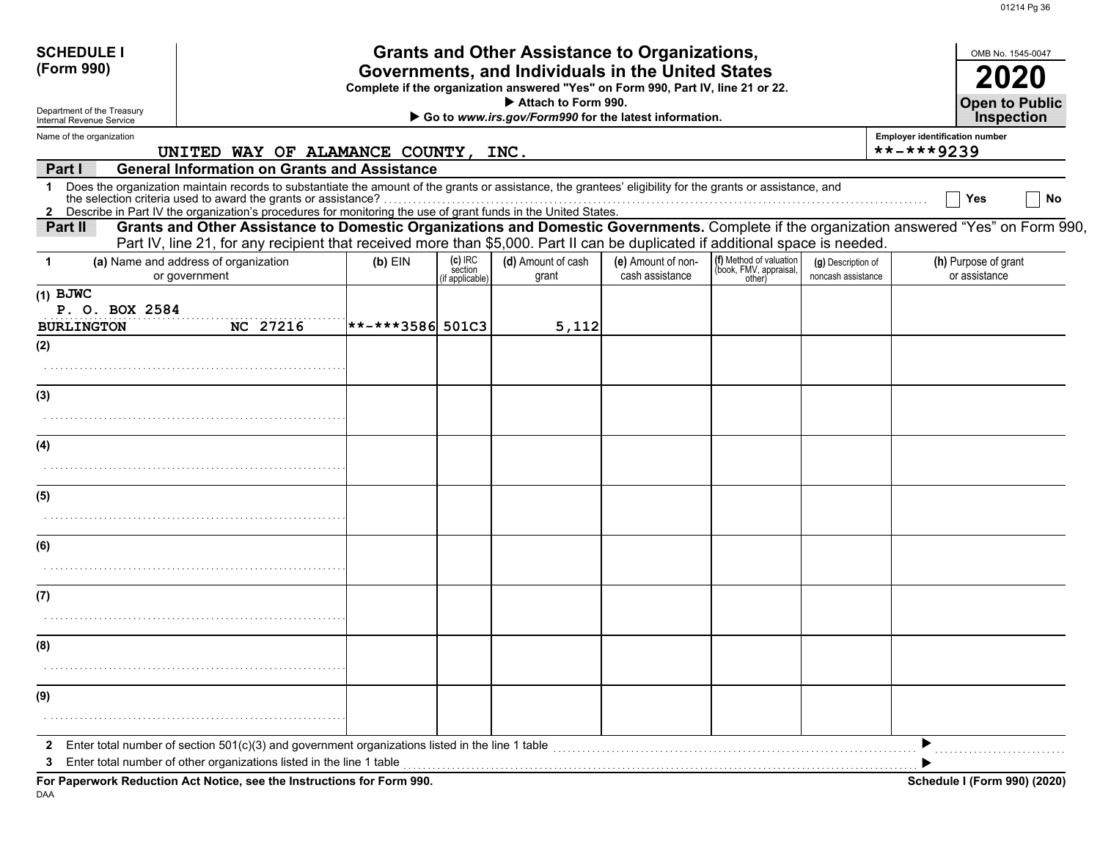| <b>SCHEDULE I</b><br>(Form 990)<br>Department of the Treasury |                                                                                                                                                                                                                                                                                                                                                 |                    |                                         | <b>Grants and Other Assistance to Organizations,</b><br>Governments, and Individuals in the United States<br>Complete if the organization answered "Yes" on Form 990, Part IV, line 21 or 22.<br>Attach to Form 990. |                                       |                                                             |                                          |                                                       | OMB No. 1545-0047<br>2020<br><b>Open to Public</b> |
|---------------------------------------------------------------|-------------------------------------------------------------------------------------------------------------------------------------------------------------------------------------------------------------------------------------------------------------------------------------------------------------------------------------------------|--------------------|-----------------------------------------|----------------------------------------------------------------------------------------------------------------------------------------------------------------------------------------------------------------------|---------------------------------------|-------------------------------------------------------------|------------------------------------------|-------------------------------------------------------|----------------------------------------------------|
| Internal Revenue Service                                      |                                                                                                                                                                                                                                                                                                                                                 |                    |                                         | Go to www.irs.gov/Form990 for the latest information.                                                                                                                                                                |                                       |                                                             |                                          |                                                       | <b>Inspection</b>                                  |
| Name of the organization                                      | UNITED WAY OF ALAMANCE COUNTY, INC.                                                                                                                                                                                                                                                                                                             |                    |                                         |                                                                                                                                                                                                                      |                                       |                                                             |                                          | <b>Employer identification number</b><br>$******9239$ |                                                    |
| Part I                                                        | <b>General Information on Grants and Assistance</b>                                                                                                                                                                                                                                                                                             |                    |                                         |                                                                                                                                                                                                                      |                                       |                                                             |                                          |                                                       |                                                    |
| 1                                                             | Does the organization maintain records to substantiate the amount of the grants or assistance, the grantees' eligibility for the grants or assistance, and<br>the selection criteria used to award the grants or assistance?<br>2 Describe in Part IV the organization's procedures for monitoring the use of grant funds in the United States. |                    |                                         |                                                                                                                                                                                                                      |                                       |                                                             |                                          |                                                       | No<br>Yes                                          |
| Part II                                                       | Grants and Other Assistance to Domestic Organizations and Domestic Governments. Complete if the organization answered "Yes" on Form 990,<br>Part IV, line 21, for any recipient that received more than \$5,000. Part II can be duplicated if additional space is needed.                                                                       |                    |                                         |                                                                                                                                                                                                                      |                                       |                                                             |                                          |                                                       |                                                    |
| 1                                                             | (a) Name and address of organization<br>or government                                                                                                                                                                                                                                                                                           | $(b)$ EIN          | $(c)$ IRC<br>section<br>(if applicable) | (d) Amount of cash<br>grant                                                                                                                                                                                          | (e) Amount of non-<br>cash assistance | (f) Method of valuation<br>(book, FMV, appraisal,<br>other) | (g) Description of<br>noncash assistance |                                                       | (h) Purpose of grant<br>or assistance              |
| $(1)$ BJWC<br>P. O. BOX 2584<br><b>BURLINGTON</b>             | <b>NC 27216</b>                                                                                                                                                                                                                                                                                                                                 | $ *****3586 501C3$ |                                         | 5,112                                                                                                                                                                                                                |                                       |                                                             |                                          |                                                       |                                                    |
| (2)                                                           |                                                                                                                                                                                                                                                                                                                                                 |                    |                                         |                                                                                                                                                                                                                      |                                       |                                                             |                                          |                                                       |                                                    |
|                                                               |                                                                                                                                                                                                                                                                                                                                                 |                    |                                         |                                                                                                                                                                                                                      |                                       |                                                             |                                          |                                                       |                                                    |
| (3)                                                           |                                                                                                                                                                                                                                                                                                                                                 |                    |                                         |                                                                                                                                                                                                                      |                                       |                                                             |                                          |                                                       |                                                    |
|                                                               |                                                                                                                                                                                                                                                                                                                                                 |                    |                                         |                                                                                                                                                                                                                      |                                       |                                                             |                                          |                                                       |                                                    |
| (4)                                                           |                                                                                                                                                                                                                                                                                                                                                 |                    |                                         |                                                                                                                                                                                                                      |                                       |                                                             |                                          |                                                       |                                                    |
|                                                               |                                                                                                                                                                                                                                                                                                                                                 |                    |                                         |                                                                                                                                                                                                                      |                                       |                                                             |                                          |                                                       |                                                    |
| (5)                                                           |                                                                                                                                                                                                                                                                                                                                                 |                    |                                         |                                                                                                                                                                                                                      |                                       |                                                             |                                          |                                                       |                                                    |
|                                                               |                                                                                                                                                                                                                                                                                                                                                 |                    |                                         |                                                                                                                                                                                                                      |                                       |                                                             |                                          |                                                       |                                                    |
| (6)                                                           |                                                                                                                                                                                                                                                                                                                                                 |                    |                                         |                                                                                                                                                                                                                      |                                       |                                                             |                                          |                                                       |                                                    |
|                                                               |                                                                                                                                                                                                                                                                                                                                                 |                    |                                         |                                                                                                                                                                                                                      |                                       |                                                             |                                          |                                                       |                                                    |
| (7)                                                           |                                                                                                                                                                                                                                                                                                                                                 |                    |                                         |                                                                                                                                                                                                                      |                                       |                                                             |                                          |                                                       |                                                    |
|                                                               |                                                                                                                                                                                                                                                                                                                                                 |                    |                                         |                                                                                                                                                                                                                      |                                       |                                                             |                                          |                                                       |                                                    |
| (8)                                                           |                                                                                                                                                                                                                                                                                                                                                 |                    |                                         |                                                                                                                                                                                                                      |                                       |                                                             |                                          |                                                       |                                                    |
|                                                               |                                                                                                                                                                                                                                                                                                                                                 |                    |                                         |                                                                                                                                                                                                                      |                                       |                                                             |                                          |                                                       |                                                    |
| (9)                                                           |                                                                                                                                                                                                                                                                                                                                                 |                    |                                         |                                                                                                                                                                                                                      |                                       |                                                             |                                          |                                                       |                                                    |
|                                                               |                                                                                                                                                                                                                                                                                                                                                 |                    |                                         |                                                                                                                                                                                                                      |                                       |                                                             |                                          |                                                       |                                                    |
| $\mathbf{2}$<br>3                                             | Enter total number of section $501(c)(3)$ and government organizations listed in the line 1 table<br>Enter total number of other organizations listed in the line 1 table                                                                                                                                                                       |                    |                                         |                                                                                                                                                                                                                      |                                       |                                                             |                                          |                                                       |                                                    |
|                                                               | For Paperwork Reduction Act Notice, see the Instructions for Form 990.                                                                                                                                                                                                                                                                          |                    |                                         |                                                                                                                                                                                                                      |                                       |                                                             |                                          |                                                       | Schedule I (Form 990) (2020)                       |

DAA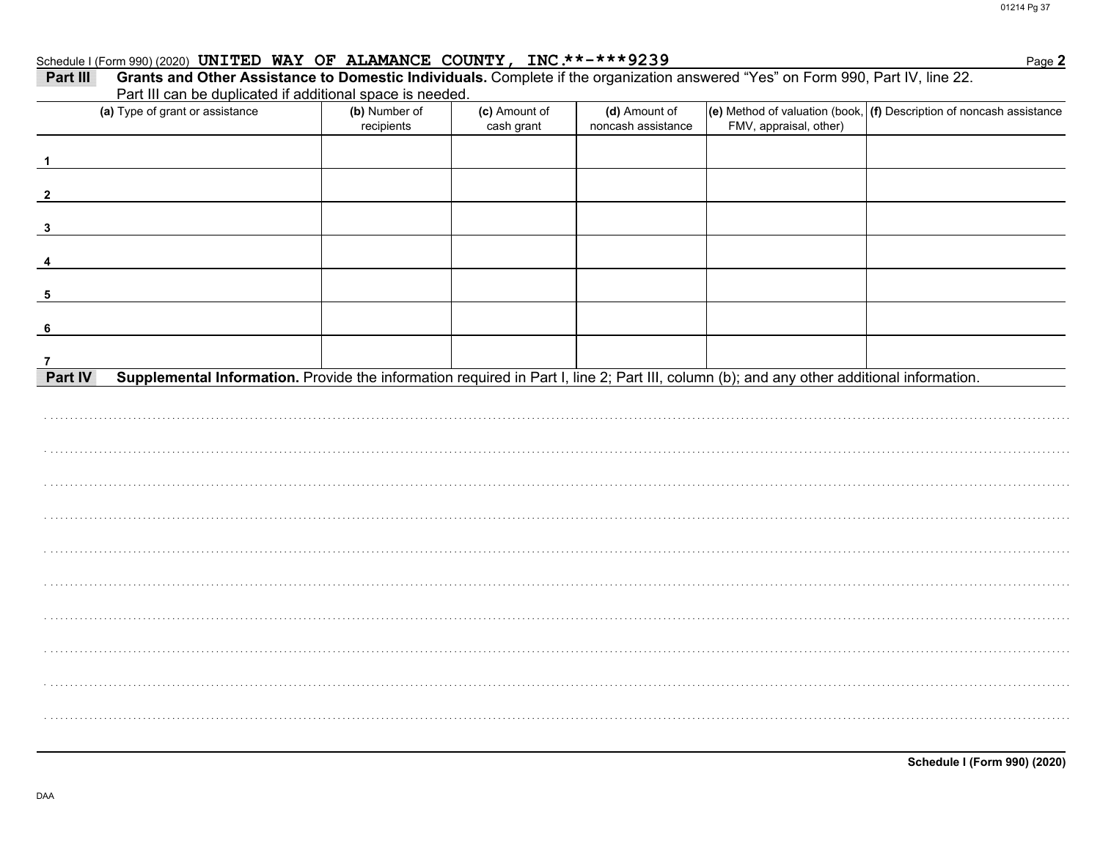Page 2

#### Schedule I (Form 990) (2020) UNITED WAY OF ALAMANCE COUNTY, INC.\*\*-\*\*\*9239

| Part III                | Grants and Other Assistance to Domestic Individuals. Complete if the organization answered "Yes" on Form 990, Part IV, line 22.<br>Part III can be duplicated if additional space is needed. |                             |                             |                                     |                        |                                                                          |
|-------------------------|----------------------------------------------------------------------------------------------------------------------------------------------------------------------------------------------|-----------------------------|-----------------------------|-------------------------------------|------------------------|--------------------------------------------------------------------------|
|                         | (a) Type of grant or assistance                                                                                                                                                              | (b) Number of<br>recipients | (c) Amount of<br>cash grant | (d) Amount of<br>noncash assistance | FMV, appraisal, other) | (e) Method of valuation (book, $ $ (f) Description of noncash assistance |
|                         |                                                                                                                                                                                              |                             |                             |                                     |                        |                                                                          |
|                         |                                                                                                                                                                                              |                             |                             |                                     |                        |                                                                          |
| 3                       |                                                                                                                                                                                              |                             |                             |                                     |                        |                                                                          |
| $\overline{\mathbf{4}}$ |                                                                                                                                                                                              |                             |                             |                                     |                        |                                                                          |
| 5                       |                                                                                                                                                                                              |                             |                             |                                     |                        |                                                                          |
| - 6                     |                                                                                                                                                                                              |                             |                             |                                     |                        |                                                                          |
| 7<br>Part IV            | Supplemental Information. Provide the information required in Part I, line 2; Part III, column (b); and any other additional information.                                                    |                             |                             |                                     |                        |                                                                          |
|                         |                                                                                                                                                                                              |                             |                             |                                     |                        |                                                                          |
|                         |                                                                                                                                                                                              |                             |                             |                                     |                        |                                                                          |
|                         |                                                                                                                                                                                              |                             |                             |                                     |                        |                                                                          |
|                         |                                                                                                                                                                                              |                             |                             |                                     |                        |                                                                          |
|                         |                                                                                                                                                                                              |                             |                             |                                     |                        |                                                                          |
|                         |                                                                                                                                                                                              |                             |                             |                                     |                        |                                                                          |
|                         |                                                                                                                                                                                              |                             |                             |                                     |                        |                                                                          |
|                         |                                                                                                                                                                                              |                             |                             |                                     |                        |                                                                          |
|                         |                                                                                                                                                                                              |                             |                             |                                     |                        |                                                                          |
|                         |                                                                                                                                                                                              |                             |                             |                                     |                        |                                                                          |
|                         |                                                                                                                                                                                              |                             |                             |                                     |                        |                                                                          |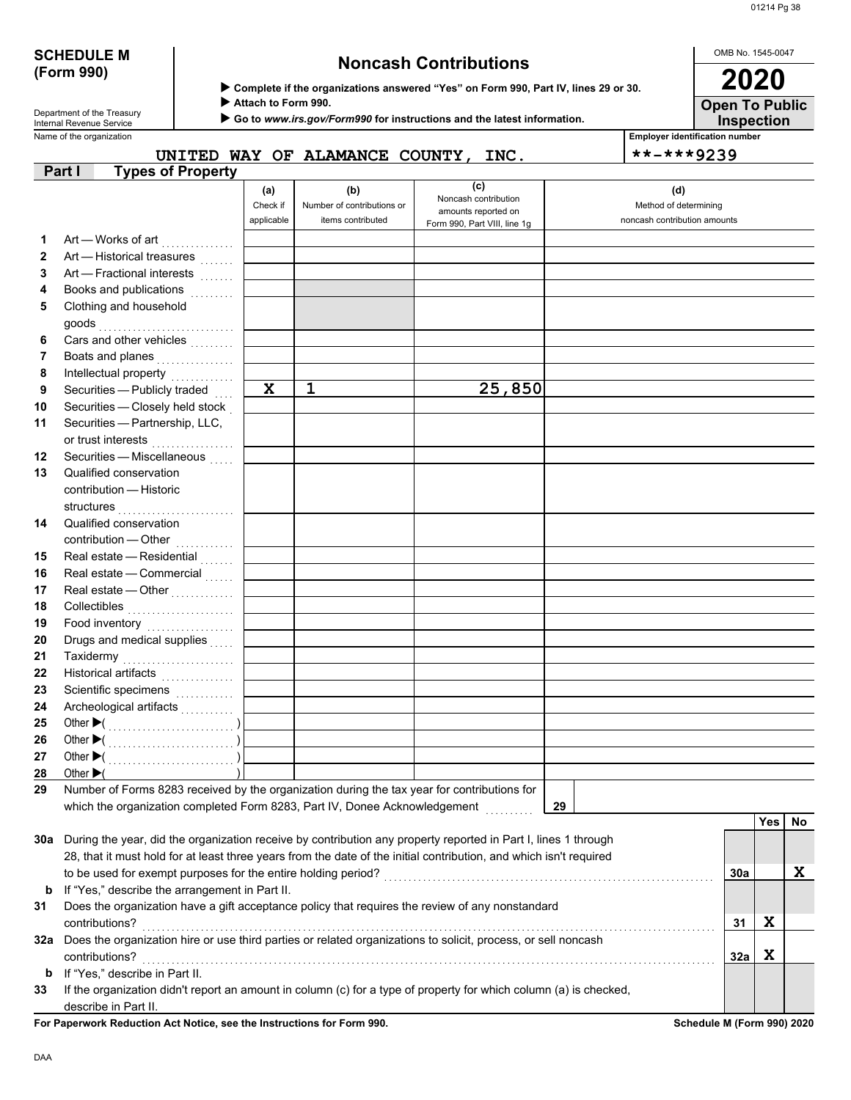# **(Form 990)**

## **SCHEDULE M Noncash Contributions**

 **Complete if the organizations answered "Yes" on Form 990, Part IV, lines 29 or 30.**

 **Attach to Form 990.**

 **Go to** *www.irs.gov/Form990* **for instructions and the latest information.**

Department of the Treasury<br>Internal Revenue Service

Name of the organization **Employer identification number**

**UNITED WAY OF ALAMANCE COUNTY, INC. \*\*-\*\*\*9239**

|         | <b>------</b>                                                                                                      | .           | 111111110110001111         |                                             |                              |     |            |    |
|---------|--------------------------------------------------------------------------------------------------------------------|-------------|----------------------------|---------------------------------------------|------------------------------|-----|------------|----|
|         | <b>Types of Property</b><br>Part I                                                                                 |             |                            |                                             |                              |     |            |    |
|         |                                                                                                                    | (a)         | (b)                        | (c)                                         | (d)                          |     |            |    |
|         |                                                                                                                    | Check if    | Number of contributions or | Noncash contribution<br>amounts reported on | Method of determining        |     |            |    |
|         |                                                                                                                    | applicable  | items contributed          | Form 990, Part VIII, line 1g                | noncash contribution amounts |     |            |    |
| 1       | Art — Works of art<br>.                                                                                            |             |                            |                                             |                              |     |            |    |
| 2       | Art - Historical treasures                                                                                         |             |                            |                                             |                              |     |            |    |
| 3       | Art - Fractional interests                                                                                         |             |                            |                                             |                              |     |            |    |
| 4       | Books and publications                                                                                             |             |                            |                                             |                              |     |            |    |
| 5       | Clothing and household                                                                                             |             |                            |                                             |                              |     |            |    |
|         | goods                                                                                                              |             |                            |                                             |                              |     |            |    |
| 6       | Cars and other vehicles                                                                                            |             |                            |                                             |                              |     |            |    |
| 7       | Boats and planes                                                                                                   |             |                            |                                             |                              |     |            |    |
| 8       |                                                                                                                    |             |                            |                                             |                              |     |            |    |
| 9       | Securities - Publicly traded                                                                                       | $\mathbf x$ | $\mathbf{1}$               | 25,850                                      |                              |     |            |    |
| 10      | Securities - Closely held stock                                                                                    |             |                            |                                             |                              |     |            |    |
| 11      | Securities - Partnership, LLC,                                                                                     |             |                            |                                             |                              |     |            |    |
|         | or trust interests<br>                                                                                             |             |                            |                                             |                              |     |            |    |
| 12      | Securities - Miscellaneous                                                                                         |             |                            |                                             |                              |     |            |    |
| 13      | Qualified conservation                                                                                             |             |                            |                                             |                              |     |            |    |
|         | contribution - Historic                                                                                            |             |                            |                                             |                              |     |            |    |
|         | structures                                                                                                         |             |                            |                                             |                              |     |            |    |
| 14      | Qualified conservation                                                                                             |             |                            |                                             |                              |     |            |    |
|         |                                                                                                                    |             |                            |                                             |                              |     |            |    |
| 15      | Real estate - Residential                                                                                          |             |                            |                                             |                              |     |            |    |
| 16      | Real estate - Commercial                                                                                           |             |                            |                                             |                              |     |            |    |
| 17      | Real estate - Other                                                                                                |             |                            |                                             |                              |     |            |    |
| 18      | Collectibles <b>Collectibles</b>                                                                                   |             |                            |                                             |                              |     |            |    |
| 19      |                                                                                                                    |             |                            |                                             |                              |     |            |    |
| 20      | Drugs and medical supplies                                                                                         |             |                            |                                             |                              |     |            |    |
| 21      | Taxidermy                                                                                                          |             |                            |                                             |                              |     |            |    |
| 22      | Historical artifacts<br>                                                                                           |             |                            |                                             |                              |     |            |    |
| 23      | Scientific specimens                                                                                               |             |                            |                                             |                              |     |            |    |
| 24      | Archeological artifacts                                                                                            |             |                            |                                             |                              |     |            |    |
| 25      |                                                                                                                    |             |                            |                                             |                              |     |            |    |
| 26      |                                                                                                                    |             |                            |                                             |                              |     |            |    |
| 27      |                                                                                                                    |             |                            |                                             |                              |     |            |    |
| 28      | Other $\blacktriangleright$ (                                                                                      |             |                            |                                             |                              |     |            |    |
| 29      | Number of Forms 8283 received by the organization during the tax year for contributions for                        |             |                            |                                             |                              |     |            |    |
|         | which the organization completed Form 8283, Part IV, Donee Acknowledgement                                         |             |                            |                                             | 29                           |     |            |    |
|         |                                                                                                                    |             |                            |                                             |                              |     | <b>Yes</b> | No |
| 30a     | During the year, did the organization receive by contribution any property reported in Part I, lines 1 through     |             |                            |                                             |                              |     |            |    |
|         | 28, that it must hold for at least three years from the date of the initial contribution, and which isn't required |             |                            |                                             |                              |     |            |    |
|         |                                                                                                                    |             |                            |                                             |                              | 30a |            | X  |
| b       | If "Yes," describe the arrangement in Part II.                                                                     |             |                            |                                             |                              |     |            |    |
| 31      | Does the organization have a gift acceptance policy that requires the review of any nonstandard                    |             |                            |                                             |                              |     |            |    |
|         | contributions?                                                                                                     |             |                            |                                             |                              | 31  | X          |    |
| 32a     | Does the organization hire or use third parties or related organizations to solicit, process, or sell noncash      |             |                            |                                             |                              |     |            |    |
|         |                                                                                                                    |             |                            |                                             |                              |     | X          |    |
|         | contributions?<br>If "Yes," describe in Part II.                                                                   |             |                            |                                             |                              | 32a |            |    |
| b<br>33 | If the organization didn't report an amount in column (c) for a type of property for which column (a) is checked,  |             |                            |                                             |                              |     |            |    |
|         | describe in Part II.                                                                                               |             |                            |                                             |                              |     |            |    |
|         |                                                                                                                    |             |                            |                                             |                              |     |            |    |

**For Paperwork Reduction Act Notice, see the Instructions for Form 990. Schedule M (Form 990) 2020**

OMB No. 1545-0047 **Open To Public 2020**

**Inspection**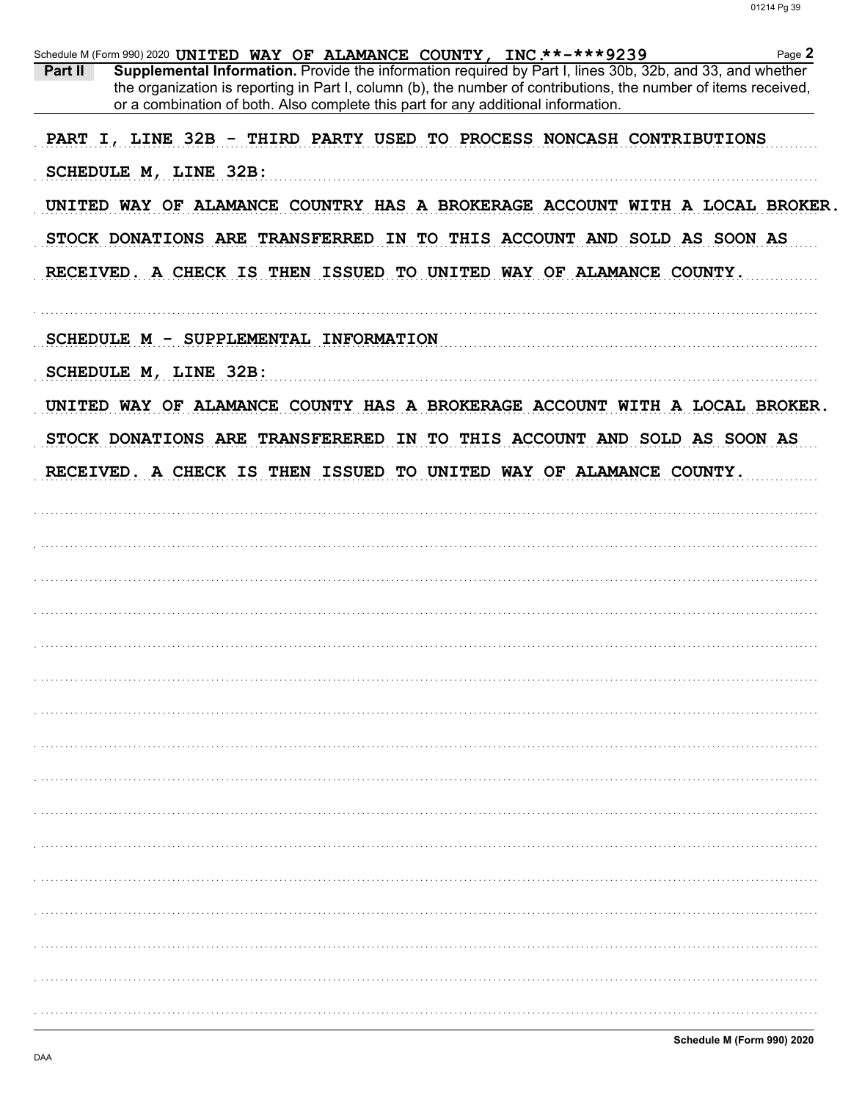|         | Page 2<br>Schedule M (Form 990) 2020 UNITED WAY OF ALAMANCE COUNTY, INC.**-***9239                                                                                                                                                                                                                                |
|---------|-------------------------------------------------------------------------------------------------------------------------------------------------------------------------------------------------------------------------------------------------------------------------------------------------------------------|
| Part II | Supplemental Information. Provide the information required by Part I, lines 30b, 32b, and 33, and whether<br>the organization is reporting in Part I, column (b), the number of contributions, the number of items received,<br>or a combination of both. Also complete this part for any additional information. |
|         | PART I, LINE 32B - THIRD PARTY USED TO PROCESS NONCASH CONTRIBUTIONS                                                                                                                                                                                                                                              |
|         | SCHEDULE M, LINE 32B:                                                                                                                                                                                                                                                                                             |
|         | UNITED WAY OF ALAMANCE COUNTRY HAS A BROKERAGE ACCOUNT WITH A LOCAL BROKER.                                                                                                                                                                                                                                       |
|         | STOCK DONATIONS ARE TRANSFERRED IN TO THIS ACCOUNT AND SOLD AS SOON AS                                                                                                                                                                                                                                            |
|         | RECEIVED. A CHECK IS THEN ISSUED TO UNITED WAY OF ALAMANCE COUNTY.                                                                                                                                                                                                                                                |
|         | SCHEDULE M - SUPPLEMENTAL INFORMATION                                                                                                                                                                                                                                                                             |
|         | SCHEDULE M, LINE 32B:                                                                                                                                                                                                                                                                                             |
|         | UNITED WAY OF ALAMANCE COUNTY HAS A BROKERAGE ACCOUNT WITH A LOCAL BROKER.                                                                                                                                                                                                                                        |
|         | STOCK DONATIONS ARE TRANSFERERED IN TO THIS ACCOUNT AND SOLD AS SOON AS                                                                                                                                                                                                                                           |
|         | RECEIVED. A CHECK IS THEN ISSUED TO UNITED WAY OF ALAMANCE COUNTY.                                                                                                                                                                                                                                                |
|         |                                                                                                                                                                                                                                                                                                                   |
|         |                                                                                                                                                                                                                                                                                                                   |
|         |                                                                                                                                                                                                                                                                                                                   |
|         |                                                                                                                                                                                                                                                                                                                   |
|         |                                                                                                                                                                                                                                                                                                                   |
|         |                                                                                                                                                                                                                                                                                                                   |
|         |                                                                                                                                                                                                                                                                                                                   |
|         |                                                                                                                                                                                                                                                                                                                   |
|         |                                                                                                                                                                                                                                                                                                                   |
|         |                                                                                                                                                                                                                                                                                                                   |
|         |                                                                                                                                                                                                                                                                                                                   |
|         |                                                                                                                                                                                                                                                                                                                   |
|         |                                                                                                                                                                                                                                                                                                                   |
|         |                                                                                                                                                                                                                                                                                                                   |
|         |                                                                                                                                                                                                                                                                                                                   |
|         |                                                                                                                                                                                                                                                                                                                   |
|         |                                                                                                                                                                                                                                                                                                                   |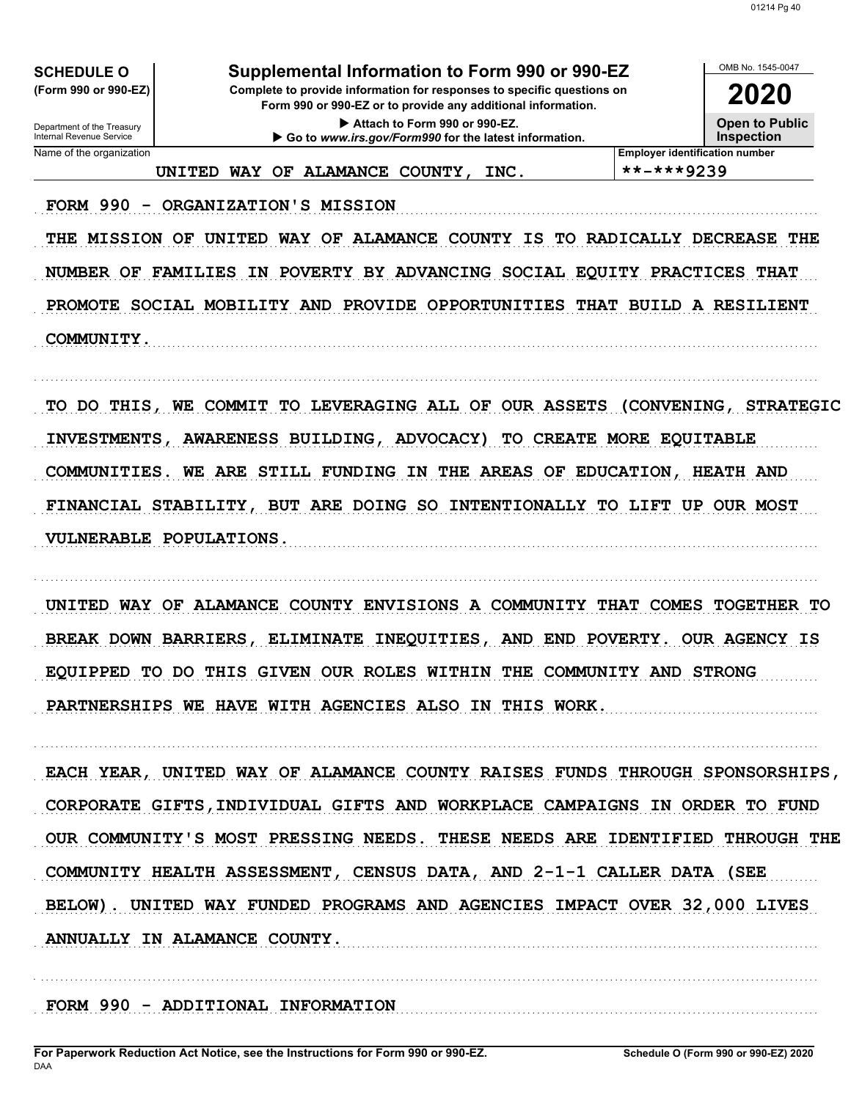OMB No. 1545-0047

2020

**Open to Public** 

**SCHEDULE O** (Form 990 or 990-EZ)

Department of the Treasury<br>Internal Revenue Service

Name of the organization

## Supplemental Information to Form 990 or 990-EZ

Complete to provide information for responses to specific questions on Form 990 or 990-EZ or to provide any additional information.

Attach to Form 990 or 990-EZ. Go to www.irs.gov/Form990 for the latest information.

**Inspection Employer identification number** 

UNITED WAY OF ALAMANCE COUNTY, INC.

\*\*-\*\*\*9239

FORM 990 - ORGANIZATION'S MISSION

THE MISSION OF UNITED WAY OF ALAMANCE COUNTY IS TO RADICALLY DECREASE THE NUMBER OF FAMILIES IN POVERTY BY ADVANCING SOCIAL EQUITY PRACTICES THAT PROMOTE SOCIAL MOBILITY AND PROVIDE OPPORTUNITIES THAT BUILD A RESILIENT COMMUNITY.

TO DO THIS, WE COMMIT TO LEVERAGING ALL OF OUR ASSETS (CONVENING, STRATEGIC INVESTMENTS, AWARENESS BUILDING, ADVOCACY) TO CREATE MORE EQUITABLE COMMUNITIES. WE ARE STILL FUNDING IN THE AREAS OF EDUCATION, HEATH AND FINANCIAL STABILITY, BUT ARE DOING SO INTENTIONALLY TO LIFT UP OUR MOST VULNERABLE POPULATIONS.

UNITED WAY OF ALAMANCE COUNTY ENVISIONS A COMMUNITY THAT COMES TOGETHER TO BREAK DOWN BARRIERS, ELIMINATE INEQUITIES, AND END POVERTY. OUR AGENCY IS EQUIPPED TO DO THIS GIVEN OUR ROLES WITHIN THE COMMUNITY AND STRONG PARTNERSHIPS WE HAVE WITH AGENCIES ALSO IN THIS WORK.

EACH YEAR, UNITED WAY OF ALAMANCE COUNTY RAISES FUNDS THROUGH SPONSORSHIPS, CORPORATE GIFTS, INDIVIDUAL GIFTS AND WORKPLACE CAMPAIGNS IN ORDER TO FUND OUR COMMUNITY'S MOST PRESSING NEEDS. THESE NEEDS ARE IDENTIFIED THROUGH THE COMMUNITY HEALTH ASSESSMENT, CENSUS DATA, AND 2-1-1 CALLER DATA (SEE BELOW). UNITED WAY FUNDED PROGRAMS AND AGENCIES IMPACT OVER 32,000 LIVES ANNUALLY IN ALAMANCE COUNTY.

FORM 990 - ADDITIONAL INFORMATION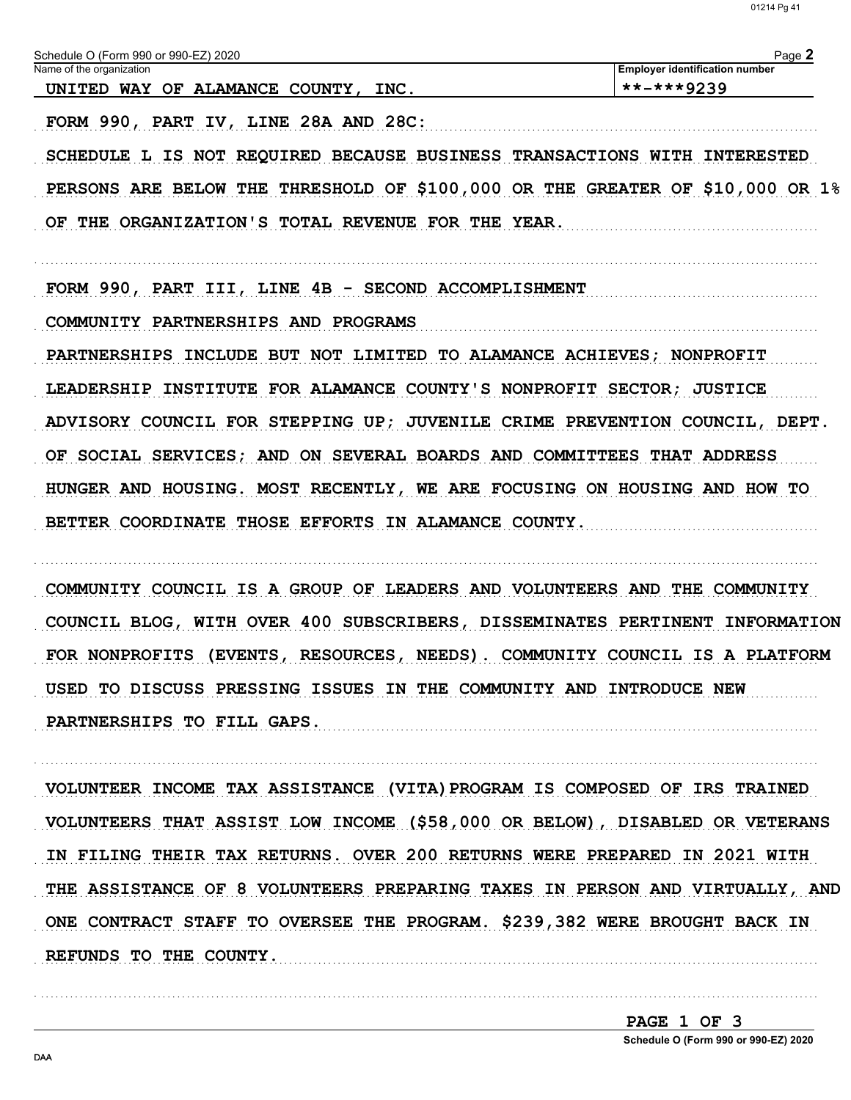**Employer identification number** 

Page 2

Schedule O (Form 990 or 990-EZ) 2020

Name of the organization

 $***$ -\*\*\*9239 UNITED WAY OF ALAMANCE COUNTY, INC. FORM 990, PART IV, LINE 28A AND 28C: SCHEDULE L IS NOT REQUIRED BECAUSE BUSINESS TRANSACTIONS WITH INTERESTED PERSONS ARE BELOW THE THRESHOLD OF \$100,000 OR THE GREATER OF \$10,000 OR 1% OF THE ORGANIZATION'S TOTAL REVENUE FOR THE YEAR.

FORM 990, PART III, LINE 4B - SECOND ACCOMPLISHMENT

COMMUNITY PARTNERSHIPS AND PROGRAMS

PARTNERSHIPS INCLUDE BUT NOT LIMITED TO ALAMANCE ACHIEVES; NONPROFIT LEADERSHIP INSTITUTE FOR ALAMANCE COUNTY'S NONPROFIT SECTOR; JUSTICE ADVISORY COUNCIL FOR STEPPING UP; JUVENILE CRIME PREVENTION COUNCIL, DEPT. OF SOCIAL SERVICES; AND ON SEVERAL BOARDS AND COMMITTEES THAT ADDRESS HUNGER AND HOUSING. MOST RECENTLY, WE ARE FOCUSING ON HOUSING AND HOW TO BETTER COORDINATE THOSE EFFORTS IN ALAMANCE COUNTY.

COMMUNITY COUNCIL IS A GROUP OF LEADERS AND VOLUNTEERS AND THE COMMUNITY COUNCIL BLOG, WITH OVER 400 SUBSCRIBERS, DISSEMINATES PERTINENT INFORMATION FOR NONPROFITS (EVENTS, RESOURCES, NEEDS). COMMUNITY COUNCIL IS A PLATFORM USED TO DISCUSS PRESSING ISSUES IN THE COMMUNITY AND INTRODUCE NEW PARTNERSHIPS TO FILL GAPS.

VOLUNTEER INCOME TAX ASSISTANCE (VITA) PROGRAM IS COMPOSED OF IRS TRAINED VOLUNTEERS THAT ASSIST LOW INCOME (\$58,000 OR BELOW), DISABLED OR VETERANS IN FILING THEIR TAX RETURNS. OVER 200 RETURNS WERE PREPARED IN 2021 WITH THE ASSISTANCE OF 8 VOLUNTEERS PREPARING TAXES IN PERSON AND VIRTUALLY, AND ONE CONTRACT STAFF TO OVERSEE THE PROGRAM. \$239,382 WERE BROUGHT BACK IN REFUNDS TO THE COUNTY.

> PAGE 1 OF 3 Schedule O (Form 990 or 990-EZ) 2020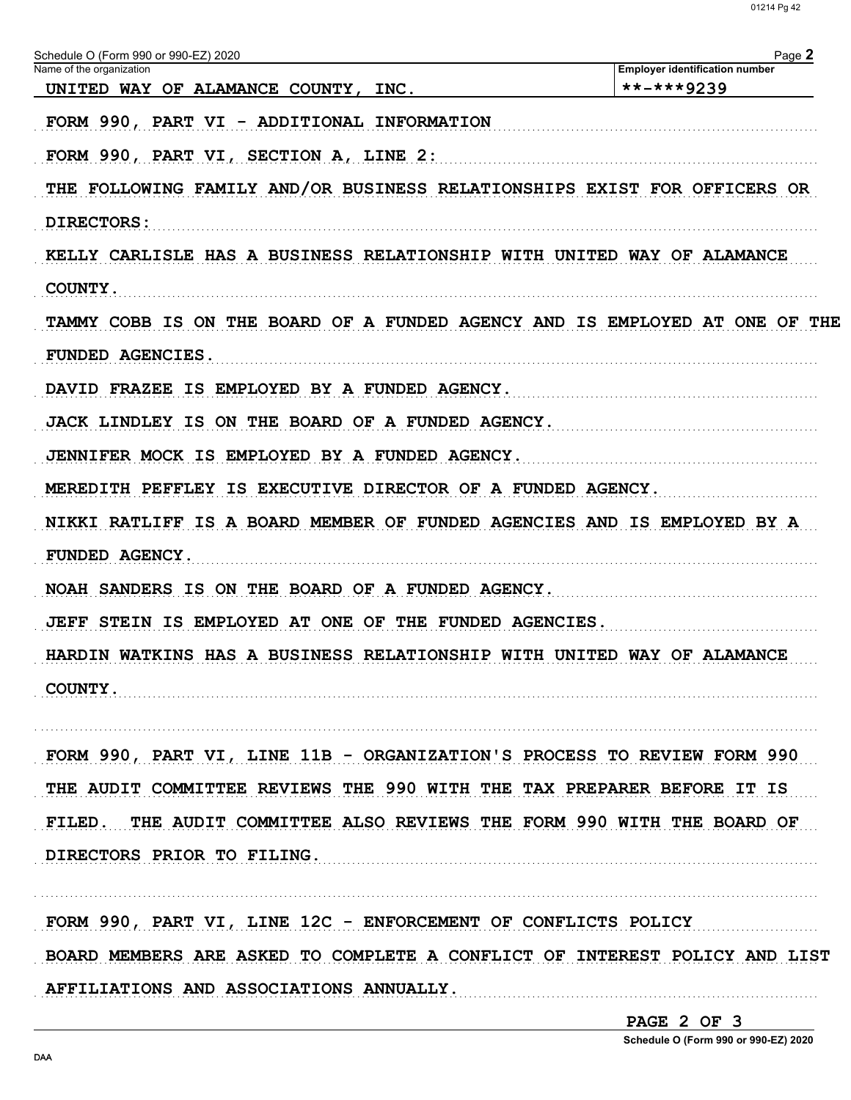Schedule O (Form 990 or 990-EZ) 2020 Page 2 Name of the organization **Employer identification number**  $***$ -\*\*\*9239 UNITED WAY OF ALAMANCE COUNTY, INC. FORM 990, PART VI - ADDITIONAL INFORMATION FORM 990, PART VI, SECTION A, LINE 2: THE FOLLOWING FAMILY AND/OR BUSINESS RELATIONSHIPS EXIST FOR OFFICERS OR DIRECTORS: KELLY CARLISLE HAS A BUSINESS RELATIONSHIP WITH UNITED WAY OF ALAMANCE COUNTY. TAMMY COBB IS ON THE BOARD OF A FUNDED AGENCY AND IS EMPLOYED AT ONE OF THE FUNDED AGENCIES. DAVID FRAZEE IS EMPLOYED BY A FUNDED AGENCY. JACK LINDLEY IS ON THE BOARD OF A FUNDED AGENCY. JENNIFER MOCK IS EMPLOYED BY A FUNDED AGENCY. MEREDITH PEFFLEY IS EXECUTIVE DIRECTOR OF A FUNDED AGENCY. NIKKI RATLIFF IS A BOARD MEMBER OF FUNDED AGENCIES AND IS EMPLOYED BY A **FUNDED AGENCY.** NOAH SANDERS IS ON THE BOARD OF A FUNDED AGENCY. JEFF STEIN IS EMPLOYED AT ONE OF THE FUNDED AGENCIES. HARDIN WATKINS HAS A BUSINESS RELATIONSHIP WITH UNITED WAY OF ALAMANCE COUNTY. FORM 990, PART VI, LINE 11B - ORGANIZATION'S PROCESS TO REVIEW FORM 990 THE AUDIT COMMITTEE REVIEWS THE 990 WITH THE TAX PREPARER BEFORE IT IS FILED. THE AUDIT COMMITTEE ALSO REVIEWS THE FORM 990 WITH THE BOARD OF DIRECTORS PRIOR TO FILING.

FORM 990, PART VI, LINE 12C - ENFORCEMENT OF CONFLICTS POLICY BOARD MEMBERS ARE ASKED TO COMPLETE A CONFLICT OF INTEREST POLICY AND LIST AFFILIATIONS AND ASSOCIATIONS ANNUALLY. 

PAGE 2 OF 3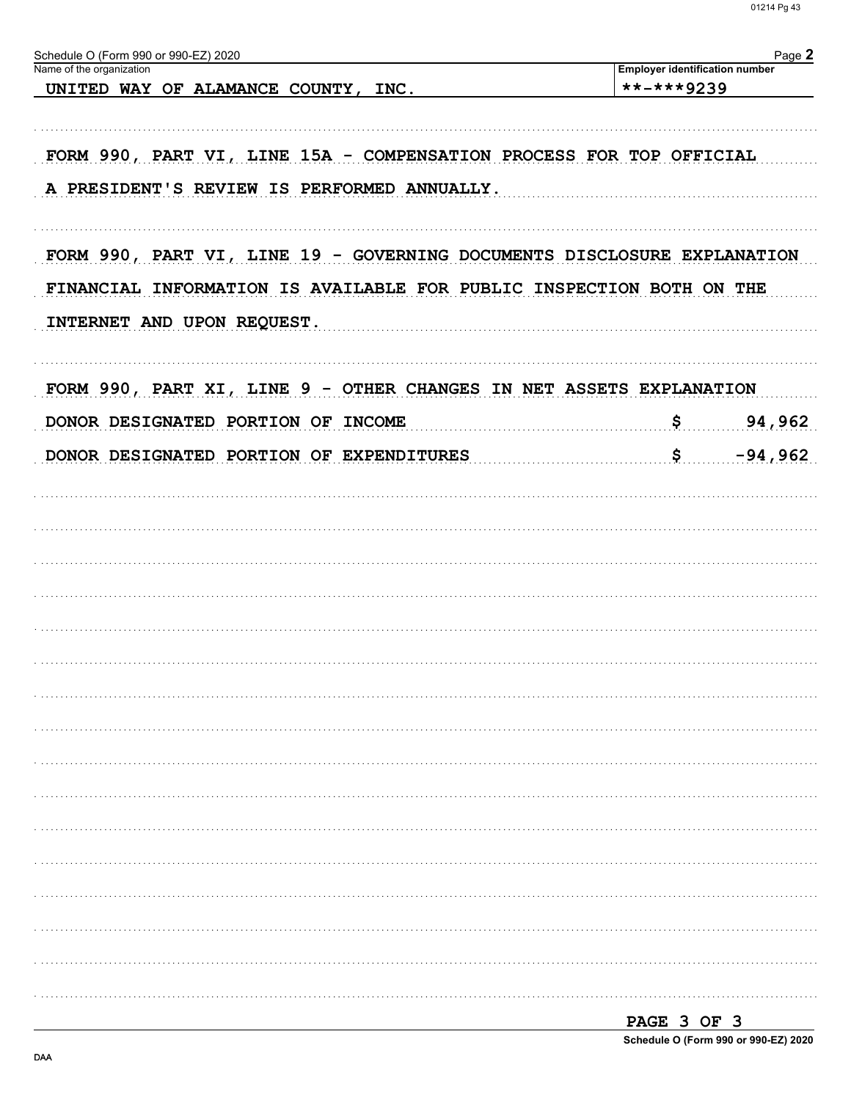| Schedule O (Form 990 or 990-EZ) 2020<br>Name of the organization                                                                                                              |                                                | Page 2    |
|-------------------------------------------------------------------------------------------------------------------------------------------------------------------------------|------------------------------------------------|-----------|
| UNITED WAY OF ALAMANCE COUNTY,<br>INC.                                                                                                                                        | Employer identification number<br>$******9239$ |           |
|                                                                                                                                                                               |                                                |           |
| FORM 990, PART VI, LINE 15A - COMPENSATION PROCESS FOR TOP OFFICIAL<br>A PRESIDENT'S REVIEW IS PERFORMED ANNUALLY.                                                            |                                                |           |
| FORM 990, PART VI, LINE 19 - GOVERNING DOCUMENTS DISCLOSURE EXPLANATION<br>FINANCIAL INFORMATION IS AVAILABLE FOR PUBLIC INSPECTION BOTH ON THE<br>INTERNET AND UPON REQUEST. |                                                |           |
| FORM 990, PART XI, LINE 9 - OTHER CHANGES IN NET ASSETS EXPLANATION                                                                                                           |                                                |           |
| DONOR DESIGNATED PORTION OF INCOME                                                                                                                                            | \$                                             | 94,962    |
| DONOR DESIGNATED PORTION OF EXPENDITURES                                                                                                                                      | \$                                             | $-94,962$ |
|                                                                                                                                                                               |                                                |           |
|                                                                                                                                                                               |                                                |           |
|                                                                                                                                                                               |                                                |           |
|                                                                                                                                                                               |                                                |           |
|                                                                                                                                                                               |                                                |           |
|                                                                                                                                                                               |                                                |           |
|                                                                                                                                                                               |                                                |           |
|                                                                                                                                                                               |                                                |           |
|                                                                                                                                                                               |                                                |           |
|                                                                                                                                                                               |                                                |           |
|                                                                                                                                                                               |                                                |           |
|                                                                                                                                                                               |                                                |           |
|                                                                                                                                                                               |                                                |           |
|                                                                                                                                                                               |                                                |           |

| PAGE 3 OF 3 |  |                                      |
|-------------|--|--------------------------------------|
|             |  | Schedule O (Form 990 or 990-EZ) 2020 |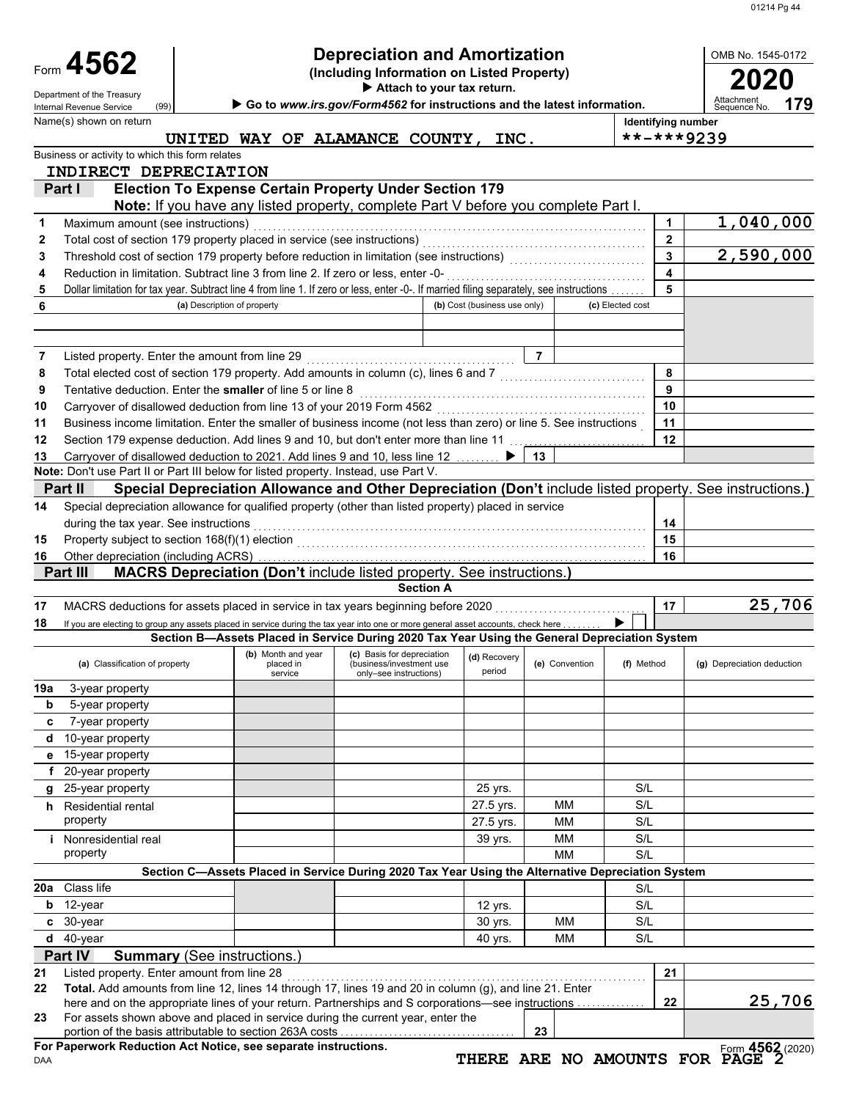| OMB No. 1545 |  |
|--------------|--|

|     | <b>Depreciation and Amortization</b><br>Form 4562<br>(Including Information on Listed Property)<br>Attach to your tax return.           |                             |                    |           |                                                                                                   |                                                         |                              | OMB No. 1545-0172 |                |                  |              |                                                                                                          |
|-----|-----------------------------------------------------------------------------------------------------------------------------------------|-----------------------------|--------------------|-----------|---------------------------------------------------------------------------------------------------|---------------------------------------------------------|------------------------------|-------------------|----------------|------------------|--------------|----------------------------------------------------------------------------------------------------------|
|     | Department of the Treasury<br>(99)<br>Internal Revenue Service                                                                          |                             |                    |           | Go to www.irs.gov/Form4562 for instructions and the latest information.                           |                                                         |                              |                   |                |                  |              | Attachment<br>179<br>Sequence No.                                                                        |
|     | Name(s) shown on return                                                                                                                 |                             |                    |           |                                                                                                   |                                                         |                              |                   |                |                  |              | Identifying number                                                                                       |
|     |                                                                                                                                         |                             |                    |           | UNITED WAY OF ALAMANCE COUNTY,                                                                    |                                                         | INC.                         |                   |                |                  |              | **-***9239                                                                                               |
|     | Business or activity to which this form relates                                                                                         |                             |                    |           |                                                                                                   |                                                         |                              |                   |                |                  |              |                                                                                                          |
|     | INDIRECT DEPRECIATION                                                                                                                   |                             |                    |           |                                                                                                   |                                                         |                              |                   |                |                  |              |                                                                                                          |
|     | Part I                                                                                                                                  |                             |                    |           | <b>Election To Expense Certain Property Under Section 179</b>                                     |                                                         |                              |                   |                |                  |              |                                                                                                          |
|     |                                                                                                                                         |                             |                    |           | Note: If you have any listed property, complete Part V before you complete Part I.                |                                                         |                              |                   |                |                  |              |                                                                                                          |
| 1   | Maximum amount (see instructions)                                                                                                       |                             |                    |           |                                                                                                   |                                                         |                              |                   |                |                  | 1            | 1,040,000                                                                                                |
| 2   | Total cost of section 179 property placed in service (see instructions)                                                                 |                             |                    |           |                                                                                                   |                                                         |                              |                   |                |                  | $\mathbf{2}$ |                                                                                                          |
| 3   | Threshold cost of section 179 property before reduction in limitation (see instructions)                                                |                             |                    |           |                                                                                                   |                                                         |                              |                   |                |                  | 3            | 2,590,000                                                                                                |
| 4   | Reduction in limitation. Subtract line 3 from line 2. If zero or less, enter -0-                                                        |                             |                    |           |                                                                                                   |                                                         |                              |                   |                |                  | 4            |                                                                                                          |
| 5   | Dollar limitation for tax year. Subtract line 4 from line 1. If zero or less, enter -0-. If married filing separately, see instructions |                             |                    |           |                                                                                                   |                                                         |                              |                   |                |                  | 5            |                                                                                                          |
| 6   |                                                                                                                                         | (a) Description of property |                    |           |                                                                                                   |                                                         | (b) Cost (business use only) |                   |                | (c) Elected cost |              |                                                                                                          |
|     |                                                                                                                                         |                             |                    |           |                                                                                                   |                                                         |                              |                   |                |                  |              |                                                                                                          |
|     |                                                                                                                                         |                             |                    |           |                                                                                                   |                                                         |                              |                   |                |                  |              |                                                                                                          |
| 7   | Listed property. Enter the amount from line 29                                                                                          |                             |                    |           |                                                                                                   |                                                         |                              | $\overline{7}$    |                |                  |              |                                                                                                          |
| 8   | Total elected cost of section 179 property. Add amounts in column (c), lines 6 and 7                                                    |                             |                    |           |                                                                                                   |                                                         |                              |                   |                |                  | 8            |                                                                                                          |
| 9   | Tentative deduction. Enter the smaller of line 5 or line 8                                                                              |                             |                    |           |                                                                                                   |                                                         |                              |                   |                |                  | 9            |                                                                                                          |
| 10  | Carryover of disallowed deduction from line 13 of your 2019 Form 4562                                                                   |                             |                    |           |                                                                                                   |                                                         |                              |                   |                |                  | 10           |                                                                                                          |
| 11  | Business income limitation. Enter the smaller of business income (not less than zero) or line 5. See instructions                       |                             |                    |           |                                                                                                   |                                                         |                              |                   |                |                  | 11           |                                                                                                          |
| 12  | Section 179 expense deduction. Add lines 9 and 10, but don't enter more than line 11                                                    |                             |                    |           |                                                                                                   |                                                         |                              |                   |                |                  | 12           |                                                                                                          |
| 13  | Carryover of disallowed deduction to 2021. Add lines 9 and 10, less line 12                                                             |                             |                    |           |                                                                                                   |                                                         |                              | 13                |                |                  |              |                                                                                                          |
|     | Note: Don't use Part II or Part III below for listed property. Instead, use Part V.                                                     |                             |                    |           |                                                                                                   |                                                         |                              |                   |                |                  |              |                                                                                                          |
|     | Part II                                                                                                                                 |                             |                    |           |                                                                                                   |                                                         |                              |                   |                |                  |              | Special Depreciation Allowance and Other Depreciation (Don't include listed property. See instructions.) |
|     |                                                                                                                                         |                             |                    |           |                                                                                                   |                                                         |                              |                   |                |                  |              |                                                                                                          |
| 14  | Special depreciation allowance for qualified property (other than listed property) placed in service                                    |                             |                    |           |                                                                                                   |                                                         |                              |                   |                |                  |              |                                                                                                          |
|     | during the tax year. See instructions                                                                                                   |                             |                    |           |                                                                                                   |                                                         |                              |                   |                |                  | 14           |                                                                                                          |
| 15  | Property subject to section 168(f)(1) election                                                                                          |                             |                    |           |                                                                                                   |                                                         |                              |                   |                |                  | 15           |                                                                                                          |
| 16  | Other depreciation (including ACRS)                                                                                                     |                             |                    |           |                                                                                                   |                                                         |                              |                   |                |                  | 16           |                                                                                                          |
|     | Part III                                                                                                                                |                             |                    |           | MACRS Depreciation (Don't include listed property. See instructions.)                             |                                                         |                              |                   |                |                  |              |                                                                                                          |
|     |                                                                                                                                         |                             |                    |           |                                                                                                   | <b>Section A</b>                                        |                              |                   |                |                  |              |                                                                                                          |
| 17  | MACRS deductions for assets placed in service in tax years beginning before 2020                                                        |                             |                    |           |                                                                                                   |                                                         |                              |                   |                |                  | 17           | 25,706                                                                                                   |
| 18  | If you are electing to group any assets placed in service during the tax year into one or more general asset accounts, check here       |                             |                    |           |                                                                                                   |                                                         |                              |                   |                |                  |              |                                                                                                          |
|     |                                                                                                                                         |                             |                    |           | Section B-Assets Placed in Service During 2020 Tax Year Using the General Depreciation System     |                                                         |                              |                   |                |                  |              |                                                                                                          |
|     | (a) Classification of property                                                                                                          |                             | (b) Month and year | placed in |                                                                                                   | (c) Basis for depreciation<br>(business/investment use) | (d) Recovery                 |                   | (e) Convention | (f) Method       |              | (g) Depreciation deduction                                                                               |
|     |                                                                                                                                         |                             |                    | service   |                                                                                                   | only-see instructions)                                  | period                       |                   |                |                  |              |                                                                                                          |
| 19a | 3-year property                                                                                                                         |                             |                    |           |                                                                                                   |                                                         |                              |                   |                |                  |              |                                                                                                          |
| b   | 5-year property                                                                                                                         |                             |                    |           |                                                                                                   |                                                         |                              |                   |                |                  |              |                                                                                                          |
| c   | 7-year property                                                                                                                         |                             |                    |           |                                                                                                   |                                                         |                              |                   |                |                  |              |                                                                                                          |
| d   | 10-year property                                                                                                                        |                             |                    |           |                                                                                                   |                                                         |                              |                   |                |                  |              |                                                                                                          |
| е   | 15-year property                                                                                                                        |                             |                    |           |                                                                                                   |                                                         |                              |                   |                |                  |              |                                                                                                          |
| f   | 20-year property                                                                                                                        |                             |                    |           |                                                                                                   |                                                         |                              |                   |                |                  |              |                                                                                                          |
| g   | 25-year property                                                                                                                        |                             |                    |           |                                                                                                   |                                                         | 25 yrs.                      |                   |                | S/L              |              |                                                                                                          |
|     | h Residential rental                                                                                                                    |                             |                    |           |                                                                                                   |                                                         | 27.5 yrs.                    |                   | MМ             | S/L              |              |                                                                                                          |
|     | property                                                                                                                                |                             |                    |           |                                                                                                   |                                                         | 27.5 yrs.                    |                   | <b>MM</b>      | S/L              |              |                                                                                                          |
|     | <i>i</i> Nonresidential real                                                                                                            |                             |                    |           |                                                                                                   |                                                         | 39 yrs.                      |                   | <b>MM</b>      | S/L              |              |                                                                                                          |
|     | property                                                                                                                                |                             |                    |           |                                                                                                   |                                                         |                              |                   | <b>MM</b>      | S/L              |              |                                                                                                          |
|     |                                                                                                                                         |                             |                    |           | Section C-Assets Placed in Service During 2020 Tax Year Using the Alternative Depreciation System |                                                         |                              |                   |                |                  |              |                                                                                                          |
| 20a | Class life                                                                                                                              |                             |                    |           |                                                                                                   |                                                         |                              |                   |                | S/L              |              |                                                                                                          |
| b   | 12-year                                                                                                                                 |                             |                    |           |                                                                                                   |                                                         |                              |                   |                | S/L              |              |                                                                                                          |
|     |                                                                                                                                         |                             |                    |           |                                                                                                   |                                                         | 12 yrs.                      |                   |                |                  |              |                                                                                                          |
| C   | 30-year                                                                                                                                 |                             |                    |           |                                                                                                   |                                                         | 30 yrs.                      |                   | <b>MM</b>      | S/L              |              |                                                                                                          |
| d   | 40-year                                                                                                                                 |                             |                    |           |                                                                                                   |                                                         | 40 yrs.                      |                   | <b>MM</b>      | S/L              |              |                                                                                                          |
|     | Part IV<br><b>Summary (See instructions.)</b>                                                                                           |                             |                    |           |                                                                                                   |                                                         |                              |                   |                |                  |              |                                                                                                          |
| 21  | Listed property. Enter amount from line 28                                                                                              |                             |                    |           |                                                                                                   |                                                         |                              |                   |                |                  | 21           |                                                                                                          |
| 22  | Total. Add amounts from line 12, lines 14 through 17, lines 19 and 20 in column (g), and line 21. Enter                                 |                             |                    |           |                                                                                                   |                                                         |                              |                   |                |                  |              |                                                                                                          |
|     | here and on the appropriate lines of your return. Partnerships and S corporations-see instructions                                      |                             |                    |           |                                                                                                   |                                                         |                              |                   |                |                  | 22           | 25,706                                                                                                   |
| 23  | For assets shown above and placed in service during the current year, enter the                                                         |                             |                    |           |                                                                                                   |                                                         |                              | 23                |                |                  |              |                                                                                                          |
|     |                                                                                                                                         |                             |                    |           |                                                                                                   |                                                         |                              |                   |                |                  |              |                                                                                                          |

DAA **For Paperwork Reduction Act Notice, see separate instructions.**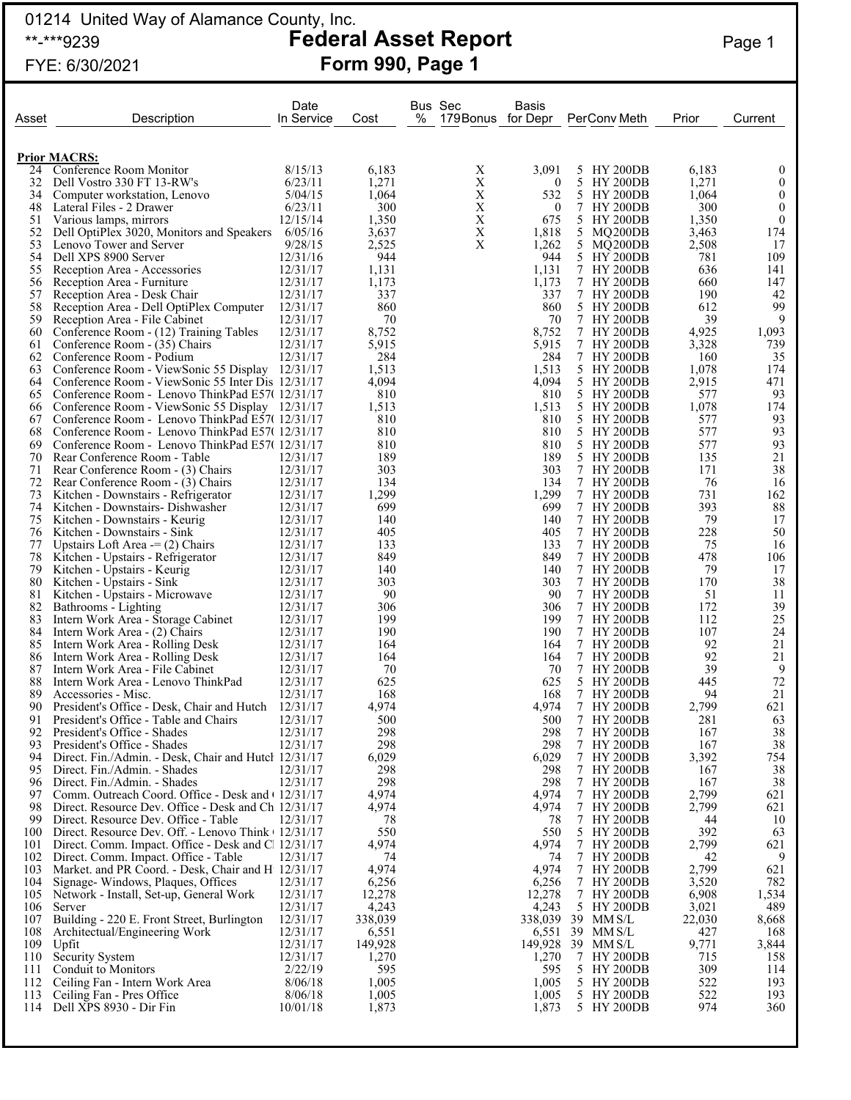## 01214 United Way of Alamance County, Inc. \*\*-\*\*\*9239 **Federal Asset Report** Page 1

# FYE: 6/30/2021 **Form 990, Page 1**

| Asset      | Description                                                                                                | Date<br>In Service   | Cost             | % | Bus Sec<br>179 Bonus for Depr | Basis                   | PerConv Meth                                  | Prior          | Current                          |
|------------|------------------------------------------------------------------------------------------------------------|----------------------|------------------|---|-------------------------------|-------------------------|-----------------------------------------------|----------------|----------------------------------|
|            |                                                                                                            |                      |                  |   |                               |                         |                                               |                |                                  |
| 24         | <b>Prior MACRS:</b><br>Conference Room Monitor                                                             | 8/15/13              | 6,183            |   | Χ                             | 3,091                   | 5 HY 200DB                                    | 6,183          | $\theta$                         |
| 32         | Dell Vostro 330 FT 13-RW's                                                                                 | 6/23/11              | 1,271            |   | X                             | $\boldsymbol{0}$        | <b>HY 200DB</b><br>5                          | 1,271          | $\boldsymbol{0}$                 |
| 34         | Computer workstation, Lenovo                                                                               | 5/04/15              | 1,064            |   | X                             | 532                     | 5 HY 200DB                                    | 1,064          | $\boldsymbol{0}$                 |
| 48<br>51   | Lateral Files - 2 Drawer<br>Various lamps, mirrors                                                         | 6/23/11<br>12/15/14  | 300<br>1,350     |   | X<br>X                        | $\boldsymbol{0}$<br>675 | <b>HY 200DB</b><br>7<br>5.<br><b>HY 200DB</b> | 300<br>1,350   | $\boldsymbol{0}$<br>$\mathbf{0}$ |
| 52         | Dell OptiPlex 3020, Monitors and Speakers                                                                  | 6/05/16              | 3,637            |   | $\mathbf X$                   | 1,818                   | MQ200DB<br>5.                                 | 3,463          | 174                              |
| 53         | Lenovo Tower and Server                                                                                    | 9/28/15              | 2,525            |   | $\mathbf X$                   | 1,262                   | 5 MQ200DB                                     | 2,508          | 17                               |
| 54         | Dell XPS 8900 Server                                                                                       | 12/31/16             | 944              |   |                               | 944                     | <b>HY 200DB</b><br>5.                         | 781            | 109                              |
| 55<br>56   | Reception Area - Accessories<br>Reception Area - Furniture                                                 | 12/31/17<br>12/31/17 | 1,131<br>1,173   |   |                               | 1,131<br>1,173          | 7<br><b>HY 200DB</b><br>7<br><b>HY 200DB</b>  | 636<br>660     | 141<br>147                       |
| 57         | Reception Area - Desk Chair                                                                                | 12/31/17             | 337              |   |                               | 337                     | 7 HY 200DB                                    | 190            | 42                               |
| 58         | Reception Area - Dell OptiPlex Computer                                                                    | 12/31/17             | 860              |   |                               | 860                     | 5.<br><b>HY 200DB</b>                         | 612            | 99                               |
| 59<br>60   | Reception Area - File Cabinet                                                                              | 12/31/17<br>12/31/17 | 70<br>8,752      |   |                               | 70<br>8,752             | 7<br><b>HY 200DB</b><br><b>HY 200DB</b><br>7  | 39<br>4,925    | 9<br>1,093                       |
| 61         | Conference Room - (12) Training Tables<br>Conference Room - (35) Chairs                                    | 12/31/17             | 5,915            |   |                               | 5,915                   | 7 HY 200DB                                    | 3,328          | 739                              |
| 62         | Conference Room - Podium                                                                                   | 12/31/17             | 284              |   |                               | 284                     | 7<br><b>HY 200DB</b>                          | 160            | 35                               |
| 63         | Conference Room - ViewSonic 55 Display 12/31/17                                                            |                      | 1,513            |   |                               | 1,513                   | 5 HY 200DB                                    | 1,078          | 174                              |
| 64<br>65   | Conference Room - ViewSonic 55 Inter Dis 12/31/17<br>Conference Room - Lenovo ThinkPad E57(12/31/17)       |                      | 4,094<br>810     |   |                               | 4,094<br>810            | 5 HY 200DB<br>5 HY 200DB                      | 2,915<br>577   | 471<br>93                        |
| 66         | Conference Room - ViewSonic 55 Display 12/31/17                                                            |                      | 1,513            |   |                               | 1,513                   | <b>HY 200DB</b><br>5.                         | 1,078          | 174                              |
| 67         | Conference Room - Lenovo ThinkPad E57(12/31/17)                                                            |                      | 810              |   |                               | 810                     | <b>HY 200DB</b><br>5.                         | 577            | 93                               |
| 68<br>69   | Conference Room - Lenovo ThinkPad E57(12/31/17)                                                            |                      | 810<br>810       |   |                               | 810<br>810              | 5 HY 200DB<br>5 HY 200DB                      | 577<br>577     | 93<br>93                         |
| 70         | Conference Room - Lenovo ThinkPad E57(12/31/17)<br>Rear Conference Room - Table                            | 12/31/17             | 189              |   |                               | 189                     | <b>HY 200DB</b><br>5.                         | 135            | 21                               |
| 71         | Rear Conference Room - (3) Chairs                                                                          | 12/31/17             | 303              |   |                               | 303                     | 7<br><b>HY 200DB</b>                          | 171            | 38                               |
| 72         | Rear Conference Room - (3) Chairs                                                                          | 12/31/17             | 134              |   |                               | 134                     | 7<br><b>HY 200DB</b>                          | 76             | 16                               |
| 73<br>74   | Kitchen - Downstairs - Refrigerator<br>Kitchen - Downstairs- Dishwasher                                    | 12/31/17<br>12/31/17 | 1,299<br>699     |   |                               | 1,299<br>699            | 7<br><b>HY 200DB</b><br>7<br><b>HY 200DB</b>  | 731<br>393     | 162<br>88                        |
| 75         | Kitchen - Downstairs - Keurig                                                                              | 12/31/17             | 140              |   |                               | 140                     | 7<br><b>HY 200DB</b>                          | 79             | 17                               |
| 76         | Kitchen - Downstairs - Sink                                                                                | 12/31/17             | 405              |   |                               | 405                     | <b>HY 200DB</b><br>7                          | 228            | 50                               |
| 77         | Upstairs Loft Area $=$ (2) Chairs                                                                          | 12/31/17             | 133              |   |                               | 133                     | 7<br><b>HY 200DB</b>                          | 75             | 16                               |
| 78<br>79   | Kitchen - Upstairs - Refrigerator<br>Kitchen - Upstairs - Keurig                                           | 12/31/17<br>12/31/17 | 849<br>140       |   |                               | 849<br>140              | 7<br><b>HY 200DB</b><br>7<br><b>HY 200DB</b>  | 478<br>79      | 106<br>17                        |
| 80         | Kitchen - Upstairs - Sink                                                                                  | 12/31/17             | 303              |   |                               | 303                     | <b>HY 200DB</b><br>7                          | 170            | 38                               |
| 81         | Kitchen - Upstairs - Microwave                                                                             | 12/31/17             | 90               |   |                               | 90                      | 7<br><b>HY 200DB</b>                          | 51             | 11                               |
| 82<br>83   | Bathrooms - Lighting<br>Intern Work Area - Storage Cabinet                                                 | 12/31/17<br>12/31/17 | 306<br>199       |   |                               | 306<br>199              | <b>HY 200DB</b><br>7<br>7<br><b>HY 200DB</b>  | 172<br>112     | 39<br>25                         |
| 84         | Intern Work Area - (2) Chairs                                                                              | 12/31/17             | 190              |   |                               | 190                     | 7<br><b>HY 200DB</b>                          | 107            | 24                               |
| 85         | Intern Work Area - Rolling Desk                                                                            | 12/31/17             | 164              |   |                               | 164                     | 7<br><b>HY 200DB</b>                          | 92             | 21                               |
| 86         | Intern Work Area - Rolling Desk                                                                            | 12/31/17             | 164              |   |                               | 164<br>70               | <b>HY 200DB</b><br>7                          | 92<br>39       | 21                               |
| 87<br>88   | Intern Work Area - File Cabinet<br>Intern Work Area - Lenovo ThinkPad                                      | 12/31/17<br>12/31/17 | 70<br>625        |   |                               | 625                     | 7<br><b>HY 200DB</b><br><b>HY 200DB</b><br>5. | 445            | 9<br>72                          |
| 89         | Accessories - Misc.                                                                                        | 12/31/17             | 168              |   |                               | 168                     | 7<br><b>HY 200DB</b>                          | 94             | 21                               |
| 90         | President's Office - Desk, Chair and Hutch                                                                 | 12/31/17             | 4,974            |   |                               | 4,974                   | <b>HY 200DB</b><br>7                          | 2.799          | 621                              |
| 91<br>92   | President's Office - Table and Chairs<br>President's Office - Shades                                       | 12/31/17<br>12/31/17 | 500<br>298       |   |                               | 500<br>298              | <b>HY 200DB</b><br>7<br><b>HY 200DB</b><br>7  | 281<br>167     | 63<br>38                         |
| 93         | President's Office - Shades                                                                                | 12/31/17             | 298              |   |                               | 298                     | 7<br><b>HY 200DB</b>                          | 167            | 38                               |
| 94         | Direct. Fin./Admin. - Desk, Chair and Hutcl 12/31/17                                                       |                      | 6,029            |   |                               | 6,029                   | 7 HY 200DB                                    | 3,392          | 754                              |
| 95<br>96   | Direct. Fin./Admin. - Shades<br>Direct. Fin./Admin. - Shades                                               | 12/31/17<br>12/31/17 | 298<br>298       |   |                               | 298<br>298              | $\tau$<br><b>HY 200DB</b><br>7 HY 200DB       | 167<br>167     | 38<br>38                         |
| 97         | Comm. Outreach Coord. Office - Desk and (12/31/17)                                                         |                      | 4,974            |   |                               | 4,974                   | 7 HY 200DB                                    | 2,799          | 621                              |
| 98         | Direct. Resource Dev. Office - Desk and Ch 12/31/17                                                        |                      | 4,974            |   |                               | 4,974                   | <b>HY 200DB</b><br>7                          | 2,799          | 621                              |
| 99         | Direct. Resource Dev. Office - Table                                                                       | 12/31/17             | 78               |   |                               | 78                      | 7 HY 200DB                                    | 44             | 10                               |
| 100<br>101 | Direct. Resource Dev. Off. - Lenovo Think + 12/31/17<br>Direct. Comm. Impact. Office - Desk and C 12/31/17 |                      | 550<br>4,974     |   |                               | 550<br>4,974            | 5 HY 200DB<br>7<br><b>HY 200DB</b>            | 392<br>2,799   | 63<br>621                        |
| 102        | Direct. Comm. Impact. Office - Table                                                                       | 12/31/17             | 74               |   |                               | 74                      | <b>HY 200DB</b><br>7                          | 42             | 9                                |
| 103        | Market. and PR Coord. - Desk, Chair and H 12/31/17                                                         |                      | 4,974            |   |                               | 4,974                   | <b>HY 200DB</b><br>7                          | 2,799          | 621                              |
| 104<br>105 | Signage-Windows, Plaques, Offices                                                                          | 12/31/17<br>12/31/17 | 6,256<br>12,278  |   |                               | 6,256<br>12,278         | <b>HY 200DB</b><br>7<br>7 HY 200DB            | 3,520<br>6,908 | 782<br>1,534                     |
| 106        | Network - Install, Set-up, General Work<br>Server                                                          | 12/31/17             | 4,243            |   |                               | 4,243                   | 5 HY 200DB                                    | 3,021          | 489                              |
| 107        | Building - 220 E. Front Street, Burlington                                                                 | 12/31/17             | 338,039          |   |                               | 338,039                 | 39 MM S/L                                     | 22,030         | 8,668                            |
| 108        | Architectual/Engineering Work                                                                              | 12/31/17             | 6,551            |   |                               | 6,551                   | 39 MM S/L                                     | 427            | 168                              |
| 109<br>110 | Upfit<br>Security System                                                                                   | 12/31/17<br>12/31/17 | 149,928<br>1,270 |   |                               | 149,928<br>1,270        | 39 MM S/L<br>7 HY 200DB                       | 9,771<br>715   | 3,844<br>158                     |
| 111        | Conduit to Monitors                                                                                        | 2/22/19              | 595              |   |                               | 595                     | 5 HY 200DB                                    | 309            | 114                              |
| 112        | Ceiling Fan - Intern Work Area                                                                             | 8/06/18              | 1,005            |   |                               | 1,005                   | 5 HY 200DB                                    | 522            | 193                              |
| 113<br>114 | Ceiling Fan - Pres Office<br>Dell XPS 8930 - Dir Fin                                                       | 8/06/18<br>10/01/18  | 1,005<br>1,873   |   |                               | 1,005<br>1,873          | 5 HY 200DB<br>5 HY 200DB                      | 522<br>974     | 193<br>360                       |
|            |                                                                                                            |                      |                  |   |                               |                         |                                               |                |                                  |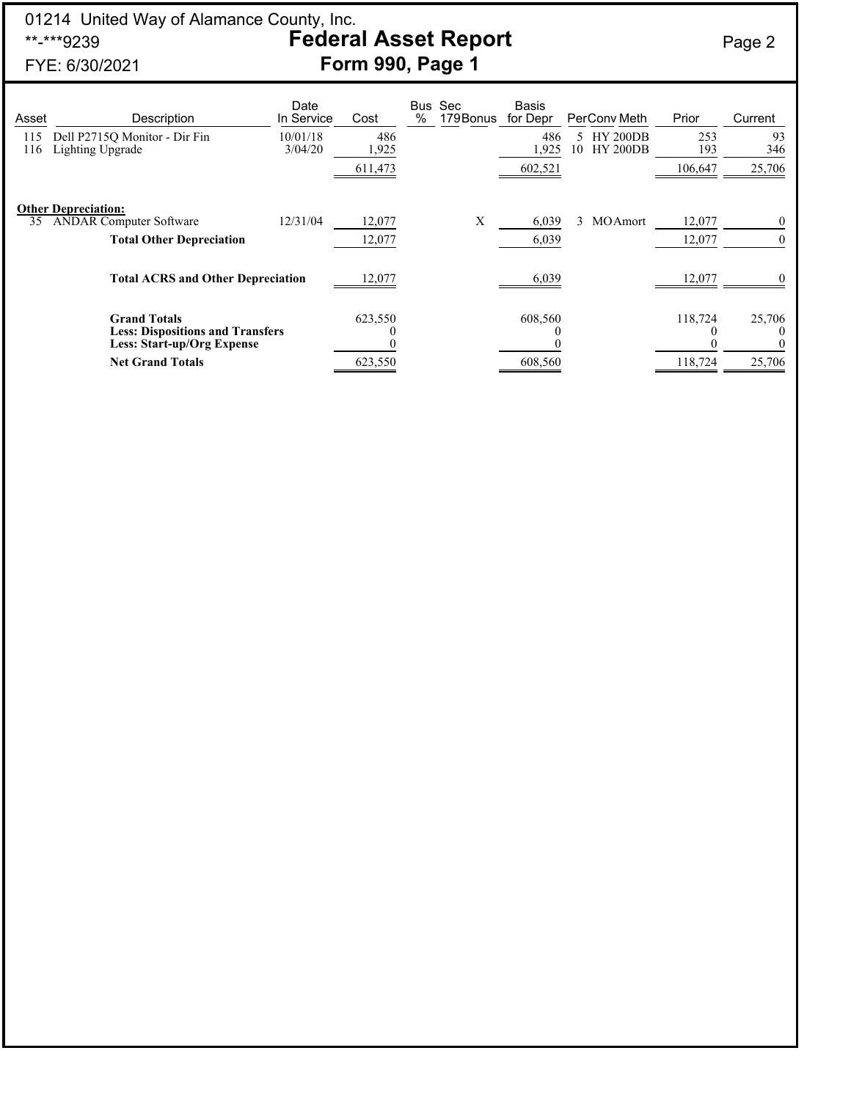## 01214 United Way of Alamance County, Inc. \*\*-\*\*\*9239 **Federal Asset Report** Page 2 FYE: 6/30/2021 **Form 990, Page 1**

| Asset      | Description                                                                                                                                     | Date<br>In Service  | Cost         | Bus<br>% | Sec<br>179 Bonus | Basis<br>for Depr |    | PerCony Meth                       | Prior      | Current   |
|------------|-------------------------------------------------------------------------------------------------------------------------------------------------|---------------------|--------------|----------|------------------|-------------------|----|------------------------------------|------------|-----------|
| 115<br>116 | Dell P2715Q Monitor - Dir Fin<br>Lighting Upgrade                                                                                               | 10/01/18<br>3/04/20 | 486<br>1,925 |          |                  | 486<br>1,925      | 10 | <b>HY 200DB</b><br><b>HY 200DB</b> | 253<br>193 | 93<br>346 |
|            |                                                                                                                                                 |                     | 611,473      |          |                  | 602,521           |    |                                    | 106,647    | 25,706    |
|            | <b>Other Depreciation:</b>                                                                                                                      |                     |              |          |                  |                   |    |                                    |            |           |
| 35         | <b>ANDAR Computer Software</b>                                                                                                                  | 12/31/04            | 12,077       |          | X                | 6,039             | 3  | MOAmort                            | 12,077     | $\theta$  |
|            | <b>Total Other Depreciation</b>                                                                                                                 |                     | 12,077       |          |                  | 6,039             |    |                                    | 12,077     | $\theta$  |
|            | <b>Total ACRS and Other Depreciation</b><br><b>Grand Totals</b><br><b>Less: Dispositions and Transfers</b><br><b>Less: Start-up/Org Expense</b> |                     | 12,077       |          |                  | 6,039             |    |                                    | 12,077     | $\theta$  |
|            |                                                                                                                                                 |                     | 623,550      |          |                  | 608,560           |    |                                    | 118,724    | 25,706    |
|            | <b>Net Grand Totals</b>                                                                                                                         |                     | 623,550      |          |                  | 608,560           |    |                                    | 118,724    | 25,706    |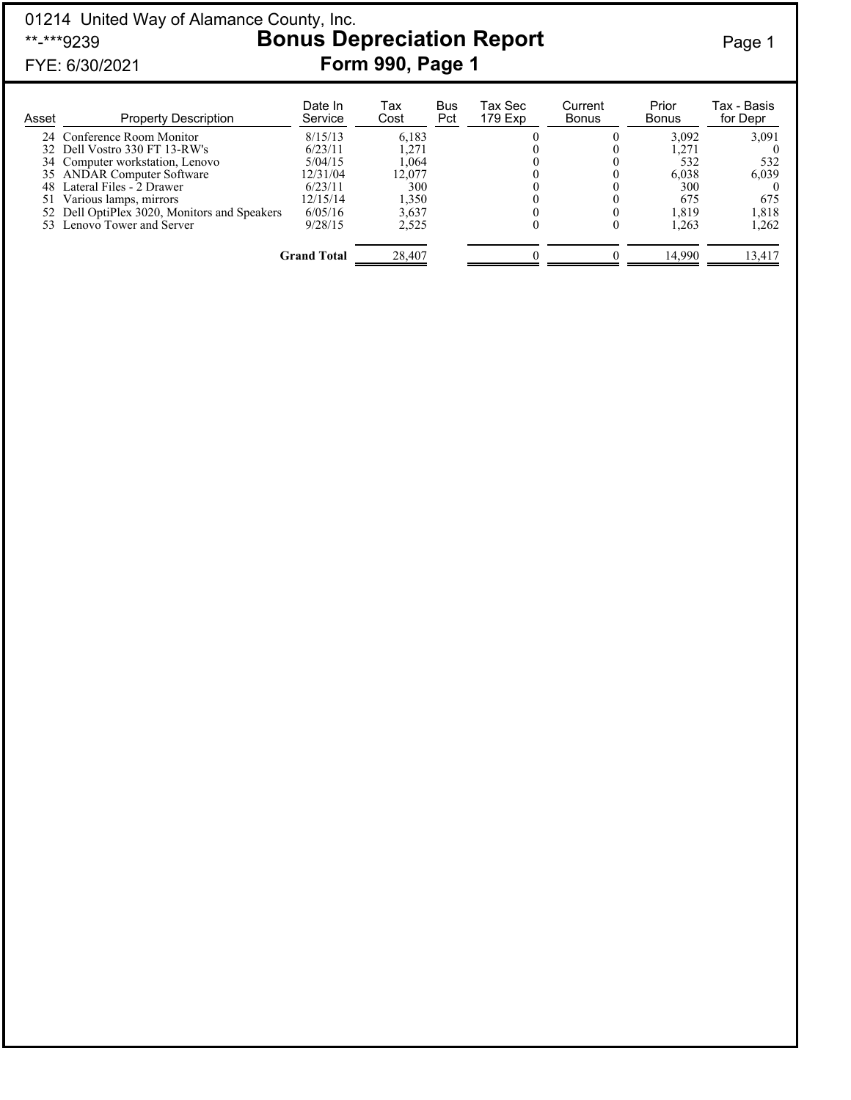## 01214 United Way of Alamance County, Inc. \*\*-\*\*\*9239 **Bonus Depreciation Report** Page 1 FYE: 6/30/2021 **Form 990, Page 1**

| Asset | <b>Property Description</b>                  | Date In<br>Service | Тах<br>Cost | Bus<br>Pct | Tax Sec<br>179 Exp | Current<br><b>Bonus</b> | Prior<br><b>Bonus</b> | Tax - Basis<br>for Depr |
|-------|----------------------------------------------|--------------------|-------------|------------|--------------------|-------------------------|-----------------------|-------------------------|
|       | 24 Conference Room Monitor                   | 8/15/13            | 6,183       |            |                    |                         | 3.092                 | 3,091                   |
|       | 32 Dell Vostro 330 FT 13-RW's                | 6/23/11            | 1.271       |            |                    |                         | 1.271                 |                         |
|       | 34 Computer workstation, Lenovo              | 5/04/15            | 1.064       |            |                    |                         | 532                   | 532                     |
|       | 35 ANDAR Computer Software                   | 12/31/04           | 12.077      |            |                    |                         | 6,038                 | 6.039                   |
|       | 48 Lateral Files - 2 Drawer                  | 6/23/11            | 300         |            |                    |                         | 300                   |                         |
| 51    | Various lamps, mirrors                       | 12/15/14           | 1,350       |            |                    |                         | 675                   | 675                     |
|       | 52 Dell OptiPlex 3020, Monitors and Speakers | 6/05/16            | 3.637       |            |                    |                         | 1.819                 | 1,818                   |
|       | 53 Lenovo Tower and Server                   | 9/28/15            | 2,525       |            |                    |                         | 1.263                 | 1,262                   |
|       |                                              | <b>Grand Total</b> | 28,407      |            |                    |                         | 14.990                | 13,417                  |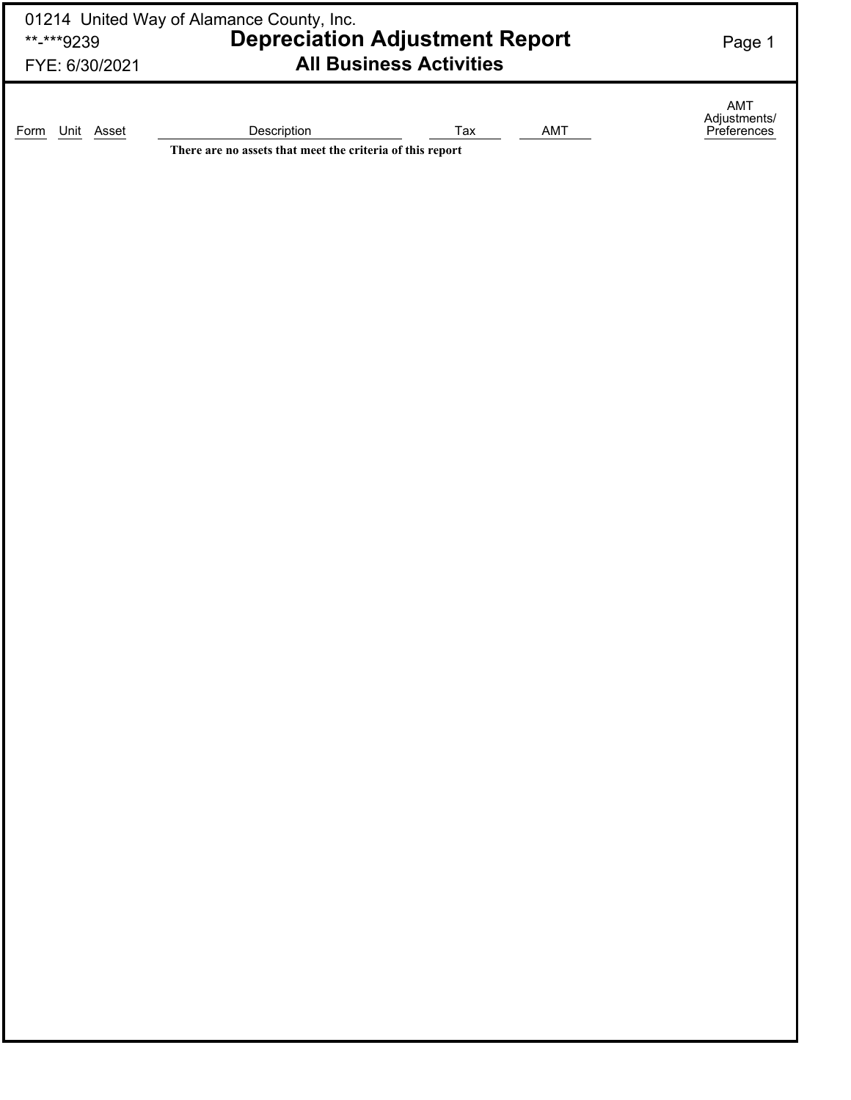| **-***9239<br>FYE: 6/30/2021 | 01214 United Way of Alamance County, Inc.<br><b>Depreciation Adjustment Report</b><br><b>All Business Activities</b> | Page 1                             |
|------------------------------|----------------------------------------------------------------------------------------------------------------------|------------------------------------|
| Unit<br>Asset<br>Form        | Description<br>AMT<br>Tax<br>There are no assets that meet the criteria of this report                               | AMT<br>Adjustments/<br>Preferences |
|                              |                                                                                                                      |                                    |
|                              |                                                                                                                      |                                    |
|                              |                                                                                                                      |                                    |
|                              |                                                                                                                      |                                    |
|                              |                                                                                                                      |                                    |
|                              |                                                                                                                      |                                    |
|                              |                                                                                                                      |                                    |
|                              |                                                                                                                      |                                    |
|                              |                                                                                                                      |                                    |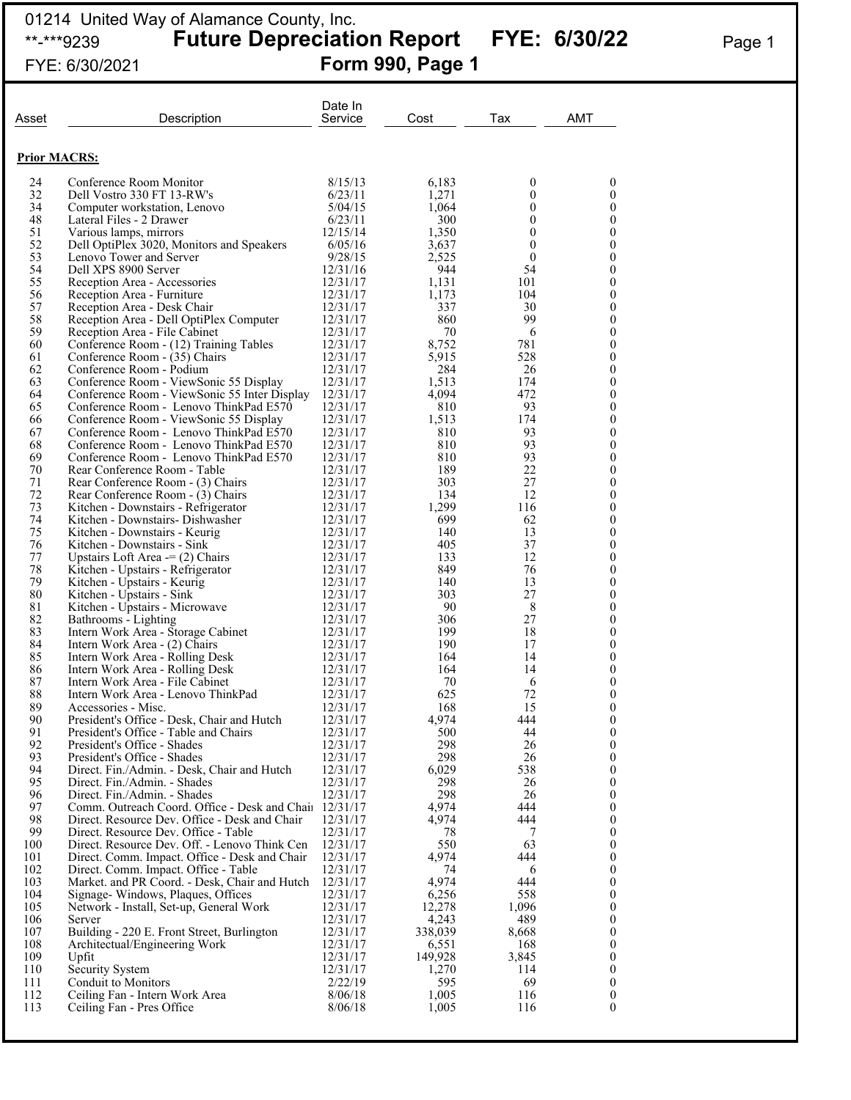## 01214 United Way of Alamance County, Inc. \*\*-\*\*\*9239 **Future Depreciation Report FYE: 6/30/22** Page 1 FYE: 6/30/2021 **Form 990, Page 1**

| Asset               | Description                                                                                             | Date In<br>Service   | Cost             | Tax          | AMT                                  |
|---------------------|---------------------------------------------------------------------------------------------------------|----------------------|------------------|--------------|--------------------------------------|
| <b>Prior MACRS:</b> |                                                                                                         |                      |                  |              |                                      |
| 24                  | Conference Room Monitor                                                                                 | 8/15/13              | 6,183            | 0            | 0                                    |
| 32                  | Dell Vostro 330 FT 13-RW's                                                                              | 6/23/11              | 1,271            | 0            | 0                                    |
| 34                  | Computer workstation, Lenovo                                                                            | 5/04/15              | 1,064            | 0            | $\boldsymbol{0}$                     |
| 48<br>51            | Lateral Files - 2 Drawer<br>Various lamps, mirrors                                                      | 6/23/11<br>12/15/14  | 300<br>1,350     | 0<br>0       | $\boldsymbol{0}$<br>$\boldsymbol{0}$ |
| 52                  | Dell OptiPlex 3020, Monitors and Speakers                                                               | 6/05/16              | 3,637            | $\mathbf{0}$ | $\boldsymbol{0}$                     |
| 53                  | Lenovo Tower and Server                                                                                 | 9/28/15              | 2,525            | $\mathbf{0}$ | $\boldsymbol{0}$                     |
| 54                  | Dell XPS 8900 Server                                                                                    | 12/31/16             | 944              | 54           | $\boldsymbol{0}$                     |
| 55<br>56            | Reception Area - Accessories<br>Reception Area - Furniture                                              | 12/31/17<br>12/31/17 | 1,131<br>1,173   | 101<br>104   | $\boldsymbol{0}$<br>$\boldsymbol{0}$ |
| 57                  | Reception Area - Desk Chair                                                                             | 12/31/17             | 337              | 30           | $\boldsymbol{0}$                     |
| 58                  | Reception Area - Dell OptiPlex Computer                                                                 | 12/31/17             | 860              | 99           | $\boldsymbol{0}$                     |
| 59                  | Reception Area - File Cabinet                                                                           | 12/31/17             | 70               | 6            | $\boldsymbol{0}$                     |
| 60<br>61            | Conference Room - (12) Training Tables<br>Conference Room - (35) Chairs                                 | 12/31/17<br>12/31/17 | 8,752<br>5,915   | 781<br>528   | $\boldsymbol{0}$<br>$\boldsymbol{0}$ |
| 62                  | Conference Room - Podium                                                                                | 12/31/17             | 284              | 26           | $\boldsymbol{0}$                     |
| 63                  | Conference Room - ViewSonic 55 Display                                                                  | 12/31/17             | 1,513            | 174          | $\boldsymbol{0}$                     |
| 64                  | Conference Room - ViewSonic 55 Inter Display                                                            | 12/31/17             | 4,094            | 472          | $\boldsymbol{0}$                     |
| 65<br>66            | Conference Room - Lenovo ThinkPad E570                                                                  | 12/31/17             | 810              | 93<br>174    | $\boldsymbol{0}$                     |
| 67                  | Conference Room - ViewSonic 55 Display<br>Conference Room - Lenovo ThinkPad E570                        | 12/31/17<br>12/31/17 | 1,513<br>810     | 93           | $\boldsymbol{0}$<br>$\boldsymbol{0}$ |
| 68                  | Conference Room - Lenovo ThinkPad E570                                                                  | 12/31/17             | 810              | 93           | $\boldsymbol{0}$                     |
| 69                  | Conference Room - Lenovo ThinkPad E570                                                                  | 12/31/17             | 810              | 93           | $\boldsymbol{0}$                     |
| 70                  | Rear Conference Room - Table                                                                            | 12/31/17             | 189              | 22           | $\boldsymbol{0}$                     |
| 71<br>72            | Rear Conference Room - (3) Chairs<br>Rear Conference Room - (3) Chairs                                  | 12/31/17<br>12/31/17 | 303<br>134       | 27<br>12     | $\boldsymbol{0}$<br>$\boldsymbol{0}$ |
| 73                  | Kitchen - Downstairs - Refrigerator                                                                     | 12/31/17             | 1,299            | 116          | $\boldsymbol{0}$                     |
| 74                  | Kitchen - Downstairs- Dishwasher                                                                        | 12/31/17             | 699              | 62           | $\boldsymbol{0}$                     |
| 75                  | Kitchen - Downstairs - Keurig                                                                           | 12/31/17             | 140              | 13           | $\boldsymbol{0}$                     |
| 76<br>77            | Kitchen - Downstairs - Sink<br>Upstairs Loft Area $=$ (2) Chairs                                        | 12/31/17<br>12/31/17 | 405<br>133       | 37<br>12     | $\boldsymbol{0}$<br>$\boldsymbol{0}$ |
| 78                  | Kitchen - Upstairs - Refrigerator                                                                       | 12/31/17             | 849              | 76           | $\boldsymbol{0}$                     |
| 79                  | Kitchen - Upstairs - Keurig                                                                             | 12/31/17             | 140              | 13           | $\boldsymbol{0}$                     |
| 80                  | Kitchen - Upstairs - Sink                                                                               | 12/31/17             | 303              | 27           | $\boldsymbol{0}$                     |
| 81<br>82            | Kitchen - Upstairs - Microwave                                                                          | 12/31/17<br>12/31/17 | 90<br>306        | 8<br>27      | $\boldsymbol{0}$<br>$\boldsymbol{0}$ |
| 83                  | Bathrooms - Lighting<br>Intern Work Area - Storage Cabinet                                              | 12/31/17             | 199              | 18           | $\boldsymbol{0}$                     |
| 84                  | Intern Work Area - (2) Chairs                                                                           | 12/31/17             | 190              | 17           | $\boldsymbol{0}$                     |
| 85                  | Intern Work Area - Rolling Desk                                                                         | 12/31/17             | 164              | 14           | $\boldsymbol{0}$                     |
| 86<br>87            | Intern Work Area - Rolling Desk                                                                         | 12/31/17             | 164              | 14           | $\boldsymbol{0}$<br>$\mathbf{0}$     |
| 88                  | Intern Work Area - File Cabinet<br>Intern Work Area - Lenovo ThinkPad                                   | 12/31/17<br>12/31/17 | 70<br>625        | 6<br>72      | $\mathbf{0}$                         |
| 89                  | Accessories - Misc.                                                                                     | 12/31/17             | 168              | 15           | 0                                    |
| 90                  | President's Office - Desk, Chair and Hutch                                                              | 12/31/17             | 4,974            | 444          | $\boldsymbol{0}$                     |
| 91                  | President's Office - Table and Chairs                                                                   | 12/31/17             | 500              | 44           | 0                                    |
| 92<br>93            | President's Office - Shades<br>President's Office - Shades                                              | 12/31/17<br>12/31/17 | 298<br>298       | 26<br>26     | 0<br>0                               |
| 94                  | Direct. Fin./Admin. - Desk, Chair and Hutch                                                             | 12/31/17             | 6,029            | 538          | 0                                    |
| 95                  | Direct. Fin./Admin. - Shades                                                                            | 12/31/17             | 298              | 26           | 0                                    |
| 96                  | Direct. Fin./Admin. - Shades                                                                            | 12/31/17             | 298              | 26           | 0                                    |
| 97<br>98            | Comm. Outreach Coord. Office - Desk and Chair 12/31/17<br>Direct. Resource Dev. Office - Desk and Chair | 12/31/17             | 4,974<br>4,974   | 444<br>444   | 0<br>0                               |
| 99                  | Direct. Resource Dev. Office - Table                                                                    | 12/31/17             | 78               | 7            | 0                                    |
| 100                 | Direct. Resource Dev. Off. - Lenovo Think Cen                                                           | 12/31/17             | 550              | 63           | 0                                    |
| 101                 | Direct. Comm. Impact. Office - Desk and Chair                                                           | 12/31/17             | 4.974            | 444          | 0                                    |
| 102<br>103          | Direct. Comm. Impact. Office - Table<br>Market. and PR Coord. - Desk, Chair and Hutch                   | 12/31/17<br>12/31/17 | 74<br>4,974      | 6<br>444     | 0<br>0                               |
| 104                 | Signage-Windows, Plaques, Offices                                                                       | 12/31/17             | 6,256            | 558          | 0                                    |
| 105                 | Network - Install, Set-up, General Work                                                                 | 12/31/17             | 12,278           | 1,096        | 0                                    |
| 106                 | Server                                                                                                  | 12/31/17             | 4,243            | 489          | 0                                    |
| 107                 | Building - 220 E. Front Street, Burlington                                                              | 12/31/17             | 338,039          | 8,668        | 0                                    |
| 108<br>109          | Architectual/Engineering Work<br>Upfit                                                                  | 12/31/17<br>12/31/17 | 6,551<br>149,928 | 168<br>3,845 | 0<br>0                               |
| 110                 | Security System                                                                                         | 12/31/17             | 1,270            | 114          | 0                                    |
| 111                 | Conduit to Monitors                                                                                     | 2/22/19              | 595              | 69           | 0                                    |
| 112                 | Ceiling Fan - Intern Work Area                                                                          | 8/06/18              | 1,005            | 116          | 0                                    |
| 113                 | Ceiling Fan - Pres Office                                                                               | 8/06/18              | 1,005            | 116          | $\mathbf{0}$                         |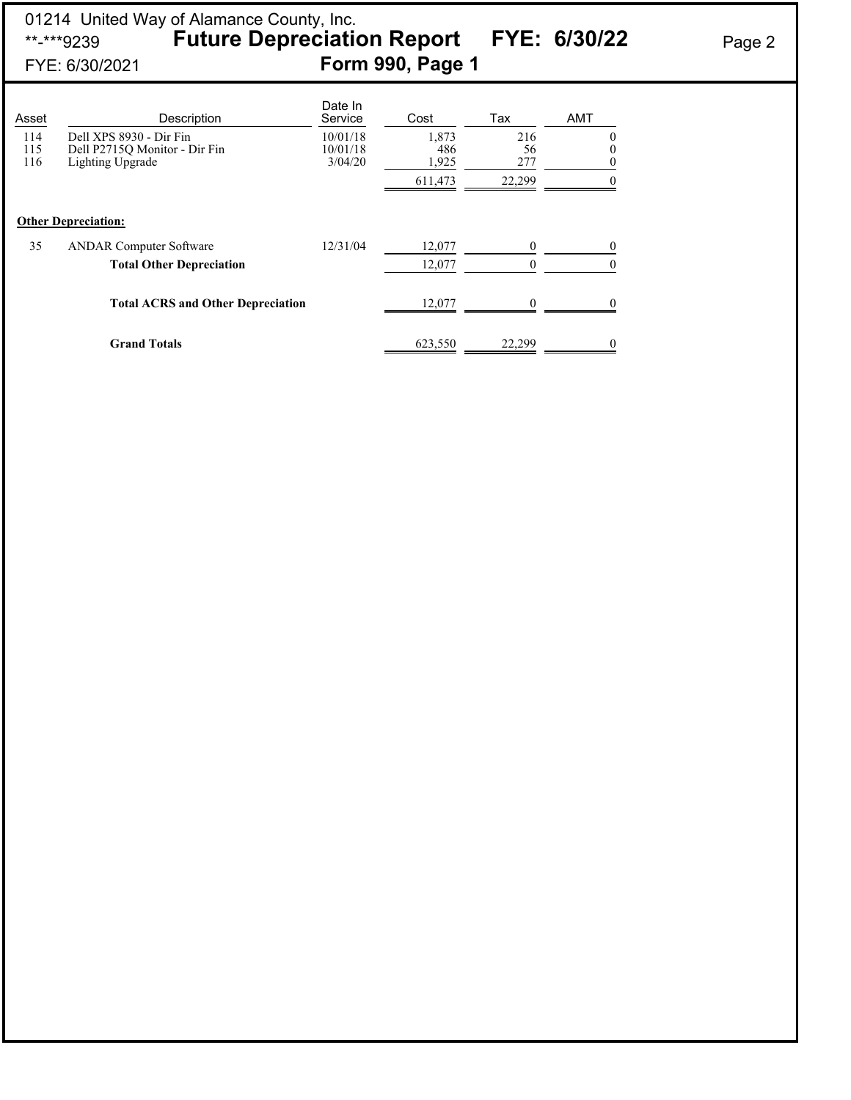## 01214 United Way of Alamance County, Inc. \*\*-\*\*\*9239 **Future Depreciation Report FYE: 6/30/22** Page 2 FYE: 6/30/2021 **Form 990, Page 1**

| Asset             | Description                                                                  | Date In<br>Service              | Cost                  | Tax              | <b>AMT</b>                       |
|-------------------|------------------------------------------------------------------------------|---------------------------------|-----------------------|------------------|----------------------------------|
| 114<br>115<br>116 | Dell XPS 8930 - Dir Fin<br>Dell P2715Q Monitor - Dir Fin<br>Lighting Upgrade | 10/01/18<br>10/01/18<br>3/04/20 | 1,873<br>486<br>1,925 | 216<br>56<br>277 | $\theta$<br>$\theta$<br>$\theta$ |
|                   |                                                                              |                                 | 611,473               | 22,299           | $\Omega$                         |
|                   | <b>Other Depreciation:</b>                                                   |                                 |                       |                  |                                  |
| 35                | <b>ANDAR Computer Software</b>                                               | 12/31/04                        | 12,077                | $\mathbf{0}$     | $\theta$                         |
|                   | <b>Total Other Depreciation</b>                                              |                                 | 12,077                | $\mathbf{0}$     | $\overline{0}$                   |
|                   | <b>Total ACRS and Other Depreciation</b>                                     |                                 | 12,077                | 0                | 0                                |
|                   | <b>Grand Totals</b>                                                          |                                 | 623,550               | 22.299           | $\theta$                         |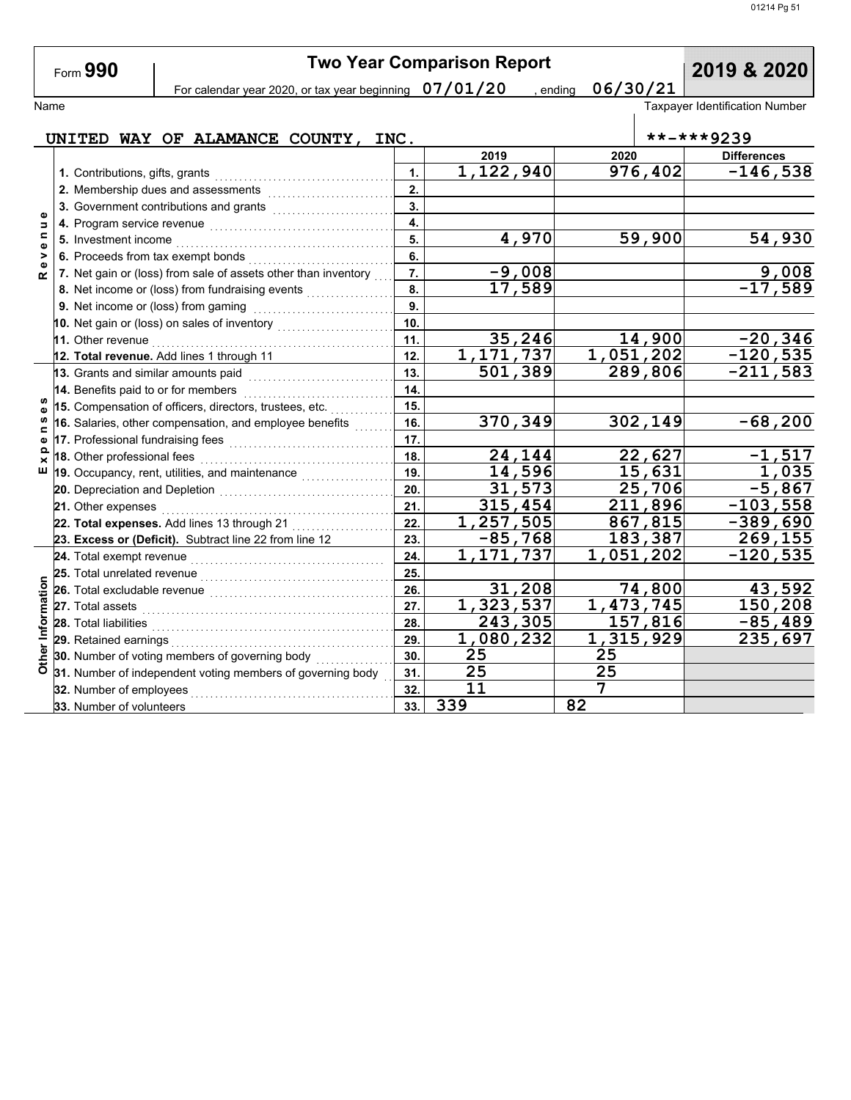|                    | Form 990                            |                                                                |                  | <b>Two Year Comparison Report</b> | 2019 & 2020        |                                       |
|--------------------|-------------------------------------|----------------------------------------------------------------|------------------|-----------------------------------|--------------------|---------------------------------------|
|                    |                                     | For calendar year 2020, or tax year beginning $07/01/20$       |                  |                                   | 06/30/21<br>ending |                                       |
| Name               |                                     |                                                                |                  |                                   |                    | <b>Taxpayer Identification Number</b> |
|                    |                                     |                                                                |                  |                                   |                    |                                       |
|                    |                                     | UNITED WAY OF ALAMANCE COUNTY, INC.                            |                  |                                   |                    | **-***9239                            |
|                    |                                     |                                                                |                  | 2019                              | 2020               | <b>Differences</b>                    |
|                    |                                     |                                                                | $\mathbf{1}$ .   | 1,122,940                         | 976,402            | $-146,538$                            |
|                    |                                     | 2. Membership dues and assessments                             | 2.               |                                   |                    |                                       |
| Φ                  |                                     |                                                                | $\overline{3}$ . |                                   |                    |                                       |
| $\Rightarrow$<br>Ξ |                                     |                                                                | $\overline{4}$   |                                   |                    |                                       |
| Ф                  |                                     |                                                                | 5.               | 4,970                             | 59,900             | 54,930                                |
| $\frac{1}{2}$      |                                     | 6. Proceeds from tax exempt bonds                              | 6.               |                                   |                    |                                       |
| œ                  |                                     | 7. Net gain or (loss) from sale of assets other than inventory | 7.               | $-9,008$                          |                    | 9,008                                 |
|                    |                                     | 8. Net income or (loss) from fundraising events                | 8.               | 17,589                            |                    | $-17,589$                             |
|                    |                                     | 9. Net income or (loss) from gaming                            | 9.               |                                   |                    |                                       |
|                    |                                     | 10. Net gain or (loss) on sales of inventory                   | 10               |                                   |                    |                                       |
|                    | 11. Other revenue                   |                                                                | 11.              | 35,246                            | 14,900             | $-20, 346$                            |
|                    |                                     | 12. Total revenue. Add lines 1 through 11                      | 12.              | 1, 171, 737                       | 1,051,202          | $-120,535$                            |
|                    | 13. Grants and similar amounts paid |                                                                | 13.              | 501,389                           | 289,806            | $-211,583$                            |
|                    | 14. Benefits paid to or for members |                                                                | 14.              |                                   |                    |                                       |
|                    |                                     | 15. Compensation of officers, directors, trustees, etc.        | 15.              |                                   |                    |                                       |
| $\blacksquare$     |                                     | 16. Salaries, other compensation, and employee benefits        | 16.              | 370,349                           | 302,149            | $-68,200$                             |
| Ф<br>௨             | 17. Professional fundraising fees   |                                                                | 17.              |                                   |                    |                                       |
|                    | 18. Other professional fees         |                                                                | 18.              | 24,144                            | 22,627             | $-1,517$                              |
| ш                  |                                     | 19. Occupancy, rent, utilities, and maintenance                | 19.              | 14,596                            | 15,631             | 1,035                                 |
|                    |                                     |                                                                | 20.              | 31,573                            | 25,706             | $-5,867$                              |
|                    | 21. Other expenses                  |                                                                | 21.              | 315,454                           | 211,896            | $-103,558$                            |
|                    |                                     | 22. Total expenses. Add lines 13 through 21 $\ldots$           | 22.              | 1,257,505                         | 867,815            | _389, <u>690</u>                      |
|                    |                                     | 23. Excess or (Deficit). Subtract line 22 from line 12         | 23.              | $-85,768$                         | 183,387            | 269,155                               |
|                    | 24. Total exempt revenue            |                                                                | 24.              | 1,171,737                         | 1,051,202          | $-120,535$                            |
|                    | 25. Total unrelated revenue         |                                                                | 25.              |                                   |                    |                                       |
|                    |                                     |                                                                | 26.              | 31,208                            | 74,800             | 43,592                                |
|                    | <b>27.</b> Total assets             |                                                                | 27.              | 1,323,537                         | 1,473,745          | 150, 208                              |
|                    | 28. Total liabilities               |                                                                | 28.              | 243,305                           | 157,816            | $-85,489$                             |
| Other Information  |                                     |                                                                | 29.              | 1,080,232                         | 1,315,929          | 235,697                               |
|                    |                                     | 30. Number of voting members of governing body                 | 30.              | 25                                | 25                 |                                       |
|                    |                                     | 31. Number of independent voting members of governing body     | 31.              | 25                                | 25                 |                                       |
|                    | 32. Number of employees             |                                                                | 32.              | 11                                | $\overline{7}$     |                                       |
|                    | 33. Number of volunteers            |                                                                | 33.              | 339                               | 82                 |                                       |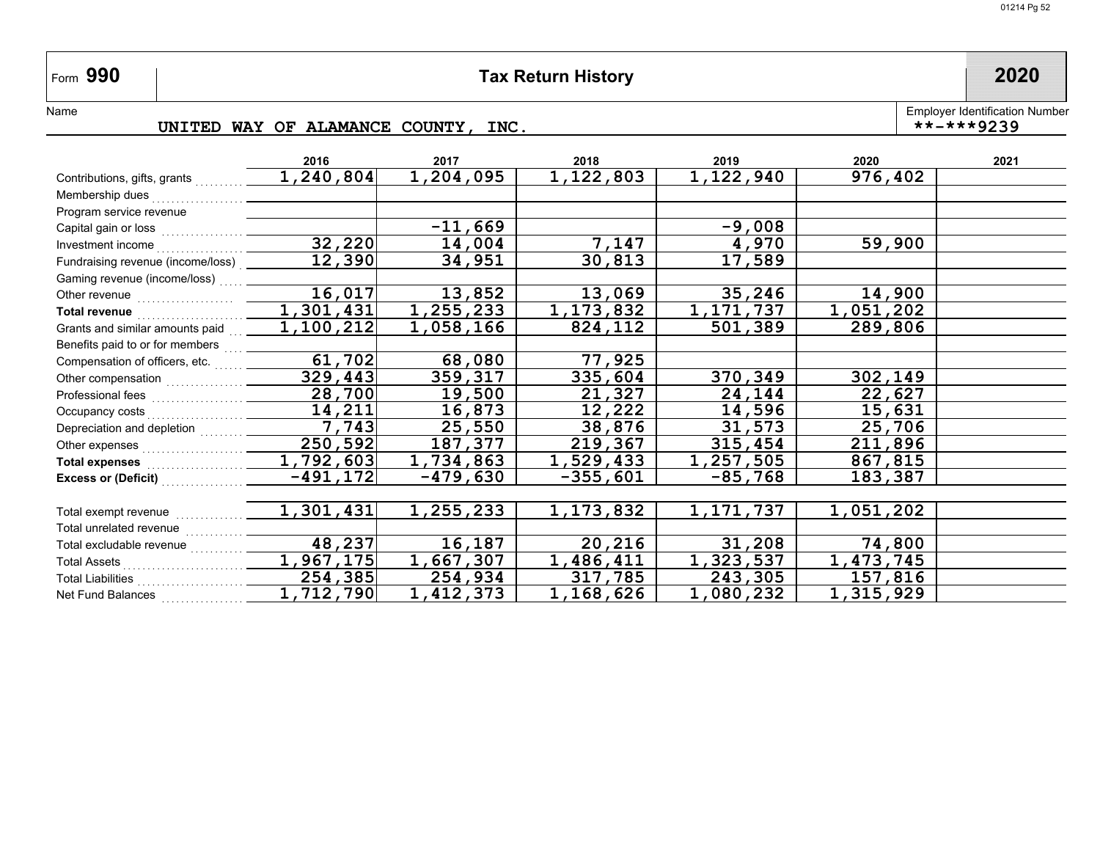## **990 Tax Return History 2020**

Employer Identification Number<br>\*\*-\*\*\*9239

Name

#### **UNITED WAY OF ALAMANCE COUNTY, INC.**

|                                                                                                                      | 2016                 | 2017       | 2018             | 2019           | 2020      | 2021 |
|----------------------------------------------------------------------------------------------------------------------|----------------------|------------|------------------|----------------|-----------|------|
| Contributions, gifts, grants                                                                                         | 1,240,804            | 1,204,095  | <u>1,122,803</u> | 1,122,940      | 976,402   |      |
| Membership dues                                                                                                      |                      |            |                  |                |           |      |
| Program service revenue                                                                                              |                      |            |                  |                |           |      |
| Capital gain or loss [11] contains a more more in the set of the set of the set of the Sapital District Set of the S |                      | $-11,669$  |                  | $-9,008$       |           |      |
| Investment income                                                                                                    | 32,220               | 14,004     | 7,147            | 4,970          | 59,900    |      |
| Fundraising revenue (income/loss) ____                                                                               | 12,390               | 34,951     | 30,813           | 17,589         |           |      |
| Gaming revenue (income/loss)                                                                                         |                      |            |                  |                |           |      |
| Other revenue <b>contained COLOREY CONSUMER</b>                                                                      | 16,017               | 13,852     | 13,069           | 35,246         | 14,900    |      |
| <b>Total revenue</b>                                                                                                 | 1,301,431            | 1,255,233  | 1, 173, 832      | 1,171,737      | 1,051,202 |      |
| Grants and similar amounts paid                                                                                      | 1,100,212            | 1,058,166  | 824, 112         | <u>501,389</u> | 289,806   |      |
| Benefits paid to or for members product                                                                              |                      |            |                  |                |           |      |
| Compensation of officers, etc.                                                                                       | 61,702               | 68,080     | 77,925           |                |           |      |
|                                                                                                                      | 329,443              | 359,317    | 335,604          | 370,349        | 302,149   |      |
|                                                                                                                      | 28,700               | 19,500     | 21,327           | 24,144         | 22,627    |      |
| Occupancy costs                                                                                                      | 14,211               | 16,873     | 12,222           | 14,596         | 15,631    |      |
| Depreciation and depletion [1] [1] Depreciation and depletion                                                        | $\overline{7}$ , 743 | 25,550     | 38,876           | 31,573         | 25,706    |      |
| Other expenses                                                                                                       | 250,592              | 187,377    | 219,367          | 315,454        | 211,896   |      |
|                                                                                                                      | 1,792,603            | 1,734,863  | 1,529,433        | 1,257,505      | 867,815   |      |
|                                                                                                                      | $-491, 172$          | $-479,630$ | -355,601         | $-85,768$      | 183,387   |      |
|                                                                                                                      |                      |            |                  |                |           |      |
| Total exempt revenue                                                                                                 | 1,301,431            | 1,255,233  | 1,173,832        | 1,171,737      | 1,051,202 |      |
| Total unrelated revenue                                                                                              |                      |            |                  |                |           |      |
| Total excludable revenue                                                                                             | 48,237               | 16,187     | 20,216           | 31,208         | 74,800    |      |
| Total Assets                                                                                                         | 1,967,175            | 1,667,307  | 1,486,411        | 1,323,537      | 1,473,745 |      |
|                                                                                                                      | 254,385              | 254,934    | 317,785          | 243,305        | 157,816   |      |
| Net Fund Balances                                                                                                    | 1,712,790            | 1,412,373  | 1,168,626        | 1,080,232      | 1,315,929 |      |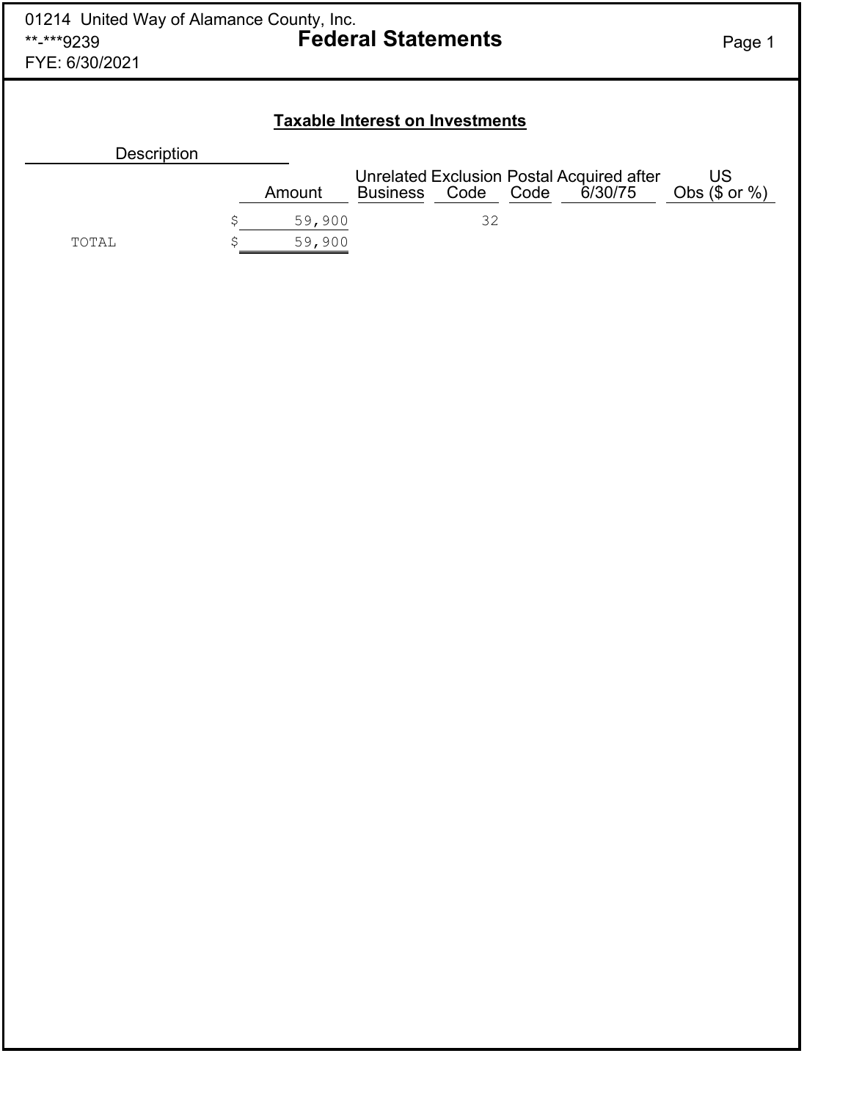| 01214 United Way of Alamance County, Inc.<br>**-***9239<br>FYE: 6/30/2021 |              | <b>Federal Statements</b>              |      |      |                                                      | Page 1                       |
|---------------------------------------------------------------------------|--------------|----------------------------------------|------|------|------------------------------------------------------|------------------------------|
|                                                                           |              | <b>Taxable Interest on Investments</b> |      |      |                                                      |                              |
| <b>Description</b>                                                        |              |                                        |      |      |                                                      |                              |
|                                                                           | Amount       | <b>Business</b>                        | Code | Code | Unrelated Exclusion Postal Acquired after<br>6/30/75 | <b>US</b><br>Obs $($ or \%)$ |
|                                                                           | \$<br>59,900 |                                        | 32   |      |                                                      |                              |
| TOTAL                                                                     | 59,900       |                                        |      |      |                                                      |                              |
|                                                                           |              |                                        |      |      |                                                      |                              |
|                                                                           |              |                                        |      |      |                                                      |                              |
|                                                                           |              |                                        |      |      |                                                      |                              |
|                                                                           |              |                                        |      |      |                                                      |                              |
|                                                                           |              |                                        |      |      |                                                      |                              |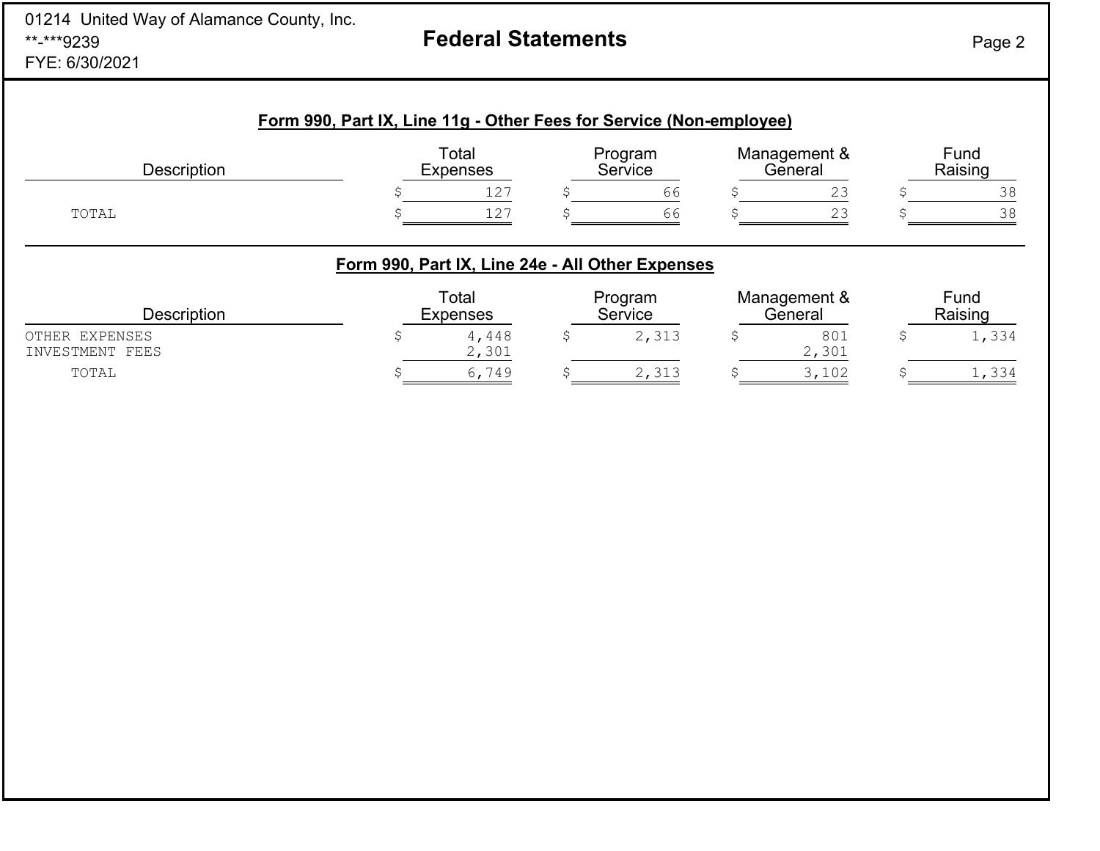| 01214 United Way of Alamance County, Inc.<br>**-***9239<br>FYE: 6/30/2021 | <b>Federal Statements</b>                                           | Page 2 |
|---------------------------------------------------------------------------|---------------------------------------------------------------------|--------|
|                                                                           | Form 990. Part IX. Line 11g - Other Fees for Service (Non-employee) |        |

| <b>Description</b> | Total<br>Expenses |              | Program<br>Service |    | Management &<br>General |                      | Fund<br>Raising |  |
|--------------------|-------------------|--------------|--------------------|----|-------------------------|----------------------|-----------------|--|
|                    |                   | 127          |                    | 66 |                         | $\cap$<br><u>ے ،</u> |                 |  |
| TOTAL              |                   | 1 0 7<br>T C |                    | 66 |                         | ∩ ∩<br>ب ک           |                 |  |

## **Form 990, Part IX, Line 24e - All Other Expenses**

| Description                       | Total<br>Expenses | Program<br>Service | Management &<br>General | Fund<br>Raising |
|-----------------------------------|-------------------|--------------------|-------------------------|-----------------|
| OTHER EXPENSES<br>INVESTMENT FEES | 4,448<br>2,301    | 2,313              | 801<br>2,301            | 1,334           |
| TOTAL                             | 6,749             | 2,313              | 3,102                   | 1,334           |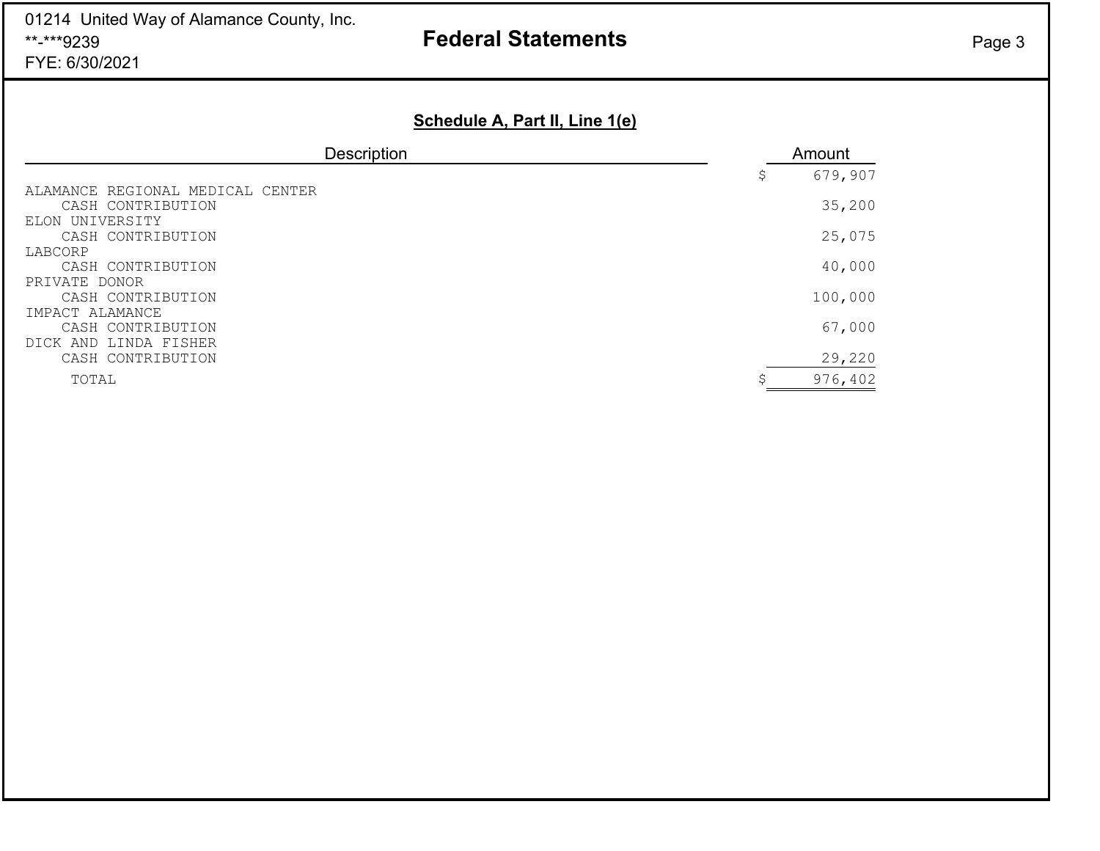01214 United Way of Alamance County, Inc. \*\*-\*\*\*9239FYE: 6/30/2021

# **Federal Statements** Page 3

## **Schedule A, Part II, Line 1(e)**

| <b>Description</b>               | Amount        |
|----------------------------------|---------------|
|                                  | \$<br>679,907 |
| ALAMANCE REGIONAL MEDICAL CENTER |               |
| CASH CONTRIBUTION                | 35,200        |
| ELON UNIVERSITY                  |               |
| CASH CONTRIBUTION                | 25,075        |
| LABCORP                          |               |
| CASH CONTRIBUTION                | 40,000        |
| PRIVATE DONOR                    |               |
| CASH CONTRIBUTION                | 100,000       |
| IMPACT ALAMANCE                  |               |
| CASH CONTRIBUTION                | 67,000        |
| DICK AND LINDA FISHER            |               |
| CASH CONTRIBUTION                | 29,220        |
| TOTAL                            | 976,402       |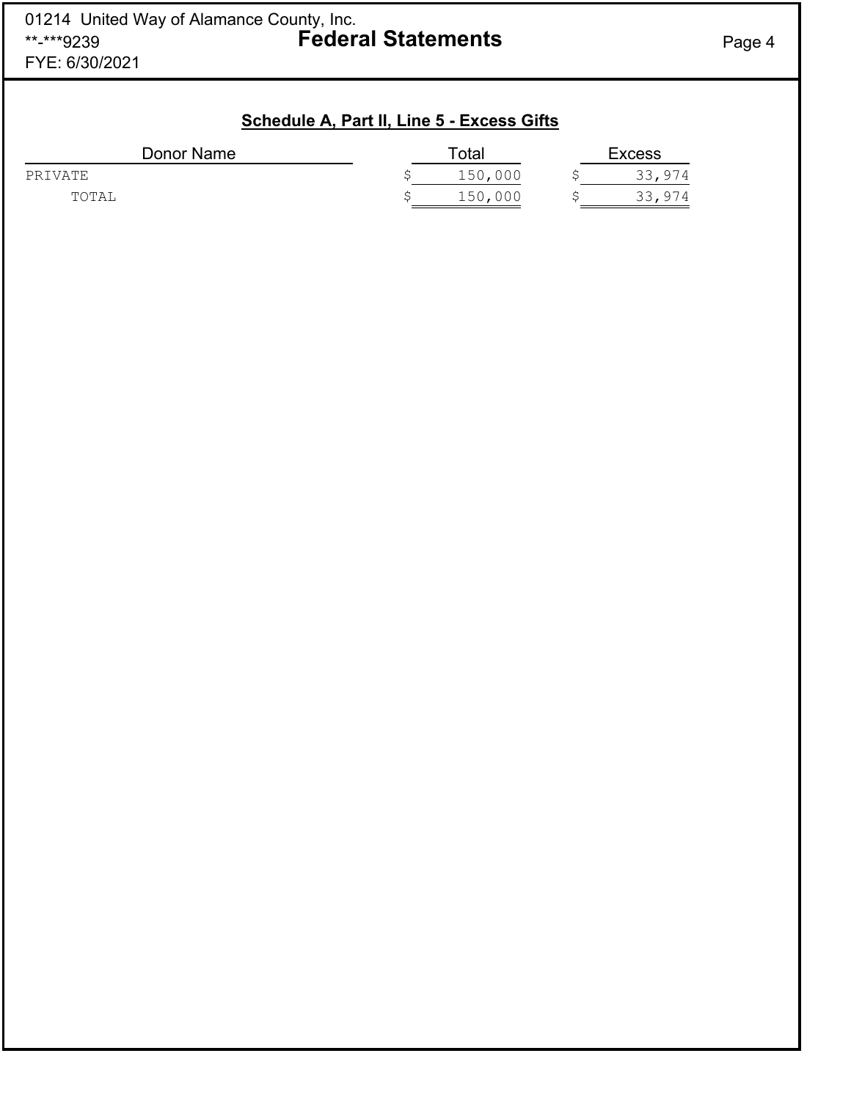| Schedule A, Part II, Line 5 - Excess Gifts |  |  |
|--------------------------------------------|--|--|
|                                            |  |  |

| Donor Name | $\tau$ otal | <b>Excess</b> |        |  |
|------------|-------------|---------------|--------|--|
| PRIVATE    | 150,000     |               | 33,974 |  |
| TOTAL      | 150,000     |               | 33,974 |  |